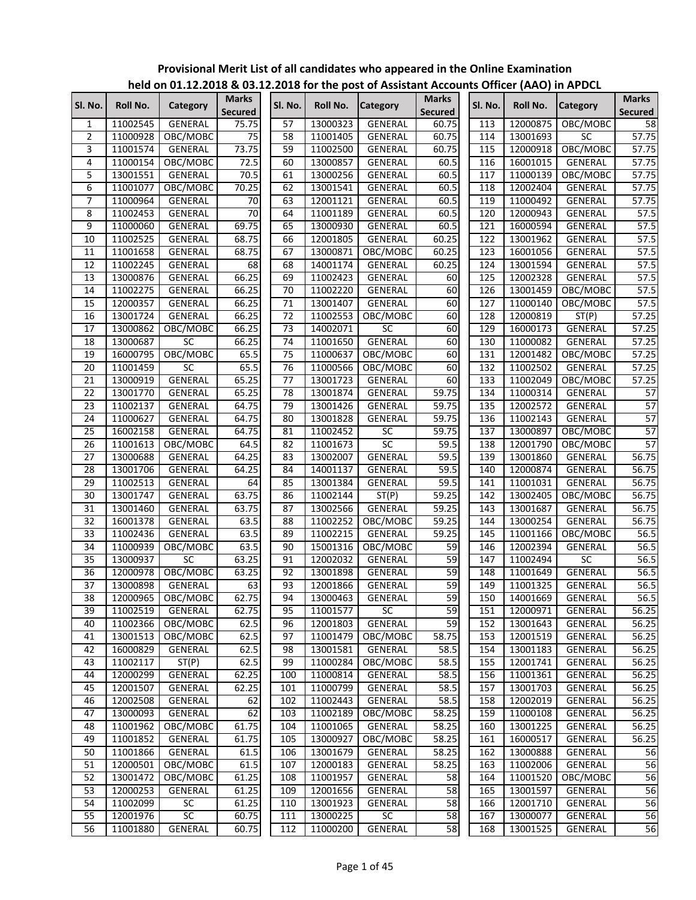| Sl. No.         | Roll No. | Category          | <b>Marks</b><br><b>Secured</b> | Sl. No.         | Roll No.             | <b>Category</b> | <b>Marks</b><br><b>Secured</b> | Sl. No.          | <b>Roll No.</b> | <b>Category</b> | <b>Marks</b><br><b>Secured</b> |
|-----------------|----------|-------------------|--------------------------------|-----------------|----------------------|-----------------|--------------------------------|------------------|-----------------|-----------------|--------------------------------|
| 1               | 11002545 | GENERAL           | 75.75                          | 57              | 13000323             | <b>GENERAL</b>  | 60.75                          | 113              | 12000875        | OBC/MOBC        | 58                             |
| $\overline{2}$  | 11000928 | OBC/MOBC          | $\overline{75}$                | 58              | 11001405             | GENERAL         | 60.75                          | 114              | 13001693        | SC              | 57.75                          |
| 3               | 11001574 | GENERAL           | 73.75                          | 59              | 11002500             | <b>GENERAL</b>  | 60.75                          | 115              | 12000918        | OBC/MOBC        | 57.75                          |
| 4               | 11000154 | OBC/MOBC          | 72.5                           | 60              | 13000857             | <b>GENERAL</b>  | 60.5                           | 116              | 16001015        | GENERAL         | 57.75                          |
| 5               | 13001551 | GENERAL           | 70.5                           | 61              | 13000256             | GENERAL         | 60.5                           | 117              | 11000139        | OBC/MOBC        | 57.75                          |
| 6               | 11001077 | OBC/MOBC          | 70.25                          | 62              | 13001541             | GENERAL         | 60.5                           | 118              | 12002404        | GENERAL         | 57.75                          |
| 7               | 11000964 | GENERAL           | $\overline{70}$                | 63              | 12001121             | GENERAL         | 60.5                           | 119              | 11000492        | GENERAL         | 57.75                          |
| 8               | 11002453 | GENERAL           | 70                             | 64              | 11001189             | GENERAL         | 60.5                           | 120              | 12000943        | GENERAL         | 57.5                           |
| 9               | 11000060 | GENERAL           | 69.75                          | 65              | 13000930             | <b>GENERAL</b>  | 60.5                           | 121              | 16000594        | <b>GENERAL</b>  | 57.5                           |
| 10              | 11002525 | GENERAL           | 68.75                          | 66              | 12001805             | GENERAL         | 60.25                          | 122              | 13001962        | GENERAL         | 57.5                           |
| 11              | 11001658 | <b>GENERAL</b>    | 68.75                          | 67              | 13000871             | OBC/MOBC        | 60.25                          | 123              | 16001056        | GENERAL         | 57.5                           |
| 12              | 11002245 | GENERAL           | 68                             | 68              | 14001174             | GENERAL         | 60.25                          | 124              | 13001594        | GENERAL         | 57.5                           |
| 13              | 13000876 | GENERAL           | 66.25                          | 69              | 11002423             | GENERAL         | 60                             | $12\overline{5}$ | 12002328        | GENERAL         | 57.5                           |
| 14              | 11002275 | GENERAL           | 66.25                          | 70              | 11002220             | GENERAL         | 60                             | 126              | 13001459        | OBC/MOBC        | 57.5                           |
| 15              | 12000357 | GENERAL           | 66.25                          | 71              | 13001407             | GENERAL         | 60                             | 127              | 11000140        | OBC/MOBC        | 57.5                           |
| 16              | 13001724 | GENERAL           | 66.25                          | 72              | 11002553             | OBC/MOBC        | 60                             | 128              | 12000819        | ST(P)           | 57.25                          |
| 17              | 13000862 | OBC/MOBC          | 66.25                          | 73              | 14002071             | <b>SC</b>       | 60                             | 129              | 16000173        | GENERAL         | 57.25                          |
| $\overline{18}$ | 13000687 | SC                | 66.25                          | 74              | 11001650             | <b>GENERAL</b>  | 60                             | 130              | 11000082        | GENERAL         | 57.25                          |
| 19              | 16000795 | OBC/MOBC          | 65.5                           | 75              | 11000637             | OBC/MOBC        | 60                             | 131              | 12001482        | OBC/MOBC        | 57.25                          |
| 20              | 11001459 | SC                | 65.5                           | 76              | 11000566             | OBC/MOBC        | 60                             | 132              | 11002502        | <b>GENERAL</b>  | 57.25                          |
| 21              | 13000919 | <b>GENERAL</b>    | 65.25                          | $\overline{77}$ | 13001723             | GENERAL         | 60                             | 133              | 11002049        | OBC/MOBC        | 57.25                          |
| $\overline{22}$ | 13001770 | GENERAL           | 65.25                          | 78              | 13001874             | <b>GENERAL</b>  | 59.75                          | 134              | 11000314        | GENERAL         | 57                             |
| 23              | 11002137 | GENERAL           | 64.75                          | 79              | 13001426             | GENERAL         | 59.75                          | 135              | 12002572        | GENERAL         | 57                             |
| 24              | 11000627 | GENERAL           | 64.75                          | 80              | 13001828             | GENERAL         | 59.75                          | 136              | 11002143        | GENERAL         | 57                             |
| 25              | 16002158 | GENERAL           | 64.75                          | 81              | 11002452             | SC              | 59.75                          | 137              | 13000897        | OBC/MOBC        | 57                             |
| 26              | 11001613 | OBC/MOBC          | 64.5                           | 82              | 11001673             | $\overline{SC}$ | $\overline{59.5}$              | 138              | 12001790        | OBC/MOBC        | 57                             |
| 27              | 13000688 | GENERAL           | 64.25                          | 83              | 13002007             | GENERAL         | 59.5                           | 139              | 13001860        | GENERAL         | 56.75                          |
| 28              | 13001706 | GENERAL           | 64.25                          | 84              | 14001137             | GENERAL         | 59.5                           | 140              | 12000874        | <b>GENERAL</b>  | 56.75                          |
| 29              | 11002513 | GENERAL           | 64                             | 85              | 13001384             | GENERAL         | 59.5                           | 141              | 11001031        | GENERAL         | 56.75                          |
| 30              | 13001747 | GENERAL           | 63.75                          | 86              | 11002144             | ST(P)           | 59.25                          | 142              | 13002405        | OBC/MOBC        | 56.75                          |
| 31              | 13001460 | GENERAL           | 63.75                          | 87              | 13002566             | GENERAL         | 59.25                          | 143              | 13001687        | GENERAL         | 56.75                          |
| 32              | 16001378 | GENERAL           | 63.5                           | 88              | 11002252             | OBC/MOBC        | 59.25                          | 144              | 13000254        | GENERAL         | 56.75                          |
| 33              | 11002436 | GENERAL           | 63.5                           | 89              | 11002215             | GENERAL         | 59.25                          | 145              | 11001166        | OBC/MOBC        | 56.5                           |
| 34              | 11000939 | OBC/MOBC          | 63.5                           | 90              | 15001316             | OBC/MOBC        | 59                             | 146              | 12002394        | <b>GENERAL</b>  | 56.5                           |
| 35              | 13000937 | $\overline{SC}$   | 63.25                          | 91              | 12002032             | GENERAL         | 59                             | 147              | 11002494        | SC              | 56.5                           |
| 36              | 12000978 | OBC/MOBC          | 63.25                          | 92              | 13001898             | GENERAL         | 59                             | 148              | 11001649        | GENERAL         | 56.5                           |
| 37              | 13000898 | GENERAL           | 63                             | 93              | 12001866             | <b>GENERAL</b>  | 59                             | 149              | 11001325        | <b>GENERAL</b>  | 56.5                           |
| $\overline{38}$ |          | 12000965 OBC/MOBC | 62.75                          | 94              | 13000463             | <b>GENERAL</b>  | 59                             | 150              | 14001669        | GENERAL         | 56.5                           |
| 39              | 11002519 | GENERAL           | 62.75                          | 95              | 11001577             | <b>SC</b>       | 59                             | 151              | 12000971        | GENERAL         | 56.25                          |
| 40              | 11002366 | OBC/MOBC          | 62.5                           | 96              | 12001803             | GENERAL         | 59                             | 152              | 13001643        | GENERAL         | 56.25                          |
| 41              | 13001513 | OBC/MOBC          | 62.5                           | 97              | 11001479             | OBC/MOBC        | 58.75                          | 153              | 12001519        | GENERAL         | 56.25                          |
| 42              | 16000829 | GENERAL           | 62.5                           | 98              | 13001581             | GENERAL         | 58.5                           | 154              | 13001183        |                 | 56.25                          |
|                 | 11002117 |                   |                                | 99              |                      |                 |                                |                  |                 | GENERAL         | 56.25                          |
| 43              | 12000299 | ST(P)             | 62.5                           |                 | 11000284<br>11000814 | OBC/MOBC        | 58.5                           | 155              | 12001741        | GENERAL         |                                |
| 44<br>45        |          | GENERAL           | 62.25                          | 100             |                      | GENERAL         | 58.5                           | 156              | 11001361        | GENERAL         | 56.25                          |
|                 | 12001507 | <b>GENERAL</b>    | 62.25                          | 101             | 11000799             | <b>GENERAL</b>  | 58.5                           | 157              | 13001703        | <b>GENERAL</b>  | 56.25                          |
| 46              | 12002508 | <b>GENERAL</b>    | 62                             | 102             | 11002443             | <b>GENERAL</b>  | 58.5                           | 158              | 12002019        | GENERAL         | 56.25                          |
| 47              | 13000093 | GENERAL           | 62                             | 103             | 11002189             | OBC/MOBC        | 58.25                          | 159              | 11000108        | GENERAL         | 56.25                          |
| 48              | 11001962 | OBC/MOBC          | 61.75                          | 104             | 11001065             | GENERAL         | 58.25                          | 160              | 13001225        | GENERAL         | 56.25                          |
| 49              | 11001852 | GENERAL           | 61.75                          | 105             | 13000927             | OBC/MOBC        | 58.25                          | 161              | 16000517        | GENERAL         | 56.25                          |
| 50              | 11001866 | GENERAL           | 61.5                           | 106             | 13001679             | GENERAL         | 58.25                          | 162              | 13000888        | GENERAL         | 56                             |
| 51              | 12000501 | OBC/MOBC          | 61.5                           | 107             | 12000183             | GENERAL         | 58.25                          | 163              | 11002006        | GENERAL         | 56                             |
| 52              | 13001472 | OBC/MOBC          | 61.25                          | 108             | 11001957             | GENERAL         | 58                             | 164              | 11001520        | OBC/MOBC        | 56                             |
| 53              | 12000253 | GENERAL           | 61.25                          | 109             | 12001656             | GENERAL         | 58                             | 165              | 13001597        | GENERAL         | 56                             |
| 54              | 11002099 | SC                | 61.25                          | 110             | 13001923             | GENERAL         | 58                             | 166              | 12001710        | GENERAL         | 56                             |
| 55              | 12001976 | SC                | 60.75                          | 111             | 13000225             | SC              | 58                             | 167              | 13000077        | GENERAL         | 56                             |
| 56              | 11001880 | GENERAL           | 60.75                          | 112             | 11000200             | <b>GENERAL</b>  | 58                             | 168              | 13001525        | GENERAL         | 56                             |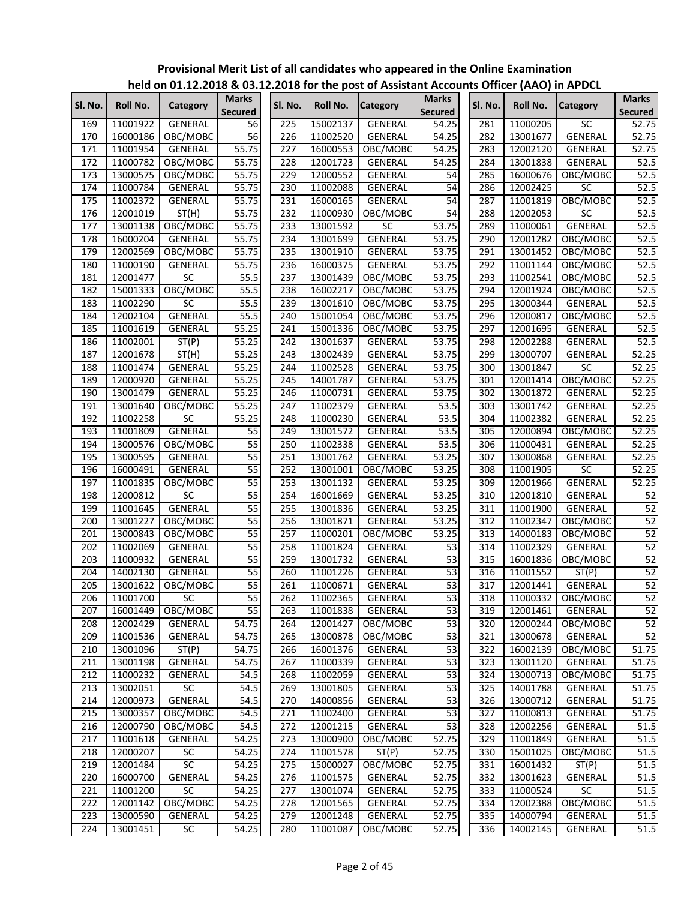| SI. No. | Roll No. | Category        | <b>Marks</b>    | Sl. No. | Roll No. | <b>Category</b> | <b>Marks</b>      | SI. No. | Roll No. | <b>Category</b>   | <b>Marks</b>       |
|---------|----------|-----------------|-----------------|---------|----------|-----------------|-------------------|---------|----------|-------------------|--------------------|
|         |          |                 | <b>Secured</b>  |         |          |                 | Secured           |         |          |                   | <b>Secured</b>     |
| 169     | 11001922 | <b>GENERAL</b>  | 56              | 225     | 15002137 | GENERAL         | 54.25             | 281     | 11000205 | SC                | 52.75              |
| 170     | 16000186 | OBC/MOBC        | 56              | 226     | 11002520 | <b>GENERAL</b>  | 54.25             | 282     | 13001677 | <b>GENERAL</b>    | 52.75              |
| 171     | 11001954 | <b>GENERAL</b>  | 55.75           | 227     | 16000553 | OBC/MOBC        | 54.25             | 283     | 12002120 | <b>GENERAL</b>    | 52.75              |
| 172     | 11000782 | OBC/MOBC        | 55.75           | 228     | 12001723 | <b>GENERAL</b>  | 54.25             | 284     | 13001838 | GENERAL           | 52.5               |
| 173     | 13000575 | OBC/MOBC        | 55.75           | 229     | 12000552 | GENERAL         | 54                | 285     | 16000676 | OBC/MOBC          | 52.5               |
| 174     | 11000784 | GENERAL         | 55.75           | 230     | 11002088 | GENERAL         | 54                | 286     | 12002425 | SC                | 52.5               |
| 175     | 11002372 | GENERAL         | 55.75           | 231     | 16000165 | GENERAL         | 54                | 287     | 11001819 | OBC/MOBC          | 52.5               |
| 176     | 12001019 | ST(H)           | 55.75           | 232     | 11000930 | OBC/MOBC        | 54                | 288     | 12002053 | $\overline{SC}$   | 52.5               |
| 177     | 13001138 | OBC/MOBC        | 55.75           | 233     | 13001592 | $\overline{SC}$ | 53.75             | 289     | 11000061 | <b>GENERAL</b>    | 52.5               |
| 178     | 16000204 | GENERAL         | 55.75           | 234     | 13001699 | <b>GENERAL</b>  | 53.75             | 290     | 12001282 | OBC/MOBC          | 52.5               |
| 179     | 12002569 | OBC/MOBC        | 55.75           | 235     | 13001910 | GENERAL         | 53.75             | 291     | 13001452 | OBC/MOBC          | 52.5               |
| 180     | 11000190 | GENERAL         | 55.75           | 236     | 16000375 | GENERAL         | 53.75             | 292     | 11001144 | OBC/MOBC          | 52.5               |
| 181     | 12001477 | SC              | 55.5            | 237     | 13001439 | OBC/MOBC        | 53.75             | 293     | 11002541 | OBC/MOBC          | 52.5               |
| 182     | 15001333 | OBC/MOBC        | 55.5            | 238     | 16002217 | OBC/MOBC        | 53.75             | 294     | 12001924 | OBC/MOBC          | 52.5               |
| 183     | 11002290 | SC              | 55.5            | 239     | 13001610 | OBC/MOBC        | 53.75             | 295     | 13000344 | GENERAL           | 52.5               |
| 184     | 12002104 | <b>GENERAL</b>  | 55.5            | 240     | 15001054 | OBC/MOBC        | 53.75             | 296     | 12000817 | OBC/MOBC          | 52.5               |
| 185     | 11001619 | <b>GENERAL</b>  | 55.25           | 241     | 15001336 | OBC/MOBC        | 53.75             | 297     | 12001695 | GENERAL           | 52.5               |
| 186     | 11002001 | ST(P)           | 55.25           | 242     | 13001637 | GENERAL         | 53.75             | 298     | 12002288 | GENERAL           | 52.5               |
| 187     | 12001678 | ST(H)           | 55.25           | 243     | 13002439 | <b>GENERAL</b>  | 53.75             | 299     | 13000707 | GENERAL           | 52.25              |
| 188     | 11001474 | GENERAL         | 55.25           | 244     | 11002528 | GENERAL         | 53.75             | 300     | 13001847 | SC                | 52.25              |
| 189     | 12000920 | GENERAL         | 55.25           | 245     | 14001787 | <b>GENERAL</b>  | 53.75             | 301     | 12001414 | OBC/MOBC          | 52.25              |
| 190     | 13001479 | GENERAL         | 55.25           | 246     | 11000731 | <b>GENERAL</b>  | 53.75             | 302     | 13001872 | GENERAL           | 52.25              |
| 191     | 13001640 | OBC/MOBC        | 55.25           | 247     | 11002379 | GENERAL         | 53.5              | 303     | 13001742 | <b>GENERAL</b>    | 52.25              |
| 192     | 11002258 | SC              | 55.25           | 248     | 11000230 | GENERAL         | $\overline{53.5}$ | 304     | 11002382 | GENERAL           | 52.25              |
| 193     | 11001809 | GENERAL         | $\overline{55}$ | 249     | 13001572 | <b>GENERAL</b>  | 53.5              | 305     | 12000894 | OBC/MOBC          | 52.25              |
| 194     | 13000576 | OBC/MOBC        | 55              | 250     | 11002338 | <b>GENERAL</b>  | 53.5              | 306     | 11000431 | GENERAL           | 52.25              |
| 195     | 13000595 | GENERAL         | 55              | 251     | 13001762 | GENERAL         | 53.25             | 307     | 13000868 | GENERAL           | $\overline{52.25}$ |
| 196     | 16000491 | <b>GENERAL</b>  | 55              | 252     | 13001001 | OBC/MOBC        | 53.25             | 308     | 11001905 | $\overline{SC}$   | 52.25              |
| 197     | 11001835 | OBC/MOBC        | 55              | 253     | 13001132 | <b>GENERAL</b>  | 53.25             | 309     | 12001966 | <b>GENERAL</b>    | 52.25              |
| 198     | 12000812 | $\overline{SC}$ | 55              | 254     | 16001669 | GENERAL         | 53.25             | 310     | 12001810 | GENERAL           | 52                 |
| 199     | 11001645 | GENERAL         | 55              | 255     | 13001836 | GENERAL         | 53.25             | 311     | 11001900 | GENERAL           | 52                 |
| 200     | 13001227 | OBC/MOBC        | $\overline{55}$ | 256     | 13001871 | GENERAL         | 53.25             | 312     | 11002347 | OBC/MOBC          | 52                 |
| 201     | 13000843 | OBC/MOBC        | $\overline{55}$ | 257     | 11000201 | OBC/MOBC        | 53.25             | 313     | 14000183 | OBC/MOBC          | 52                 |
| 202     | 11002069 | GENERAL         | 55              | 258     | 11001824 | <b>GENERAL</b>  | 53                | 314     | 11002329 | GENERAL           | 52                 |
| 203     | 11000932 | <b>GENERAL</b>  | $\overline{55}$ | 259     | 13001732 | <b>GENERAL</b>  | 53                | 315     | 16001836 | OBC/MOBC          | 52                 |
| 204     | 14002130 | <b>GENERAL</b>  | 55              | 260     | 11001226 | <b>GENERAL</b>  | 53                | 316     | 11001552 | ST(P)             | 52                 |
| 205     | 13001622 | OBC/MOBC        | 55              | 261     | 11000671 | <b>GENERAL</b>  | 53                | 317     | 12001441 | GENERAL           | 52                 |
| 206     | 11001700 | SC              | 55              | 262     | 11002365 | GENERAL         | 53                | 318     |          | 11000332 OBC/MOBC | 52                 |
| 207     | 16001449 | OBC/MOBC        | 55              | 263     | 11001838 | GENERAL         | 53                | 319     | 12001461 | GENERAL           | 52                 |
| 208     | 12002429 | <b>GENERAL</b>  | 54.75           | 264     | 12001427 | OBC/MOBC        | 53                | 320     | 12000244 | OBC/MOBC          | 52                 |
| 209     | 11001536 | GENERAL         | 54.75           | 265     | 13000878 | OBC/MOBC        | 53                | 321     | 13000678 | GENERAL           | 52                 |
| 210     | 13001096 | ST(P)           | 54.75           | 266     | 16001376 | GENERAL         | 53                | 322     | 16002139 | OBC/MOBC          | 51.75              |
| 211     | 13001198 | GENERAL         | 54.75           | 267     | 11000339 | GENERAL         | 53                | 323     | 13001120 | GENERAL           | 51.75              |
| 212     | 11000232 | GENERAL         | 54.5            | 268     | 11002059 | GENERAL         | 53                | 324     | 13000713 | OBC/MOBC          | 51.75              |
| 213     | 13002051 | SC              | 54.5            | 269     | 13001805 | <b>GENERAL</b>  | 53                | 325     | 14001788 | GENERAL           | 51.75              |
| 214     | 12000973 | <b>GENERAL</b>  | 54.5            | 270     | 14000856 | GENERAL         | 53                | 326     | 13000712 | GENERAL           | 51.75              |
| 215     | 13000357 | OBC/MOBC        | 54.5            | 271     | 11002400 | <b>GENERAL</b>  | 53                | 327     | 11000813 | GENERAL           | 51.75              |
| 216     | 12000790 | OBC/MOBC        | 54.5            | 272     | 12001215 | GENERAL         | 53                | 328     | 12002256 | GENERAL           | 51.5               |
| 217     | 11001618 | GENERAL         | 54.25           | 273     | 13000900 | OBC/MOBC        | 52.75             | 329     | 11001849 | GENERAL           | 51.5               |
| 218     | 12000207 | SC              | 54.25           | 274     | 11001578 | ST(P)           | 52.75             | 330     | 15001025 | OBC/MOBC          | 51.5               |
| 219     | 12001484 | SC              | 54.25           | 275     | 15000027 | OBC/MOBC        | 52.75             | 331     | 16001432 | ST(P)             | 51.5               |
| 220     | 16000700 | GENERAL         | 54.25           | 276     | 11001575 | GENERAL         | 52.75             | 332     | 13001623 | GENERAL           | 51.5               |
| 221     | 11001200 | SC              | 54.25           | 277     | 13001074 | GENERAL         | 52.75             | 333     | 11000524 | $\overline{SC}$   | 51.5               |
| 222     | 12001142 | OBC/MOBC        | 54.25           | 278     | 12001565 | GENERAL         | 52.75             | 334     | 12002388 | OBC/MOBC          | 51.5               |
| 223     | 13000590 | GENERAL         | 54.25           | 279     | 12001248 | GENERAL         | 52.75             | 335     | 14000794 | GENERAL           | 51.5               |
| 224     | 13001451 | SC              | 54.25           | 280     | 11001087 | OBC/MOBC        | 52.75             | 336     | 14002145 | GENERAL           | 51.5               |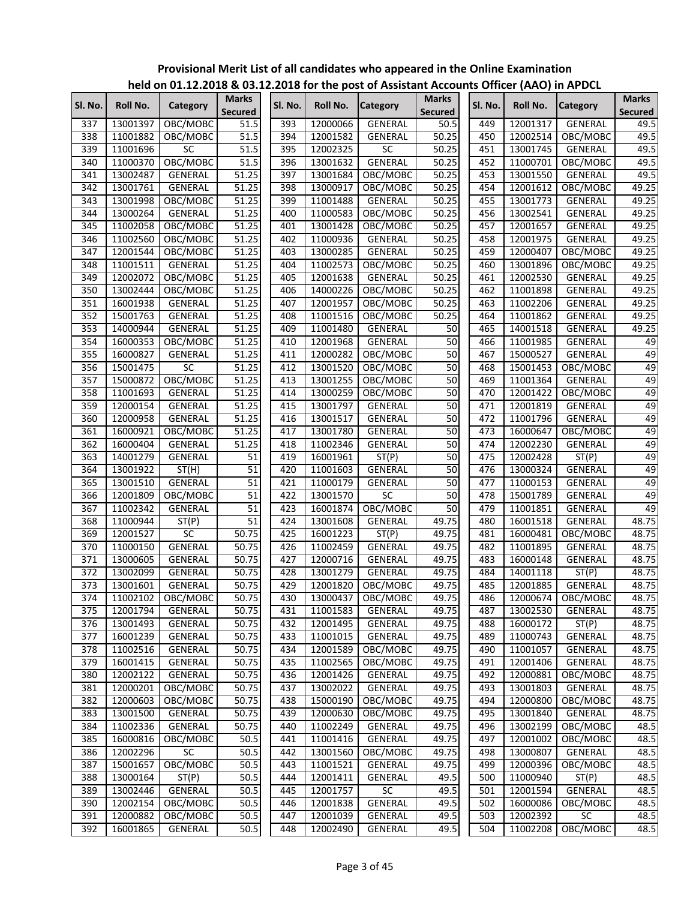|                  |          |                   |                                |         |          | .____ .o. _ post or <i>r</i> .ssistant <i>r</i> .cod |                                |         |          |                   |                                |
|------------------|----------|-------------------|--------------------------------|---------|----------|------------------------------------------------------|--------------------------------|---------|----------|-------------------|--------------------------------|
| Sl. No.          | Roll No. | Category          | <b>Marks</b><br><b>Secured</b> | Sl. No. | Roll No. | <b>Category</b>                                      | <b>Marks</b><br><b>Secured</b> | Sl. No. | Roll No. | <b>Category</b>   | <b>Marks</b><br><b>Secured</b> |
| 337              | 13001397 | OBC/MOBC          | 51.5                           | 393     | 12000066 | GENERAL                                              | 50.5                           | 449     | 12001317 | GENERAL           | 49.5                           |
| 338              | 11001882 | OBC/MOBC          | 51.5                           | 394     | 12001582 | GENERAL                                              | 50.25                          | 450     | 12002514 | OBC/MOBC          | 49.5                           |
| 339              | 11001696 | <b>SC</b>         | 51.5                           | 395     | 12002325 | SC                                                   | 50.25                          | 451     | 13001745 | GENERAL           | 49.5                           |
| 340              | 11000370 | OBC/MOBC          | 51.5                           | 396     | 13001632 | <b>GENERAL</b>                                       | 50.25                          | 452     | 11000701 | OBC/MOBC          | 49.5                           |
| 341              | 13002487 | GENERAL           | 51.25                          | 397     | 13001684 | OBC/MOBC                                             | 50.25                          | 453     | 13001550 | GENERAL           | 49.5                           |
| 342              | 13001761 | GENERAL           | 51.25                          | 398     | 13000917 | OBC/MOBC                                             | 50.25                          | 454     | 12001612 | OBC/MOBC          | 49.25                          |
| 343              | 13001998 | OBC/MOBC          | 51.25                          | 399     | 11001488 | <b>GENERAL</b>                                       | 50.25                          | 455     | 13001773 | GENERAL           | 49.25                          |
| 344              | 13000264 | GENERAL           | 51.25                          | 400     | 11000583 | OBC/MOBC                                             | 50.25                          | 456     | 13002541 | GENERAL           | 49.25                          |
| 345              | 11002058 | OBC/MOBC          | 51.25                          | 401     | 13001428 | OBC/MOBC                                             | 50.25                          | 457     | 12001657 | <b>GENERAL</b>    | 49.25                          |
| 346              | 11002560 | OBC/MOBC          | 51.25                          | 402     | 11000936 | GENERAL                                              | 50.25                          | 458     | 12001975 | GENERAL           | 49.25                          |
| 347              | 12001544 | OBC/MOBC          | 51.25                          | 403     | 13000285 | <b>GENERAL</b>                                       | 50.25                          | 459     | 12000407 | OBC/MOBC          | 49.25                          |
| 348              | 11001511 | GENERAL           | 51.25                          | 404     | 11002573 | OBC/MOBC                                             | 50.25                          | 460     | 13001896 | OBC/MOBC          | 49.25                          |
| 349              | 12002072 | OBC/MOBC          | 51.25                          | 405     | 12001638 | GENERAL                                              | 50.25                          | 461     | 12002530 | GENERAL           | 49.25                          |
| 350              | 13002444 | OBC/MOBC          | 51.25                          | 406     | 14000226 | OBC/MOBC                                             | 50.25                          | 462     | 11001898 | GENERAL           | 49.25                          |
| 351              | 16001938 | GENERAL           | 51.25                          | 407     | 12001957 | OBC/MOBC                                             | 50.25                          | 463     | 11002206 | GENERAL           | 49.25                          |
| 352              | 15001763 | GENERAL           | 51.25                          | 408     | 11001516 | OBC/MOBC                                             | 50.25                          | 464     | 11001862 | GENERAL           | 49.25                          |
| 353              | 14000944 | GENERAL           | 51.25                          | 409     | 11001480 | GENERAL                                              | 50                             | 465     | 14001518 | GENERAL           | 49.25                          |
| 354              | 16000353 | OBC/MOBC          | 51.25                          | 410     | 12001968 | <b>GENERAL</b>                                       | 50                             | 466     | 11001985 | GENERAL           | 49                             |
| 355              | 16000827 | GENERAL           | 51.25                          | 411     | 12000282 | OBC/MOBC                                             | 50                             | 467     | 15000527 | GENERAL           | 49                             |
| 356              | 15001475 | SC                | 51.25                          | 412     | 13001520 | OBC/MOBC                                             | 50                             | 468     | 15001453 | OBC/MOBC          | 49                             |
| 357              | 15000872 | OBC/MOBC          | 51.25                          | 413     | 13001255 | OBC/MOBC                                             | 50                             | 469     | 11001364 | GENERAL           | 49                             |
| 358              | 11001693 | <b>GENERAL</b>    | 51.25                          | 414     | 13000259 | OBC/MOBC                                             | 50                             | 470     | 12001422 | OBC/MOBC          | 49                             |
| 359              | 12000154 | GENERAL           | 51.25                          | 415     | 13001797 | GENERAL                                              | 50                             | 471     | 12001819 | GENERAL           | 49                             |
| 360              | 12000958 | <b>GENERAL</b>    | 51.25                          | 416     | 13001517 | GENERAL                                              | 50                             | 472     | 11001796 | GENERAL           | 49                             |
| 361              | 16000921 | OBC/MOBC          | 51.25                          | 417     | 13001780 | GENERAL                                              | 50                             | 473     | 16000647 | OBC/MOBC          | 49                             |
| 362              | 16000404 | GENERAL           | 51.25                          | 418     | 11002346 | <b>GENERAL</b>                                       | 50                             | 474     | 12002230 | GENERAL           | 49                             |
| 363              | 14001279 | GENERAL           | 51                             | 419     | 16001961 | ST(P)                                                | 50                             | 475     | 12002428 | ST(P)             | 49                             |
| 364              | 13001922 | ST(H)             | 51                             | 420     | 11001603 | GENERAL                                              | 50                             | 476     | 13000324 | GENERAL           | 49                             |
| 365              | 13001510 | GENERAL           | 51                             | 421     | 11000179 | GENERAL                                              | 50                             | 477     | 11000153 | GENERAL           | 49                             |
| 366              | 12001809 | OBC/MOBC          | 51                             | 422     | 13001570 | SC                                                   | 50                             | 478     | 15001789 | GENERAL           | 49                             |
| 367              | 11002342 | GENERAL           | 51                             | 423     | 16001874 | OBC/MOBC                                             | 50                             | 479     | 11001851 | GENERAL           | 49                             |
| 368              | 11000944 | ST(P)             | 51                             | 424     | 13001608 | <b>GENERAL</b>                                       | 49.75                          | 480     | 16001518 | GENERAL           | 48.75                          |
| 369              | 12001527 | SC                | 50.75                          | 425     | 16001223 | ST(P)                                                | 49.75                          | 481     | 16000481 | OBC/MOBC          | 48.75                          |
| 370              | 11000150 | GENERAL           | 50.75                          | 426     | 11002459 | GENERAL                                              | 49.75                          | 482     | 11001895 | GENERAL           | 48.75                          |
| 371              | 13000605 | <b>GENERAL</b>    | 50.75                          | 427     | 12000716 | <b>GENERAL</b>                                       | 49.75                          | 483     | 16000148 | GENERAL           | 48.75                          |
| 372              | 13002099 | GENERAL           | 50.75                          | 428     | 13001279 | GENERAL                                              | 49.75                          | 484     | 14001118 | ST(P)             | 48.75                          |
| 373              | 13001601 | GENERAL           | 50.75                          | 429     | 12001820 | OBC/MOBC                                             | 49.75                          | 485     | 12001885 | GENERAL           | 48.75                          |
| $\overline{374}$ |          | 11002102 OBC/MOBC | 50.75                          | 430     |          | 13000437 OBC/MOBC                                    | 49.75                          | 486     |          | 12000674 OBC/MOBC | 48.75                          |
| 375              | 12001794 | GENERAL           | 50.75                          | 431     | 11001583 | GENERAL                                              | 49.75                          | 487     | 13002530 | GENERAL           | 48.75                          |
| 376              | 13001493 | GENERAL           | 50.75                          | 432     | 12001495 | GENERAL                                              | 49.75                          | 488     | 16000172 | ST(P)             | 48.75                          |
| 377              | 16001239 | GENERAL           | 50.75                          | 433     | 11001015 | GENERAL                                              | 49.75                          | 489     | 11000743 | GENERAL           | 48.75                          |
| 378              | 11002516 | GENERAL           | 50.75                          | 434     | 12001589 | OBC/MOBC                                             | 49.75                          | 490     | 11001057 | GENERAL           | 48.75                          |
| 379              | 16001415 | GENERAL           | 50.75                          | 435     | 11002565 | OBC/MOBC                                             | 49.75                          | 491     | 12001406 | GENERAL           | 48.75                          |
| 380              | 12002122 | GENERAL           | 50.75                          | 436     | 12001426 | GENERAL                                              | 49.75                          | 492     | 12000881 | OBC/MOBC          | 48.75                          |
| 381              | 12000201 | OBC/MOBC          | 50.75                          | 437     | 13002022 | GENERAL                                              | 49.75                          | 493     | 13001803 | GENERAL           | 48.75                          |
| 382              | 12000603 | OBC/MOBC          | 50.75                          | 438     | 15000190 | OBC/MOBC                                             | 49.75                          | 494     | 12000800 | OBC/MOBC          | 48.75                          |
|                  |          |                   |                                |         |          | OBC/MOBC                                             | 49.75                          |         |          |                   |                                |
| 383              | 13001500 | GENERAL           | 50.75                          | 439     | 12000630 |                                                      |                                | 495     | 13001840 | GENERAL           | 48.75                          |
| 384              | 11002336 | GENERAL           | 50.75                          | 440     | 11002249 | <b>GENERAL</b>                                       | 49.75                          | 496     | 13002199 | OBC/MOBC          | 48.5<br>48.5                   |
| 385              | 16000816 | OBC/MOBC          | 50.5                           | 441     | 11001416 | GENERAL                                              | 49.75                          | 497     | 12001002 | OBC/MOBC          |                                |
| 386              | 12002296 | <b>SC</b>         | 50.5                           | 442     | 13001560 | OBC/MOBC                                             | 49.75                          | 498     | 13000807 | GENERAL           | 48.5                           |
| 387              | 15001657 | OBC/MOBC          | 50.5                           | 443     | 11001521 | GENERAL                                              | 49.75                          | 499     | 12000396 | OBC/MOBC          | 48.5                           |
| 388              | 13000164 | ST(P)             | 50.5                           | 444     | 12001411 | GENERAL                                              | 49.5                           | 500     | 11000940 | ST(P)             | 48.5                           |
| 389              | 13002446 | GENERAL           | 50.5                           | 445     | 12001757 | SC                                                   | 49.5                           | 501     | 12001594 | GENERAL           | 48.5                           |
| 390              | 12002154 | OBC/MOBC          | 50.5                           | 446     | 12001838 | GENERAL                                              | 49.5                           | 502     | 16000086 | OBC/MOBC          | 48.5                           |
| 391              | 12000882 | OBC/MOBC          | 50.5                           | 447     | 12001039 | GENERAL                                              | 49.5                           | 503     | 12002392 | SC                | 48.5                           |
| 392              | 16001865 | GENERAL           | 50.5                           | 448     | 12002490 | GENERAL                                              | 49.5                           | 504     | 11002208 | OBC/MOBC          | 48.5                           |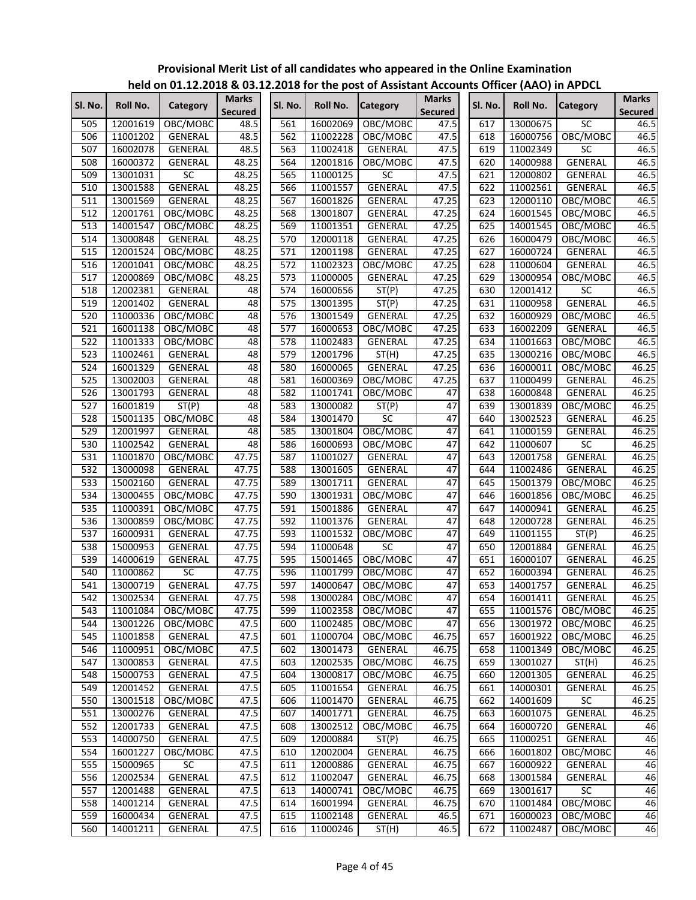|         |          |                 |                         |         |          |                    |                                |         |          | ,,,,,,,,,,,,,,  |                                |
|---------|----------|-----------------|-------------------------|---------|----------|--------------------|--------------------------------|---------|----------|-----------------|--------------------------------|
| Sl. No. | Roll No. | Category        | <b>Marks</b><br>Secured | Sl. No. | Roll No. | <b>Category</b>    | <b>Marks</b><br><b>Secured</b> | Sl. No. | Roll No. | <b>Category</b> | <b>Marks</b><br><b>Secured</b> |
| 505     | 12001619 | OBC/MOBC        | 48.5                    | 561     | 16002069 | OBC/MOBC           | 47.5                           | 617     | 13000675 | SC              | 46.5                           |
| 506     | 11001202 | GENERAL         | 48.5                    | 562     | 11002228 | OBC/MOBC           | 47.5                           | 618     | 16000756 | OBC/MOBC        | 46.5                           |
| 507     | 16002078 | GENERAL         | 48.5                    | 563     | 11002418 | GENERAL            | 47.5                           | 619     | 11002349 | $\overline{SC}$ | 46.5                           |
| 508     | 16000372 | GENERAL         | 48.25                   | 564     | 12001816 | OBC/MOBC           | 47.5                           | 620     | 14000988 | <b>GENERAL</b>  | 46.5                           |
| 509     | 13001031 | SC              | 48.25                   | 565     | 11000125 | SC                 | 47.5                           | 621     | 12000802 | GENERAL         | 46.5                           |
| 510     | 13001588 | <b>GENERAL</b>  | 48.25                   | 566     | 11001557 | <b>GENERAL</b>     | 47.5                           | 622     | 11002561 | GENERAL         | 46.5                           |
| 511     | 13001569 | GENERAL         | 48.25                   | 567     | 16001826 | GENERAL            | 47.25                          | 623     | 12000110 | OBC/MOBC        | 46.5                           |
| 512     | 12001761 | OBC/MOBC        | 48.25                   | 568     | 13001807 | GENERAL            | 47.25                          | 624     | 16001545 | OBC/MOBC        | 46.5                           |
| 513     | 14001547 | OBC/MOBC        | 48.25                   | 569     | 11001351 | <b>GENERAL</b>     | 47.25                          | 625     | 14001545 | OBC/MOBC        | 46.5                           |
| 514     | 13000848 | GENERAL         | 48.25                   | 570     | 12000118 | <b>GENERAL</b>     | 47.25                          | 626     | 16000479 | OBC/MOBC        | 46.5                           |
| 515     | 12001524 | OBC/MOBC        | 48.25                   | 571     | 12001198 | <b>GENERAL</b>     | 47.25                          | 627     | 16000724 | GENERAL         | 46.5                           |
| 516     | 12001041 | OBC/MOBC        | 48.25                   | 572     | 11002323 | OBC/MOBC           | 47.25                          | 628     | 11000604 | GENERAL         | 46.5                           |
| 517     | 12000869 | OBC/MOBC        | 48.25                   | 573     | 11000005 | GENERAL            | 47.25                          | 629     | 13000954 | OBC/MOBC        | 46.5                           |
| 518     | 12002381 | GENERAL         | 48                      | 574     | 16000656 | ST(P)              | 47.25                          | 630     | 12001412 | $\overline{SC}$ | 46.5                           |
| 519     | 12001402 | GENERAL         | 48                      | 575     | 13001395 | ST(P)              | 47.25                          | 631     | 11000958 | <b>GENERAL</b>  | 46.5                           |
| 520     | 11000336 | OBC/MOBC        | 48                      | 576     | 13001549 | GENERAL            | 47.25                          | 632     | 16000929 | OBC/MOBC        | 46.5                           |
| 521     | 16001138 | OBC/MOBC        | 48                      | 577     | 16000653 | OBC/MOBC           | 47.25                          | 633     | 16002209 | GENERAL         | 46.5                           |
| 522     | 11001333 | OBC/MOBC        | 48                      | 578     | 11002483 | GENERAL            | 47.25                          | 634     | 11001663 | OBC/MOBC        | 46.5                           |
| 523     | 11002461 | GENERAL         | 48                      | 579     | 12001796 | $\overline{ST}(H)$ | 47.25                          | 635     | 13000216 | OBC/MOBC        | 46.5                           |
| 524     | 16001329 | GENERAL         | 48                      | 580     | 16000065 | GENERAL            | 47.25                          | 636     | 16000011 | OBC/MOBC        | 46.25                          |
| 525     | 13002003 | <b>GENERAL</b>  | 48                      | 581     | 16000369 | OBC/MOBC           | 47.25                          | 637     | 11000499 | GENERAL         | 46.25                          |
| 526     | 13001793 | <b>GENERAL</b>  | 48                      | 582     | 11001741 | OBC/MOBC           | 47                             | 638     | 16000848 | GENERAL         | 46.25                          |
| 527     | 16001819 | ST(P)           | 48                      | 583     | 13000082 | ST(P)              | 47                             | 639     | 13001839 | OBC/MOBC        | 46.25                          |
| 528     | 15001135 | OBC/MOBC        | 48                      | 584     | 13001470 | SC                 | $\overline{47}$                | 640     | 13002523 | GENERAL         | 46.25                          |
| 529     | 12001997 | GENERAL         | 48                      | 585     | 13001804 | OBC/MOBC           | 47                             | 641     | 11000159 | <b>GENERAL</b>  | 46.25                          |
| 530     | 11002542 | <b>GENERAL</b>  | 48                      | 586     | 16000693 | OBC/MOBC           | 47                             | 642     | 11000607 | SC              | 46.25                          |
| 531     | 11001870 | OBC/MOBC        | 47.75                   | 587     | 11001027 | GENERAL            | 47                             | 643     | 12001758 | GENERAL         | 46.25                          |
| 532     | 13000098 | GENERAL         | 47.75                   | 588     | 13001605 | GENERAL            | 47                             | 644     | 11002486 | GENERAL         | 46.25                          |
| 533     | 15002160 | GENERAL         | 47.75                   | 589     | 13001711 | GENERAL            | 47                             | 645     | 15001379 | OBC/MOBC        | 46.25                          |
| 534     | 13000455 | OBC/MOBC        | 47.75                   | 590     | 13001931 | OBC/MOBC           | 47                             | 646     | 16001856 | OBC/MOBC        | 46.25                          |
| 535     | 11000391 | OBC/MOBC        | 47.75                   | 591     | 15001886 | GENERAL            | 47                             | 647     | 14000941 | GENERAL         | 46.25                          |
| 536     | 13000859 | OBC/MOBC        | 47.75                   | 592     | 11001376 | GENERAL            | 47                             | 648     | 12000728 | GENERAL         | 46.25                          |
| 537     | 16000931 | GENERAL         | 47.75                   | 593     | 11001532 | OBC/MOBC           | 47                             | 649     | 11001155 | ST(P)           | 46.25                          |
| 538     | 15000953 | GENERAL         | 47.75                   | 594     | 11000648 | <b>SC</b>          | 47                             | 650     | 12001884 | GENERAL         | 46.25                          |
| 539     | 14000619 | GENERAL         | 47.75                   | 595     | 15001465 | OBC/MOBC           | $\overline{47}$                | 651     | 16000107 | GENERAL         | 46.25                          |
| 540     | 11000862 | $\overline{SC}$ | 47.75                   | 596     | 11001799 | OBC/MOBC           | 47                             | 652     | 16000394 | <b>GENERAL</b>  | 46.25                          |
| 541     | 13000719 | <b>GENERAL</b>  | 47.75                   | 597     | 14000647 | OBC/MOBC           | 47                             | 653     | 14001757 | <b>GENERAL</b>  | 46.25                          |
| 542     | 13002534 | GENERAL         | 47.75                   | 598     |          | 13000284 OBC/MOBC  | 47                             | 654     | 16001411 | GENERAL         | 46.25                          |
| 543     | 11001084 | OBC/MOBC        | 47.75                   | 599     | 11002358 | OBC/MOBC           | 47                             | 655     | 11001576 | OBC/MOBC        | 46.25                          |
| 544     | 13001226 | OBC/MOBC        | 47.5                    | 600     | 11002485 | OBC/MOBC           | 47                             | 656     | 13001972 | OBC/MOBC        | 46.25                          |
| 545     | 11001858 | GENERAL         | 47.5                    | 601     | 11000704 | OBC/MOBC           | 46.75                          | 657     | 16001922 | OBC/MOBC        | 46.25                          |
| 546     | 11000951 | OBC/MOBC        | 47.5                    | 602     | 13001473 | GENERAL            | 46.75                          | 658     | 11001349 | OBC/MOBC        | 46.25                          |
| 547     | 13000853 | GENERAL         | 47.5                    | 603     | 12002535 | OBC/MOBC           | 46.75                          | 659     | 13001027 | ST(H)           | 46.25                          |
| 548     | 15000753 | GENERAL         | 47.5                    | 604     | 13000817 | OBC/MOBC           | 46.75                          | 660     | 12001305 | GENERAL         | 46.25                          |
| 549     | 12001452 | GENERAL         | 47.5                    | 605     | 11001654 | GENERAL            | 46.75                          | 661     | 14000301 | GENERAL         | 46.25                          |
| 550     | 13001518 | OBC/MOBC        | 47.5                    | 606     | 11001470 | GENERAL            | 46.75                          | 662     | 14001609 | SC              | 46.25                          |
| 551     | 13000276 | GENERAL         | 47.5                    | 607     | 14001771 | GENERAL            | 46.75                          | 663     | 16001075 | GENERAL         | 46.25                          |
| 552     | 12001733 | GENERAL         | 47.5                    | 608     | 13002512 | OBC/MOBC           | 46.75                          | 664     | 16000720 | GENERAL         | 46                             |
| 553     | 14000750 | GENERAL         | 47.5                    | 609     | 12000884 | ST(P)              | 46.75                          | 665     | 11000251 | GENERAL         | 46                             |
| 554     | 16001227 | OBC/MOBC        | 47.5                    | 610     | 12002004 | GENERAL            | 46.75                          | 666     | 16001802 | OBC/MOBC        | 46                             |
| 555     | 15000965 | SC              | 47.5                    | 611     | 12000886 | GENERAL            | 46.75                          | 667     | 16000922 | GENERAL         | 46                             |
| 556     | 12002534 | GENERAL         | 47.5                    | 612     | 11002047 | GENERAL            | 46.75                          | 668     | 13001584 | GENERAL         | 46                             |
| 557     | 12001488 | GENERAL         | 47.5                    | 613     | 14000741 | OBC/MOBC           | 46.75                          | 669     | 13001617 | SC              | 46                             |
| 558     | 14001214 | GENERAL         | 47.5                    | 614     | 16001994 | GENERAL            | 46.75                          | 670     | 11001484 | OBC/MOBC        | 46                             |
| 559     | 16000434 | GENERAL         | 47.5                    | 615     | 11002148 | GENERAL            | 46.5                           | 671     | 16000023 | OBC/MOBC        | 46                             |
| 560     | 14001211 | GENERAL         | 47.5                    | 616     | 11000246 | ST(H)              | 46.5                           | 672     | 11002487 | OBC/MOBC        | 46                             |
|         |          |                 |                         |         |          |                    |                                |         |          |                 |                                |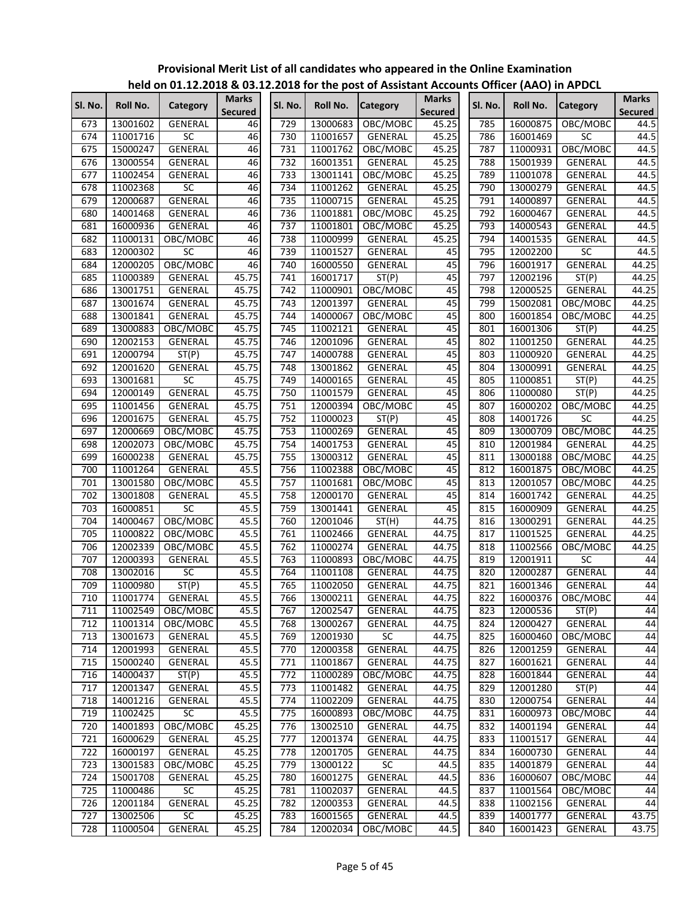|            |          |                            |                                |            |          |                 |                                |         |          | $1.4.4$ , $1.1.1.1$ |                                |
|------------|----------|----------------------------|--------------------------------|------------|----------|-----------------|--------------------------------|---------|----------|---------------------|--------------------------------|
| SI. No.    | Roll No. | Category                   | <b>Marks</b><br><b>Secured</b> | SI. No.    | Roll No. | <b>Category</b> | <b>Marks</b><br><b>Secured</b> | Sl. No. | Roll No. | <b>Category</b>     | <b>Marks</b><br><b>Secured</b> |
| 673        | 13001602 | GENERAL                    | 46                             | 729        | 13000683 | OBC/MOBC        | 45.25                          | 785     | 16000875 | OBC/MOBC            | 44.5                           |
| 674        | 11001716 | $\overline{SC}$            | 46                             | 730        | 11001657 | GENERAL         | 45.25                          | 786     | 16001469 | SC                  | 44.5                           |
| 675        | 15000247 | <b>GENERAL</b>             | 46                             | 731        | 11001762 | OBC/MOBC        | 45.25                          | 787     | 11000931 | OBC/MOBC            | 44.5                           |
| 676        | 13000554 | GENERAL                    | 46                             | 732        | 16001351 | GENERAL         | 45.25                          | 788     | 15001939 | GENERAL             | 44.5                           |
| 677        | 11002454 | GENERAL                    | 46                             | 733        | 13001141 | OBC/MOBC        | 45.25                          | 789     | 11001078 | GENERAL             | 44.5                           |
| 678        | 11002368 | $\overline{SC}$            | 46                             | 734        | 11001262 | GENERAL         | 45.25                          | 790     | 13000279 | GENERAL             | 44.5                           |
| 679        | 12000687 | GENERAL                    | 46                             | 735        | 11000715 | GENERAL         | 45.25                          | 791     | 14000897 | GENERAL             | 44.5                           |
| 680        | 14001468 | GENERAL                    | 46                             | 736        | 11001881 | OBC/MOBC        | 45.25                          | 792     | 16000467 | GENERAL             | 44.5                           |
| 681        | 16000936 | GENERAL                    | 46                             | 737        | 11001801 | OBC/MOBC        | 45.25                          | 793     | 14000543 | GENERAL             | 44.5                           |
| 682        | 11000131 | OBC/MOBC                   | 46                             | 738        | 11000999 | <b>GENERAL</b>  | 45.25                          | 794     | 14001535 | <b>GENERAL</b>      | 44.5                           |
| 683        | 12000302 | <b>SC</b>                  | 46                             | 739        | 11001527 | GENERAL         | 45                             | 795     | 12002200 | $\overline{SC}$     | 44.5                           |
| 684        | 12000205 | OBC/MOBC                   | 46                             | 740        | 16000550 | GENERAL         | 45                             | 796     | 16001917 | <b>GENERAL</b>      | 44.25                          |
| 685        | 11000389 | GENERAL                    | 45.75                          | 741        | 16001717 | ST(P)           | 45                             | 797     | 12002196 | ST(P)               | 44.25                          |
| 686        | 13001751 | GENERAL                    | 45.75                          | 742        | 11000901 | OBC/MOBC        | 45                             | 798     | 12000525 | <b>GENERAL</b>      | 44.25                          |
| 687        | 13001674 | GENERAL                    | 45.75                          | 743        | 12001397 | <b>GENERAL</b>  | 45                             | 799     | 15002081 | OBC/MOBC            | 44.25                          |
| 688        | 13001841 | GENERAL                    | 45.75                          | 744        | 14000067 | OBC/MOBC        | 45                             | 800     | 16001854 | OBC/MOBC            | 44.25                          |
| 689        | 13000883 | OBC/MOBC                   | 45.75                          | 745        | 11002121 | GENERAL         | 45                             | 801     | 16001306 | ST(P)               | 44.25                          |
| 690        | 12002153 | GENERAL                    | 45.75                          | 746        | 12001096 | GENERAL         | 45                             | 802     | 11001250 | GENERAL             | 44.25                          |
| 691        | 12000794 | ST(P)                      | 45.75                          | 747        | 14000788 | <b>GENERAL</b>  | 45                             | 803     | 11000920 | GENERAL             | 44.25                          |
| 692        | 12001620 | GENERAL                    | 45.75                          | 748        | 13001862 | GENERAL         | 45                             | 804     | 13000991 | GENERAL             | 44.25                          |
| 693        | 13001681 | $\overline{SC}$            | 45.75                          | 749        | 14000165 | GENERAL         | 45                             | 805     | 11000851 | ST(P)               | 44.25                          |
| 694        | 12000149 | <b>GENERAL</b>             | 45.75                          | 750        | 11001579 | <b>GENERAL</b>  | 45                             | 806     | 11000080 | ST(P)               | 44.25                          |
| 695        | 11001456 | GENERAL                    | 45.75                          | 751        | 12000394 | OBC/MOBC        | 45                             | 807     | 16000202 | OBC/MOBC            | 44.25                          |
| 696        | 12001675 | GENERAL                    | 45.75                          | 752        | 11000023 | ST(P)           | 45                             | 808     | 14001726 | SC                  | 44.25                          |
| 697        | 12000669 | OBC/MOBC                   | 45.75                          | 753        | 11000269 | GENERAL         | 45                             | 809     | 13000709 | OBC/MOBC            | 44.25                          |
| 698        | 12002073 | OBC/MOBC                   | 45.75                          | 754        | 14001753 | GENERAL         | 45                             | 810     | 12001984 | GENERAL             | 44.25                          |
| 699        | 16000238 | GENERAL                    | 45.75                          | 755        | 13000312 | GENERAL         | 45                             | 811     | 13000188 | OBC/MOBC            | 44.25                          |
| 700        | 11001264 | GENERAL                    | 45.5                           | 756        | 11002388 | OBC/MOBC        | 45                             | 812     | 16001875 | OBC/MOBC            | 44.25                          |
| 701        | 13001580 | OBC/MOBC                   | 45.5                           | 757        | 11001681 | OBC/MOBC        | 45                             | 813     | 12001057 | OBC/MOBC            | 44.25                          |
| 702        | 13001808 | GENERAL                    | 45.5                           | 758        | 12000170 | GENERAL         | 45                             | 814     | 16001742 | GENERAL             | 44.25                          |
| 703        | 16000851 | SC                         | 45.5                           | 759        | 13001441 | GENERAL         | 45                             | 815     | 16000909 | GENERAL             | 44.25                          |
| 704        | 14000467 | OBC/MOBC                   | 45.5                           | 760        | 12001046 | ST(H)           | 44.75                          | 816     | 13000291 | GENERAL             | 44.25                          |
| 705        | 11000822 | OBC/MOBC                   | 45.5                           | 761        | 11002466 | GENERAL         | 44.75                          | 817     | 11001525 | GENERAL             | 44.25                          |
| 706        | 12002339 | OBC/MOBC                   | 45.5                           | 762        | 11000274 | GENERAL         | 44.75                          | 818     | 11002566 | OBC/MOBC            | 44.25                          |
| 707        | 12000393 | GENERAL                    | 45.5                           | 763        | 11000893 | OBC/MOBC        | 44.75                          | 819     | 12001911 | SC                  | 44                             |
| 708        | 13002016 | $\overline{SC}$            | 45.5                           | 764        | 11001108 | GENERAL         | 44.75                          | 820     | 12000287 | GENERAL             | 44                             |
| 709        | 11000980 | ST(P)                      | 45.5                           | 765        | 11002050 | <b>GENERAL</b>  | 44.75                          | 821     | 16001346 | <b>GENERAL</b>      | 44                             |
| 710        | 11001774 | GENERAL                    | 45.5                           | 766        | 13000211 | <b>GENERAL</b>  | 44.75                          | 822     |          | 16000376 OBC/MOBC   | 44                             |
| 711        | 11002549 | OBC/MOBC                   | 45.5                           | 767        | 12002547 | GENERAL         | 44.75                          | 823     | 12000536 | ST(P)               | 44                             |
| 712        | 11001314 | OBC/MOBC                   | 45.5                           | 768        | 13000267 | GENERAL         | 44.75                          | 824     | 12000427 | GENERAL             | 44                             |
| 713        | 13001673 | GENERAL                    | 45.5                           | 769        | 12001930 | SC              | 44.75                          | 825     | 16000460 | OBC/MOBC            | 44                             |
| 714        | 12001993 | GENERAL                    | 45.5                           | 770        | 12000358 | GENERAL         | 44.75                          | 826     | 12001259 | GENERAL             | 44                             |
| 715        | 15000240 | GENERAL                    | 45.5                           | 771        | 11001867 | GENERAL         | 44.75                          | 827     | 16001621 | GENERAL             | 44                             |
| 716        | 14000437 | ST(P)                      | 45.5                           | 772        | 11000289 | OBC/MOBC        | 44.75                          | 828     | 16001844 | GENERAL             | 44                             |
| 717        | 12001347 | <b>GENERAL</b>             | 45.5                           | 773        | 11001482 | GENERAL         | 44.75                          | 829     | 12001280 | ST(P)               | 44                             |
| 718        | 14001216 | <b>GENERAL</b>             | 45.5                           | 774        | 11002209 | GENERAL         | 44.75                          | 830     | 12000754 | GENERAL             | 44                             |
|            |          |                            |                                |            |          |                 |                                |         |          |                     |                                |
| 719<br>720 | 11002425 | $\overline{SC}$            | 45.5<br>45.25                  | 775        | 16000893 | OBC/MOBC        | 44.75<br>44.75                 | 831     | 16000973 | OBC/MOBC            | 44<br>44                       |
|            | 14001893 | OBC/MOBC<br><b>GENERAL</b> |                                | 776<br>777 | 13002510 | GENERAL         |                                | 832     | 14001194 | GENERAL             |                                |
| 721        | 16000629 |                            | 45.25                          |            | 12001374 | GENERAL         | 44.75                          | 833     | 11001517 | GENERAL             | 44                             |
| 722        | 16000197 | GENERAL                    | 45.25                          | 778        | 12001705 | GENERAL         | 44.75                          | 834     | 16000730 | GENERAL             | 44                             |
| 723        | 13001583 | OBC/MOBC                   | 45.25                          | 779        | 13000122 | SC              | 44.5                           | 835     | 14001879 | GENERAL             | 44                             |
| 724        | 15001708 | GENERAL                    | 45.25                          | 780        | 16001275 | GENERAL         | 44.5                           | 836     | 16000607 | OBC/MOBC            | 44                             |
| 725        | 11000486 | SC                         | 45.25                          | 781        | 11002037 | GENERAL         | 44.5                           | 837     | 11001564 | OBC/MOBC            | 44                             |
| 726        | 12001184 | GENERAL                    | 45.25                          | 782        | 12000353 | GENERAL         | 44.5                           | 838     | 11002156 | GENERAL             | 44                             |
| 727        | 13002506 | SC                         | 45.25                          | 783        | 16001565 | GENERAL         | 44.5                           | 839     | 14001777 | GENERAL             | 43.75                          |
| 728        | 11000504 | <b>GENERAL</b>             | 45.25                          | 784        | 12002034 | OBC/MOBC        | 44.5                           | 840     | 16001423 | GENERAL             | 43.75                          |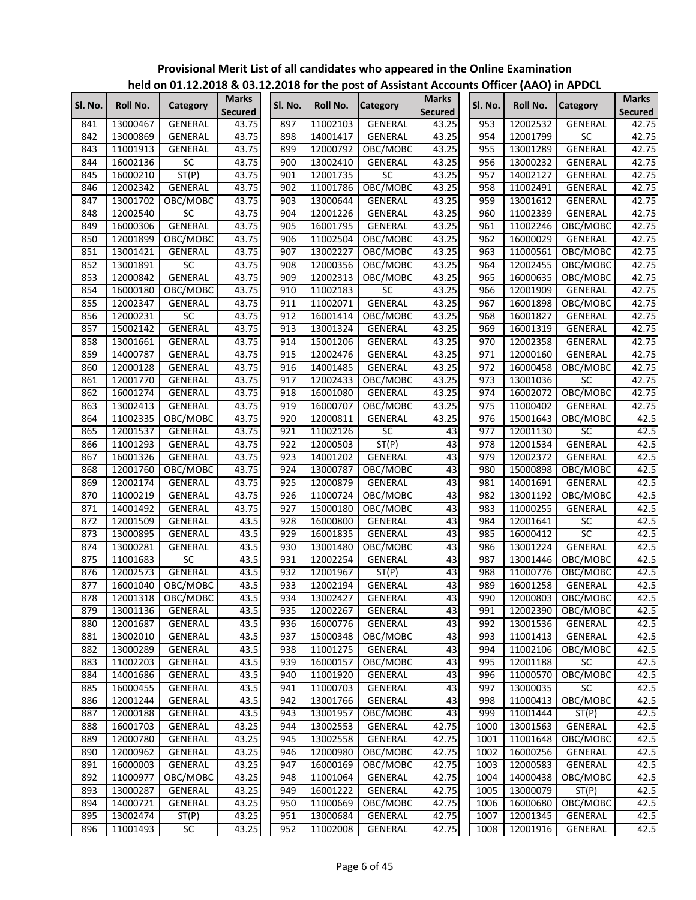|            |                      | .                  |                                |            |                      | $20$ for the post of rissistant rices. |                                |              |                      |                   |                                |
|------------|----------------------|--------------------|--------------------------------|------------|----------------------|----------------------------------------|--------------------------------|--------------|----------------------|-------------------|--------------------------------|
| SI. No.    | Roll No.             | Category           | <b>Marks</b><br><b>Secured</b> | Sl. No.    | Roll No.             | <b>Category</b>                        | <b>Marks</b><br><b>Secured</b> | SI. No.      | Roll No.             | <b>Category</b>   | <b>Marks</b><br><b>Secured</b> |
| 841        | 13000467             | <b>GENERAL</b>     | 43.75                          | 897        | 11002103             | <b>GENERAL</b>                         | 43.25                          | 953          | 12002532             | <b>GENERAL</b>    | 42.75                          |
| 842        | 13000869             | GENERAL            | 43.75                          | 898        | 14001417             | GENERAL                                | 43.25                          | 954          | 12001799             | SC                | 42.75                          |
| 843        | 11001913             | GENERAL            | 43.75                          | 899        | 12000792             | OBC/MOBC                               | 43.25                          | 955          | 13001289             | <b>GENERAL</b>    | 42.75                          |
| 844        | 16002136             | $\overline{SC}$    | 43.75                          | 900        | 13002410             | GENERAL                                | 43.25                          | 956          | 13000232             | <b>GENERAL</b>    | 42.75                          |
| 845        | 16000210             | ST(P)              | 43.75                          | 901        | 12001735             | SC                                     | 43.25                          | 957          | 14002127             | <b>GENERAL</b>    | 42.75                          |
| 846        | 12002342             | <b>GENERAL</b>     | 43.75                          | 902        | 11001786             | OBC/MOBC                               | 43.25                          | 958          | 11002491             | GENERAL           | 42.75                          |
| 847        | 13001702             | OBC/MOBC           | 43.75                          | 903        | 13000644             | GENERAL                                | 43.25                          | 959          | 13001612             | GENERAL           | 42.75                          |
| 848        | 12002540             | SC                 | 43.75                          | 904        | 12001226             | GENERAL                                | 43.25                          | 960          | 11002339             | <b>GENERAL</b>    | 42.75                          |
| 849        | 16000306             | GENERAL            | 43.75                          | 905        | 16001795             | <b>GENERAL</b>                         | 43.25                          | 961          | 11002246             | OBC/MOBC          | 42.75                          |
| 850        | 12001899             | OBC/MOBC           | 43.75                          | 906        | 11002504             | OBC/MOBC                               | 43.25                          | 962          | 16000029             | GENERAL           | 42.75                          |
| 851        | 13001421             | GENERAL            | 43.75                          | 907        | 13002227             | OBC/MOBC                               | 43.25                          | 963          | 11000561             | OBC/MOBC          | 42.75                          |
| 852        | 13001891             | SC                 | 43.75                          | 908        | 12000356             | OBC/MOBC                               | 43.25                          | 964          | 12002455             | OBC/MOBC          | 42.75                          |
| 853        | 12000842             | <b>GENERAL</b>     | 43.75                          | 909        | 12002313             | OBC/MOBC                               | 43.25                          | 965          | 16000635             | OBC/MOBC          | 42.75                          |
| 854        | 16000180             | OBC/MOBC           | 43.75                          | 910        | 11002183             | $\overline{SC}$                        | 43.25                          | 966          | 12001909             | GENERAL           | 42.75                          |
| 855        | 12002347             | GENERAL            | 43.75                          | 911        | 11002071             | <b>GENERAL</b>                         | 43.25                          | 967          | 16001898             | OBC/MOBC          | 42.75                          |
| 856        | 12000231             | SC                 | 43.75                          | 912        | 16001414             | OBC/MOBC                               | 43.25                          | 968          | 16001827             | GENERAL           | 42.75                          |
| 857        | 15002142             | <b>GENERAL</b>     | 43.75                          | 913        | 13001324             | GENERAL                                | 43.25                          | 969          | 16001319             | GENERAL           | 42.75                          |
| 858        | 13001661             | GENERAL            | 43.75                          | 914        | 15001206             | <b>GENERAL</b>                         | 43.25                          | 970          | 12002358             | <b>GENERAL</b>    | 42.75                          |
| 859        | 14000787             | GENERAL            | 43.75                          | 915        | 12002476             | GENERAL                                | 43.25                          | 971          | 12000160             | GENERAL           | 42.75                          |
| 860        | 12000128             | GENERAL            | 43.75                          | 916        | 14001485             | GENERAL                                | 43.25                          | 972          | 16000458             | OBC/MOBC          | 42.75                          |
| 861        | 12001770             | GENERAL            | 43.75                          | 917        | 12002433             | OBC/MOBC                               | 43.25                          | 973          | 13001036             | <b>SC</b>         | 42.75                          |
| 862        | 16001274             | <b>GENERAL</b>     | 43.75                          | 918        | 16001080             | GENERAL                                | 43.25                          | 974          | 16002072             | OBC/MOBC          | 42.75                          |
| 863        | 13002413             | GENERAL            | 43.75                          | 919        | 16000707             | OBC/MOBC                               | 43.25                          | 975          | 11000402             | <b>GENERAL</b>    | 42.75                          |
| 864        | 11002335             | OBC/MOBC           | 43.75                          | 920        | 12000811             | <b>GENERAL</b>                         | 43.25                          | 976          | 15001643             | OBC/MOBC          | 42.5                           |
| 865        | 12001537             | GENERAL            | 43.75                          | 921        | 11002126             | SC                                     | 43                             | 977          | 12001130             | SC                | 42.5                           |
| 866        | 11001293             | GENERAL            | 43.75                          | 922        | 12000503             | ST(P)                                  | 43                             | 978          | 12001534             | GENERAL           | 42.5                           |
| 867        | 16001326             | GENERAL            | 43.75                          | 923        | 14001202             | GENERAL                                | 43                             | 979          | 12002372             | <b>GENERAL</b>    | 42.5                           |
| 868        | 12001760             | OBC/MOBC           | 43.75                          | 924        | 13000787             | OBC/MOBC                               | 43                             | 980          | 15000898             | OBC/MOBC          | 42.5                           |
| 869        | 12002174             | GENERAL            | 43.75                          | 925        | 12000879             | GENERAL                                | 43                             | 981          | 14001691             | GENERAL           | 42.5                           |
| 870        | 11000219             | GENERAL            | 43.75                          | 926        | 11000724             | OBC/MOBC                               | 43                             | 982          | 13001192             | OBC/MOBC          | 42.5                           |
| 871        | 14001492             | GENERAL            | 43.75                          | 927        | 15000180             | OBC/MOBC                               | 43                             | 983          | 11000255             | GENERAL           | 42.5                           |
| 872        | 12001509             | GENERAL            | 43.5                           | 928        | 16000800             | GENERAL                                | 43                             | 984          | 12001641             | $\overline{SC}$   | 42.5                           |
| 873        | 13000895             | GENERAL            | 43.5                           | 929        | 16001835             | GENERAL                                | 43                             | 985          | 16000412             | $\overline{SC}$   | 42.5                           |
| 874        | 13000281             | <b>GENERAL</b>     | 43.5                           | 930        | 13001480             | OBC/MOBC                               | 43                             | 986          | 13001224             | GENERAL           | 42.5                           |
| 875        | 11001683             | SC                 | 43.5                           | 931        | 12002254             | GENERAL                                | 43                             | 987          | 13001446             | OBC/MOBC          | 42.5                           |
| 876        | 12002573             | <b>GENERAL</b>     | 43.5                           | 932        | 12001967             | ST(P)                                  | 43                             | 988          | 11000776             | OBC/MOBC          | 42.5                           |
| 877        | 16001040             | OBC/MOBC           | 43.5                           | 933        | 12002194             | <b>GENERAL</b>                         | 43                             | 989          | 16001258             | GENERAL           | 42.5                           |
| 878        |                      | 12001318 OBC/MOBC  | 43.5                           | 934        | 13002427             | <b>GENERAL</b>                         | 43                             | 990          |                      | 12000803 OBC/MOBC | 42.5                           |
| 879        | 13001136             | GENERAL            | 43.5                           | 935        | 12002267             | GENERAL                                | 43                             | 991          | 12002390             | OBC/MOBC          | 42.5                           |
| 880        | 12001687             | GENERAL            | 43.5                           | 936        | 16000776             | GENERAL                                | 43                             | 992          | 13001536             | GENERAL           | 42.5                           |
| 881        | 13002010             | GENERAL            | 43.5                           | 937        | 15000348             | OBC/MOBC                               | 43                             | 993          | 11001413             | GENERAL           | 42.5                           |
| 882        | 13000289             | GENERAL            | 43.5                           | 938        | 11001275             | GENERAL                                | 43                             | 994          | 11002106             | OBC/MOBC          | 42.5                           |
| 883        | 11002203             | GENERAL            | 43.5                           | 939        | 16000157             | OBC/MOBC                               | 43                             | 995          | 12001188             | SC                | 42.5                           |
| 884        | 14001686             | GENERAL            | 43.5                           | 940        | 11001920             | GENERAL                                | 43                             | 996          | 11000570             | OBC/MOBC          | 42.5                           |
| 885        | 16000455             | <b>GENERAL</b>     | 43.5                           | 941        | 11000703             | <b>GENERAL</b>                         | 43                             | 997          | 13000035             | SC                | 42.5                           |
| 886        | 12001244             | GENERAL            | 43.5                           | 942        | 13001766             | <b>GENERAL</b>                         | 43                             | 998          | 11000413             | OBC/MOBC          | 42.5                           |
| 887        | 12000188             | GENERAL            | 43.5                           | 943        | 13001957             | OBC/MOBC                               | 43                             | 999          | 11001444             | ST(P)             | 42.5                           |
|            |                      |                    |                                |            |                      |                                        |                                |              |                      | <b>GENERAL</b>    | 42.5                           |
| 888<br>889 | 16001703<br>12000780 | GENERAL<br>GENERAL | 43.25<br>43.25                 | 944<br>945 | 13002553<br>13002558 | GENERAL<br>GENERAL                     | 42.75<br>42.75                 | 1000<br>1001 | 13001563<br>11001648 | OBC/MOBC          | 42.5                           |
| 890        |                      |                    |                                |            |                      |                                        |                                |              |                      |                   |                                |
|            | 12000962             | GENERAL            | 43.25                          | 946        | 12000980             | OBC/MOBC                               | 42.75                          | 1002         | 16000256             | GENERAL           | 42.5                           |
| 891        | 16000003             | GENERAL            | 43.25                          | 947        | 16000169             | OBC/MOBC                               | 42.75                          | 1003         | 12000583             | GENERAL           | 42.5                           |
| 892        | 11000977             | OBC/MOBC           | 43.25                          | 948        | 11001064             | GENERAL                                | 42.75                          | 1004         | 14000438             | OBC/MOBC          | 42.5                           |
| 893        | 13000287             | GENERAL            | 43.25                          | 949        | 16001222             | GENERAL                                | 42.75                          | 1005         | 13000079             | ST(P)             | 42.5                           |
| 894        | 14000721             | GENERAL            | 43.25                          | 950        | 11000669             | OBC/MOBC                               | 42.75                          | 1006         | 16000680             | OBC/MOBC          | 42.5                           |
| 895        | 13002474             | ST(P)              | 43.25                          | 951        | 13000684             | GENERAL                                | 42.75                          | 1007         | 12001345             | GENERAL           | 42.5                           |
| 896        | 11001493             | SC                 | 43.25                          | 952        | 11002008             | GENERAL                                | 42.75                          | 1008         | 12001916             | GENERAL           | 42.5                           |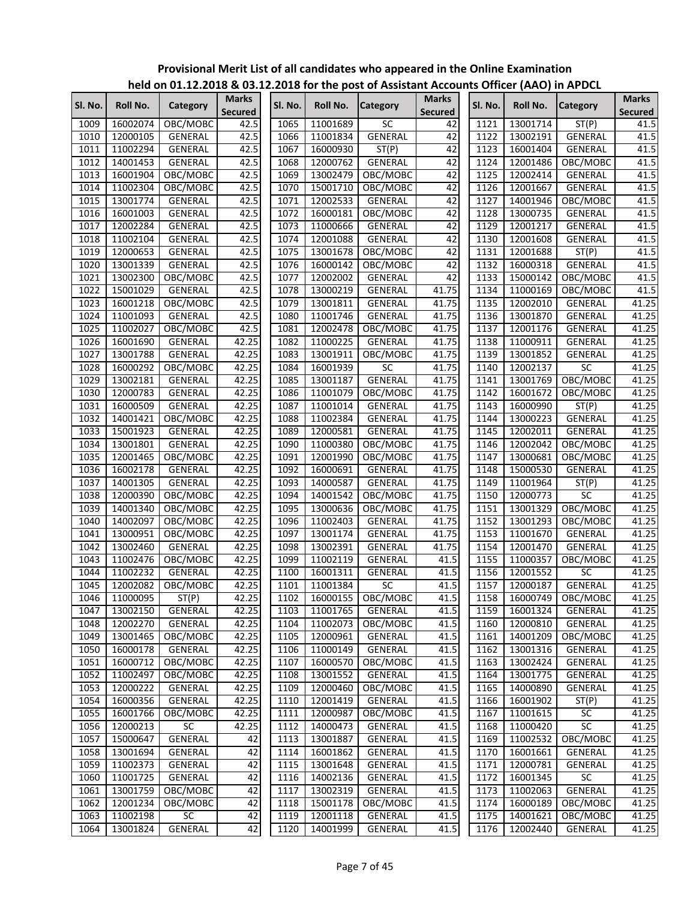|         |          | ""CIW ON U1:11:1010 & 09:1 |                         |         |          | experience have been considered and concern for the property in the peer |                                |         |          |                 |                                |
|---------|----------|----------------------------|-------------------------|---------|----------|--------------------------------------------------------------------------|--------------------------------|---------|----------|-----------------|--------------------------------|
| Sl. No. | Roll No. | Category                   | Marks<br><b>Secured</b> | SI. No. | Roll No. | <b>Category</b>                                                          | <b>Marks</b><br><b>Secured</b> | Sl. No. | Roll No. | <b>Category</b> | <b>Marks</b><br><b>Secured</b> |
| 1009    | 16002074 | OBC/MOBC                   | 42.5                    | 1065    | 11001689 | <b>SC</b>                                                                | 42                             | 1121    | 13001714 | ST(P)           | $41.\overline{5}$              |
| 1010    | 12000105 | GENERAL                    | 42.5                    | 1066    | 11001834 | GENERAL                                                                  | 42                             | 1122    | 13002191 | GENERAL         | 41.5                           |
| 1011    | 11002294 | GENERAL                    | 42.5                    | 1067    | 16000930 | ST(P)                                                                    | 42                             | 1123    | 16001404 | GENERAL         | 41.5                           |
| 1012    | 14001453 | GENERAL                    | 42.5                    | 1068    | 12000762 | GENERAL                                                                  | 42                             | 1124    | 12001486 | OBC/MOBC        | 41.5                           |
| 1013    | 16001904 | OBC/MOBC                   | 42.5                    | 1069    | 13002479 | OBC/MOBC                                                                 | 42                             | 1125    | 12002414 | GENERAL         | 41.5                           |
| 1014    | 11002304 | OBC/MOBC                   | 42.5                    | 1070    | 15001710 | OBC/MOBC                                                                 | 42                             | 1126    | 12001667 | GENERAL         | 41.5                           |
| 1015    | 13001774 | GENERAL                    | 42.5                    | 1071    | 12002533 | GENERAL                                                                  | 42                             | 1127    | 14001946 | OBC/MOBC        | 41.5                           |
| 1016    | 16001003 | GENERAL                    | 42.5                    | 1072    | 16000181 | OBC/MOBC                                                                 | 42                             | 1128    | 13000735 | GENERAL         | 41.5                           |
| 1017    | 12002284 | GENERAL                    | 42.5                    | 1073    | 11000666 | <b>GENERAL</b>                                                           | 42                             | 1129    | 12001217 | GENERAL         | 41.5                           |
| 1018    | 11002104 | GENERAL                    | 42.5                    | 1074    | 12001088 | <b>GENERAL</b>                                                           | 42                             | 1130    | 12001608 | GENERAL         | 41.5                           |
| 1019    | 12000653 | GENERAL                    | 42.5                    | 1075    | 13001678 | OBC/MOBC                                                                 | 42                             | 1131    | 12001688 | ST(P)           | 41.5                           |
| 1020    | 13001339 | GENERAL                    | 42.5                    | 1076    | 16000142 | OBC/MOBC                                                                 | 42                             | 1132    | 16000318 | GENERAL         | 41.5                           |
| 1021    | 13002300 | OBC/MOBC                   | 42.5                    | 1077    | 12002002 | <b>GENERAL</b>                                                           | 42                             | 1133    | 15000142 | OBC/MOBC        | 41.5                           |
| 1022    | 15001029 | GENERAL                    | 42.5                    | 1078    | 13000219 | <b>GENERAL</b>                                                           | 41.75                          | 1134    | 11000169 | OBC/MOBC        | 41.5                           |
| 1023    | 16001218 | OBC/MOBC                   | 42.5                    | 1079    | 13001811 | <b>GENERAL</b>                                                           | 41.75                          | 1135    | 12002010 | GENERAL         | 41.25                          |
| 1024    | 11001093 | GENERAL                    | 42.5                    | 1080    | 11001746 | <b>GENERAL</b>                                                           | 41.75                          | 1136    | 13001870 | GENERAL         | 41.25                          |
| 1025    | 11002027 | OBC/MOBC                   | 42.5                    | 1081    | 12002478 | OBC/MOBC                                                                 | 41.75                          | 1137    | 12001176 | <b>GENERAL</b>  | 41.25                          |
| 1026    | 16001690 | GENERAL                    | 42.25                   | 1082    | 11000225 | GENERAL                                                                  | 41.75                          | 1138    | 11000911 | <b>GENERAL</b>  | 41.25                          |
| 1027    | 13001788 | GENERAL                    | 42.25                   | 1083    | 13001911 | OBC/MOBC                                                                 | 41.75                          | 1139    | 13001852 | GENERAL         | 41.25                          |
| 1028    | 16000292 | OBC/MOBC                   | 42.25                   | 1084    | 16001939 | $\overline{SC}$                                                          | 41.75                          | 1140    | 12002137 | $\overline{SC}$ | 41.25                          |
| 1029    | 13002181 | GENERAL                    | 42.25                   | 1085    | 13001187 | <b>GENERAL</b>                                                           | 41.75                          | 1141    | 13001769 | OBC/MOBC        | 41.25                          |
| 1030    | 12000783 | GENERAL                    | 42.25                   | 1086    | 11001079 | OBC/MOBC                                                                 | 41.75                          | 1142    | 16001672 | OBC/MOBC        | 41.25                          |
| 1031    | 16000509 | GENERAL                    | 42.25                   | 1087    | 11001014 | GENERAL                                                                  | 41.75                          | 1143    | 16000990 | ST(P)           | 41.25                          |
| 1032    | 14001421 | OBC/MOBC                   | 42.25                   | 1088    | 11002384 | GENERAL                                                                  | 41.75                          | 1144    | 13000223 | <b>GENERAL</b>  | 41.25                          |
| 1033    | 15001923 | GENERAL                    | 42.25                   | 1089    | 12000581 | <b>GENERAL</b>                                                           | 41.75                          | 1145    | 12002011 | GENERAL         | 41.25                          |
| 1034    | 13001801 | GENERAL                    | 42.25                   | 1090    | 11000380 | OBC/MOBC                                                                 | 41.75                          | 1146    | 12002042 | OBC/MOBC        | 41.25                          |
| 1035    | 12001465 | OBC/MOBC                   | 42.25                   | 1091    | 12001990 | OBC/MOBC                                                                 | 41.75                          | 1147    | 13000681 | OBC/MOBC        | 41.25                          |
| 1036    | 16002178 | GENERAL                    | 42.25                   | 1092    | 16000691 | GENERAL                                                                  | 41.75                          | 1148    | 15000530 | GENERAL         | 41.25                          |
| 1037    | 14001305 | GENERAL                    | 42.25                   | 1093    | 14000587 | GENERAL                                                                  | 41.75                          | 1149    | 11001964 | ST(P)           | 41.25                          |
| 1038    | 12000390 | OBC/MOBC                   | 42.25                   | 1094    | 14001542 | OBC/MOBC                                                                 | 41.75                          | 1150    | 12000773 | SC              | 41.25                          |
| 1039    | 14001340 | OBC/MOBC                   | 42.25                   | 1095    | 13000636 | OBC/MOBC                                                                 | 41.75                          | 1151    | 13001329 | OBC/MOBC        | 41.25                          |
| 1040    | 14002097 | OBC/MOBC                   | 42.25                   | 1096    | 11002403 | GENERAL                                                                  | 41.75                          | 1152    | 13001293 | OBC/MOBC        | 41.25                          |
| 1041    | 13000951 | OBC/MOBC                   | 42.25                   | 1097    | 13001174 | <b>GENERAL</b>                                                           | 41.75                          | 1153    | 11001670 | GENERAL         | 41.25                          |
| 1042    | 13002460 | GENERAL                    | 42.25                   | 1098    | 13002391 | GENERAL                                                                  | 41.75                          | 1154    | 12001470 | GENERAL         | 41.25                          |
| 1043    | 11002476 | OBC/MOBC                   | 42.25                   | 1099    | 11002119 | <b>GENERAL</b>                                                           | 41.5                           | 1155    | 11000357 | OBC/MOBC        | 41.25                          |
| 1044    | 11002232 | <b>GENERAL</b>             | 42.25                   | 1100    | 16001311 | GENERAL                                                                  | 41.5                           | 1156    | 12001552 | $\overline{SC}$ | 41.25                          |
| 1045    | 12002082 | OBC/MOBC                   | 42.25                   | 1101    | 11001384 | SC                                                                       | 41.5                           | 1157    | 12000187 | <b>GENERAL</b>  | 41.25                          |
| 1046    | 11000095 | ST(P)                      | 42.25                   | 1102    |          | 16000155 OBC/MOBC                                                        | 41.5                           | 1158    | 16000749 | OBC/MOBC        | 41.25                          |
| 1047    | 13002150 | <b>GENERAL</b>             | 42.25                   | 1103    | 11001765 | GENERAL                                                                  | 41.5                           | 1159    | 16001324 | GENERAL         | 41.25                          |
| 1048    | 12002270 | GENERAL                    | 42.25                   | 1104    | 11002073 | OBC/MOBC                                                                 | 41.5                           | 1160    | 12000810 | GENERAL         | 41.25                          |
| 1049    | 13001465 | OBC/MOBC                   | 42.25                   | 1105    | 12000961 | GENERAL                                                                  | 41.5                           | 1161    | 14001209 | OBC/MOBC        | 41.25                          |
| 1050    | 16000178 | GENERAL                    | 42.25                   | 1106    | 11000149 | GENERAL                                                                  | 41.5                           | 1162    | 13001316 | GENERAL         | 41.25                          |
| 1051    | 16000712 | OBC/MOBC                   | 42.25                   | 1107    | 16000570 | OBC/MOBC                                                                 | 41.5                           | 1163    | 13002424 | GENERAL         | 41.25                          |
| 1052    | 11002497 | OBC/MOBC                   | 42.25                   | 1108    | 13001552 | GENERAL                                                                  | 41.5                           | 1164    | 13001775 | GENERAL         | 41.25                          |
| 1053    | 12000222 | GENERAL                    | 42.25                   | 1109    | 12000460 | OBC/MOBC                                                                 | 41.5                           | 1165    | 14000890 | GENERAL         | 41.25                          |
| 1054    | 16000356 | <b>GENERAL</b>             | 42.25                   | 1110    | 12001419 | GENERAL                                                                  | 41.5                           | 1166    | 16001902 | ST(P)           | 41.25                          |
| 1055    | 16001766 | OBC/MOBC                   | 42.25                   | 1111    | 12000987 | OBC/MOBC                                                                 | 41.5                           | 1167    | 11001615 | SC              | 41.25                          |
| 1056    | 12000213 | SC                         | 42.25                   | 1112    | 14000473 | GENERAL                                                                  | 41.5                           | 1168    | 11000420 | $\overline{SC}$ | 41.25                          |
| 1057    | 15000647 | GENERAL                    | 42                      | 1113    | 13001887 | GENERAL                                                                  | 41.5                           | 1169    | 11002532 | OBC/MOBC        | 41.25                          |
| 1058    | 13001694 | GENERAL                    | 42                      | 1114    | 16001862 | GENERAL                                                                  | 41.5                           | 1170    | 16001661 | GENERAL         | 41.25                          |
| 1059    | 11002373 | GENERAL                    | 42                      | 1115    | 13001648 | GENERAL                                                                  | 41.5                           | 1171    | 12000781 | GENERAL         | 41.25                          |
| 1060    | 11001725 | GENERAL                    | 42                      | 1116    | 14002136 | GENERAL                                                                  | 41.5                           | 1172    | 16001345 | $\overline{SC}$ | 41.25                          |
| 1061    | 13001759 | OBC/MOBC                   | 42                      | 1117    | 13002319 | GENERAL                                                                  | 41.5                           | 1173    | 11002063 | GENERAL         | 41.25                          |
| 1062    | 12001234 | OBC/MOBC                   | 42                      | 1118    | 15001178 | OBC/MOBC                                                                 | 41.5                           | 1174    | 16000189 | OBC/MOBC        | 41.25                          |
| 1063    | 11002198 | SC                         | 42                      | 1119    | 12001118 | GENERAL                                                                  | 41.5                           | 1175    | 14001621 | OBC/MOBC        | 41.25                          |
| 1064    | 13001824 | GENERAL                    | 42                      | 1120    | 14001999 | GENERAL                                                                  | 41.5                           | 1176    | 12002440 | GENERAL         | 41.25                          |
|         |          |                            |                         |         |          |                                                                          |                                |         |          |                 |                                |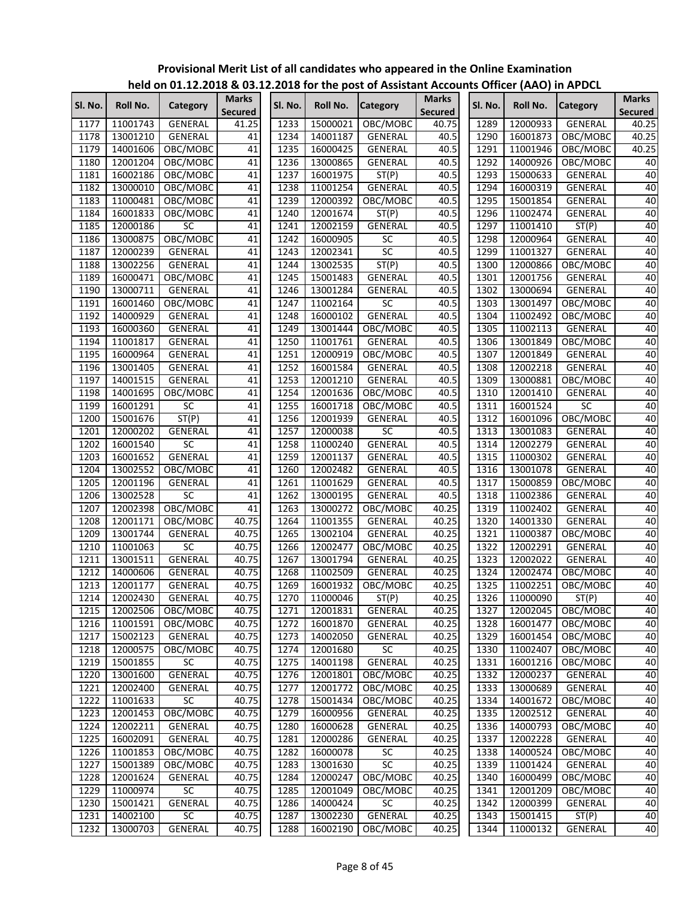|         |          |                |                         |         |          | $1000$ or $2112.2010$ & 03.12.2010 for the post of Assistant Accounts Onicer (AAO) in Ar Dec |                                |         |          |                 |                                |
|---------|----------|----------------|-------------------------|---------|----------|----------------------------------------------------------------------------------------------|--------------------------------|---------|----------|-----------------|--------------------------------|
| SI. No. | Roll No. | Category       | Marks<br><b>Secured</b> | Sl. No. | Roll No. | <b>Category</b>                                                                              | <b>Marks</b><br><b>Secured</b> | Sl. No. | Roll No. | <b>Category</b> | <b>Marks</b><br><b>Secured</b> |
| 1177    | 11001743 | GENERAL        | 41.25                   | 1233    | 15000021 | OBC/MOBC                                                                                     | 40.75                          | 1289    | 12000933 | <b>GENERAL</b>  | 40.25                          |
| 1178    | 13001210 | GENERAL        | 41                      | 1234    | 14001187 | GENERAL                                                                                      | 40.5                           | 1290    | 16001873 | OBC/MOBC        | 40.25                          |
| 1179    | 14001606 | OBC/MOBC       | 41                      | 1235    | 16000425 | <b>GENERAL</b>                                                                               | 40.5                           | 1291    | 11001946 | OBC/MOBC        | 40.25                          |
| 1180    | 12001204 | OBC/MOBC       | 41                      | 1236    | 13000865 | GENERAL                                                                                      | 40.5                           | 1292    | 14000926 | OBC/MOBC        | 40                             |
| 1181    | 16002186 | OBC/MOBC       | 41                      | 1237    | 16001975 | ST(P)                                                                                        | 40.5                           | 1293    | 15000633 | GENERAL         | 40                             |
| 1182    | 13000010 | OBC/MOBC       | 41                      | 1238    | 11001254 | GENERAL                                                                                      | 40.5                           | 1294    | 16000319 | GENERAL         | 40                             |
| 1183    | 11000481 | OBC/MOBC       | 41                      | 1239    | 12000392 | OBC/MOBC                                                                                     | 40.5                           | 1295    | 15001854 | <b>GENERAL</b>  | 40                             |
| 1184    | 16001833 | OBC/MOBC       | 41                      | 1240    | 12001674 | ST(P)                                                                                        | 40.5                           | 1296    | 11002474 | GENERAL         | 40                             |
| 1185    | 12000186 | <b>SC</b>      | 41                      | 1241    | 12002159 | GENERAL                                                                                      | 40.5                           | 1297    | 11001410 | ST(P)           | 40                             |
| 1186    | 13000875 | OBC/MOBC       | 41                      | 1242    | 16000905 | SC                                                                                           | 40.5                           | 1298    | 12000964 | GENERAL         | 40                             |
| 1187    | 12000239 | GENERAL        | 41                      | 1243    | 12002341 | SC                                                                                           | 40.5                           | 1299    | 11001327 | GENERAL         | 40                             |
| 1188    | 13002256 | GENERAL        | 41                      | 1244    | 13002535 | ST(P)                                                                                        | 40.5                           | 1300    | 12000866 | OBC/MOBC        | 40                             |
| 1189    | 16000471 | OBC/MOBC       | 41                      | 1245    | 15001483 | GENERAL                                                                                      | 40.5                           | 1301    | 12001756 | GENERAL         | 40                             |
| 1190    | 13000711 | GENERAL        | 41                      | 1246    | 13001284 | GENERAL                                                                                      | 40.5                           | 1302    | 13000694 | GENERAL         | 40                             |
| 1191    | 16001460 | OBC/MOBC       | 41                      | 1247    | 11002164 | SC                                                                                           | 40.5                           | 1303    | 13001497 | OBC/MOBC        | 40                             |
| 1192    | 14000929 | GENERAL        | 41                      | 1248    | 16000102 | GENERAL                                                                                      | 40.5                           | 1304    | 11002492 | OBC/MOBC        | 40                             |
| 1193    | 16000360 | GENERAL        | 41                      | 1249    | 13001444 | OBC/MOBC                                                                                     | 40.5                           | 1305    | 11002113 | GENERAL         | 40                             |
| 1194    | 11001817 | GENERAL        | 41                      | 1250    | 11001761 | GENERAL                                                                                      | 40.5                           | 1306    | 13001849 | OBC/MOBC        | 40                             |
| 1195    | 16000964 | GENERAL        | 41                      | 1251    | 12000919 | OBC/MOBC                                                                                     | 40.5                           | 1307    | 12001849 | GENERAL         | 40                             |
| 1196    | 13001405 | GENERAL        | 41                      | 1252    | 16001584 | GENERAL                                                                                      | 40.5                           | 1308    | 12002218 | GENERAL         | 40                             |
| 1197    | 14001515 | GENERAL        | 41                      | 1253    | 12001210 | <b>GENERAL</b>                                                                               | 40.5                           | 1309    | 13000881 | OBC/MOBC        | 40                             |
| 1198    | 14001695 | OBC/MOBC       | 41                      | 1254    | 12001636 | OBC/MOBC                                                                                     | 40.5                           | 1310    | 12001410 | <b>GENERAL</b>  | 40                             |
| 1199    | 16001291 | <b>SC</b>      | 41                      | 1255    | 16001718 | OBC/MOBC                                                                                     | 40.5                           | 1311    | 16001524 | $\overline{SC}$ | 40                             |
| 1200    | 15001676 | ST(P)          | 41                      | 1256    | 12001939 | GENERAL                                                                                      | 40.5                           | 1312    | 16001096 | OBC/MOBC        | 40                             |
| 1201    | 12000202 | GENERAL        | 41                      | 1257    | 12000038 | <b>SC</b>                                                                                    | 40.5                           | 1313    | 13001083 | GENERAL         | 40                             |
| 1202    | 16001540 | <b>SC</b>      | 41                      | 1258    | 11000240 | <b>GENERAL</b>                                                                               | 40.5                           | 1314    | 12002279 | GENERAL         | 40                             |
| 1203    | 16001652 | <b>GENERAL</b> | 41                      | 1259    | 12001137 | <b>GENERAL</b>                                                                               | 40.5                           | 1315    | 11000302 | GENERAL         | 40                             |
| 1204    | 13002552 | OBC/MOBC       | 41                      | 1260    | 12002482 | <b>GENERAL</b>                                                                               | 40.5                           | 1316    | 13001078 | GENERAL         | 40                             |
| 1205    | 12001196 | GENERAL        | 41                      | 1261    | 11001629 | <b>GENERAL</b>                                                                               | 40.5                           | 1317    | 15000859 | OBC/MOBC        | 40                             |
| 1206    | 13002528 | SC             | 41                      | 1262    | 13000195 | <b>GENERAL</b>                                                                               | 40.5                           | 1318    | 11002386 | GENERAL         | 40                             |
| 1207    | 12002398 | OBC/MOBC       | 41                      | 1263    | 13000272 | OBC/MOBC                                                                                     | 40.25                          | 1319    | 11002402 | GENERAL         | 40                             |
| 1208    | 12001171 | OBC/MOBC       | 40.75                   | 1264    | 11001355 | GENERAL                                                                                      | 40.25                          | 1320    | 14001330 | GENERAL         | 40                             |
| 1209    | 13001744 | GENERAL        | 40.75                   | 1265    | 13002104 | GENERAL                                                                                      | 40.25                          | 1321    | 11000387 | OBC/MOBC        | 40                             |
| 1210    | 11001063 | SC             | 40.75                   | 1266    | 12002477 | OBC/MOBC                                                                                     | 40.25                          | 1322    | 12002291 | GENERAL         | 40                             |
| 1211    | 13001511 | GENERAL        | 40.75                   | 1267    | 13001794 | GENERAL                                                                                      | 40.25                          | 1323    | 12002022 | GENERAL         | 40                             |
| 1212    | 14000606 | <b>GENERAL</b> | 40.75                   | 1268    | 11002509 | <b>GENERAL</b>                                                                               | 40.25                          | 1324    | 12002474 | OBC/MOBC        | 40                             |
| 1213    | 12001177 | GENERAL        | 40.75                   | 1269    | 16001932 | OBC/MOBC                                                                                     | 40.25                          | 1325    | 11002251 | OBC/MOBC        | 40                             |
| 1214    | 12002430 | <b>GENERAL</b> | 40.75                   | 1270    | 11000046 | ST(P)                                                                                        | 40.25                          | 1326    | 11000090 | ST(P)           | 40                             |
| 1215    | 12002506 | OBC/MOBC       | 40.75                   | 1271    | 12001831 | GENERAL                                                                                      | 40.25                          | 1327    | 12002045 | OBC/MOBC        | 40                             |
| 1216    | 11001591 | OBC/MOBC       | 40.75                   | 1272    | 16001870 | GENERAL                                                                                      | 40.25                          | 1328    | 16001477 | OBC/MOBC        | 40                             |
| 1217    | 15002123 | GENERAL        | 40.75                   | 1273    | 14002050 | GENERAL                                                                                      | 40.25                          | 1329    | 16001454 | OBC/MOBC        | 40                             |
| 1218    | 12000575 | OBC/MOBC       | 40.75                   | 1274    | 12001680 | SC                                                                                           | 40.25                          | 1330    | 11002407 | OBC/MOBC        | 40                             |
| 1219    | 15001855 | <b>SC</b>      | 40.75                   | 1275    | 14001198 | GENERAL                                                                                      | 40.25                          | 1331    | 16001216 | OBC/MOBC        | 40                             |
| 1220    | 13001600 | GENERAL        | 40.75                   | 1276    | 12001801 | OBC/MOBC                                                                                     | 40.25                          | 1332    | 12000237 | GENERAL         | 40                             |
| 1221    | 12002400 | GENERAL        | 40.75                   | 1277    | 12001772 | OBC/MOBC                                                                                     | 40.25                          | 1333    | 13000689 | GENERAL         | 40                             |
| 1222    | 11001633 | SC             | 40.75                   | 1278    | 15001434 | OBC/MOBC                                                                                     | 40.25                          | 1334    | 14001672 | OBC/MOBC        | 40                             |
| 1223    | 12001453 | OBC/MOBC       | 40.75                   | 1279    | 16000956 | GENERAL                                                                                      | 40.25                          | 1335    | 12002512 | GENERAL         | 40                             |
| 1224    | 12002211 | GENERAL        | 40.75                   | 1280    | 16000628 | GENERAL                                                                                      | 40.25                          | 1336    | 14000793 | OBC/MOBC        | 40                             |
| 1225    | 16002091 | GENERAL        | 40.75                   | 1281    | 12000286 | GENERAL                                                                                      | 40.25                          | 1337    | 12002228 | GENERAL         | 40                             |
| 1226    | 11001853 | OBC/MOBC       | 40.75                   | 1282    | 16000078 | <b>SC</b>                                                                                    | 40.25                          | 1338    | 14000524 | OBC/MOBC        | 40                             |
| 1227    | 15001389 | OBC/MOBC       | 40.75                   | 1283    | 13001630 | $\overline{SC}$                                                                              | 40.25                          | 1339    | 11001424 | GENERAL         | 40                             |
| 1228    | 12001624 | GENERAL        | 40.75                   | 1284    | 12000247 | OBC/MOBC                                                                                     | 40.25                          | 1340    | 16000499 | OBC/MOBC        | 40                             |
| 1229    | 11000974 | SC             | 40.75                   | 1285    | 12001049 | OBC/MOBC                                                                                     | 40.25                          | 1341    | 12001209 | OBC/MOBC        | 40                             |
| 1230    | 15001421 | GENERAL        | 40.75                   | 1286    | 14000424 | SC                                                                                           | 40.25                          | 1342    | 12000399 | GENERAL         | 40                             |
| 1231    | 14002100 | SC             | 40.75                   | 1287    | 13002230 | GENERAL                                                                                      | 40.25                          | 1343    | 15001415 | ST(P)           | 40                             |
| 1232    | 13000703 | GENERAL        | 40.75                   | 1288    | 16002190 | OBC/MOBC                                                                                     | 40.25                          | 1344    | 11000132 | GENERAL         | 40                             |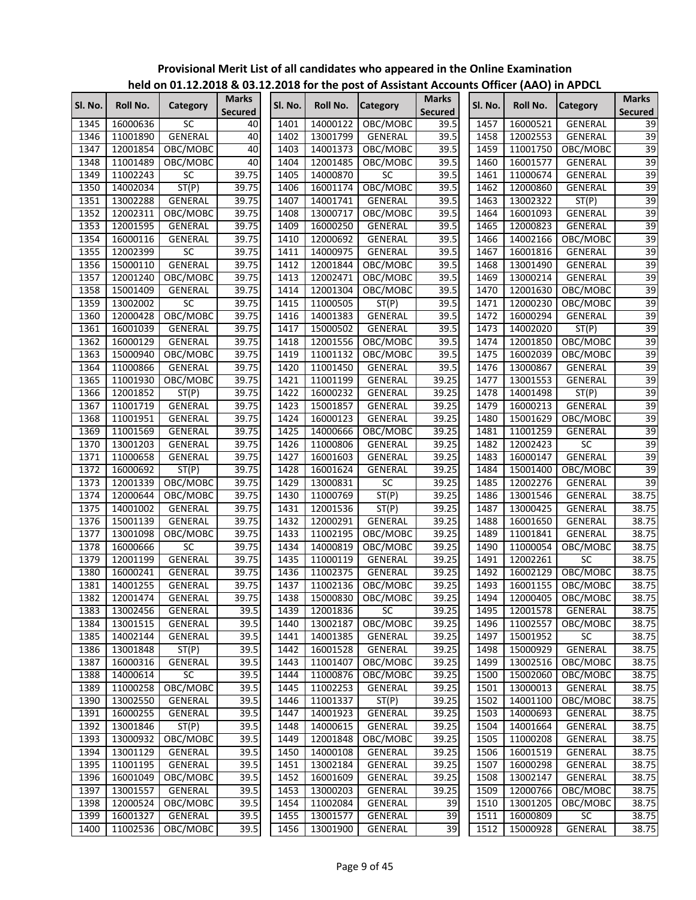|         |          | $11218$ on 01.12.12.10 $\alpha$ 09.1 |                                |         |                 | <b>ELOTO TOP GIVE POST OF ASSISTANT ACCOUNTS OTHER</b> (AAO) IN AF DEL |                                |         |          |                        |                         |
|---------|----------|--------------------------------------|--------------------------------|---------|-----------------|------------------------------------------------------------------------|--------------------------------|---------|----------|------------------------|-------------------------|
| Sl. No. | Roll No. | Category                             | <b>Marks</b><br><b>Secured</b> | Sl. No. | <b>Roll No.</b> | <b>Category</b>                                                        | <b>Marks</b><br><b>Secured</b> | SI. No. | Roll No. | <b>Category</b>        | <b>Marks</b><br>Secured |
| 1345    | 16000636 | <b>SC</b>                            | 40                             | 1401    | 14000122        | OBC/MOBC                                                               | 39.5                           | 1457    | 16000521 | GENERAL                | 39                      |
| 1346    | 11001890 | GENERAL                              | 40                             | 1402    | 13001799        | GENERAL                                                                | 39.5                           | 1458    | 12002553 | GENERAL                | 39                      |
| 1347    | 12001854 | OBC/MOBC                             | 40                             | 1403    | 14001373        | OBC/MOBC                                                               | 39.5                           | 1459    | 11001750 | OBC/MOBC               | 39                      |
| 1348    | 11001489 | OBC/MOBC                             | 40                             | 1404    | 12001485        | OBC/MOBC                                                               | 39.5                           | 1460    | 16001577 | GENERAL                | 39                      |
| 1349    | 11002243 | <b>SC</b>                            | 39.75                          | 1405    | 14000870        | <b>SC</b>                                                              | 39.5                           | 1461    | 11000674 | GENERAL                | 39                      |
| 1350    | 14002034 | ST(P)                                | 39.75                          | 1406    | 16001174        | OBC/MOBC                                                               | 39.5                           | 1462    | 12000860 | GENERAL                | 39                      |
| 1351    | 13002288 | GENERAL                              | 39.75                          | 1407    | 14001741        | <b>GENERAL</b>                                                         | 39.5                           | 1463    | 13002322 | ST(P)                  | 39                      |
| 1352    | 12002311 | OBC/MOBC                             | 39.75                          | 1408    | 13000717        | OBC/MOBC                                                               | 39.5                           | 1464    | 16001093 | GENERAL                | 39                      |
| 1353    | 12001595 | <b>GENERAL</b>                       | 39.75                          | 1409    | 16000250        | GENERAL                                                                | 39.5                           | 1465    | 12000823 | <b>GENERAL</b>         | $\overline{39}$         |
| 1354    | 16000116 | GENERAL                              | 39.75                          | 1410    | 12000692        | GENERAL                                                                | 39.5                           | 1466    | 14002166 | OBC/MOBC               | 39                      |
| 1355    | 12002399 | SC                                   | 39.75                          | 1411    | 14000975        | GENERAL                                                                | 39.5                           | 1467    | 16001816 | GENERAL                | 39                      |
| 1356    | 15000110 | GENERAL                              | 39.75                          | 1412    | 12001844        | OBC/MOBC                                                               | 39.5                           | 1468    | 13001490 | GENERAL                | 39                      |
| 1357    | 12001240 | OBC/MOBC                             | 39.75                          | 1413    | 12002471        | OBC/MOBC                                                               | 39.5                           | 1469    | 13000214 | GENERAL                | 39                      |
| 1358    | 15001409 | GENERAL                              | 39.75                          | 1414    | 12001304        | OBC/MOBC                                                               | 39.5                           | 1470    | 12001630 | OBC/MOBC               | 39                      |
| 1359    | 13002002 | SC                                   | 39.75                          | 1415    | 11000505        | ST(P)                                                                  | 39.5                           | 1471    | 12000230 | OBC/MOBC               | $\overline{39}$         |
| 1360    | 12000428 | OBC/MOBC                             | 39.75                          | 1416    | 14001383        | <b>GENERAL</b>                                                         | 39.5                           | 1472    | 16000294 | <b>GENERAL</b>         | 39                      |
| 1361    | 16001039 | GENERAL                              | 39.75                          | 1417    | 15000502        | GENERAL                                                                | 39.5                           | 1473    | 14002020 | ST(P)                  | $\overline{39}$         |
| 1362    | 16000129 | GENERAL                              | 39.75                          | 1418    | 12001556        | OBC/MOBC                                                               | 39.5                           | 1474    | 12001850 | OBC/MOBC               | 39                      |
| 1363    | 15000940 | OBC/MOBC                             | 39.75                          | 1419    | 11001132        | OBC/MOBC                                                               | 39.5                           | 1475    | 16002039 | OBC/MOBC               | $\overline{39}$         |
| 1364    | 11000866 | <b>GENERAL</b>                       | 39.75                          | 1420    | 11001450        | GENERAL                                                                | 39.5                           | 1476    | 13000867 | GENERAL                | $\overline{39}$         |
| 1365    | 11001930 | OBC/MOBC                             | 39.75                          | 1421    | 11001199        | GENERAL                                                                | 39.25                          | 1477    | 13001553 | GENERAL                | 39                      |
| 1366    | 12001852 | ST(P)                                | 39.75                          | 1422    | 16000232        | <b>GENERAL</b>                                                         | 39.25                          | 1478    | 14001498 | ST(P)                  | 39                      |
| 1367    | 11001719 | <b>GENERAL</b>                       | 39.75                          | 1423    | 15001857        | GENERAL                                                                | 39.25                          | 1479    | 16000213 | GENERAL                | 39                      |
| 1368    | 11001951 | GENERAL                              | 39.75                          | 1424    | 16000123        | GENERAL                                                                | 39.25                          | 1480    | 15001629 | OBC/MOBC               | 39                      |
| 1369    | 11001569 | GENERAL                              | 39.75                          | 1425    | 14000666        | OBC/MOBC                                                               | 39.25                          | 1481    | 11001259 | GENERAL                | 39                      |
| 1370    | 13001203 | GENERAL                              | 39.75                          | 1426    | 11000806        | GENERAL                                                                | 39.25                          | 1482    | 12002423 | <b>SC</b>              | $\overline{39}$         |
| 1371    | 11000658 | GENERAL                              | 39.75                          | 1427    | 16001603        | GENERAL                                                                | 39.25                          | 1483    | 16000147 | GENERAL                | $\overline{39}$         |
| 1372    | 16000692 | ST(P)                                | 39.75                          | 1428    | 16001624        | GENERAL                                                                | 39.25                          | 1484    | 15001400 | OBC/MOBC               | 39                      |
| 1373    | 12001339 | OBC/MOBC                             | 39.75                          | 1429    | 13000831        | <b>SC</b>                                                              | 39.25                          | 1485    | 12002276 | GENERAL                | 39                      |
| 1374    | 12000644 | OBC/MOBC                             | 39.75                          | 1430    | 11000769        | ST(P)                                                                  | 39.25                          | 1486    | 13001546 | GENERAL                | 38.75                   |
| 1375    | 14001002 |                                      | 39.75                          | 1431    | 12001536        | ST(P)                                                                  | 39.25                          | 1487    | 13000425 | GENERAL                | 38.75                   |
| 1376    | 15001139 | GENERAL<br>GENERAL                   | 39.75                          | 1432    | 12000291        | GENERAL                                                                | 39.25                          | 1488    | 16001650 | GENERAL                | 38.75                   |
| 1377    | 13001098 | OBC/MOBC                             | 39.75                          | 1433    | 11002195        |                                                                        | 39.25                          | 1489    | 11001841 | GENERAL                | 38.75                   |
| 1378    |          | <b>SC</b>                            |                                | 1434    |                 | OBC/MOBC                                                               | 39.25                          | 1490    |          | OBC/MOBC               |                         |
|         | 16000666 |                                      | 39.75                          |         | 14000819        | OBC/MOBC<br><b>GENERAL</b>                                             |                                |         | 11000054 |                        | 38.75                   |
| 1379    | 12001199 | GENERAL                              | 39.75                          | 1435    | 11000119        |                                                                        | 39.25                          | 1491    | 12002261 | SC                     | 38.75                   |
| 1380    | 16000241 | <b>GENERAL</b>                       | 39.75                          | 1436    | 11002375        | GENERAL                                                                | 39.25                          | 1492    | 16002129 | OBC/MOBC               | 38.75                   |
| 1381    | 14001255 | GENERAL                              | 39.75<br>39.75                 | 1437    | 11002136        | OBC/MOBC                                                               | 39.25                          | 1493    | 16001155 | OBC/MOBC               | 38.75                   |
| 1382    | 12001474 | <b>GENERAL</b>                       |                                |         |                 | 1438 15000830 OBC/MOBC                                                 | 39.25                          |         |          | 1494 12000405 OBC/MOBC | 38.75                   |
| 1383    | 13002456 | GENERAL                              | 39.5                           | 1439    | 12001836        | SC                                                                     | 39.25                          | 1495    | 12001578 | GENERAL                | 38.75                   |
| 1384    | 13001515 | GENERAL                              | 39.5                           | 1440    | 13002187        | OBC/MOBC                                                               | 39.25                          | 1496    | 11002557 | OBC/MOBC               | 38.75                   |
| 1385    | 14002144 | GENERAL                              | 39.5                           | 1441    | 14001385        | GENERAL                                                                | 39.25                          | 1497    | 15001952 | SC                     | 38.75                   |
| 1386    | 13001848 | ST(P)                                | 39.5                           | 1442    | 16001528        | GENERAL                                                                | 39.25                          | 1498    | 15000929 | <b>GENERAL</b>         | 38.75                   |
| 1387    | 16000316 | GENERAL                              | 39.5                           | 1443    | 11001407        | OBC/MOBC                                                               | 39.25                          | 1499    | 13002516 | OBC/MOBC               | 38.75                   |
| 1388    | 14000614 | SC                                   | 39.5                           | 1444    | 11000876        | OBC/MOBC                                                               | 39.25                          | 1500    | 15002060 | OBC/MOBC               | 38.75                   |
| 1389    | 11000258 | OBC/MOBC                             | 39.5                           | 1445    | 11002253        | GENERAL                                                                | 39.25                          | 1501    | 13000013 | GENERAL                | 38.75                   |
| 1390    | 13002550 | GENERAL                              | 39.5                           | 1446    | 11001337        | ST(P)                                                                  | 39.25                          | 1502    | 14001100 | OBC/MOBC               | 38.75                   |
| 1391    | 16000255 | GENERAL                              | 39.5                           | 1447    | 14001923        | GENERAL                                                                | 39.25                          | 1503    | 14000693 | GENERAL                | 38.75                   |
| 1392    | 13001846 | ST(P)                                | 39.5                           | 1448    | 14000615        | GENERAL                                                                | 39.25                          | 1504    | 14001664 | GENERAL                | 38.75                   |
| 1393    | 13000932 | OBC/MOBC                             | 39.5                           | 1449    | 12001848        | OBC/MOBC                                                               | 39.25                          | 1505    | 11000208 | GENERAL                | 38.75                   |
| 1394    | 13001129 | GENERAL                              | 39.5                           | 1450    | 14000108        | GENERAL                                                                | 39.25                          | 1506    | 16001519 | GENERAL                | 38.75                   |
| 1395    | 11001195 | GENERAL                              | 39.5                           | 1451    | 13002184        | GENERAL                                                                | 39.25                          | 1507    | 16000298 | GENERAL                | 38.75                   |
| 1396    | 16001049 | OBC/MOBC                             | 39.5                           | 1452    | 16001609        | GENERAL                                                                | 39.25                          | 1508    | 13002147 | GENERAL                | 38.75                   |
| 1397    | 13001557 | GENERAL                              | 39.5                           | 1453    | 13000203        | GENERAL                                                                | 39.25                          | 1509    | 12000766 | OBC/MOBC               | 38.75                   |
| 1398    | 12000524 | OBC/MOBC                             | 39.5                           | 1454    | 11002084        | GENERAL                                                                | 39                             | 1510    | 13001205 | OBC/MOBC               | 38.75                   |
| 1399    | 16001327 | GENERAL                              | 39.5                           | 1455    | 13001577        | GENERAL                                                                | 39                             | 1511    | 16000809 | $\sf SC$               | 38.75                   |
| 1400    | 11002536 | OBC/MOBC                             | 39.5                           | 1456    | 13001900        | GENERAL                                                                | 39                             | 1512    | 15000928 | GENERAL                | 38.75                   |
|         |          |                                      |                                |         |                 |                                                                        |                                |         |          |                        |                         |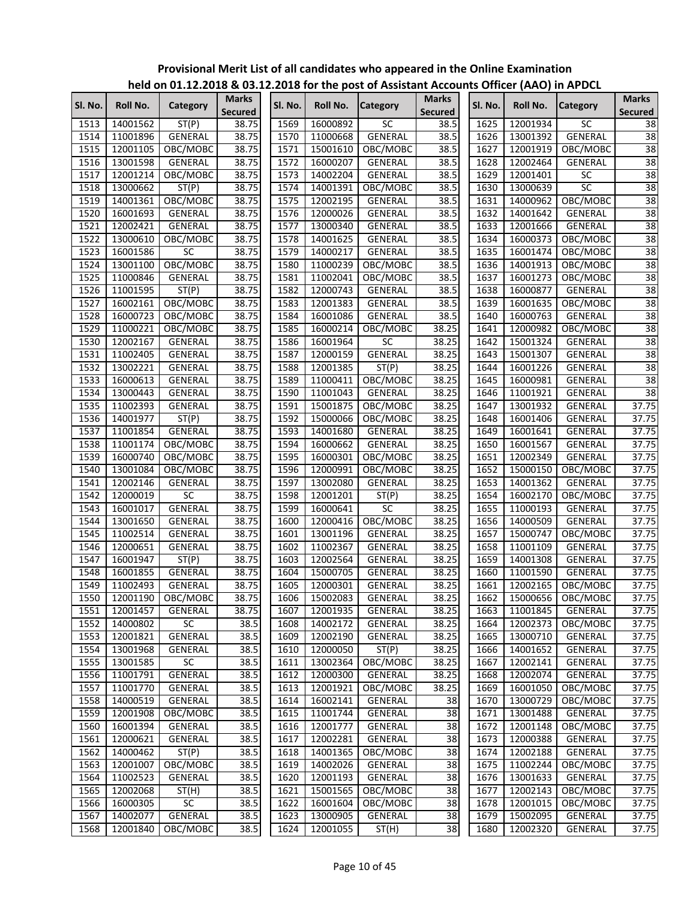|         |          | $11218$ on 01.12.12.10 $\alpha$ 09.1 |                                |                   |                 | $\frac{1}{2}$ . The first post of Assistant Accounts Officer (AAO) in Arbeit |                                |         |          |                        |                                |
|---------|----------|--------------------------------------|--------------------------------|-------------------|-----------------|------------------------------------------------------------------------------|--------------------------------|---------|----------|------------------------|--------------------------------|
| Sl. No. | Roll No. | Category                             | <b>Marks</b><br><b>Secured</b> | Sl. No.           | <b>Roll No.</b> | <b>Category</b>                                                              | <b>Marks</b><br><b>Secured</b> | SI. No. | Roll No. | <b>Category</b>        | <b>Marks</b><br><b>Secured</b> |
| 1513    | 14001562 | ST(P)                                | 38.75                          | 1569              | 16000892        | <b>SC</b>                                                                    | 38.5                           | 1625    | 12001934 | <b>SC</b>              | 38                             |
| 1514    | 11001896 | GENERAL                              | 38.75                          | 1570              | 11000668        | GENERAL                                                                      | 38.5                           | 1626    | 13001392 | GENERAL                | 38                             |
| 1515    | 12001105 | OBC/MOBC                             | 38.75                          | 1571              | 15001610        | OBC/MOBC                                                                     | 38.5                           | 1627    | 12001919 | OBC/MOBC               | $\overline{38}$                |
| 1516    | 13001598 | GENERAL                              | 38.75                          | 1572              | 16000207        | GENERAL                                                                      | 38.5                           | 1628    | 12002464 | GENERAL                | 38                             |
| 1517    | 12001214 | OBC/MOBC                             | 38.75                          | 1573              | 14002204        | GENERAL                                                                      | 38.5                           | 1629    | 12001401 | SC                     | 38                             |
| 1518    | 13000662 | ST(P)                                | 38.75                          | 1574              | 14001391        | OBC/MOBC                                                                     | 38.5                           | 1630    | 13000639 | SC                     | 38                             |
| 1519    | 14001361 | OBC/MOBC                             | 38.75                          | 1575              | 12002195        | GENERAL                                                                      | 38.5                           | 1631    | 14000962 | OBC/MOBC               | $\overline{38}$                |
| 1520    | 16001693 | GENERAL                              | 38.75                          | 1576              | 12000026        | GENERAL                                                                      | 38.5                           | 1632    | 14001642 | GENERAL                | $\overline{38}$                |
| 1521    | 12002421 | GENERAL                              | 38.75                          | 1577              | 13000340        | GENERAL                                                                      | 38.5                           | 1633    | 12001666 | GENERAL                | 38                             |
| 1522    | 13000610 | OBC/MOBC                             | 38.75                          | 1578              | 14001625        | GENERAL                                                                      | 38.5                           | 1634    | 16000373 | OBC/MOBC               | 38                             |
| 1523    | 16001586 | <b>SC</b>                            | 38.75                          | 1579              | 14000217        | GENERAL                                                                      | 38.5                           | 1635    | 16001474 | OBC/MOBC               | 38                             |
| 1524    | 13001100 | OBC/MOBC                             | 38.75                          | 1580              | 11000239        | OBC/MOBC                                                                     | 38.5                           | 1636    | 14001913 | OBC/MOBC               | 38                             |
| 1525    | 11000846 | GENERAL                              | 38.75                          | 1581              | 11002041        | OBC/MOBC                                                                     | 38.5                           | 1637    | 16001273 | OBC/MOBC               | $\overline{38}$                |
| 1526    | 11001595 | ST(P)                                | 38.75                          | 1582              | 12000743        | GENERAL                                                                      | 38.5                           | 1638    | 16000877 | GENERAL                | 38                             |
| 1527    | 16002161 | OBC/MOBC                             | 38.75                          | 1583              | 12001383        | GENERAL                                                                      | 38.5                           | 1639    | 16001635 | OBC/MOBC               | $\overline{38}$                |
| 1528    | 16000723 | OBC/MOBC                             | 38.75                          | 1584              | 16001086        | GENERAL                                                                      | 38.5                           | 1640    | 16000763 | GENERAL                | 38                             |
| 1529    | 11000221 | OBC/MOBC                             | 38.75                          | 1585              | 16000214        | OBC/MOBC                                                                     | 38.25                          | 1641    | 12000982 | OBC/MOBC               | $\overline{38}$                |
| 1530    | 12002167 | GENERAL                              | 38.75                          | 1586              | 16001964        | <b>SC</b>                                                                    | 38.25                          | 1642    | 15001324 | GENERAL                | 38                             |
| 1531    | 11002405 | GENERAL                              | 38.75                          | 1587              | 12000159        | <b>GENERAL</b>                                                               | 38.25                          | 1643    | 15001307 | GENERAL                | $\overline{38}$                |
| 1532    | 13002221 | GENERAL                              | 38.75                          | 1588              | 12001385        | ST(P)                                                                        | 38.25                          | 1644    | 16001226 | GENERAL                | 38                             |
| 1533    | 16000613 | GENERAL                              | 38.75                          | 1589              | 11000411        | OBC/MOBC                                                                     | 38.25                          | 1645    | 16000981 | GENERAL                | 38                             |
| 1534    | 13000443 | GENERAL                              | 38.75                          | 1590              | 11001043        | GENERAL                                                                      | 38.25                          | 1646    | 11001921 | GENERAL                | 38                             |
| 1535    | 11002393 | <b>GENERAL</b>                       | 38.75                          | 1591              | 15001875        | OBC/MOBC                                                                     | 38.25                          | 1647    | 13001932 | <b>GENERAL</b>         | 37.75                          |
| 1536    | 14001977 | ST(P)                                | 38.75                          | 1592              | 15000066        | OBC/MOBC                                                                     | 38.25                          | 1648    | 16001406 | GENERAL                | 37.75                          |
| 1537    | 11001854 | GENERAL                              | 38.75                          | 1593              | 14001680        | GENERAL                                                                      | 38.25                          | 1649    | 16001641 | <b>GENERAL</b>         | 37.75                          |
| 1538    | 11001174 | OBC/MOBC                             | 38.75                          | 1594              | 16000662        | GENERAL                                                                      | 38.25                          | 1650    | 16001567 | GENERAL                | 37.75                          |
| 1539    | 16000740 | OBC/MOBC                             | 38.75                          | 1595              | 16000301        | OBC/MOBC                                                                     | 38.25                          | 1651    | 12002349 | GENERAL                | 37.75                          |
| 1540    | 13001084 | OBC/MOBC                             | 38.75                          | 1596              | 12000991        | OBC/MOBC                                                                     | 38.25                          | 1652    | 15000150 | OBC/MOBC               | 37.75                          |
| 1541    | 12002146 | GENERAL                              | 38.75                          | 1597              | 13002080        | GENERAL                                                                      | 38.25                          | 1653    | 14001362 | GENERAL                | 37.75                          |
| 1542    | 12000019 | <b>SC</b>                            | 38.75                          | 1598              | 12001201        | ST(P)                                                                        | 38.25                          | 1654    | 16002170 | OBC/MOBC               | 37.75                          |
| 1543    | 16001017 | GENERAL                              | 38.75                          | 1599              | 16000641        | SC                                                                           | 38.25                          | 1655    | 11000193 | GENERAL                | 37.75                          |
| 1544    | 13001650 | GENERAL                              | 38.75                          | 1600              | 12000416        | OBC/MOBC                                                                     | 38.25                          | 1656    | 14000509 | GENERAL                | 37.75                          |
| 1545    | 11002514 | GENERAL                              | 38.75                          | 1601              | 13001196        | GENERAL                                                                      | 38.25                          | 1657    | 15000747 | OBC/MOBC               | 37.75                          |
| 1546    | 12000651 | GENERAL                              | 38.75                          | 1602              | 11002367        | GENERAL                                                                      | 38.25                          | 1658    | 11001109 | GENERAL                | 37.75                          |
| 1547    | 16001947 | ST(P)                                | 38.75                          | 1603              | 12002564        | GENERAL                                                                      | 38.25                          | 1659    | 14001308 | GENERAL                | 37.75                          |
| 1548    | 16001855 | GENERAL                              | 38.75                          | 1604              | 15000705        | <b>GENERAL</b>                                                               | 38.25                          | 1660    | 11001590 | GENERAL                | 37.75                          |
| 1549    | 11002493 | GENERAL                              | 38.75                          | 1605              | 12000301        | GENERAL                                                                      | 38.25                          | 1661    | 12002165 | OBC/MOBC               | 37.75                          |
| 1550    |          | 12001190 OBC/MOBC                    | 38.75                          | 1606              | 15002083        | <b>GENERAL</b>                                                               | 38.25                          |         |          | 1662 15000656 OBC/MOBC | 37.75                          |
| 1551    | 12001457 | GENERAL                              | 38.75                          | $160\overline{7}$ | 12001935        | GENERAL                                                                      | 38.25                          | 1663    | 11001845 | GENERAL                | 37.75                          |
| 1552    | 14000802 | SC                                   | 38.5                           | 1608              | 14002172        | GENERAL                                                                      | 38.25                          | 1664    | 12002373 | OBC/MOBC               | 37.75                          |
| 1553    | 12001821 | GENERAL                              | 38.5                           | 1609              | 12002190        | GENERAL                                                                      | 38.25                          | 1665    | 13000710 | GENERAL                | 37.75                          |
| 1554    | 13001968 | GENERAL                              | 38.5                           | 1610              | 12000050        | ST(P)                                                                        | 38.25                          | 1666    | 14001652 | GENERAL                | 37.75                          |
| 1555    | 13001585 | SC                                   | 38.5                           | 1611              | 13002364        | OBC/MOBC                                                                     | 38.25                          | 1667    | 12002141 | <b>GENERAL</b>         | 37.75                          |
| 1556    | 11001791 | GENERAL                              | 38.5                           | 1612              | 12000300        | GENERAL                                                                      | 38.25                          | 1668    | 12002074 | GENERAL                | 37.75                          |
| 1557    | 11001770 | GENERAL                              | 38.5                           | 1613              | 12001921        | OBC/MOBC                                                                     | 38.25                          | 1669    | 16001050 | OBC/MOBC               | 37.75                          |
| 1558    | 14000519 | <b>GENERAL</b>                       | 38.5                           | 1614              | 16002141        | GENERAL                                                                      | 38                             | 1670    | 13000729 | OBC/MOBC               | 37.75                          |
| 1559    | 12001908 | OBC/MOBC                             | 38.5                           | 1615              | 11001744        | GENERAL                                                                      | 38                             | 1671    | 13001488 | GENERAL                | 37.75                          |
| 1560    | 16001394 | GENERAL                              | 38.5                           | 1616              | 12001777        | GENERAL                                                                      | 38                             | 1672    | 12001148 | OBC/MOBC               | 37.75                          |
| 1561    | 12000621 | GENERAL                              | 38.5                           | 1617              | 12002281        | GENERAL                                                                      | 38                             | 1673    | 12000388 | GENERAL                | 37.75                          |
| 1562    | 14000462 | ST(P)                                | 38.5                           | 1618              | 14001365        | OBC/MOBC                                                                     | 38                             | 1674    | 12002188 | GENERAL                | 37.75                          |
| 1563    | 12001007 | OBC/MOBC                             | 38.5                           | 1619              | 14002026        | GENERAL                                                                      | 38                             | 1675    | 11002244 | OBC/MOBC               | 37.75                          |
| 1564    | 11002523 | GENERAL                              | 38.5                           | 1620              | 12001193        | GENERAL                                                                      | $\overline{38}$                | 1676    | 13001633 | GENERAL                | 37.75                          |
| 1565    | 12002068 | ST(H)                                | 38.5                           | 1621              | 15001565        | OBC/MOBC                                                                     | $\overline{38}$                | 1677    | 12002143 | OBC/MOBC               | 37.75                          |
| 1566    | 16000305 | SC                                   | 38.5                           | 1622              | 16001604        | OBC/MOBC                                                                     | 38                             | 1678    | 12001015 | OBC/MOBC               | 37.75                          |
| 1567    | 14002077 | GENERAL                              | 38.5                           | 1623              | 13000905        | GENERAL                                                                      | 38                             | 1679    | 15002095 | GENERAL                | 37.75                          |
| 1568    | 12001840 | OBC/MOBC                             | 38.5                           | 1624              | 12001055        | ST(H)                                                                        | 38                             | 1680    | 12002320 | GENERAL                | 37.75                          |
|         |          |                                      |                                |                   |                 |                                                                              |                                |         |          |                        |                                |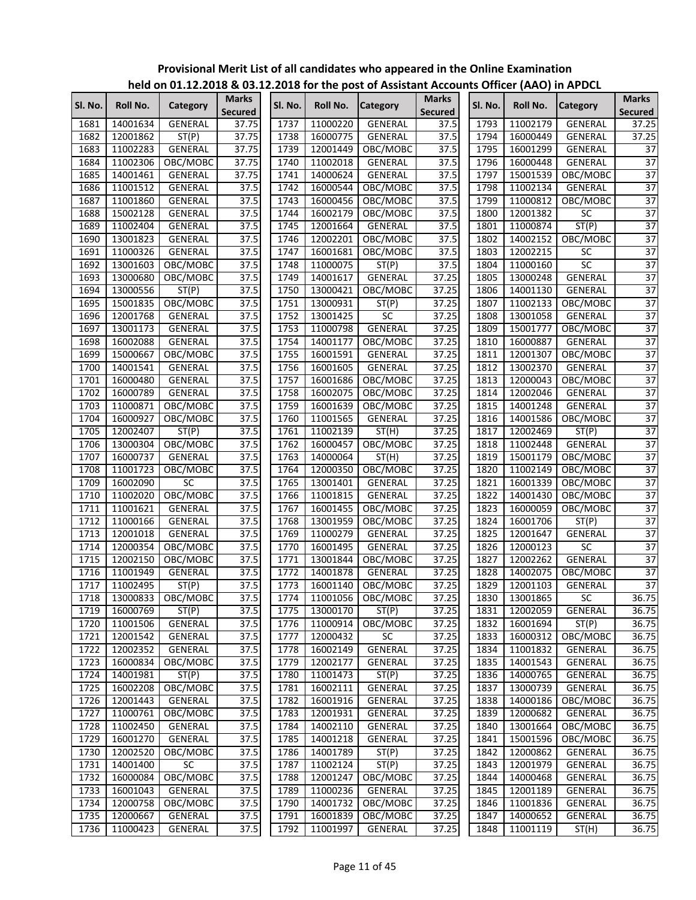|         |          |                        |                                |         |          | $5 + 0$ for the post of rissistant riceou |                                |                   |               |                 |                                |
|---------|----------|------------------------|--------------------------------|---------|----------|-------------------------------------------|--------------------------------|-------------------|---------------|-----------------|--------------------------------|
| Sl. No. | Roll No. | Category               | <b>Marks</b><br><b>Secured</b> | Sl. No. | Roll No. | <b>Category</b>                           | <b>Marks</b><br><b>Secured</b> | Sl. No.           | Roll No.      | <b>Category</b> | <b>Marks</b><br><b>Secured</b> |
| 1681    | 14001634 | <b>GENERAL</b>         | 37.75                          | 1737    | 11000220 | GENERAL                                   | 37.5                           | 1793              | 11002179      | GENERAL         | 37.25                          |
| 1682    | 12001862 | ST(P)                  | 37.75                          | 1738    | 16000775 | GENERAL                                   | 37.5                           | 1794              | 16000449      | <b>GENERAL</b>  | 37.25                          |
| 1683    | 11002283 | GENERAL                | 37.75                          | 1739    | 12001449 | OBC/MOBC                                  | 37.5                           | 1795              | 16001299      | GENERAL         | 37                             |
| 1684    | 11002306 | OBC/MOBC               | 37.75                          | 1740    | 11002018 | GENERAL                                   | 37.5                           | 1796              | 16000448      | <b>GENERAL</b>  | $\overline{37}$                |
| 1685    | 14001461 | GENERAL                | 37.75                          | 1741    | 14000624 | GENERAL                                   | 37.5                           | 1797              | 15001539      | OBC/MOBC        | $\overline{37}$                |
| 1686    | 11001512 | GENERAL                | 37.5                           | 1742    | 16000544 | OBC/MOBC                                  | 37.5                           | 1798              | 11002134      | GENERAL         | 37                             |
| 1687    | 11001860 | GENERAL                | 37.5                           | 1743    | 16000456 | OBC/MOBC                                  | 37.5                           | 1799              | 11000812      | OBC/MOBC        | $\overline{37}$                |
| 1688    | 15002128 | GENERAL                | 37.5                           | 1744    | 16002179 | OBC/MOBC                                  | 37.5                           | 1800              | 12001382      | SC              | $\overline{37}$                |
| 1689    | 11002404 | <b>GENERAL</b>         | 37.5                           | 1745    | 12001664 | <b>GENERAL</b>                            | 37.5                           | 1801              | 11000874      | ST(P)           | 37                             |
| 1690    | 13001823 | <b>GENERAL</b>         | 37.5                           | 1746    | 12002201 | OBC/MOBC                                  | 37.5                           | 1802              | 14002152      | OBC/MOBC        | $\overline{37}$                |
| 1691    | 11000326 | GENERAL                | 37.5                           | 1747    | 16001681 | OBC/MOBC                                  | 37.5                           | 1803              | 12002215      | SC              | 37                             |
| 1692    | 13001603 | OBC/MOBC               | 37.5                           | 1748    | 11000075 | ST(P)                                     | 37.5                           | 1804              | 11000160      | 5C              | 37                             |
| 1693    | 13000680 | OBC/MOBC               | 37.5                           | 1749    | 14001617 | GENERAL                                   | 37.25                          | 1805              | 13000248      | GENERAL         | $\overline{37}$                |
| 1694    | 13000556 | ST(P)                  | 37.5                           | 1750    | 13000421 | OBC/MOBC                                  | 37.25                          | 1806              | 14001130      | GENERAL         | $\overline{37}$                |
| 1695    | 15001835 | OBC/MOBC               | 37.5                           | 1751    | 13000931 | ST(P)                                     | 37.25                          | 1807              | 11002133      | OBC/MOBC        | $\overline{37}$                |
| 1696    | 12001768 | <b>GENERAL</b>         | 37.5                           | 1752    | 13001425 | <b>SC</b>                                 | 37.25                          | 1808              | 13001058      | GENERAL         | $\overline{37}$                |
| 1697    | 13001173 | GENERAL                | 37.5                           | 1753    | 11000798 | GENERAL                                   | 37.25                          | 1809              | 15001777      | OBC/MOBC        | $\overline{37}$                |
| 1698    | 16002088 | GENERAL                | 37.5                           | 1754    | 14001177 | OBC/MOBC                                  | 37.25                          | 1810              | 16000887      | GENERAL         | 37                             |
| 1699    | 15000667 | OBC/MOBC               | 37.5                           | 1755    | 16001591 | GENERAL                                   | 37.25                          | 1811              | 12001307      | OBC/MOBC        | 37                             |
| 1700    | 14001541 | GENERAL                | 37.5                           | 1756    | 16001605 | <b>GENERAL</b>                            | 37.25                          | 1812              | 13002370      | GENERAL         | $\overline{37}$                |
| 1701    | 16000480 | <b>GENERAL</b>         | 37.5                           | 1757    | 16001686 | OBC/MOBC                                  | 37.25                          | 1813              | 12000043      | OBC/MOBC        | 37                             |
| 1702    | 16000789 | GENERAL                | 37.5                           | 1758    | 16002075 | OBC/MOBC                                  | 37.25                          | 1814              | 12002046      | GENERAL         | 37                             |
| 1703    | 11000871 | OBC/MOBC               | 37.5                           | 1759    | 16001639 | OBC/MOBC                                  | 37.25                          | 1815              | 14001248      | GENERAL         | 37                             |
| 1704    | 16000927 | OBC/MOBC               | 37.5                           | 1760    | 11001565 | <b>GENERAL</b>                            | 37.25                          | 1816              | 14001586      | OBC/MOBC        | $\overline{37}$                |
| 1705    | 12002407 | ST(P)                  | 37.5                           | 1761    | 11002139 | ST(H)                                     | 37.25                          | 1817              | 12002469      | ST(P)           | $\overline{37}$                |
| 1706    | 13000304 | OBC/MOBC               | 37.5                           | 1762    | 16000457 | OBC/MOBC                                  | 37.25                          | 1818              | 11002448      | GENERAL         | 37                             |
| 1707    | 16000737 | GENERAL                | 37.5                           | 1763    | 14000064 | ST(H)                                     | 37.25                          | 1819              | 15001179      | OBC/MOBC        | 37                             |
| 1708    | 11001723 | OBC/MOBC               | 37.5                           | 1764    | 12000350 | OBC/MOBC                                  | 37.25                          | 1820              | 11002149      | OBC/MOBC        | $\overline{37}$                |
| 1709    | 16002090 | <b>SC</b>              | 37.5                           | 1765    | 13001401 | GENERAL                                   | 37.25                          | 1821              | 16001339      | OBC/MOBC        | $\overline{37}$                |
| 1710    | 11002020 | OBC/MOBC               | 37.5                           | 1766    | 11001815 | GENERAL                                   | 37.25                          | 1822              | 14001430      | OBC/MOBC        | $\overline{37}$                |
| 1711    | 11001621 | GENERAL                | 37.5                           | 1767    | 16001455 | OBC/MOBC                                  | 37.25                          | 1823              | 16000059      | OBC/MOBC        | $\overline{37}$                |
| 1712    | 11000166 | GENERAL                | 37.5                           | 1768    | 13001959 | OBC/MOBC                                  | 37.25                          | $18\overline{24}$ | 16001706      | ST(P)           | $\overline{37}$                |
| 1713    | 12001018 | GENERAL                | 37.5                           | 1769    | 11000279 | GENERAL                                   | 37.25                          | 1825              | 12001647      | GENERAL         | 37                             |
| 1714    | 12000354 | OBC/MOBC               | 37.5                           | 1770    | 16001495 | GENERAL                                   | 37.25                          | 1826              | 12000123      | SC              | 37                             |
| 1715    | 12002150 | OBC/MOBC               | 37.5                           | 1771    | 13001844 | OBC/MOBC                                  | 37.25                          | 1827              | 12002262      | <b>GENERAL</b>  | $\overline{37}$                |
| 1716    | 11001949 | <b>GENERAL</b>         | 37.5                           | 1772    | 14001878 | GENERAL                                   | 37.25                          | 1828              | 14002075      | OBC/MOBC        | $\overline{37}$                |
| 1717    | 11002495 | ST(P)                  | 37.5                           | 1773    | 16001140 | OBC/MOBC                                  | 37.25                          | 1829              | 12001103      | GENERAL         | $\overline{37}$                |
|         |          | 1718 13000833 OBC/MOBC | 37.5                           |         |          | 1774 11001056 OBC/MOBC                    | 37.25                          |                   | 1830 13001865 | SC              | 36.75                          |
| 1719    | 16000769 | ST(P)                  | 37.5                           | 1775    | 13000170 | ST(P)                                     | 37.25                          | 1831              | 12002059      | GENERAL         | 36.75                          |
| 1720    | 11001506 | GENERAL                | 37.5                           | 1776    | 11000914 | OBC/MOBC                                  | 37.25                          | 1832              | 16001694      | ST(P)           | 36.75                          |
| 1721    | 12001542 | GENERAL                | 37.5                           | 1777    | 12000432 | <b>SC</b>                                 | 37.25                          | 1833              | 16000312      | OBC/MOBC        | 36.75                          |
| 1722    | 12002352 | <b>GENERAL</b>         | 37.5                           | 1778    | 16002149 | GENERAL                                   | 37.25                          | 1834              | 11001832      | GENERAL         | 36.75                          |
| 1723    | 16000834 | OBC/MOBC               | 37.5                           | 1779    | 12002177 | GENERAL                                   | 37.25                          | 1835              | 14001543      | GENERAL         | 36.75                          |
| 1724    | 14001981 | ST(P)                  | 37.5                           | 1780    | 11001473 | ST(P)                                     | 37.25                          | 1836              | 14000765      | GENERAL         | 36.75                          |
| 1725    | 16002208 | OBC/MOBC               | 37.5                           | 1781    | 16002111 | GENERAL                                   | 37.25                          | 1837              | 13000739      | GENERAL         | 36.75                          |
| 1726    | 12001443 | GENERAL                | 37.5                           | 1782    | 16001916 | GENERAL                                   | 37.25                          | 1838              | 14000186      | OBC/MOBC        | 36.75                          |
| 1727    | 11000761 | OBC/MOBC               | 37.5                           | 1783    | 12001931 | GENERAL                                   | 37.25                          | 1839              | 12000682      | GENERAL         | 36.75                          |
| 1728    | 11002450 | GENERAL                | 37.5                           | 1784    | 14002110 | GENERAL                                   | 37.25                          | 1840              | 13001664      | OBC/MOBC        | 36.75                          |
| 1729    | 16001270 | GENERAL                | 37.5                           | 1785    | 14001218 | GENERAL                                   | 37.25                          | 1841              | 15001596      | OBC/MOBC        | 36.75                          |
| 1730    | 12002520 | OBC/MOBC               | 37.5                           | 1786    | 14001789 | ST(P)                                     | 37.25                          | 1842              | 12000862      | GENERAL         | 36.75                          |
| 1731    | 14001400 | SC                     | 37.5                           | 1787    | 11002124 | ST(P)                                     | 37.25                          | 1843              | 12001979      | GENERAL         | 36.75                          |
| 1732    | 16000084 | OBC/MOBC               | 37.5                           | 1788    | 12001247 | OBC/MOBC                                  | 37.25                          | 1844              | 14000468      | GENERAL         | 36.75                          |
| 1733    | 16001043 | GENERAL                | 37.5                           | 1789    | 11000236 | GENERAL                                   | 37.25                          | 1845              | 12001189      | GENERAL         | 36.75                          |
| 1734    | 12000758 | OBC/MOBC               | 37.5                           | 1790    | 14001732 | OBC/MOBC                                  | 37.25                          | 1846              | 11001836      | GENERAL         | 36.75                          |
| 1735    | 12000667 | GENERAL                | 37.5                           | 1791    | 16001839 | OBC/MOBC                                  | 37.25                          | 1847              | 14000652      | GENERAL         | 36.75                          |
| 1736    | 11000423 | GENERAL                | 37.5                           | 1792    | 11001997 | GENERAL                                   | 37.25                          | 1848              | 11001119      | ST(H)           | 36.75                          |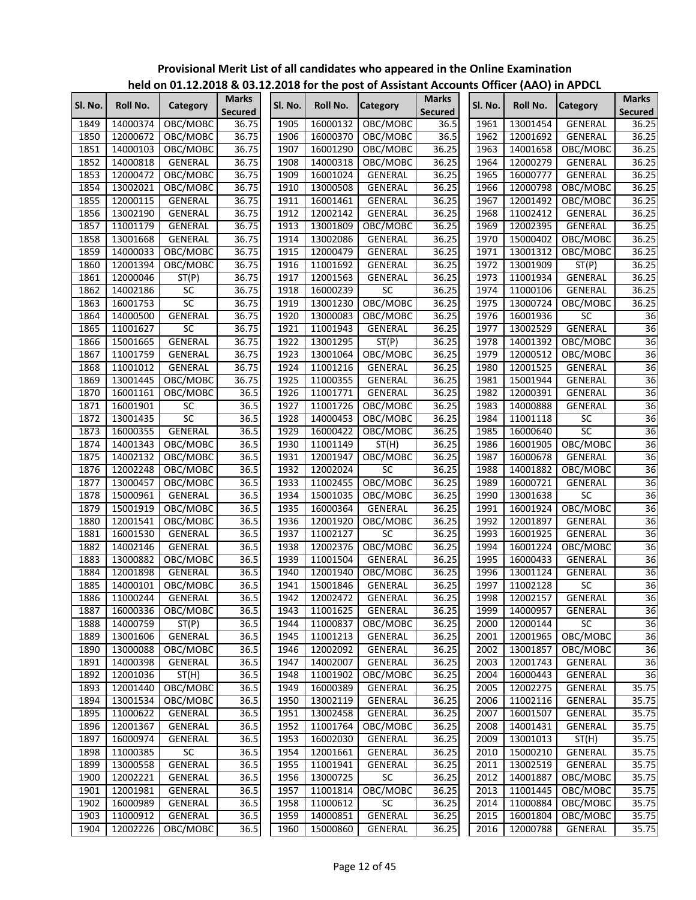| SI. No. | Roll No. | Category        | <b>Marks</b><br>Secured | SI. No. | Roll No.      | Category        | <b>Marks</b><br>Secured | SI. No. | Roll No.      | <b>Category</b> | <b>Marks</b><br><b>Secured</b> |
|---------|----------|-----------------|-------------------------|---------|---------------|-----------------|-------------------------|---------|---------------|-----------------|--------------------------------|
| 1849    | 14000374 | OBC/MOBC        | 36.75                   | 1905    | 16000132      | OBC/MOBC        | 36.5                    | 1961    | 13001454      | GENERAL         | 36.25                          |
| 1850    | 12000672 | OBC/MOBC        | 36.75                   | 1906    | 16000370      | OBC/MOBC        | 36.5                    | 1962    | 12001692      | GENERAL         | 36.25                          |
| 1851    | 14000103 | OBC/MOBC        | 36.75                   | 1907    | 16001290      | OBC/MOBC        | 36.25                   | 1963    | 14001658      | OBC/MOBC        | 36.25                          |
| 1852    | 14000818 | GENERAL         | 36.75                   | 1908    | 14000318      | OBC/MOBC        | 36.25                   | 1964    | 12000279      | GENERAL         | 36.25                          |
| 1853    | 12000472 | OBC/MOBC        | 36.75                   | 1909    | 16001024      | <b>GENERAL</b>  | 36.25                   | 1965    | 16000777      | GENERAL         | 36.25                          |
| 1854    | 13002021 | OBC/MOBC        | 36.75                   | 1910    | 13000508      | GENERAL         | 36.25                   | 1966    | 12000798      | OBC/MOBC        | 36.25                          |
| 1855    | 12000115 | GENERAL         | 36.75                   | 1911    | 16001461      | GENERAL         | 36.25                   | 1967    | 12001492      | OBC/MOBC        | 36.25                          |
| 1856    | 13002190 | <b>GENERAL</b>  | 36.75                   | 1912    | 12002142      | <b>GENERAL</b>  | 36.25                   | 1968    | 11002412      | GENERAL         | 36.25                          |
| 1857    | 11001179 | GENERAL         | 36.75                   | 1913    | 13001809      | OBC/MOBC        | 36.25                   | 1969    | 12002395      | <b>GENERAL</b>  | 36.25                          |
| 1858    | 13001668 | GENERAL         | 36.75                   | 1914    | 13002086      | GENERAL         | 36.25                   | 1970    | 15000402      | OBC/MOBC        | 36.25                          |
| 1859    | 14000033 | OBC/MOBC        | 36.75                   | 1915    | 12000479      | <b>GENERAL</b>  | 36.25                   | 1971    | 13001312      | OBC/MOBC        | 36.25                          |
| 1860    | 12001394 | OBC/MOBC        | 36.75                   | 1916    | 11001692      | <b>GENERAL</b>  | 36.25                   | 1972    | 13001909      | ST(P)           | 36.25                          |
| 1861    | 12000046 | ST(P)           | 36.75                   | 1917    | 12001563      | GENERAL         | 36.25                   | 1973    | 11001934      | GENERAL         | 36.25                          |
| 1862    | 14002186 | <b>SC</b>       | 36.75                   | 1918    | 16000239      | SC              | 36.25                   | 1974    | 11000106      | GENERAL         | 36.25                          |
| 1863    | 16001753 | $\overline{SC}$ | 36.75                   | 1919    | 13001230      | OBC/MOBC        | 36.25                   | 1975    | 13000724      | OBC/MOBC        | 36.25                          |
| 1864    | 14000500 | GENERAL         | 36.75                   | 1920    | 13000083      | OBC/MOBC        | 36.25                   | 1976    | 16001936      | <b>SC</b>       | $\overline{36}$                |
| 1865    | 11001627 | $\overline{SC}$ | 36.75                   | 1921    | 11001943      | GENERAL         | 36.25                   | 1977    | 13002529      | GENERAL         | $\overline{36}$                |
| 1866    | 15001665 | <b>GENERAL</b>  | 36.75                   | 1922    | 13001295      | ST(P)           | 36.25                   | 1978    | 14001392      | OBC/MOBC        | $\overline{36}$                |
| 1867    | 11001759 | <b>GENERAL</b>  | 36.75                   | 1923    | 13001064      | OBC/MOBC        | 36.25                   | 1979    | 12000512      | OBC/MOBC        | $\overline{36}$                |
| 1868    | 11001012 | GENERAL         | 36.75                   | 1924    | 11001216      | <b>GENERAL</b>  | 36.25                   | 1980    | 12001525      | GENERAL         | $\overline{36}$                |
| 1869    | 13001445 | OBC/MOBC        | 36.75                   | 1925    | 11000355      | GENERAL         | 36.25                   | 1981    | 15001944      | GENERAL         | 36                             |
| 1870    | 16001161 | OBC/MOBC        | 36.5                    | 1926    | 11001771      | GENERAL         | 36.25                   | 1982    | 12000391      | GENERAL         | 36                             |
| 1871    | 16001901 | <b>SC</b>       | 36.5                    | 1927    | 11001726      | OBC/MOBC        | 36.25                   | 1983    | 14000888      | GENERAL         | 36                             |
| 1872    | 13001435 | SC              | 36.5                    | 1928    | 14000453      | OBC/MOBC        | 36.25                   | 1984    | 11001118      | $\overline{SC}$ | $\overline{36}$                |
| 1873    | 16000355 | GENERAL         | 36.5                    | 1929    | 16000422      | OBC/MOBC        | 36.25                   | 1985    | 16000640      | SC              | $\overline{36}$                |
| 1874    | 14001343 | OBC/MOBC        | 36.5                    | 1930    | 11001149      | ST(H)           | 36.25                   | 1986    | 16001905      | OBC/MOBC        | 36                             |
| 1875    | 14002132 | OBC/MOBC        | 36.5                    | 1931    | 12001947      | OBC/MOBC        | 36.25                   | 1987    | 16000678      | GENERAL         | $\overline{36}$                |
| 1876    | 12002248 | OBC/MOBC        | 36.5                    | 1932    | 12002024      | SC              | 36.25                   | 1988    | 14001882      | OBC/MOBC        | 36                             |
| 1877    | 13000457 | OBC/MOBC        | 36.5                    | 1933    | 11002455      | OBC/MOBC        | 36.25                   | 1989    | 16000721      | GENERAL         | $\overline{36}$                |
| 1878    | 15000961 | GENERAL         | 36.5                    | 1934    | 15001035      | OBC/MOBC        | 36.25                   | 1990    | 13001638      | SC              | 36                             |
| 1879    | 15001919 | OBC/MOBC        | 36.5                    | 1935    | 16000364      | <b>GENERAL</b>  | 36.25                   | 1991    | 16001924      | OBC/MOBC        | $\overline{36}$                |
| 1880    | 12001541 | OBC/MOBC        | 36.5                    | 1936    | 12001920      | OBC/MOBC        | 36.25                   | 1992    | 12001897      | GENERAL         | 36                             |
| 1881    | 16001530 | GENERAL         | 36.5                    | 1937    | 11002127      | <b>SC</b>       | 36.25                   | 1993    | 16001925      | GENERAL         | 36                             |
| 1882    | 14002146 | GENERAL         | 36.5                    | 1938    | 12002376      | OBC/MOBC        | 36.25                   | 1994    | 16001224      | OBC/MOBC        | 36                             |
| 1883    | 13000882 | OBC/MOBC        | 36.5                    | 1939    | 11001504      | GENERAL         | 36.25                   | 1995    | 16000433      | <b>GENERAL</b>  | 36                             |
| 1884    | 12001898 | GENERAL         | 36.5                    | 1940    | 12001940      | OBC/MOBC        | 36.25                   | 1996    | 13001124      | GENERAL         | $\overline{36}$                |
| 1885    | 14000101 | OBC/MOBC        | 36.5                    | 1941    | 15001846      | <b>GENERAL</b>  | 36.25                   | 1997    | 11002128      | $\overline{SC}$ | $\overline{36}$                |
| 1886    | 11000244 | GENERAL         | 36.5                    |         | 1942 12002472 | <b>GENERAL</b>  | 36.25                   |         | 1998 12002157 | GENERAL         | 36                             |
| 1887    | 16000336 | OBC/MOBC        | 36.5                    | 1943    | 11001625      | GENERAL         | 36.25                   | 1999    | 14000957      | <b>GENERAL</b>  | $\overline{36}$                |
| 1888    | 14000759 | ST(P)           | 36.5                    | 1944    | 11000837      | OBC/MOBC        | 36.25                   | 2000    | 12000144      | SC              | 36                             |
| 1889    | 13001606 | GENERAL         | 36.5                    | 1945    | 11001213      | GENERAL         | 36.25                   | 2001    | 12001965      | OBC/MOBC        | 36                             |
| 1890    | 13000088 | OBC/MOBC        | 36.5                    | 1946    | 12002092      | GENERAL         | 36.25                   | 2002    | 13001857      | OBC/MOBC        | 36                             |
| 1891    | 14000398 | GENERAL         | 36.5                    | 1947    | 14002007      | GENERAL         | 36.25                   | 2003    | 12001743      | GENERAL         | 36                             |
| 1892    | 12001036 | ST(H)           | 36.5                    | 1948    | 11001902      | OBC/MOBC        | 36.25                   | 2004    | 16000443      | GENERAL         | $\overline{36}$                |
| 1893    | 12001440 | OBC/MOBC        | 36.5                    | 1949    | 16000389      | GENERAL         | 36.25                   | 2005    | 12002275      | GENERAL         | 35.75                          |
| 1894    | 13001534 | OBC/MOBC        | 36.5                    | 1950    | 13002119      | GENERAL         | 36.25                   | 2006    | 11002116      | GENERAL         | 35.75                          |
| 1895    | 11000622 | GENERAL         | 36.5                    | 1951    | 13002458      | GENERAL         | 36.25                   | 2007    | 16001507      | GENERAL         | 35.75                          |
| 1896    | 12001367 | GENERAL         | 36.5                    | 1952    | 11001764      | OBC/MOBC        | 36.25                   | 2008    | 14001431      | GENERAL         | 35.75                          |
| 1897    | 16000974 | GENERAL         | 36.5                    | 1953    | 16002030      | GENERAL         | 36.25                   | 2009    | 13001013      | ST(H)           | 35.75                          |
| 1898    | 11000385 | SC              | 36.5                    | 1954    | 12001661      | GENERAL         | 36.25                   | 2010    | 15000210      | GENERAL         | 35.75                          |
| 1899    | 13000558 | GENERAL         | 36.5                    | 1955    | 11001941      | <b>GENERAL</b>  | 36.25                   | 2011    | 13002519      | GENERAL         | 35.75                          |
| 1900    | 12002221 | GENERAL         | 36.5                    | 1956    | 13000725      | $\overline{SC}$ | 36.25                   | 2012    | 14001887      | OBC/MOBC        | 35.75                          |
| 1901    | 12001981 | GENERAL         | 36.5                    | 1957    | 11001814      | OBC/MOBC        | 36.25                   | 2013    | 11001445      | OBC/MOBC        | 35.75                          |
| 1902    | 16000989 | GENERAL         | 36.5                    | 1958    | 11000612      | SC              | 36.25                   | 2014    | 11000884      | OBC/MOBC        | 35.75                          |
| 1903    | 11000912 | GENERAL         | 36.5                    | 1959    | 14000851      | GENERAL         | 36.25                   | 2015    | 16001804      | OBC/MOBC        | 35.75                          |
| 1904    | 12002226 | OBC/MOBC        | 36.5                    | 1960    | 15000860      | GENERAL         | 36.25                   | 2016    | 12000788      | GENERAL         | 35.75                          |
|         |          |                 |                         |         |               |                 |                         |         |               |                 |                                |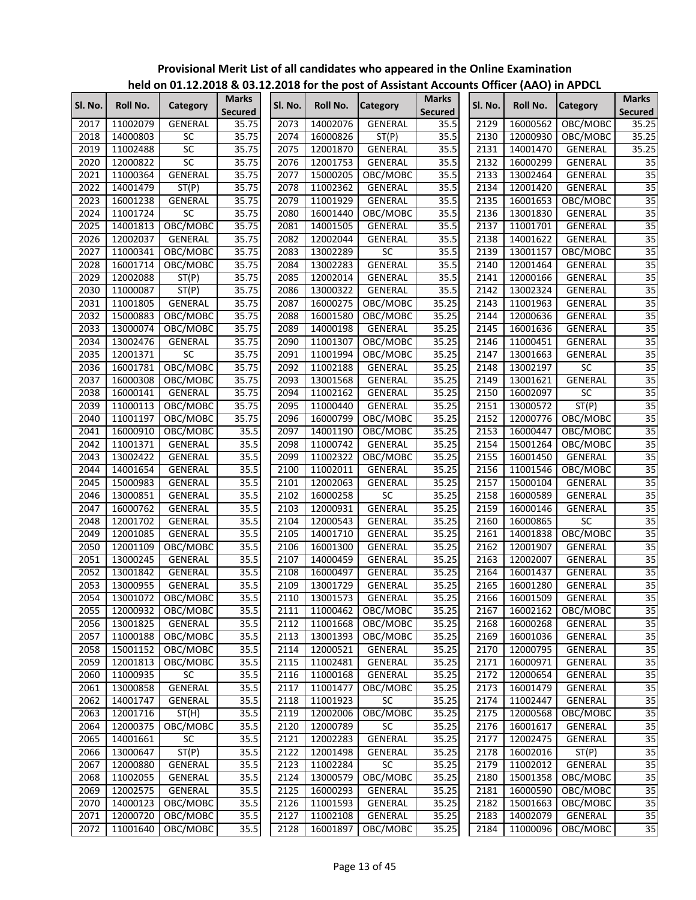|         |          |                 |                                |                   |          | <u>HEIG ON UITILIZIUD &amp; USIILIZUD TUI THE POST OF ASSISTANT ACCOUNTS ONNET (AAU) IN AF DEL</u> |                                |         |          |                 |                                |
|---------|----------|-----------------|--------------------------------|-------------------|----------|----------------------------------------------------------------------------------------------------|--------------------------------|---------|----------|-----------------|--------------------------------|
| Sl. No. | Roll No. | <b>Category</b> | <b>Marks</b><br><b>Secured</b> | SI. No.           | Roll No. | <b>Category</b>                                                                                    | <b>Marks</b><br><b>Secured</b> | Sl. No. | Roll No. | <b>Category</b> | <b>Marks</b><br><b>Secured</b> |
| 2017    | 11002079 | GENERAL         | 35.75                          | 2073              | 14002076 | <b>GENERAL</b>                                                                                     | 35.5                           | 2129    | 16000562 | OBC/MOBC        | 35.25                          |
| 2018    | 14000803 | <b>SC</b>       | 35.75                          | 2074              | 16000826 | ST(P)                                                                                              | 35.5                           | 2130    | 12000930 | OBC/MOBC        | 35.25                          |
| 2019    | 11002488 | SC              | 35.75                          | 2075              | 12001870 | <b>GENERAL</b>                                                                                     | 35.5                           | 2131    | 14001470 | GENERAL         | 35.25                          |
| 2020    | 12000822 | $\overline{SC}$ | 35.75                          | $20\overline{76}$ | 12001753 | <b>GENERAL</b>                                                                                     | 35.5                           | 2132    | 16000299 | GENERAL         | 35                             |
| 2021    | 11000364 | GENERAL         | 35.75                          | 2077              | 15000205 | OBC/MOBC                                                                                           | 35.5                           | 2133    | 13002464 | GENERAL         | 35                             |
| 2022    | 14001479 | ST(P)           | 35.75                          | 2078              | 11002362 | GENERAL                                                                                            | 35.5                           | 2134    | 12001420 | GENERAL         | $\overline{35}$                |
| 2023    | 16001238 | GENERAL         | 35.75                          | 2079              | 11001929 | GENERAL                                                                                            | 35.5                           | 2135    | 16001653 | OBC/MOBC        | $\overline{35}$                |
| 2024    | 11001724 | <b>SC</b>       | 35.75                          | 2080              | 16001440 | OBC/MOBC                                                                                           | 35.5                           | 2136    | 13001830 | GENERAL         | $\overline{35}$                |
| 2025    | 14001813 | OBC/MOBC        | 35.75                          | 2081              | 14001505 | GENERAL                                                                                            | 35.5                           | 2137    | 11001701 | GENERAL         | $\overline{35}$                |
| 2026    | 12002037 | GENERAL         | 35.75                          | 2082              | 12002044 | <b>GENERAL</b>                                                                                     | 35.5                           | 2138    | 14001622 | GENERAL         | 35                             |
| 2027    | 11000341 | OBC/MOBC        | 35.75                          | 2083              | 13002289 | SC                                                                                                 | 35.5                           | 2139    | 13001157 | OBC/MOBC        | 35                             |
| 2028    | 16001714 | OBC/MOBC        | 35.75                          | 2084              | 13002283 | GENERAL                                                                                            | 35.5                           | 2140    | 12001464 | GENERAL         | 35                             |
| 2029    | 12002088 | ST(P)           | 35.75                          | 2085              | 12002014 | GENERAL                                                                                            | 35.5                           | 2141    | 12000166 | GENERAL         | 35                             |
| 2030    | 11000087 | ST(P)           | 35.75                          | 2086              | 13000322 | GENERAL                                                                                            | 35.5                           | 2142    | 13002324 | GENERAL         | $\overline{35}$                |
| 2031    | 11001805 | GENERAL         | 35.75                          | 2087              | 16000275 | OBC/MOBC                                                                                           | 35.25                          | 2143    | 11001963 | GENERAL         | $\overline{35}$                |
| 2032    | 15000883 | OBC/MOBC        | 35.75                          | 2088              | 16001580 | OBC/MOBC                                                                                           | 35.25                          | 2144    | 12000636 | GENERAL         | $\overline{35}$                |
| 2033    | 13000074 | OBC/MOBC        | 35.75                          | 2089              | 14000198 | GENERAL                                                                                            | 35.25                          | 2145    | 16001636 | GENERAL         | $\overline{35}$                |
| 2034    | 13002476 | GENERAL         | 35.75                          | 2090              | 11001307 | OBC/MOBC                                                                                           | 35.25                          | 2146    | 11000451 | GENERAL         | $\overline{35}$                |
| 2035    | 12001371 | SC              | 35.75                          | 2091              | 11001994 | OBC/MOBC                                                                                           | 35.25                          | 2147    | 13001663 | <b>GENERAL</b>  | $\overline{35}$                |
| 2036    | 16001781 | OBC/MOBC        | 35.75                          | 2092              | 11002188 | <b>GENERAL</b>                                                                                     | 35.25                          | 2148    | 13002197 | $\overline{SC}$ | 35                             |
| 2037    | 16000308 | OBC/MOBC        | 35.75                          | 2093              | 13001568 | GENERAL                                                                                            | 35.25                          | 2149    | 13001621 | <b>GENERAL</b>  | $\overline{35}$                |
| 2038    | 16000141 | <b>GENERAL</b>  | 35.75                          | 2094              | 11002162 | GENERAL                                                                                            | 35.25                          | 2150    | 16002097 | $\overline{SC}$ | $\overline{35}$                |
| 2039    | 11000113 | OBC/MOBC        | 35.75                          | 2095              | 11000440 | GENERAL                                                                                            | 35.25                          | 2151    | 13000572 | ST(P)           | 35                             |
|         |          |                 |                                |                   |          |                                                                                                    |                                |         |          |                 |                                |
| 2040    | 11001197 | OBC/MOBC        | 35.75                          | 2096              | 16000799 | OBC/MOBC                                                                                           | 35.25                          | 2152    | 12000776 | OBC/MOBC        | $\overline{35}$                |
| 2041    | 16000910 | OBC/MOBC        | 35.5                           | 2097              | 14001190 | OBC/MOBC                                                                                           | 35.25                          | 2153    | 16000447 | OBC/MOBC        | 35                             |
| 2042    | 11001371 | GENERAL         | 35.5                           | 2098              | 11000742 | GENERAL                                                                                            | 35.25                          | 2154    | 15001264 | OBC/MOBC        | $\overline{35}$                |
| 2043    | 13002422 | GENERAL         | 35.5                           | 2099              | 11002322 | OBC/MOBC                                                                                           | 35.25                          | 2155    | 16001450 | GENERAL         | $\overline{35}$                |
| 2044    | 14001654 | GENERAL         | 35.5                           | 2100              | 11002011 | GENERAL                                                                                            | 35.25                          | 2156    | 11001546 | OBC/MOBC        | $\overline{35}$                |
| 2045    | 15000983 | GENERAL         | 35.5                           | 2101              | 12002063 | GENERAL                                                                                            | 35.25                          | 2157    | 15000104 | GENERAL         | $\overline{35}$                |
| 2046    | 13000851 | GENERAL         | 35.5                           | 2102              | 16000258 | SC                                                                                                 | 35.25                          | 2158    | 16000589 | GENERAL         | 35                             |
| 2047    | 16000762 | GENERAL         | 35.5                           | 2103              | 12000931 | GENERAL                                                                                            | 35.25                          | 2159    | 16000146 | GENERAL         | $\overline{35}$                |
| 2048    | 12001702 | GENERAL         | 35.5                           | 2104              | 12000543 | GENERAL                                                                                            | 35.25                          | 2160    | 16000865 | SC              | $\overline{35}$                |
| 2049    | 12001085 | GENERAL         | 35.5                           | 2105              | 14001710 | GENERAL                                                                                            | 35.25                          | 2161    | 14001838 | OBC/MOBC        | 35                             |
| 2050    | 12001109 | OBC/MOBC        | 35.5                           | 2106              | 16001300 | GENERAL                                                                                            | 35.25                          | 2162    | 12001907 | GENERAL         | 35                             |
| 2051    | 13000245 | GENERAL         | 35.5                           | 2107              | 14000459 | <b>GENERAL</b>                                                                                     | 35.25                          | 2163    | 12002007 | GENERAL         | 35                             |
| 2052    | 13001842 | GENERAL         | 35.5                           | 2108              | 16000497 | <b>GENERAL</b>                                                                                     | 35.25                          | 2164    | 16001437 | <b>GENERAL</b>  | $\overline{35}$                |
| 2053    | 13000955 | <b>GENERAL</b>  | 35.5                           | 2109              | 13001729 | GENERAL                                                                                            | 35.25                          | 2165    | 16001280 | GENERAL         | 35                             |
| 2054    | 13001072 | OBC/MOBC        | 35.5                           | 2110              | 13001573 | <b>GENERAL</b>                                                                                     | 35.25                          | 2166    | 16001509 | <b>GENERAL</b>  | 35                             |
| 2055    | 12000932 | OBC/MOBC        | 35.5                           | 2111              | 11000462 | OBC/MOBC                                                                                           | 35.25                          | 2167    | 16002162 | OBC/MOBC        | 35                             |
| 2056    | 13001825 | GENERAL         | 35.5                           | 2112              | 11001668 | OBC/MOBC                                                                                           | 35.25                          | 2168    | 16000268 | GENERAL         | 35                             |
| 2057    | 11000188 | OBC/MOBC        | 35.5                           | 2113              | 13001393 | OBC/MOBC                                                                                           | 35.25                          | 2169    | 16001036 | GENERAL         | $\overline{35}$                |
| 2058    | 15001152 | OBC/MOBC        | $35.\overline{5}$              | 2114              | 12000521 | GENERAL                                                                                            | 35.25                          | 2170    | 12000795 | GENERAL         | 35                             |
| 2059    | 12001813 | OBC/MOBC        | 35.5                           | 2115              | 11002481 | GENERAL                                                                                            | 35.25                          | 2171    | 16000971 | GENERAL         | $\overline{35}$                |
| 2060    | 11000935 | <b>SC</b>       | 35.5                           | 2116              | 11000168 | GENERAL                                                                                            | 35.25                          | 2172    | 12000654 | GENERAL         | 35                             |
| 2061    | 13000858 | GENERAL         | 35.5                           | 2117              | 11001477 | OBC/MOBC                                                                                           | 35.25                          | 2173    | 16001479 | GENERAL         | 35                             |
| 2062    | 14001747 | <b>GENERAL</b>  | 35.5                           | 2118              | 11001923 | SC                                                                                                 | 35.25                          | 2174    | 11002447 | GENERAL         | 35                             |
| 2063    | 12001716 | ST(H)           | 35.5                           | 2119              | 12002006 | OBC/MOBC                                                                                           | 35.25                          | 2175    | 12000568 | OBC/MOBC        | $\overline{35}$                |
| 2064    | 12000375 | OBC/MOBC        | 35.5                           | 2120              | 12000789 | SC                                                                                                 | 35.25                          | 2176    | 16001617 | GENERAL         | 35                             |
| 2065    | 14001661 | <b>SC</b>       | 35.5                           | 2121              | 12002283 | <b>GENERAL</b>                                                                                     | 35.25                          | 2177    | 12002475 | GENERAL         | $\overline{35}$                |
| 2066    | 13000647 | ST(P)           | 35.5                           | 2122              | 12001498 | GENERAL                                                                                            | 35.25                          | 2178    | 16002016 | ST(P)           | 35                             |
| 2067    | 12000880 | GENERAL         | 35.5                           | 2123              | 11002284 | <b>SC</b>                                                                                          | 35.25                          | 2179    | 11002012 | GENERAL         | $\overline{35}$                |
| 2068    | 11002055 | GENERAL         | 35.5                           | 2124              | 13000579 | OBC/MOBC                                                                                           | 35.25                          | 2180    | 15001358 | OBC/MOBC        | 35                             |
| 2069    | 12002575 | GENERAL         | 35.5                           | 2125              | 16000293 | GENERAL                                                                                            | 35.25                          | 2181    | 16000590 | OBC/MOBC        | 35                             |
| 2070    | 14000123 | OBC/MOBC        | 35.5                           | 2126              | 11001593 | GENERAL                                                                                            | 35.25                          | 2182    | 15001663 | OBC/MOBC        | 35                             |
| 2071    | 12000720 | OBC/MOBC        | 35.5                           | 2127              | 11002108 | GENERAL                                                                                            | 35.25                          | 2183    | 14002079 | GENERAL         | $\overline{35}$                |
| 2072    | 11001640 | OBC/MOBC        | 35.5                           | 2128              | 16001897 | OBC/MOBC                                                                                           | 35.25                          | 2184    | 11000096 | OBC/MOBC        | $\overline{35}$                |
|         |          |                 |                                |                   |          |                                                                                                    |                                |         |          |                 |                                |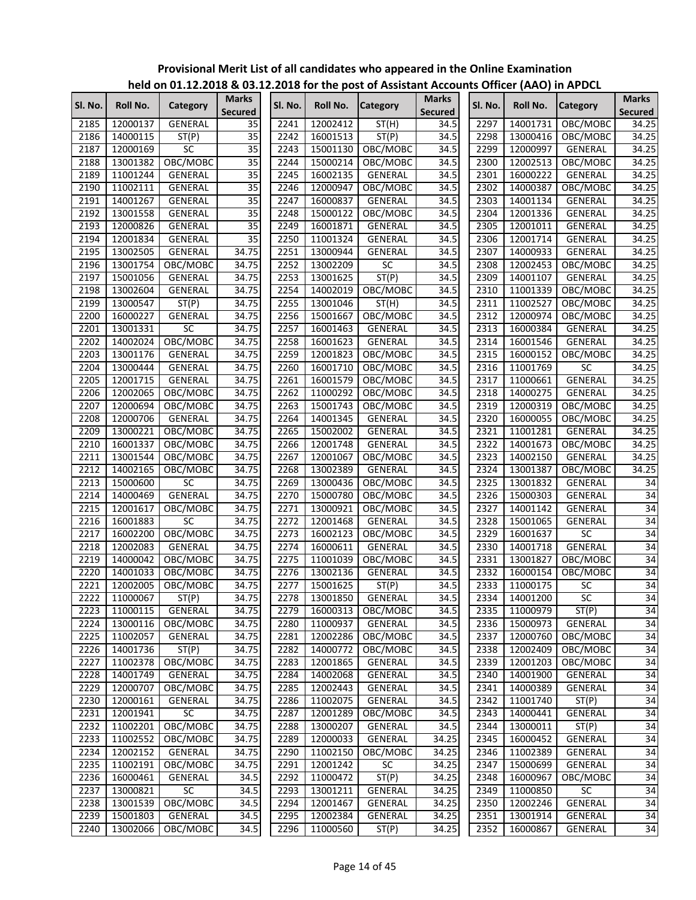|         |          |                |                         |         |               | $220$ for the post of rissistant riceous |                         |         | $\frac{1}{2}$ of $\frac{1}{2}$ or $\frac{1}{2}$ and $\frac{1}{2}$ and $\frac{1}{2}$ |                 |                                |
|---------|----------|----------------|-------------------------|---------|---------------|------------------------------------------|-------------------------|---------|-------------------------------------------------------------------------------------|-----------------|--------------------------------|
| Sl. No. | Roll No. | Category       | <b>Marks</b><br>Secured | SI. No. | Roll No.      | <b>Category</b>                          | <b>Marks</b><br>Secured | SI. No. | Roll No.                                                                            | <b>Category</b> | <b>Marks</b><br><b>Secured</b> |
| 2185    | 12000137 | <b>GENERAL</b> | 35                      | 2241    | 12002412      | ST(H)                                    | 34.5                    | 2297    | 14001731                                                                            | OBC/MOBC        | 34.25                          |
| 2186    | 14000115 | ST(P)          | 35                      | 2242    | 16001513      | ST(P)                                    | 34.5                    | 2298    | 13000416                                                                            | OBC/MOBC        | 34.25                          |
| 2187    | 12000169 | SC             | $\overline{35}$         | 2243    | 15001130      | OBC/MOBC                                 | 34.5                    | 2299    | 12000997                                                                            | GENERAL         | 34.25                          |
| 2188    | 13001382 | OBC/MOBC       | $\overline{35}$         | 2244    | 15000214      | OBC/MOBC                                 | 34.5                    | 2300    | 12002513                                                                            | OBC/MOBC        | 34.25                          |
| 2189    | 11001244 | GENERAL        | $\overline{35}$         | 2245    | 16002135      | GENERAL                                  | 34.5                    | 2301    | 16000222                                                                            | GENERAL         | 34.25                          |
| 2190    | 11002111 | GENERAL        | 35                      | 2246    | 12000947      | OBC/MOBC                                 | 34.5                    | 2302    | 14000387                                                                            | OBC/MOBC        | 34.25                          |
| 2191    | 14001267 | GENERAL        | $\overline{35}$         | 2247    | 16000837      | <b>GENERAL</b>                           | 34.5                    | 2303    | 14001134                                                                            | GENERAL         | 34.25                          |
| 2192    | 13001558 | GENERAL        | $\overline{35}$         | 2248    | 15000122      | OBC/MOBC                                 | 34.5                    | 2304    | 12001336                                                                            | GENERAL         | 34.25                          |
| 2193    | 12000826 | GENERAL        | $\overline{35}$         | 2249    | 16001871      | <b>GENERAL</b>                           | 34.5                    | 2305    | 12001011                                                                            | <b>GENERAL</b>  | 34.25                          |
| 2194    | 12001834 | GENERAL        | $\overline{35}$         | 2250    | 11001324      | <b>GENERAL</b>                           | 34.5                    | 2306    | 12001714                                                                            | <b>GENERAL</b>  | 34.25                          |
| 2195    | 13002505 | GENERAL        | 34.75                   | 2251    | 13000944      | <b>GENERAL</b>                           | 34.5                    | 2307    | 14000933                                                                            | GENERAL         | 34.25                          |
| 2196    | 13001754 | OBC/MOBC       | 34.75                   | 2252    | 13002209      | SC                                       | 34.5                    | 2308    | 12002453                                                                            | OBC/MOBC        | 34.25                          |
| 2197    | 15001056 | GENERAL        | 34.75                   | 2253    | 13001625      | ST(P)                                    | 34.5                    | 2309    | 14001107                                                                            | GENERAL         | 34.25                          |
| 2198    | 13002604 | GENERAL        | 34.75                   | 2254    | 14002019      | OBC/MOBC                                 | 34.5                    | 2310    | 11001339                                                                            | OBC/MOBC        | 34.25                          |
| 2199    | 13000547 | ST(P)          | 34.75                   | 2255    | 13001046      | ST(H)                                    | 34.5                    | 2311    | 11002527                                                                            | OBC/MOBC        | 34.25                          |
| 2200    | 16000227 | GENERAL        | 34.75                   | 2256    | 15001667      | OBC/MOBC                                 | 34.5                    | 2312    | 12000974                                                                            | OBC/MOBC        | 34.25                          |
| 2201    | 13001331 | <b>SC</b>      | 34.75                   | 2257    | 16001463      | GENERAL                                  | 34.5                    | 2313    | 16000384                                                                            | <b>GENERAL</b>  | 34.25                          |
| 2202    | 14002024 | OBC/MOBC       | 34.75                   | 2258    | 16001623      | GENERAL                                  | 34.5                    | 2314    | 16001546                                                                            | GENERAL         | 34.25                          |
| 2203    | 13001176 | GENERAL        | 34.75                   | 2259    | 12001823      | OBC/MOBC                                 | 34.5                    | 2315    | 16000152                                                                            | OBC/MOBC        | 34.25                          |
| 2204    | 13000444 | GENERAL        | 34.75                   | 2260    | 16001710      | OBC/MOBC                                 | 34.5                    | 2316    | 11001769                                                                            | SC              | 34.25                          |
| 2205    | 12001715 | GENERAL        | 34.75                   | 2261    | 16001579      | OBC/MOBC                                 | 34.5                    | 2317    | 11000661                                                                            | <b>GENERAL</b>  | 34.25                          |
| 2206    | 12002065 | OBC/MOBC       | 34.75                   | 2262    | 11000292      | OBC/MOBC                                 | 34.5                    | 2318    | 14000275                                                                            | <b>GENERAL</b>  | 34.25                          |
| 2207    | 12000694 | OBC/MOBC       | 34.75                   | 2263    | 15001743      | OBC/MOBC                                 | 34.5                    | 2319    | 12000319                                                                            | OBC/MOBC        | 34.25                          |
| 2208    | 12000706 | GENERAL        | 34.75                   | 2264    | 14001345      | GENERAL                                  | 34.5                    | 2320    | 16000055                                                                            | OBC/MOBC        | 34.25                          |
| 2209    | 13000221 | OBC/MOBC       | 34.75                   | 2265    | 15002002      | GENERAL                                  | 34.5                    | 2321    | 11001281                                                                            | <b>GENERAL</b>  | 34.25                          |
| 2210    | 16001337 | OBC/MOBC       | 34.75                   | 2266    | 12001748      | <b>GENERAL</b>                           | 34.5                    | 2322    | 14001673                                                                            | OBC/MOBC        | 34.25                          |
| 2211    | 13001544 | OBC/MOBC       | 34.75                   | 2267    | 12001067      | OBC/MOBC                                 | 34.5                    | 2323    | 14002150                                                                            | GENERAL         | 34.25                          |
| 2212    | 14002165 | OBC/MOBC       | 34.75                   | 2268    | 13002389      | GENERAL                                  | 34.5                    | 2324    | 13001387                                                                            | OBC/MOBC        | 34.25                          |
| 2213    | 15000600 | <b>SC</b>      | 34.75                   | 2269    | 13000436      | OBC/MOBC                                 | 34.5                    | 2325    | 13001832                                                                            | GENERAL         | 34                             |
| 2214    | 14000469 | GENERAL        | 34.75                   | 2270    | 15000780      | OBC/MOBC                                 | 34.5                    | 2326    | 15000303                                                                            | GENERAL         | 34                             |
| 2215    | 12001617 | OBC/MOBC       | 34.75                   | 2271    | 13000921      | OBC/MOBC                                 | 34.5                    | 2327    | 14001142                                                                            | GENERAL         | $\overline{34}$                |
| 2216    | 16001883 | <b>SC</b>      | 34.75                   | 2272    | 12001468      | GENERAL                                  | 34.5                    | 2328    | 15001065                                                                            | GENERAL         | $\overline{34}$                |
| 2217    | 16002200 | OBC/MOBC       | 34.75                   | 2273    | 16002123      | OBC/MOBC                                 | 34.5                    | 2329    | 16001637                                                                            | $\overline{SC}$ | 34                             |
| 2218    | 12002083 | GENERAL        | 34.75                   | 2274    | 16000611      | GENERAL                                  | 34.5                    | 2330    | 14001718                                                                            | GENERAL         | 34                             |
| 2219    | 14000042 | OBC/MOBC       | 34.75                   | 2275    | 11001039      | OBC/MOBC                                 | 34.5                    | 2331    | 13001827                                                                            | OBC/MOBC        | $\overline{34}$                |
| 2220    | 14001033 | OBC/MOBC       | 34.75                   | 2276    | 13002136      | <b>GENERAL</b>                           | 34.5                    | 2332    | 16000154                                                                            | OBC/MOBC        | $\overline{34}$                |
| 2221    | 12002005 | OBC/MOBC       | 34.75                   | 2277    | 15001625      | ST(P)                                    | 34.5                    | 2333    | 11000175                                                                            | SC              | $\overline{34}$                |
| 2222    | 11000067 | ST(P)          | 34.75                   |         | 2278 13001850 | <b>GENERAL</b>                           | 34.5                    |         | 2334 14001200                                                                       | SC              | 34                             |
| 2223    | 11000115 | GENERAL        | 34.75                   | 2279    | 16000313      | OBC/MOBC                                 | 34.5                    | 2335    | 11000979                                                                            | ST(P)           | $\overline{34}$                |
| 2224    | 13000116 | OBC/MOBC       | 34.75                   | 2280    | 11000937      | GENERAL                                  | 34.5                    | 2336    | 15000973                                                                            | GENERAL         | 34                             |
| 2225    | 11002057 | GENERAL        | 34.75                   | 2281    | 12002286      | OBC/MOBC                                 | 34.5                    | 2337    | 12000760                                                                            | OBC/MOBC        | 34                             |
| 2226    | 14001736 | ST(P)          | 34.75                   | 2282    | 14000772      | OBC/MOBC                                 | 34.5                    | 2338    | 12002409                                                                            | OBC/MOBC        | 34                             |
| 2227    | 11002378 | OBC/MOBC       | 34.75                   | 2283    | 12001865      | GENERAL                                  | 34.5                    | 2339    | 12001203                                                                            | OBC/MOBC        | 34                             |
| 2228    | 14001749 | GENERAL        | 34.75                   | 2284    | 14002068      | GENERAL                                  | 34.5                    | 2340    | 14001900                                                                            | GENERAL         | $\overline{34}$                |
| 2229    | 12000707 | OBC/MOBC       | 34.75                   | 2285    | 12002443      | GENERAL                                  | 34.5                    | 2341    | 14000389                                                                            | GENERAL         | $\overline{34}$                |
| 2230    | 12000161 | GENERAL        | 34.75                   | 2286    | 11002075      | GENERAL                                  | 34.5                    | 2342    | 11001740                                                                            | ST(P)           | $\overline{34}$                |
| 2231    | 12001941 | SC             | 34.75                   | 2287    | 12001289      | OBC/MOBC                                 | 34.5                    | 2343    | 14000441                                                                            | GENERAL         | 34                             |
| 2232    | 11002201 | OBC/MOBC       | 34.75                   | 2288    | 13000207      | GENERAL                                  | 34.5                    | 2344    | 13000011                                                                            | ST(P)           | $\overline{34}$                |
| 2233    | 11002552 | OBC/MOBC       | 34.75                   | 2289    | 12000033      | GENERAL                                  | 34.25                   | 2345    | 16000452                                                                            | GENERAL         | 34                             |
| 2234    | 12002152 | GENERAL        | 34.75                   | 2290    | 11002150      | OBC/MOBC                                 | 34.25                   | 2346    | 11002389                                                                            | GENERAL         | 34                             |
| 2235    | 11002191 | OBC/MOBC       | 34.75                   | 2291    | 12001242      | SC                                       | 34.25                   | 2347    | 15000699                                                                            | GENERAL         | 34                             |
| 2236    | 16000461 | GENERAL        | 34.5                    | 2292    | 11000472      | ST(P)                                    | 34.25                   | 2348    | 16000967                                                                            | OBC/MOBC        | $\overline{34}$                |
| 2237    | 13000821 | SC             | 34.5                    | 2293    | 13001211      | GENERAL                                  | 34.25                   | 2349    | 11000850                                                                            | $\sf SC$        | 34                             |
| 2238    | 13001539 | OBC/MOBC       | 34.5                    | 2294    | 12001467      | GENERAL                                  | 34.25                   | 2350    | 12002246                                                                            | GENERAL         | 34                             |
| 2239    | 15001803 | GENERAL        | 34.5                    | 2295    | 12002384      | GENERAL                                  | 34.25                   | 2351    | 13001914                                                                            | GENERAL         | 34                             |
| 2240    | 13002066 | OBC/MOBC       | 34.5                    | 2296    | 11000560      | ST(P)                                    | 34.25                   | 2352    | 16000867                                                                            | GENERAL         | $\overline{34}$                |
|         |          |                |                         |         |               |                                          |                         |         |                                                                                     |                 |                                |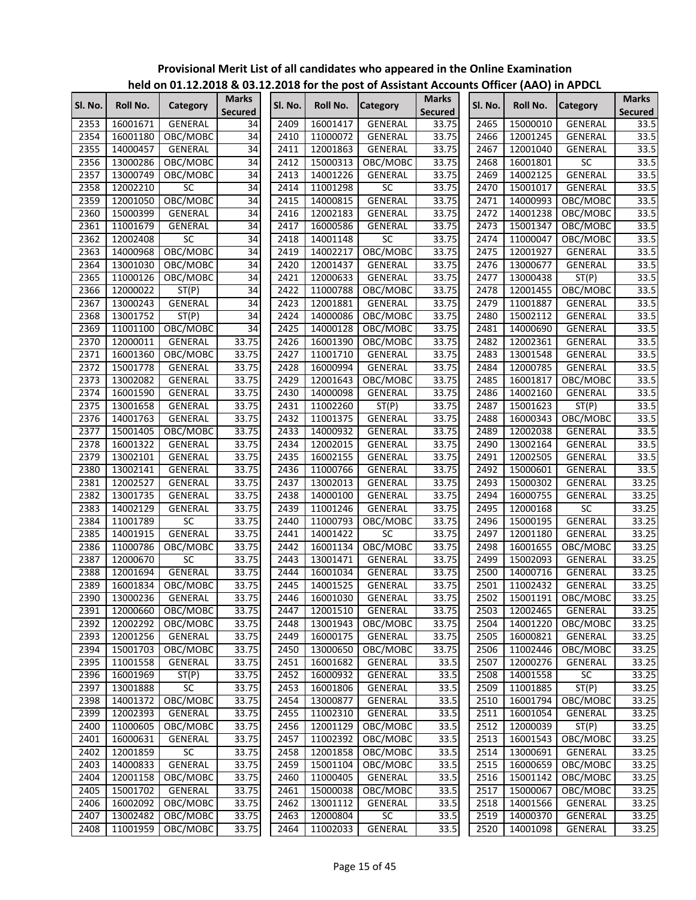|         |          | $\frac{1}{2}$ is the contracted to the first post of Assistant Accounts Onlied (AAO) in AFDCL |                                |         |          |                 |                                |         |          |                 |                                |
|---------|----------|-----------------------------------------------------------------------------------------------|--------------------------------|---------|----------|-----------------|--------------------------------|---------|----------|-----------------|--------------------------------|
| Sl. No. | Roll No. | Category                                                                                      | <b>Marks</b><br><b>Secured</b> | SI. No. | Roll No. | <b>Category</b> | <b>Marks</b><br><b>Secured</b> | Sl. No. | Roll No. | <b>Category</b> | <b>Marks</b><br><b>Secured</b> |
| 2353    | 16001671 | <b>GENERAL</b>                                                                                | 34                             | 2409    | 16001417 | GENERAL         | 33.75                          | 2465    | 15000010 | GENERAL         | 33.5                           |
| 2354    | 16001180 | OBC/MOBC                                                                                      | 34                             | 2410    | 11000072 | GENERAL         | 33.75                          | 2466    | 12001245 | GENERAL         | 33.5                           |
| 2355    | 14000457 | GENERAL                                                                                       | 34                             | 2411    | 12001863 | GENERAL         | 33.75                          | 2467    | 12001040 | GENERAL         | 33.5                           |
| 2356    | 13000286 | OBC/MOBC                                                                                      | 34                             | 2412    | 15000313 | OBC/MOBC        | 33.75                          | 2468    | 16001801 | $\overline{SC}$ | 33.5                           |
| 2357    | 13000749 | OBC/MOBC                                                                                      | 34                             | 2413    | 14001226 | GENERAL         | 33.75                          | 2469    | 14002125 | <b>GENERAL</b>  | 33.5                           |
| 2358    | 12002210 | <b>SC</b>                                                                                     | 34                             | 2414    | 11001298 | SC              | 33.75                          | 2470    | 15001017 | <b>GENERAL</b>  | 33.5                           |
| 2359    | 12001050 | OBC/MOBC                                                                                      | 34                             | 2415    | 14000815 | <b>GENERAL</b>  | 33.75                          | 2471    | 14000993 | OBC/MOBC        | 33.5                           |
| 2360    | 15000399 | GENERAL                                                                                       | $\overline{34}$                | 2416    | 12002183 | GENERAL         | 33.75                          | 2472    | 14001238 | OBC/MOBC        | 33.5                           |
| 2361    | 11001679 | GENERAL                                                                                       | 34                             | 2417    | 16000586 | GENERAL         | 33.75                          | 2473    | 15001347 | OBC/MOBC        | 33.5                           |
| 2362    | 12002408 | $\overline{SC}$                                                                               | $\overline{34}$                | 2418    | 14001148 | $\overline{SC}$ | 33.75                          | 2474    | 11000047 | OBC/MOBC        | 33.5                           |
| 2363    | 14000968 | OBC/MOBC                                                                                      | $\overline{34}$                | 2419    | 14002217 | OBC/MOBC        | 33.75                          | 2475    | 12001927 | GENERAL         | 33.5                           |
| 2364    | 13001030 | OBC/MOBC                                                                                      | $\overline{34}$                | 2420    | 12001437 | GENERAL         | 33.75                          | 2476    | 13000677 | GENERAL         | 33.5                           |
| 2365    | 11000126 | OBC/MOBC                                                                                      | 34                             | 2421    | 12000633 | <b>GENERAL</b>  | 33.75                          | 2477    | 13000438 | ST(P)           | 33.5                           |
| 2366    | 12000022 | ST(P)                                                                                         | 34                             | 2422    | 11000788 | OBC/MOBC        | 33.75                          | 2478    | 12001455 | OBC/MOBC        | 33.5                           |
| 2367    | 13000243 | GENERAL                                                                                       | 34                             | 2423    | 12001881 | GENERAL         | 33.75                          | 2479    | 11001887 | GENERAL         | 33.5                           |
| 2368    | 13001752 | ST(P)                                                                                         | 34                             | 2424    | 14000086 | OBC/MOBC        | 33.75                          | 2480    | 15002112 | GENERAL         | 33.5                           |
| 2369    | 11001100 | OBC/MOBC                                                                                      | 34                             | 2425    | 14000128 | OBC/MOBC        | 33.75                          | 2481    | 14000690 | GENERAL         | 33.5                           |
| 2370    | 12000011 | GENERAL                                                                                       | 33.75                          | 2426    | 16001390 | OBC/MOBC        | 33.75                          | 2482    | 12002361 | GENERAL         | 33.5                           |
| 2371    | 16001360 | OBC/MOBC                                                                                      | 33.75                          | 2427    | 11001710 | GENERAL         | 33.75                          | 2483    | 13001548 | <b>GENERAL</b>  | 33.5                           |
| 2372    | 15001778 | GENERAL                                                                                       | 33.75                          | 2428    | 16000994 | <b>GENERAL</b>  | 33.75                          | 2484    | 12000785 | GENERAL         | 33.5                           |
| 2373    | 13002082 | GENERAL                                                                                       | 33.75                          | 2429    | 12001643 | OBC/MOBC        | 33.75                          | 2485    | 16001817 | OBC/MOBC        | 33.5                           |
| 2374    | 16001590 | GENERAL                                                                                       | 33.75                          | 2430    | 14000098 | <b>GENERAL</b>  | 33.75                          | 2486    | 14002160 | GENERAL         | 33.5                           |
| 2375    | 13001658 | <b>GENERAL</b>                                                                                | 33.75                          | 2431    | 11002260 | ST(P)           | 33.75                          | 2487    | 15001623 | ST(P)           | 33.5                           |
| 2376    | 14001763 | GENERAL                                                                                       | 33.75                          | 2432    | 11001375 | GENERAL         | 33.75                          | 2488    | 16000343 | OBC/MOBC        | 33.5                           |
| 2377    | 15001405 | OBC/MOBC                                                                                      | 33.75                          | 2433    | 14000932 | GENERAL         | 33.75                          | 2489    | 12002038 | GENERAL         | 33.5                           |
| 2378    | 16001322 | GENERAL                                                                                       | 33.75                          | 2434    | 12002015 | GENERAL         | 33.75                          | 2490    | 13002164 | GENERAL         | 33.5                           |
| 2379    | 13002101 | GENERAL                                                                                       | 33.75                          | 2435    | 16002155 | <b>GENERAL</b>  | 33.75                          | 2491    | 12002505 | GENERAL         | 33.5                           |
| 2380    | 13002141 | GENERAL                                                                                       | 33.75                          | 2436    | 11000766 | GENERAL         | 33.75                          | 2492    | 15000601 | GENERAL         | 33.5                           |
| 2381    | 12002527 | GENERAL                                                                                       | 33.75                          | 2437    | 13002013 | <b>GENERAL</b>  | 33.75                          | 2493    | 15000302 | GENERAL         | 33.25                          |
| 2382    | 13001735 | GENERAL                                                                                       | 33.75                          | 2438    | 14000100 | GENERAL         | 33.75                          | 2494    | 16000755 | <b>GENERAL</b>  | 33.25                          |
| 2383    | 14002129 | GENERAL                                                                                       | 33.75                          | 2439    | 11001246 | GENERAL         | 33.75                          | 2495    | 12000168 | $\overline{SC}$ | 33.25                          |
| 2384    | 11001789 | SC                                                                                            | 33.75                          | 2440    | 11000793 | OBC/MOBC        | 33.75                          | 2496    | 15000195 | <b>GENERAL</b>  | 33.25                          |
| 2385    | 14001915 | <b>GENERAL</b>                                                                                | 33.75                          | 2441    | 14001422 | $\overline{SC}$ | 33.75                          | 2497    | 12001180 | GENERAL         | 33.25                          |
| 2386    | 11000786 | OBC/MOBC                                                                                      | 33.75                          | 2442    | 16001134 | OBC/MOBC        | 33.75                          | 2498    | 16001655 | OBC/MOBC        | 33.25                          |
| 2387    | 12000670 | $\overline{SC}$                                                                               | 33.75                          | 2443    | 13001471 | GENERAL         | 33.75                          | 2499    | 15002093 | GENERAL         | 33.25                          |
| 2388    | 12001694 | GENERAL                                                                                       | 33.75                          | 2444    | 16001034 | GENERAL         | 33.75                          | 2500    | 14000716 | GENERAL         | 33.25                          |
| 2389    | 16001834 | OBC/MOBC                                                                                      | 33.75                          | 2445    | 14001525 | <b>GENERAL</b>  | 33.75                          | 2501    | 11002432 | GENERAL         | 33.25                          |
| 2390    | 13000236 | <b>GENERAL</b>                                                                                | 33.75                          | 2446    | 16001030 | <b>GENERAL</b>  | 33.75                          | 2502    | 15001191 | OBC/MOBC        | 33.25                          |
| 2391    | 12000660 | OBC/MOBC                                                                                      | 33.75                          | 2447    | 12001510 | GENERAL         | 33.75                          | 2503    | 12002465 | GENERAL         | 33.25                          |
| 2392    | 12002292 | OBC/MOBC                                                                                      | 33.75                          | 2448    | 13001943 | OBC/MOBC        | 33.75                          | 2504    | 14001220 | OBC/MOBC        | 33.25                          |
| 2393    | 12001256 | GENERAL                                                                                       | 33.75                          | 2449    | 16000175 | GENERAL         | 33.75                          | 2505    | 16000821 | GENERAL         | 33.25                          |
| 2394    | 15001703 | OBC/MOBC                                                                                      | 33.75                          | 2450    | 13000650 | OBC/MOBC        | 33.75                          | 2506    | 11002446 | OBC/MOBC        | 33.25                          |
| 2395    | 11001558 | GENERAL                                                                                       | 33.75                          | 2451    | 16001682 | GENERAL         | 33.5                           | 2507    | 12000276 | GENERAL         | 33.25                          |
| 2396    | 16001969 | ST(P)                                                                                         | 33.75                          | 2452    | 16000932 | GENERAL         | 33.5                           | 2508    | 14001558 | SC              | 33.25                          |
| 2397    | 13001888 | SC                                                                                            | 33.75                          | 2453    | 16001806 | GENERAL         | 33.5                           | 2509    | 11001885 | ST(P)           | 33.25                          |
| 2398    | 14001372 | OBC/MOBC                                                                                      | 33.75                          | 2454    | 13000877 | GENERAL         | 33.5                           | 2510    | 16001794 | OBC/MOBC        | 33.25                          |
| 2399    | 12002393 | GENERAL                                                                                       | 33.75                          | 2455    | 11002310 | GENERAL         | 33.5                           | 2511    | 16001054 | GENERAL         | 33.25                          |
| 2400    | 11000605 | OBC/MOBC                                                                                      | 33.75                          | 2456    | 12001129 | OBC/MOBC        | 33.5                           | 2512    | 12000039 | ST(P)           | 33.25                          |
| 2401    | 16000631 | GENERAL                                                                                       | 33.75                          | 2457    | 11002392 | OBC/MOBC        | 33.5                           | 2513    | 16001543 | OBC/MOBC        | 33.25                          |
| 2402    | 12001859 | SC                                                                                            | 33.75                          | 2458    | 12001858 | OBC/MOBC        | 33.5                           | 2514    | 13000691 | GENERAL         | 33.25                          |
| 2403    | 14000833 | GENERAL                                                                                       | 33.75                          | 2459    | 15001104 | OBC/MOBC        | 33.5                           | 2515    | 16000659 | OBC/MOBC        | 33.25                          |
| 2404    | 12001158 | OBC/MOBC                                                                                      | 33.75                          | 2460    | 11000405 | GENERAL         | 33.5                           | 2516    | 15001142 | OBC/MOBC        | 33.25                          |
| 2405    | 15001702 | GENERAL                                                                                       | 33.75                          | 2461    | 15000038 | OBC/MOBC        | 33.5                           | 2517    | 15000067 | OBC/MOBC        | 33.25                          |
| 2406    | 16002092 | OBC/MOBC                                                                                      | 33.75                          | 2462    | 13001112 | GENERAL         | 33.5                           | 2518    | 14001566 | GENERAL         | 33.25                          |
| 2407    | 13002482 | OBC/MOBC                                                                                      | 33.75                          | 2463    | 12000804 | SC              | 33.5                           | 2519    | 14000370 | GENERAL         | 33.25                          |
| 2408    | 11001959 | OBC/MOBC                                                                                      | 33.75                          | 2464    | 11002033 | <b>GENERAL</b>  | 33.5                           | 2520    | 14001098 | GENERAL         | 33.25                          |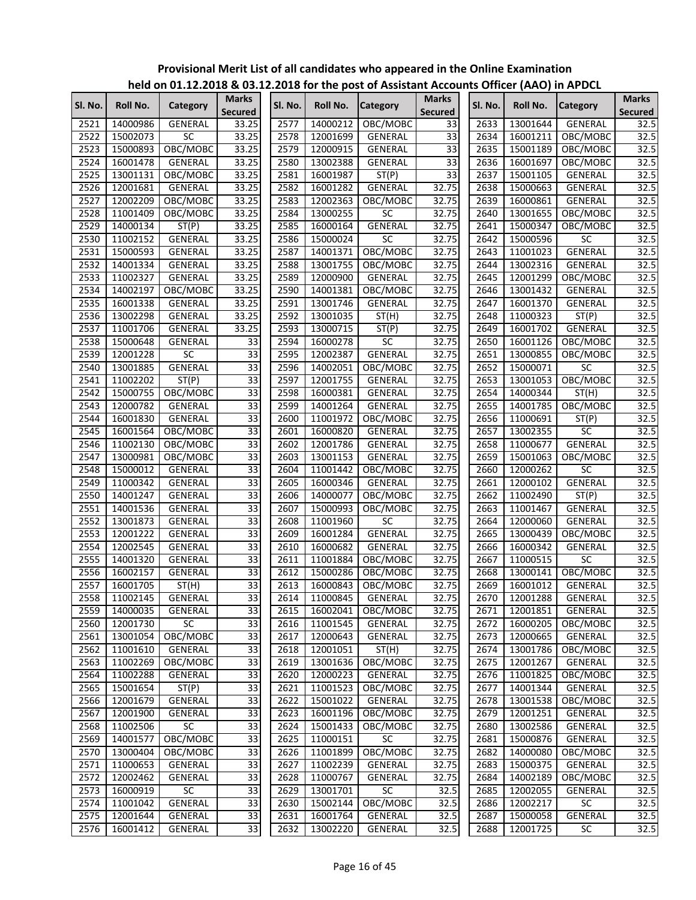|         |          |                         |                         |         |                      | <u>HEIG ON UITILIZIUD &amp; USIILIZUID IUI INE POSI UI ASSISIANI ACCURIIIS UNICEI (AAU) III AF DUL</u> |                                |         |          |                 |                                |
|---------|----------|-------------------------|-------------------------|---------|----------------------|--------------------------------------------------------------------------------------------------------|--------------------------------|---------|----------|-----------------|--------------------------------|
| Sl. No. | Roll No. | Category                | Marks<br><b>Secured</b> | Sl. No. | Roll No.             | <b>Category</b>                                                                                        | <b>Marks</b><br><b>Secured</b> | Sl. No. | Roll No. | <b>Category</b> | <b>Marks</b><br><b>Secured</b> |
| 2521    | 14000986 | GENERAL                 | 33.25                   | 2577    | 14000212             | OBC/MOBC                                                                                               | 33                             | 2633    | 13001644 | GENERAL         | 32.5                           |
| 2522    | 15002073 | SC                      | 33.25                   | 2578    | 12001699             | <b>GENERAL</b>                                                                                         | $\overline{33}$                | 2634    | 16001211 | OBC/MOBC        | 32.5                           |
| 2523    | 15000893 | OBC/MOBC                | 33.25                   | 2579    | 12000915             | <b>GENERAL</b>                                                                                         | 33                             | 2635    | 15001189 | OBC/MOBC        | 32.5                           |
| 2524    | 16001478 | <b>GENERAL</b>          | 33.25                   | 2580    | 13002388             | GENERAL                                                                                                | 33                             | 2636    | 16001697 | OBC/MOBC        | 32.5                           |
| 2525    | 13001131 | OBC/MOBC                | 33.25                   | 2581    | 16001987             | ST(P)                                                                                                  | 33                             | 2637    | 15001105 | GENERAL         | 32.5                           |
| 2526    | 12001681 | GENERAL                 | 33.25                   | 2582    | 16001282             | GENERAL                                                                                                | 32.75                          | 2638    | 15000663 | GENERAL         | 32.5                           |
| 2527    | 12002209 | OBC/MOBC                | 33.25                   | 2583    | 12002363             | OBC/MOBC                                                                                               | 32.75                          | 2639    | 16000861 | GENERAL         | 32.5                           |
| 2528    | 11001409 | OBC/MOBC                | 33.25                   | 2584    | 13000255             | <b>SC</b>                                                                                              | 32.75                          | 2640    | 13001655 | OBC/MOBC        | 32.5                           |
| 2529    | 14000134 | ST(P)                   | 33.25                   | 2585    | 16000164             | GENERAL                                                                                                | 32.75                          | 2641    | 15000347 | OBC/MOBC        | 32.5                           |
| 2530    | 11002152 | GENERAL                 | 33.25                   | 2586    | 15000024             | $\overline{SC}$                                                                                        | 32.75                          | 2642    | 15000596 | SC              | 32.5                           |
| 2531    | 15000593 | GENERAL                 | 33.25                   | 2587    | 14001371             | OBC/MOBC                                                                                               | 32.75                          | 2643    | 11001023 | GENERAL         | 32.5                           |
| 2532    | 14001334 | GENERAL                 | 33.25                   | 2588    | 13001755             | OBC/MOBC                                                                                               | 32.75                          | 2644    | 13002316 | GENERAL         | 32.5                           |
| 2533    | 11002327 | GENERAL                 | 33.25                   | 2589    | 12000900             | <b>GENERAL</b>                                                                                         | 32.75                          | 2645    | 12001299 | OBC/MOBC        | 32.5                           |
| 2534    | 14002197 | OBC/MOBC                | 33.25                   | 2590    | 14001381             | OBC/MOBC                                                                                               | 32.75                          | 2646    | 13001432 | GENERAL         | 32.5                           |
| 2535    | 16001338 | GENERAL                 | 33.25                   | 2591    | 13001746             | <b>GENERAL</b>                                                                                         | 32.75                          | 2647    | 16001370 | <b>GENERAL</b>  | 32.5                           |
| 2536    | 13002298 | GENERAL                 | 33.25                   | 2592    | 13001035             | ST(H)                                                                                                  | 32.75                          | 2648    | 11000323 | ST(P)           | 32.5                           |
| 2537    | 11001706 | GENERAL                 | 33.25                   | 2593    | 13000715             | ST(P)                                                                                                  | 32.75                          | 2649    | 16001702 | GENERAL         | 32.5                           |
| 2538    | 15000648 | GENERAL                 | 33                      | 2594    | 16000278             | SC                                                                                                     | 32.75                          | 2650    | 16001126 | OBC/MOBC        | 32.5                           |
| 2539    | 12001228 | <b>SC</b>               | 33                      | 2595    | 12002387             | GENERAL                                                                                                | 32.75                          | 2651    | 13000855 | OBC/MOBC        | 32.5                           |
| 2540    | 13001885 | <b>GENERAL</b>          | 33                      | 2596    | 14002051             | OBC/MOBC                                                                                               | 32.75                          | 2652    | 15000071 | SC              | 32.5                           |
| 2541    | 11002202 | ST(P)                   | 33                      | 2597    | 12001755             | <b>GENERAL</b>                                                                                         | 32.75                          | 2653    | 13001053 | OBC/MOBC        | 32.5                           |
| 2542    | 15000755 | OBC/MOBC                | 33                      | 2598    | 16000381             | GENERAL                                                                                                | 32.75                          | 2654    | 14000344 | ST(H)           | 32.5                           |
| 2543    | 12000782 | GENERAL                 | $\overline{33}$         | 2599    | 14001264             | <b>GENERAL</b>                                                                                         | 32.75                          | 2655    | 14001785 | OBC/MOBC        | 32.5                           |
| 2544    | 16001830 | GENERAL                 | 33                      | 2600    | 11001972             | OBC/MOBC                                                                                               | 32.75                          | 2656    | 11000691 | ST(P)           | 32.5                           |
| 2545    | 16001564 | OBC/MOBC                | 33                      | 2601    | 16000820             | GENERAL                                                                                                | 32.75                          | 2657    | 13002355 | SC              | 32.5                           |
| 2546    | 11002130 | OBC/MOBC                | 33                      | 2602    | 12001786             | <b>GENERAL</b>                                                                                         | 32.75                          | 2658    | 11000677 | GENERAL         | 32.5                           |
| 2547    | 13000981 | OBC/MOBC                | 33                      | 2603    | 13001153             | <b>GENERAL</b>                                                                                         | 32.75                          | 2659    | 15001063 | OBC/MOBC        | 32.5                           |
| 2548    | 15000012 | GENERAL                 | 33                      | 2604    | 11001442             | OBC/MOBC                                                                                               | 32.75                          | 2660    | 12000262 | SC              | 32.5                           |
| 2549    | 11000342 | GENERAL                 | 33                      | 2605    | 16000346             | GENERAL                                                                                                | 32.75                          | 2661    | 12000102 | GENERAL         | 32.5                           |
| 2550    | 14001247 | GENERAL                 | 33                      | 2606    | 14000077             | OBC/MOBC                                                                                               | 32.75                          | 2662    | 11002490 | ST(P)           | 32.5                           |
| 2551    | 14001536 | GENERAL                 | $\overline{33}$         | 2607    | 15000993             | OBC/MOBC                                                                                               | 32.75                          | 2663    | 11001467 | GENERAL         | 32.5                           |
| 2552    | 13001873 | GENERAL                 | 33                      | 2608    | 11001960             | $\overline{SC}$                                                                                        | 32.75                          | 2664    | 12000060 | GENERAL         | 32.5                           |
| 2553    | 12001222 | GENERAL                 | 33                      | 2609    | 16001284             | <b>GENERAL</b>                                                                                         | 32.75                          | 2665    | 13000439 | OBC/MOBC        | 32.5                           |
| 2554    | 12002545 | GENERAL                 | 33                      | 2610    | 16000682             | <b>GENERAL</b>                                                                                         | 32.75                          | 2666    | 16000342 | GENERAL         | 32.5                           |
| 2555    | 14001320 | <b>GENERAL</b>          | 33                      | 2611    | 11001884             | OBC/MOBC                                                                                               | 32.75                          | 2667    | 11000515 | <b>SC</b>       | 32.5                           |
| 2556    | 16002157 | GENERAL                 | 33                      | 2612    | 15000286             | OBC/MOBC                                                                                               | 32.75                          | 2668    | 13000141 | OBC/MOBC        | 32.5                           |
| 2557    | 16001705 | ST(H)                   | 33                      | 2613    | 16000843             | OBC/MOBC                                                                                               | 32.75                          | 2669    | 16001012 | GENERAL         | 32.5                           |
| 2558    | 11002145 | <b>GENERAL</b>          | 33                      | 2614    | 11000845             | <b>GENERAL</b>                                                                                         | 32.75                          | 2670    | 12001288 | <b>GENERAL</b>  | 32.5                           |
| 2559    | 14000035 | GENERAL                 | $\overline{33}$         | 2615    | 16002041             | OBC/MOBC                                                                                               | 32.75                          | 2671    | 12001851 | GENERAL         | 32.5                           |
| 2560    | 12001730 | SC                      | $\overline{33}$         | 2616    | 11001545             | GENERAL                                                                                                | 32.75                          | 2672    | 16000205 | OBC/MOBC        | 32.5                           |
| 2561    | 13001054 | OBC/MOBC                | $\overline{33}$         | 2617    | 12000643             | GENERAL                                                                                                | 32.75                          | 2673    | 12000665 | GENERAL         | 32.5                           |
| 2562    | 11001610 | GENERAL                 | $\overline{33}$         | 2618    | 12001051             | ST(H)                                                                                                  | 32.75                          | 2674    | 13001786 | OBC/MOBC        | 32.5                           |
| 2563    | 11002269 | OBC/MOBC                | $\overline{33}$         | 2619    |                      | OBC/MOBC                                                                                               | 32.75                          | 2675    | 12001267 | GENERAL         | 32.5                           |
| 2564    | 11002288 | GENERAL                 | $\overline{33}$         | 2620    | 13001636<br>12000223 | <b>GENERAL</b>                                                                                         | 32.75                          | 2676    | 11001825 |                 |                                |
|         |          |                         | 33                      |         |                      |                                                                                                        |                                |         |          | OBC/MOBC        | 32.5<br>32.5                   |
| 2565    | 15001654 | ST(P)<br><b>GENERAL</b> | 33                      | 2621    | 11001523<br>15001022 | OBC/MOBC                                                                                               | 32.75                          | 2677    | 14001344 | GENERAL         |                                |
| 2566    | 12001679 |                         |                         | 2622    |                      | GENERAL                                                                                                | 32.75                          | 2678    | 13001538 | OBC/MOBC        | 32.5                           |
| 2567    | 12001900 | <b>GENERAL</b>          | 33                      | 2623    | 16001196             | OBC/MOBC                                                                                               | 32.75                          | 2679    | 12001251 | GENERAL         | 32.5                           |
| 2568    | 11002506 | <b>SC</b>               | 33                      | 2624    | 15001433             | OBC/MOBC                                                                                               | 32.75                          | 2680    | 13002586 | GENERAL         | 32.5                           |
| 2569    | 14001577 | OBC/MOBC                | 33                      | 2625    | 11000151             | <b>SC</b>                                                                                              | 32.75                          | 2681    | 15000876 | GENERAL         | 32.5                           |
| 2570    | 13000404 | OBC/MOBC                | 33                      | 2626    | 11001899             | OBC/MOBC                                                                                               | 32.75                          | 2682    | 14000080 | OBC/MOBC        | 32.5                           |
| 2571    | 11000653 | GENERAL                 | $\overline{33}$         | 2627    | 11002239             | GENERAL                                                                                                | 32.75                          | 2683    | 15000375 | <b>GENERAL</b>  | 32.5                           |
| 2572    | 12002462 | GENERAL                 | 33                      | 2628    | 11000767             | GENERAL                                                                                                | 32.75                          | 2684    | 14002189 | OBC/MOBC        | 32.5                           |
| 2573    | 16000919 | SC                      | 33                      | 2629    | 13001701             | SC                                                                                                     | 32.5                           | 2685    | 12002055 | GENERAL         | 32.5                           |
| 2574    | 11001042 | GENERAL                 | 33                      | 2630    | 15002144             | OBC/MOBC                                                                                               | 32.5                           | 2686    | 12002217 | SC              | 32.5                           |
| 2575    | 12001644 | GENERAL                 | $\overline{33}$         | 2631    | 16001764             | GENERAL                                                                                                | 32.5                           | 2687    | 15000058 | GENERAL         | 32.5                           |
| 2576    | 16001412 | GENERAL                 | 33                      | 2632    | 13002220             | GENERAL                                                                                                | 32.5                           | 2688    | 12001725 | SC              | 32.5                           |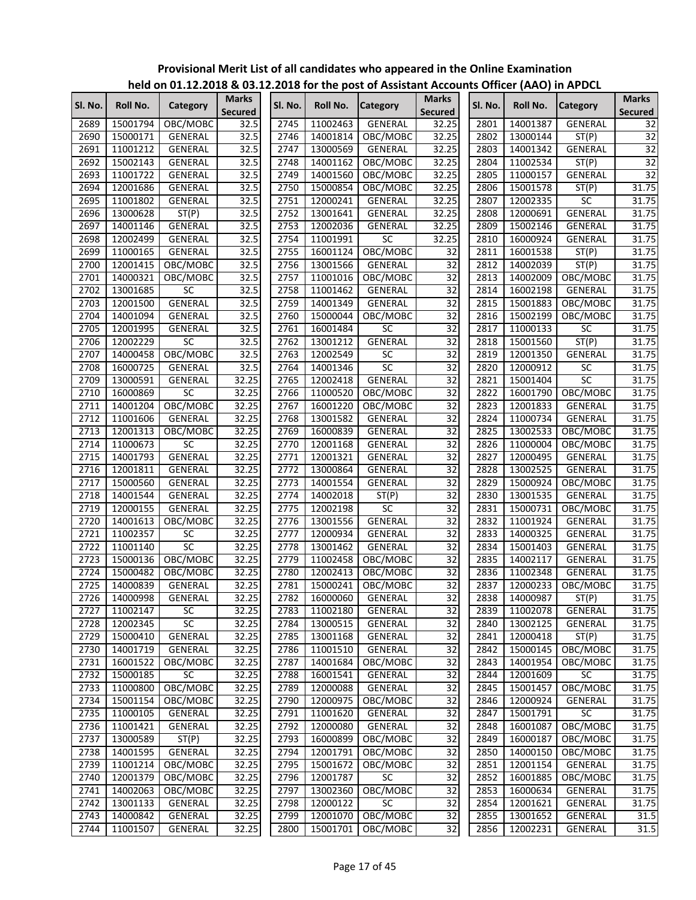|         |          |                |                         |         |          |                       |                                |         |          | $1.4.1$ ,       |                                |
|---------|----------|----------------|-------------------------|---------|----------|-----------------------|--------------------------------|---------|----------|-----------------|--------------------------------|
| SI. No. | Roll No. | Category       | <b>Marks</b><br>Secured | SI. No. | Roll No. | <b>Category</b>       | <b>Marks</b><br><b>Secured</b> | SI. No. | Roll No. | <b>Category</b> | <b>Marks</b><br><b>Secured</b> |
| 2689    | 15001794 | OBC/MOBC       | 32.5                    | 2745    | 11002463 | <b>GENERAL</b>        | 32.25                          | 2801    | 14001387 | <b>GENERAL</b>  | 32                             |
| 2690    | 15000171 | GENERAL        | 32.5                    | 2746    | 14001814 | OBC/MOBC              | 32.25                          | 2802    | 13000144 | ST(P)           | $\overline{32}$                |
| 2691    | 11001212 | GENERAL        | 32.5                    | 2747    | 13000569 | GENERAL               | 32.25                          | 2803    | 14001342 | GENERAL         | 32                             |
| 2692    | 15002143 | <b>GENERAL</b> | 32.5                    | 2748    | 14001162 | OBC/MOBC              | 32.25                          | 2804    | 11002534 | ST(P)           | $\overline{32}$                |
| 2693    | 11001722 | GENERAL        | 32.5                    | 2749    | 14001560 | OBC/MOBC              | 32.25                          | 2805    | 11000157 | GENERAL         | 32                             |
| 2694    | 12001686 | GENERAL        | 32.5                    | 2750    | 15000854 | OBC/MOBC              | 32.25                          | 2806    | 15001578 | ST(P)           | 31.75                          |
| 2695    | 11001802 | GENERAL        | 32.5                    | 2751    | 12000241 | <b>GENERAL</b>        | 32.25                          | 2807    | 12002335 | SC              | 31.75                          |
| 2696    | 13000628 | ST(P)          | 32.5                    | 2752    | 13001641 | <b>GENERAL</b>        | 32.25                          | 2808    | 12000691 | GENERAL         | 31.75                          |
| 2697    | 14001146 | GENERAL        | 32.5                    | 2753    | 12002036 | <b>GENERAL</b>        | 32.25                          | 2809    | 15002146 | GENERAL         | 31.75                          |
| 2698    | 12002499 | GENERAL        | 32.5                    | 2754    | 11001991 | $\overline{SC}$       | 32.25                          | 2810    | 16000924 | GENERAL         | 31.75                          |
| 2699    | 11000165 | GENERAL        | 32.5                    | 2755    | 16001124 | OBC/MOBC              | 32                             | 2811    | 16001538 | ST(P)           | 31.75                          |
| 2700    | 12001415 | OBC/MOBC       | 32.5                    | 2756    | 13001566 | GENERAL               | 32                             | 2812    | 14002039 | ST(P)           | 31.75                          |
| 2701    | 14000321 | OBC/MOBC       | 32.5                    | 2757    | 11001016 | OBC/MOBC              | 32                             | 2813    | 14002009 | OBC/MOBC        | 31.75                          |
| 2702    | 13001685 | SC             | 32.5                    | 2758    | 11001462 | GENERAL               | $\overline{32}$                | 2814    | 16002198 | GENERAL         | 31.75                          |
| 2703    | 12001500 | GENERAL        | 32.5                    | 2759    | 14001349 | GENERAL               | $\overline{32}$                | 2815    | 15001883 | OBC/MOBC        | 31.75                          |
| 2704    | 14001094 | GENERAL        | 32.5                    | 2760    | 15000044 | OBC/MOBC              | $\overline{32}$                | 2816    | 15002199 | OBC/MOBC        | 31.75                          |
| 2705    | 12001995 | <b>GENERAL</b> | 32.5                    | 2761    | 16001484 | <b>SC</b>             | 32                             | 2817    | 11000133 | <b>SC</b>       | 31.75                          |
| 2706    | 12002229 | SC             | 32.5                    | 2762    | 13001212 | <b>GENERAL</b>        | $\overline{32}$                | 2818    | 15001560 | ST(P)           | 31.75                          |
| 2707    | 14000458 | OBC/MOBC       | 32.5                    | 2763    | 12002549 | SC                    | $\overline{32}$                | 2819    | 12001350 | GENERAL         | 31.75                          |
| 2708    | 16000725 | GENERAL        | 32.5                    | 2764    | 14001346 | $\overline{SC}$       | $\overline{32}$                | 2820    | 12000912 | $\overline{SC}$ | 31.75                          |
| 2709    | 13000591 | <b>GENERAL</b> | 32.25                   | 2765    | 12002418 | <b>GENERAL</b>        | $\overline{32}$                | 2821    | 15001404 | SC              | 31.75                          |
| 2710    | 16000869 | SC             | 32.25                   | 2766    | 11000520 | OBC/MOBC              | $\overline{32}$                | 2822    | 16001790 | OBC/MOBC        | 31.75                          |
| 2711    | 14001204 | OBC/MOBC       | 32.25                   | 2767    | 16001220 | OBC/MOBC              | $\overline{32}$                | 2823    | 12001833 | GENERAL         | 31.75                          |
| 2712    | 11001606 | <b>GENERAL</b> | 32.25                   | 2768    | 13001582 | GENERAL               | $\overline{32}$                | 2824    | 11000734 | GENERAL         | 31.75                          |
| 2713    | 12001313 | OBC/MOBC       | 32.25                   | 2769    | 16000839 | GENERAL               | $\overline{32}$                | 2825    | 13002533 | OBC/MOBC        | 31.75                          |
| 2714    | 11000673 | <b>SC</b>      | 32.25                   | 2770    | 12001168 | <b>GENERAL</b>        | $\overline{32}$                | 2826    | 11000004 | OBC/MOBC        | 31.75                          |
| 2715    | 14001793 | GENERAL        | 32.25                   | 2771    | 12001321 | <b>GENERAL</b>        | $\overline{32}$                | 2827    | 12000495 | GENERAL         | 31.75                          |
| 2716    | 12001811 | GENERAL        | 32.25                   | 2772    | 13000864 | <b>GENERAL</b>        | $\overline{32}$                | 2828    | 13002525 | GENERAL         | 31.75                          |
| 2717    | 15000560 | GENERAL        | 32.25                   | 2773    | 14001554 | GENERAL               | 32                             | 2829    | 15000924 | OBC/MOBC        | 31.75                          |
| 2718    | 14001544 | GENERAL        | 32.25                   | 2774    | 14002018 | ST(P)                 | 32                             | 2830    | 13001535 | GENERAL         | 31.75                          |
| 2719    | 12000155 | GENERAL        | 32.25                   | 2775    | 12002198 | $\overline{SC}$       | $\overline{32}$                | 2831    | 15000731 | OBC/MOBC        | 31.75                          |
| 2720    | 14001613 | OBC/MOBC       | 32.25                   | 2776    | 13001556 | GENERAL               | $\overline{32}$                | 2832    | 11001924 | GENERAL         | 31.75                          |
| 2721    | 11002357 | <b>SC</b>      | 32.25                   | 2777    | 12000934 | GENERAL               | 32                             | 2833    | 14000325 | GENERAL         | 31.75                          |
| 2722    | 11001140 | SC             | 32.25                   | 2778    | 13001462 | GENERAL               | $\overline{32}$                | 2834    | 15001403 | GENERAL         | 31.75                          |
| 2723    | 15000136 | OBC/MOBC       | 32.25                   | 2779    | 11002458 | OBC/MOBC              | $\overline{32}$                | 2835    | 14002117 | GENERAL         | 31.75                          |
| 2724    | 15000482 | OBC/MOBC       | 32.25                   | 2780    | 12002413 | OBC/MOBC              | $\overline{32}$                | 2836    | 11002348 | <b>GENERAL</b>  | 31.75                          |
| 2725    | 14000839 | <b>GENERAL</b> | 32.25                   | 2781    | 15000241 | OBC/MOBC              | $\overline{32}$                | 2837    | 12000233 | OBC/MOBC        | 31.75                          |
| 2726    | 14000998 | GENERAL        | 32.25                   |         |          | 2782 16000060 GENERAL | 32                             | 2838    | 14000987 | ST(P)           | 31.75                          |
|         |          |                |                         |         |          |                       | $\overline{32}$                |         |          |                 | 31.75                          |
| 2727    | 11002147 | SC             | 32.25                   | 2783    | 11002180 | GENERAL               |                                | 2839    | 11002078 | GENERAL         |                                |
| 2728    | 12002345 | SC             | 32.25                   | 2784    | 13000515 | GENERAL               | 32                             | 2840    | 13002125 | GENERAL         | 31.75                          |
| 2729    | 15000410 | GENERAL        | 32.25                   | 2785    | 13001168 | GENERAL               | 32                             | 2841    | 12000418 | ST(P)           | 31.75                          |
| 2730    | 14001719 | GENERAL        | 32.25                   | 2786    | 11001510 | GENERAL               | 32                             | 2842    | 15000145 | OBC/MOBC        | 31.75                          |
| 2731    | 16001522 | OBC/MOBC       | 32.25                   | 2787    | 14001684 | OBC/MOBC              | $\overline{32}$                | 2843    | 14001954 | OBC/MOBC        | 31.75                          |
| 2732    | 15000185 | SC             | 32.25                   | 2788    | 16001541 | GENERAL               | $\overline{32}$                | 2844    | 12001609 | SC              | 31.75                          |
| 2733    | 11000800 | OBC/MOBC       | 32.25                   | 2789    | 12000088 | GENERAL               | 32                             | 2845    | 15001457 | OBC/MOBC        | 31.75                          |
| 2734    | 15001154 | OBC/MOBC       | 32.25                   | 2790    | 12000975 | OBC/MOBC              | 32                             | 2846    | 12000924 | <b>GENERAL</b>  | 31.75                          |
| 2735    | 11000105 | GENERAL        | 32.25                   | 2791    | 11001620 | GENERAL               | $\overline{32}$                | 2847    | 15001791 | SC              | 31.75                          |
| 2736    | 11001421 | GENERAL        | 32.25                   | 2792    | 12000080 | GENERAL               | $\overline{32}$                | 2848    | 16001087 | OBC/MOBC        | 31.75                          |
| 2737    | 13000589 | ST(P)          | 32.25                   | 2793    | 16000899 | OBC/MOBC              | $\overline{32}$                | 2849    | 16000187 | OBC/MOBC        | 31.75                          |
| 2738    | 14001595 | GENERAL        | 32.25                   | 2794    | 12001791 | OBC/MOBC              | 32                             | 2850    | 14000150 | OBC/MOBC        | 31.75                          |
| 2739    | 11001214 | OBC/MOBC       | 32.25                   | 2795    | 15001672 | OBC/MOBC              | $\overline{32}$                | 2851    | 12001154 | GENERAL         | 31.75                          |
| 2740    | 12001379 | OBC/MOBC       | 32.25                   | 2796    | 12001787 | SC                    | 32                             | 2852    | 16001885 | OBC/MOBC        | 31.75                          |
| 2741    | 14002063 | OBC/MOBC       | 32.25                   | 2797    | 13002360 | OBC/MOBC              | $\overline{32}$                | 2853    | 16000634 | GENERAL         | 31.75                          |
| 2742    | 13001133 | GENERAL        | 32.25                   | 2798    | 12000122 | $\overline{SC}$       | $\overline{32}$                | 2854    | 12001621 | GENERAL         | 31.75                          |
| 2743    | 14000842 | GENERAL        | 32.25                   | 2799    | 12001070 | OBC/MOBC              | 32                             | 2855    | 13001652 | GENERAL         | $\overline{31.5}$              |
| 2744    | 11001507 | GENERAL        | 32.25                   | 2800    | 15001701 | OBC/MOBC              | $\overline{32}$                | 2856    | 12002231 | GENERAL         | 31.5                           |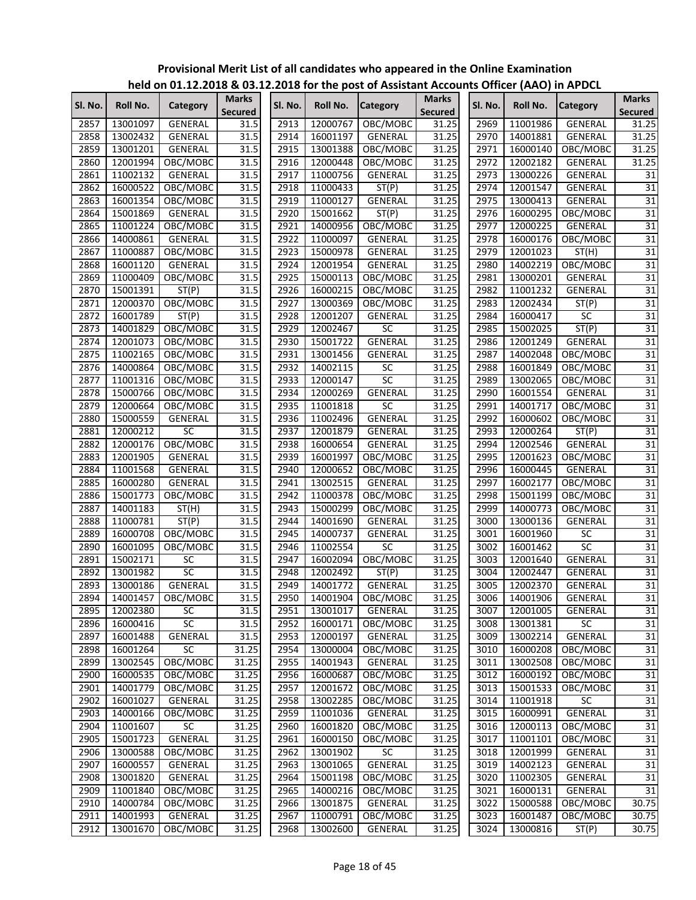|         |          |                 |                                |         |          | $\frac{1}{2}$ is the contracted to the first post of Assistant Accounts Onlied (AAO) in AFDCL |                                |         |          |                 |                                |
|---------|----------|-----------------|--------------------------------|---------|----------|-----------------------------------------------------------------------------------------------|--------------------------------|---------|----------|-----------------|--------------------------------|
| Sl. No. | Roll No. | Category        | <b>Marks</b><br><b>Secured</b> | SI. No. | Roll No. | <b>Category</b>                                                                               | <b>Marks</b><br><b>Secured</b> | Sl. No. | Roll No. | <b>Category</b> | <b>Marks</b><br><b>Secured</b> |
| 2857    | 13001097 | GENERAL         | 31.5                           | 2913    | 12000767 | OBC/MOBC                                                                                      | 31.25                          | 2969    | 11001986 | GENERAL         | 31.25                          |
| 2858    | 13002432 | GENERAL         | 31.5                           | 2914    | 16001197 | GENERAL                                                                                       | 31.25                          | 2970    | 14001881 | GENERAL         | 31.25                          |
| 2859    | 13001201 | <b>GENERAL</b>  | 31.5                           | 2915    | 13001388 | OBC/MOBC                                                                                      | 31.25                          | 2971    | 16000140 | OBC/MOBC        | 31.25                          |
| 2860    | 12001994 | OBC/MOBC        | 31.5                           | 2916    | 12000448 | OBC/MOBC                                                                                      | 31.25                          | 2972    | 12002182 | GENERAL         | 31.25                          |
| 2861    | 11002132 | GENERAL         | 31.5                           | 2917    | 11000756 | GENERAL                                                                                       | 31.25                          | 2973    | 13000226 | GENERAL         | 31                             |
| 2862    | 16000522 | OBC/MOBC        | 31.5                           | 2918    | 11000433 | ST(P)                                                                                         | 31.25                          | 2974    | 12001547 | GENERAL         | $\overline{31}$                |
| 2863    | 16001354 | OBC/MOBC        | 31.5                           | 2919    | 11000127 | GENERAL                                                                                       | 31.25                          | 2975    | 13000413 | GENERAL         | $\overline{31}$                |
| 2864    | 15001869 | GENERAL         | 31.5                           | 2920    | 15001662 | ST(P)                                                                                         | 31.25                          | 2976    | 16000295 | OBC/MOBC        | $\overline{31}$                |
| 2865    | 11001224 | OBC/MOBC        | 31.5                           | 2921    | 14000956 | OBC/MOBC                                                                                      | 31.25                          | 2977    | 12000225 | GENERAL         | $\overline{31}$                |
| 2866    | 14000861 | GENERAL         | 31.5                           | 2922    | 11000097 | <b>GENERAL</b>                                                                                | 31.25                          | 2978    | 16000176 | OBC/MOBC        | 31                             |
| 2867    | 11000887 | OBC/MOBC        | 31.5                           | 2923    | 15000978 | <b>GENERAL</b>                                                                                | 31.25                          | 2979    | 12001023 | ST(H)           | 31                             |
| 2868    | 16001120 | GENERAL         | 31.5                           | 2924    | 12001954 | GENERAL                                                                                       | 31.25                          | 2980    | 14002219 | OBC/MOBC        | 31                             |
| 2869    | 11000409 | OBC/MOBC        | 31.5                           | 2925    | 15000113 | OBC/MOBC                                                                                      | 31.25                          | 2981    | 13000201 | GENERAL         | $\overline{31}$                |
| 2870    | 15001391 | ST(P)           | 31.5                           | 2926    | 16000215 | OBC/MOBC                                                                                      | 31.25                          | 2982    | 11001232 | GENERAL         | $\overline{31}$                |
| 2871    | 12000370 | OBC/MOBC        | 31.5                           | 2927    | 13000369 | OBC/MOBC                                                                                      | 31.25                          | 2983    | 12002434 | ST(P)           | $\overline{31}$                |
| 2872    | 16001789 | ST(P)           | 31.5                           | 2928    | 12001207 | GENERAL                                                                                       | 31.25                          | 2984    | 16000417 | SC              | $\overline{31}$                |
| 2873    | 14001829 | OBC/MOBC        | 31.5                           | 2929    | 12002467 | SC                                                                                            | 31.25                          | 2985    | 15002025 | ST(P)           | $\overline{31}$                |
| 2874    | 12001073 | OBC/MOBC        | 31.5                           | 2930    | 15001722 | <b>GENERAL</b>                                                                                | 31.25                          | 2986    | 12001249 | GENERAL         | $\overline{31}$                |
| 2875    | 11002165 | OBC/MOBC        | 31.5                           | 2931    | 13001456 | <b>GENERAL</b>                                                                                | 31.25                          | 2987    | 14002048 | OBC/MOBC        | $\overline{31}$                |
| 2876    | 14000864 | OBC/MOBC        | 31.5                           | 2932    | 14002115 | SC                                                                                            | 31.25                          | 2988    | 16001849 | OBC/MOBC        | $\overline{31}$                |
| 2877    | 11001316 | OBC/MOBC        | 31.5                           | 2933    | 12000147 | SC                                                                                            | 31.25                          | 2989    | 13002065 | OBC/MOBC        | 31                             |
| 2878    | 15000766 | OBC/MOBC        | 31.5                           | 2934    | 12000269 | <b>GENERAL</b>                                                                                | 31.25                          | 2990    | 16001554 | GENERAL         | 31                             |
| 2879    | 12000664 | OBC/MOBC        | 31.5                           | 2935    | 11001818 | $\overline{SC}$                                                                               | 31.25                          | 2991    | 14001717 | OBC/MOBC        | 31                             |
| 2880    | 15000559 | GENERAL         | 31.5                           | 2936    | 11002496 | <b>GENERAL</b>                                                                                | 31.25                          | 2992    | 16000602 | OBC/MOBC        | $\overline{31}$                |
| 2881    | 12000212 | <b>SC</b>       | 31.5                           | 2937    | 12001879 | GENERAL                                                                                       | 31.25                          | 2993    | 12000264 | ST(P)           | $\overline{31}$                |
| 2882    | 12000176 | OBC/MOBC        | 31.5                           | 2938    | 16000654 | GENERAL                                                                                       | 31.25                          | 2994    | 12002546 | GENERAL         | $\overline{31}$                |
| 2883    | 12001905 | GENERAL         | 31.5                           | 2939    | 16001997 | OBC/MOBC                                                                                      | 31.25                          | 2995    | 12001623 | OBC/MOBC        | 31                             |
| 2884    | 11001568 | GENERAL         | 31.5                           | 2940    | 12000652 | OBC/MOBC                                                                                      | 31.25                          | 2996    | 16000445 | GENERAL         | 31                             |
| 2885    | 16000280 | GENERAL         | 31.5                           | 2941    | 13002515 | GENERAL                                                                                       | 31.25                          | 2997    | 16002177 | OBC/MOBC        | $\overline{31}$                |
| 2886    | 15001773 | OBC/MOBC        | 31.5                           | 2942    | 11000378 | OBC/MOBC                                                                                      | 31.25                          | 2998    | 15001199 | OBC/MOBC        | $\overline{31}$                |
| 2887    | 14001183 | ST(H)           | 31.5                           | 2943    | 15000299 | OBC/MOBC                                                                                      | 31.25                          | 2999    | 14000773 | OBC/MOBC        | 31                             |
| 2888    | 11000781 | ST(P)           | 31.5                           | 2944    | 14001690 | GENERAL                                                                                       | 31.25                          | 3000    | 13000136 | <b>GENERAL</b>  | $\overline{31}$                |
| 2889    | 16000708 | OBC/MOBC        | 31.5                           | 2945    | 14000737 | GENERAL                                                                                       | 31.25                          | 3001    | 16001960 | SC              | 31                             |
| 2890    | 16001095 | OBC/MOBC        | 31.5                           | 2946    | 11002554 | <b>SC</b>                                                                                     | 31.25                          | 3002    | 16001462 | SC              | 31                             |
| 2891    | 15002171 | <b>SC</b>       | 31.5                           | 2947    | 16002094 | OBC/MOBC                                                                                      | 31.25                          | 3003    | 12001640 | GENERAL         | 31                             |
| 2892    | 13001982 | $\overline{SC}$ | 31.5                           | 2948    | 12002492 | ST(P)                                                                                         | 31.25                          | 3004    | 12002447 | GENERAL         | 31                             |
| 2893    | 13000186 | GENERAL         | 31.5                           | 2949    | 14001772 | GENERAL                                                                                       | 31.25                          | 3005    | 12002370 | GENERAL         | 31                             |
| 2894    | 14001457 | OBC/MOBC        | 31.5                           | 2950    | 14001904 | OBC/MOBC                                                                                      | 31.25                          | 3006    | 14001906 | <b>GENERAL</b>  | 31                             |
| 2895    | 12002380 | <b>SC</b>       | 31.5                           | 2951    | 13001017 | GENERAL                                                                                       | 31.25                          | 3007    | 12001005 | <b>GENERAL</b>  | 31                             |
| 2896    | 16000416 | SC              | 31.5                           | 2952    | 16000171 | OBC/MOBC                                                                                      | 31.25                          | 3008    | 13001381 | $\overline{SC}$ | 31                             |
| 2897    | 16001488 | GENERAL         | 31.5                           | 2953    | 12000197 | GENERAL                                                                                       | 31.25                          | 3009    | 13002214 | GENERAL         | 31                             |
| 2898    | 16001264 | <b>SC</b>       | 31.25                          | 2954    | 13000004 | OBC/MOBC                                                                                      | 31.25                          | 3010    | 16000208 | OBC/MOBC        | 31                             |
| 2899    | 13002545 | OBC/MOBC        | 31.25                          | 2955    | 14001943 | GENERAL                                                                                       | 31.25                          | 3011    | 13002508 | OBC/MOBC        | 31                             |
| 2900    | 16000535 | OBC/MOBC        | 31.25                          | 2956    | 16000687 | OBC/MOBC                                                                                      | 31.25                          | 3012    | 16000192 | OBC/MOBC        | 31                             |
| 2901    | 14001779 | OBC/MOBC        | 31.25                          | 2957    | 12001672 | OBC/MOBC                                                                                      | 31.25                          | 3013    | 15001533 | OBC/MOBC        | 31                             |
| 2902    | 16001027 | GENERAL         | 31.25                          | 2958    | 13002285 | OBC/MOBC                                                                                      | 31.25                          | 3014    | 11001918 | SC              | 31                             |
| 2903    | 14000166 | OBC/MOBC        | 31.25                          | 2959    | 11001036 | GENERAL                                                                                       | 31.25                          | 3015    | 16000991 | GENERAL         | 31                             |
| 2904    | 11001607 | SC              | 31.25                          | 2960    | 16001820 | OBC/MOBC                                                                                      | 31.25                          | 3016    | 12000113 | OBC/MOBC        | 31                             |
| 2905    | 15001723 | <b>GENERAL</b>  | 31.25                          | 2961    | 16000150 | OBC/MOBC                                                                                      | 31.25                          | 3017    | 11001101 | OBC/MOBC        | $\overline{31}$                |
| 2906    | 13000588 | OBC/MOBC        | 31.25                          | 2962    | 13001902 | <b>SC</b>                                                                                     | 31.25                          | 3018    | 12001999 | GENERAL         | 31                             |
| 2907    | 16000557 | GENERAL         | 31.25                          | 2963    | 13001065 | <b>GENERAL</b>                                                                                | 31.25                          | 3019    | 14002123 | GENERAL         | 31                             |
| 2908    | 13001820 | GENERAL         | 31.25                          | 2964    | 15001198 | OBC/MOBC                                                                                      | 31.25                          | 3020    | 11002305 | GENERAL         | 31                             |
| 2909    | 11001840 | OBC/MOBC        | 31.25                          | 2965    | 14000216 | OBC/MOBC                                                                                      | 31.25                          | 3021    | 16000131 | GENERAL         | $\overline{31}$                |
| 2910    | 14000784 | OBC/MOBC        | 31.25                          | 2966    | 13001875 | GENERAL                                                                                       | 31.25                          | 3022    | 15000588 | OBC/MOBC        | 30.75                          |
| 2911    | 14001993 | GENERAL         | 31.25                          | 2967    | 11000791 | OBC/MOBC                                                                                      | 31.25                          | 3023    | 16001487 | OBC/MOBC        | 30.75                          |
| 2912    | 13001670 | OBC/MOBC        | 31.25                          | 2968    | 13002600 | GENERAL                                                                                       | 31.25                          | 3024    | 13000816 | ST(P)           | 30.75                          |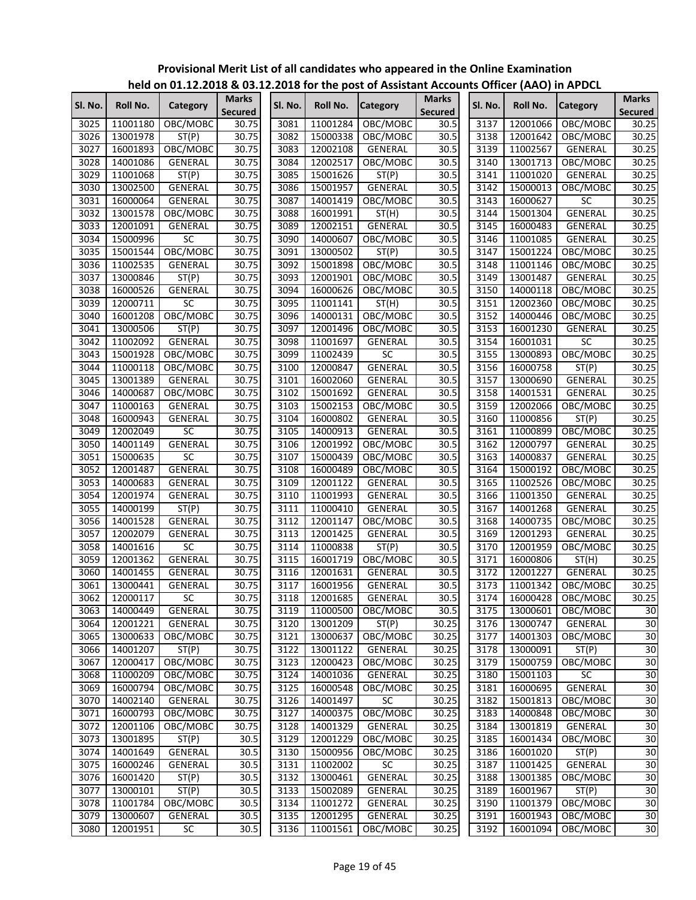|         |          |                |              |              |          | <u>HEIU UH UI.IZ.ZUID &amp; US.IZ.ZUID IUI THE POST UI ASSISTAHT ACCURITS UHICEI (AAU) III APDCL</u> |                |         |          |                 |                       |
|---------|----------|----------------|--------------|--------------|----------|------------------------------------------------------------------------------------------------------|----------------|---------|----------|-----------------|-----------------------|
| Sl. No. | Roll No. | Category       | <b>Marks</b> | Sl. No.      | Roll No. | <b>Category</b>                                                                                      | <b>Marks</b>   | Sl. No. | Roll No. | <b>Category</b> | <b>Marks</b>          |
|         |          |                | Secured      |              |          |                                                                                                      | <b>Secured</b> |         |          |                 | <b>Secured</b>        |
| 3025    | 11001180 | OBC/MOBC       | 30.75        | 3081         | 11001284 | OBC/MOBC                                                                                             | 30.5           | 3137    | 12001066 | OBC/MOBC        | 30.25                 |
| 3026    | 13001978 | ST(P)          | 30.75        | 3082         | 15000338 | OBC/MOBC                                                                                             | 30.5           | 3138    | 12001642 | OBC/MOBC        | 30.25                 |
| 3027    | 16001893 | OBC/MOBC       | 30.75        | 3083         | 12002108 | <b>GENERAL</b>                                                                                       | 30.5           | 3139    | 11002567 | GENERAL         | 30.25                 |
| 3028    | 14001086 | GENERAL        | 30.75        | 3084         | 12002517 | OBC/MOBC                                                                                             | 30.5           | 3140    | 13001713 | OBC/MOBC        | 30.25                 |
| 3029    | 11001068 | ST(P)          | 30.75        | 3085         | 15001626 | ST(P)                                                                                                | 30.5           | 3141    | 11001020 | GENERAL         | 30.25                 |
| 3030    | 13002500 | <b>GENERAL</b> | 30.75        | 3086         | 15001957 | GENERAL                                                                                              | 30.5           | 3142    | 15000013 | OBC/MOBC        | 30.25                 |
| 3031    | 16000064 | GENERAL        | 30.75        | 3087         | 14001419 | OBC/MOBC                                                                                             | 30.5           | 3143    | 16000627 | <b>SC</b>       | 30.25                 |
| 3032    | 13001578 | OBC/MOBC       | 30.75        | 3088         | 16001991 | ST(H)                                                                                                | 30.5           | 3144    | 15001304 | <b>GENERAL</b>  | 30.25                 |
| 3033    | 12001091 | GENERAL        | 30.75        | 3089         | 12002151 | GENERAL                                                                                              | 30.5           | 3145    | 16000483 | GENERAL         | 30.25                 |
| 3034    | 15000996 | SC             | 30.75        | 3090         | 14000607 | OBC/MOBC                                                                                             | 30.5           | 3146    | 11001085 | GENERAL         | 30.25                 |
| 3035    | 15001544 | OBC/MOBC       | 30.75        | 3091         | 13000502 | ST(P)                                                                                                | 30.5           | 3147    | 15001224 | OBC/MOBC        | 30.25                 |
| 3036    | 11002535 | GENERAL        | 30.75        | 3092         | 15001898 | OBC/MOBC                                                                                             | 30.5           | 3148    | 11001146 | OBC/MOBC        | 30.25                 |
| 3037    | 13000846 | ST(P)          | 30.75        | 3093         | 12001901 | OBC/MOBC                                                                                             | 30.5           | 3149    | 13001487 | GENERAL         | 30.25                 |
| 3038    | 16000526 | GENERAL        | 30.75        | 3094         | 16000626 | OBC/MOBC                                                                                             | 30.5           | 3150    | 14000118 | OBC/MOBC        | 30.25                 |
| 3039    | 12000711 | SC             | 30.75        | 3095         | 11001141 | ST(H)                                                                                                | 30.5           | 3151    | 12002360 | OBC/MOBC        | 30.25                 |
| 3040    | 16001208 | OBC/MOBC       | 30.75        | 3096         | 14000131 | OBC/MOBC                                                                                             | 30.5           | 3152    | 14000446 | OBC/MOBC        | 30.25                 |
| 3041    | 13000506 | ST(P)          | 30.75        | 3097         | 12001496 | OBC/MOBC                                                                                             | 30.5           | 3153    | 16001230 | GENERAL         | 30.25                 |
| 3042    | 11002092 | GENERAL        | 30.75        | 3098         | 11001697 | GENERAL                                                                                              | 30.5           | 3154    | 16001031 | SC              | 30.25                 |
| 3043    | 15001928 | OBC/MOBC       | 30.75        | 3099         | 11002439 | SC                                                                                                   | 30.5           | 3155    | 13000893 | OBC/MOBC        | 30.25                 |
| 3044    | 11000118 | OBC/MOBC       | 30.75        | 3100         | 12000847 | <b>GENERAL</b>                                                                                       | 30.5           | 3156    | 16000758 | ST(P)           | 30.25                 |
| 3045    | 13001389 | <b>GENERAL</b> | 30.75        | 3101         | 16002060 | GENERAL                                                                                              | 30.5           | 3157    | 13000690 | GENERAL         | 30.25                 |
| 3046    | 14000687 | OBC/MOBC       | 30.75        | 3102         | 15001692 | GENERAL                                                                                              | 30.5           | 3158    | 14001531 | GENERAL         | 30.25                 |
| 3047    | 11000163 | <b>GENERAL</b> | 30.75        | 3103         | 15002153 | OBC/MOBC                                                                                             | 30.5           | 3159    | 12002066 | OBC/MOBC        | 30.25                 |
| 3048    |          |                | 30.75        | 3104         | 16000802 | <b>GENERAL</b>                                                                                       | 30.5           |         | 11000856 |                 |                       |
|         | 16000943 | GENERAL        |              |              |          |                                                                                                      |                | 3160    |          | ST(P)           | 30.25                 |
| 3049    | 12002049 | SC             | 30.75        | 3105         | 14000913 | GENERAL                                                                                              | 30.5           | 3161    | 11000899 | OBC/MOBC        | 30.25                 |
| 3050    | 14001149 | GENERAL        | 30.75        | 3106         | 12001992 | OBC/MOBC                                                                                             | 30.5           | 3162    | 12000797 | <b>GENERAL</b>  | 30.25                 |
| 3051    | 15000635 | SC             | 30.75        | 3107         | 15000439 | OBC/MOBC                                                                                             | 30.5           | 3163    | 14000837 | <b>GENERAL</b>  | 30.25                 |
| 3052    | 12001487 | GENERAL        | 30.75        | 3108         | 16000489 | OBC/MOBC                                                                                             | 30.5           | 3164    | 15000192 | OBC/MOBC        | 30.25                 |
| 3053    | 14000683 | GENERAL        | 30.75        | 3109         | 12001122 | GENERAL                                                                                              | 30.5           | 3165    | 11002526 | OBC/MOBC        | 30.25                 |
| 3054    | 12001974 | GENERAL        | 30.75        | 3110         | 11001993 | <b>GENERAL</b>                                                                                       | 30.5           | 3166    | 11001350 | GENERAL         | 30.25                 |
| 3055    | 14000199 | ST(P)          | 30.75        | 3111         | 11000410 | GENERAL                                                                                              | 30.5           | 3167    | 14001268 | GENERAL         | 30.25                 |
| 3056    | 14001528 | GENERAL        | 30.75        | 3112         | 12001147 | OBC/MOBC                                                                                             | 30.5           | 3168    | 14000735 | OBC/MOBC        | 30.25                 |
| 3057    | 12002079 | GENERAL        | 30.75        | 3113         | 12001425 | GENERAL                                                                                              | 30.5           | 3169    | 12001293 | GENERAL         | 30.25                 |
| 3058    | 14001616 | SC             | 30.75        | 3114         | 11000838 | ST(P)                                                                                                | 30.5           | 3170    | 12001959 | OBC/MOBC        | 30.25                 |
| 3059    | 12001362 | GENERAL        | 30.75        | 3115         | 16001719 | OBC/MOBC                                                                                             | 30.5           | 3171    | 16000806 | ST(H)           | 30.25                 |
| 3060    | 14001455 | GENERAL        | 30.75        | 3116         | 12001631 | GENERAL                                                                                              | 30.5           | 3172    | 12001227 | GENERAL         | 30.25                 |
| 3061    | 13000441 | GENERAL        | 30.75        | 3117         | 16001956 | GENERAL                                                                                              | 30.5           | 3173    | 11001342 | OBC/MOBC        | 30.25                 |
| 3062    | 12000117 | SC.            | 30.75        | 3118         | 12001685 | GENERAL                                                                                              | 30.5           | 3174    | 16000428 | OBC/MOBC        | 30.25                 |
| 3063    | 14000449 | GENERAL        | 30.75        | 3119         | 11000500 | OBC/MOBC                                                                                             | 30.5           | 3175    | 13000601 | OBC/MOBC        | $\overline{30}$       |
| 3064    | 12001221 | GENERAL        | 30.75        | 3120         | 13001209 | ST(P)                                                                                                | 30.25          | 3176    | 13000747 | GENERAL         | 30                    |
| 3065    | 13000633 | OBC/MOBC       | 30.75        | 3121         | 13000637 | OBC/MOBC                                                                                             | 30.25          | 3177    | 14001303 | OBC/MOBC        | 30                    |
| 3066    | 14001207 | ST(P)          | 30.75        | 3122         | 13001122 | GENERAL                                                                                              | 30.25          | 3178    | 13000091 | ST(P)           | 30                    |
| 3067    | 12000417 | OBC/MOBC       | 30.75        | 3123         | 12000423 | OBC/MOBC                                                                                             | 30.25          | 3179    | 15000759 | OBC/MOBC        | 30                    |
| 3068    | 11000209 | OBC/MOBC       | 30.75        | 3124         | 14001036 | GENERAL                                                                                              | 30.25          | 3180    | 15001103 | <b>SC</b>       | 30                    |
| 3069    | 16000794 | OBC/MOBC       | 30.75        | 3125         | 16000548 | OBC/MOBC                                                                                             | 30.25          | 3181    | 16000695 | <b>GENERAL</b>  | 30                    |
| 3070    | 14002140 | GENERAL        | 30.75        | 3126         | 14001497 | <b>SC</b>                                                                                            | 30.25          | 3182    | 15001813 | OBC/MOBC        | $\overline{30}$       |
| 3071    | 16000793 | OBC/MOBC       | 30.75        | 3127         | 14000375 | OBC/MOBC                                                                                             | 30.25          | 3183    | 14000848 | OBC/MOBC        | 30                    |
| 3072    | 12001106 | OBC/MOBC       | 30.75        | 3128         | 14001329 | GENERAL                                                                                              | 30.25          | 3184    | 13001819 | GENERAL         | 30                    |
| 3073    | 13001895 | ST(P)          | 30.5         | 3129         | 12001229 | OBC/MOBC                                                                                             | 30.25          | 3185    | 16001434 | OBC/MOBC        | 30                    |
| 3074    | 14001649 | GENERAL        | 30.5         | 3130         | 15000956 | OBC/MOBC                                                                                             | 30.25          | 3186    | 16001020 | ST(P)           | 30                    |
| 3075    | 16000246 | GENERAL        | 30.5         | 3131         | 11002002 | SC                                                                                                   | 30.25          | 3187    | 11001425 | GENERAL         | 30                    |
| 3076    | 16001420 | ST(P)          | 30.5         | 3132         | 13000461 | GENERAL                                                                                              | 30.25          | 3188    | 13001385 | OBC/MOBC        | $\overline{30}$       |
| 3077    | 13000101 | ST(P)          | 30.5         | 3133         | 15002089 | GENERAL                                                                                              | 30.25          | 3189    | 16001967 | ST(P)           | 30                    |
| 3078    | 11001784 | OBC/MOBC       | 30.5         | 3134         |          |                                                                                                      | 30.25          | 3190    | 11001379 | OBC/MOBC        | 30                    |
|         |          |                |              |              | 11001272 | GENERAL                                                                                              |                |         |          |                 |                       |
| 3079    | 13000607 | GENERAL        | 30.5         | 3135<br>3136 | 12001295 | GENERAL                                                                                              | 30.25          | 3191    | 16001943 | OBC/MOBC        | 30<br>$\overline{30}$ |
| 3080    | 12001951 | SC             | 30.5         |              | 11001561 | OBC/MOBC                                                                                             | 30.25          | 3192    | 16001094 | OBC/MOBC        |                       |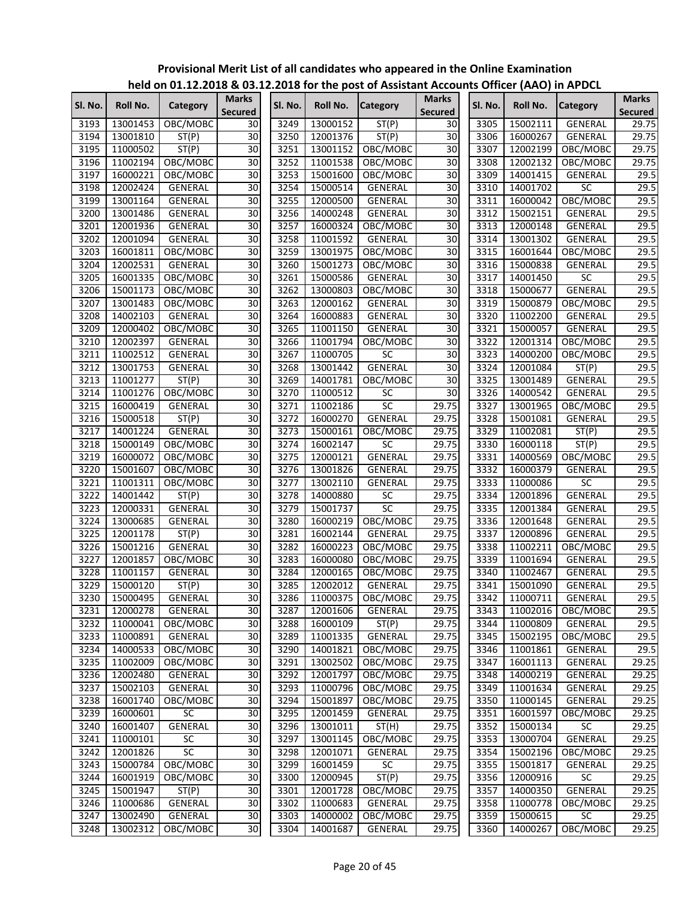|         |          |                |                         |         |          | $220$ for the post of rissistant riceous |                                |         | $\frac{1}{2}$ of $\frac{1}{2}$ or $\frac{1}{2}$ and $\frac{1}{2}$ and $\frac{1}{2}$ |                 |                                |
|---------|----------|----------------|-------------------------|---------|----------|------------------------------------------|--------------------------------|---------|-------------------------------------------------------------------------------------|-----------------|--------------------------------|
| Sl. No. | Roll No. | Category       | <b>Marks</b><br>Secured | SI. No. | Roll No. | <b>Category</b>                          | <b>Marks</b><br><b>Secured</b> | SI. No. | Roll No.                                                                            | <b>Category</b> | <b>Marks</b><br><b>Secured</b> |
| 3193    | 13001453 | OBC/MOBC       | 30                      | 3249    | 13000152 | ST(P)                                    | 30                             | 3305    | 15002111                                                                            | <b>GENERAL</b>  | 29.75                          |
| 3194    | 13001810 | ST(P)          | 30                      | 3250    | 12001376 | ST(P)                                    | 30                             | 3306    | 16000267                                                                            | GENERAL         | 29.75                          |
| 3195    | 11000502 | ST(P)          | 30                      | 3251    | 13001152 | OBC/MOBC                                 | 30                             | 3307    | 12002199                                                                            | OBC/MOBC        | 29.75                          |
| 3196    | 11002194 | OBC/MOBC       | 30                      | 3252    | 11001538 | OBC/MOBC                                 | 30                             | 3308    | 12002132                                                                            | OBC/MOBC        | 29.75                          |
| 3197    | 16000221 | OBC/MOBC       | 30                      | 3253    | 15001600 | OBC/MOBC                                 | 30                             | 3309    | 14001415                                                                            | GENERAL         | 29.5                           |
| 3198    | 12002424 | GENERAL        | 30                      | 3254    | 15000514 | GENERAL                                  | $\overline{30}$                | 3310    | 14001702                                                                            | SC              | 29.5                           |
| 3199    | 13001164 | GENERAL        | $\overline{30}$         | 3255    | 12000500 | GENERAL                                  | $\overline{30}$                | 3311    | 16000042                                                                            | OBC/MOBC        | 29.5                           |
| 3200    | 13001486 | GENERAL        | 30                      | 3256    | 14000248 | GENERAL                                  | $\overline{30}$                | 3312    | 15002151                                                                            | <b>GENERAL</b>  | 29.5                           |
| 3201    | 12001936 | <b>GENERAL</b> | 30                      | 3257    | 16000324 | OBC/MOBC                                 | 30                             | 3313    | 12000148                                                                            | <b>GENERAL</b>  | 29.5                           |
| 3202    | 12001094 | GENERAL        | 30                      | 3258    | 11001592 | <b>GENERAL</b>                           | 30                             | 3314    | 13001302                                                                            | <b>GENERAL</b>  | 29.5                           |
| 3203    | 16001811 | OBC/MOBC       | 30                      | 3259    | 13001975 | OBC/MOBC                                 | $\overline{30}$                | 3315    | 16001644                                                                            | OBC/MOBC        | 29.5                           |
| 3204    | 12002531 | GENERAL        | $\overline{30}$         | 3260    | 15001273 | OBC/MOBC                                 | 30                             | 3316    | 15000838                                                                            | GENERAL         | 29.5                           |
| 3205    | 16001335 | OBC/MOBC       | 30                      | 3261    | 15000586 | GENERAL                                  | $\overline{30}$                | 3317    | 14001450                                                                            | $\overline{SC}$ | 29.5                           |
| 3206    | 15001173 | OBC/MOBC       | 30                      | 3262    | 13000803 | OBC/MOBC                                 | 30                             | 3318    | 15000677                                                                            | GENERAL         | 29.5                           |
| 3207    | 13001483 | OBC/MOBC       | 30                      | 3263    | 12000162 | GENERAL                                  | $\overline{30}$                | 3319    | 15000879                                                                            | OBC/MOBC        | 29.5                           |
| 3208    | 14002103 | GENERAL        | 30                      | 3264    | 16000883 | GENERAL                                  | $\overline{30}$                | 3320    | 11002200                                                                            | GENERAL         | 29.5                           |
| 3209    | 12000402 | OBC/MOBC       | 30                      | 3265    | 11001150 | GENERAL                                  | $\overline{30}$                | 3321    | 15000057                                                                            | GENERAL         | 29.5                           |
| 3210    | 12002397 | GENERAL        | 30                      | 3266    | 11001794 | OBC/MOBC                                 | 30                             | 3322    | 12001314                                                                            | OBC/MOBC        | 29.5                           |
| 3211    | 11002512 | GENERAL        | 30                      | 3267    | 11000705 | $\overline{SC}$                          | 30                             | 3323    | 14000200                                                                            | OBC/MOBC        | 29.5                           |
| 3212    | 13001753 | <b>GENERAL</b> | 30                      | 3268    | 13001442 | <b>GENERAL</b>                           | 30                             | 3324    | 12001084                                                                            | ST(P)           | 29.5                           |
| 3213    | 11001277 |                | 30                      | 3269    | 14001781 |                                          | 30                             |         | 13001489                                                                            |                 | 29.5                           |
|         |          | ST(P)          | $\overline{30}$         | 3270    | 11000512 | OBC/MOBC<br><b>SC</b>                    | 30                             | 3325    |                                                                                     | GENERAL         | 29.5                           |
| 3214    | 11001276 | OBC/MOBC       | $\overline{30}$         |         |          |                                          | 29.75                          | 3326    | 14000542                                                                            | GENERAL         |                                |
| 3215    | 16000419 | <b>GENERAL</b> |                         | 3271    | 11002186 | $\overline{SC}$                          |                                | 3327    | 13001965                                                                            | OBC/MOBC        | 29.5                           |
| 3216    | 15000518 | ST(P)          | $\overline{30}$         | 3272    | 16000270 | <b>GENERAL</b>                           | 29.75                          | 3328    | 15001081                                                                            | <b>GENERAL</b>  | 29.5                           |
| 3217    | 14001224 | GENERAL        | 30                      | 3273    | 15000161 | OBC/MOBC                                 | 29.75                          | 3329    | 11002081                                                                            | ST(P)           | 29.5                           |
| 3218    | 15000149 | OBC/MOBC       | 30                      | 3274    | 16002147 | <b>SC</b>                                | 29.75                          | 3330    | 16000118                                                                            | ST(P)           | 29.5                           |
| 3219    | 16000072 | OBC/MOBC       | 30                      | 3275    | 12000121 | GENERAL                                  | 29.75                          | 3331    | 14000569                                                                            | OBC/MOBC        | 29.5                           |
| 3220    | 15001607 | OBC/MOBC       | 30                      | 3276    | 13001826 | <b>GENERAL</b>                           | 29.75                          | 3332    | 16000379                                                                            | <b>GENERAL</b>  | 29.5                           |
| 3221    | 11001311 | OBC/MOBC       | 30                      | 3277    | 13002110 | GENERAL                                  | 29.75                          | 3333    | 11000086                                                                            | $\overline{SC}$ | 29.5                           |
| 3222    | 14001442 | ST(P)          | 30                      | 3278    | 14000880 | <b>SC</b>                                | 29.75                          | 3334    | 12001896                                                                            | GENERAL         | 29.5                           |
| 3223    | 12000331 | GENERAL        | 30                      | 3279    | 15001737 | $\overline{SC}$                          | 29.75                          | 3335    | 12001384                                                                            | <b>GENERAL</b>  | 29.5                           |
| 3224    | 13000685 | GENERAL        | 30                      | 3280    | 16000219 | OBC/MOBC                                 | 29.75                          | 3336    | 12001648                                                                            | <b>GENERAL</b>  | 29.5                           |
| 3225    | 12001178 | ST(P)          | $\overline{30}$         | 3281    | 16002144 | GENERAL                                  | 29.75                          | 3337    | 12000896                                                                            | GENERAL         | 29.5                           |
| 3226    | 15001216 | GENERAL        | $\overline{30}$         | 3282    | 16000223 | OBC/MOBC                                 | 29.75                          | 3338    | 11002211                                                                            | OBC/MOBC        | 29.5                           |
| 3227    | 12001857 | OBC/MOBC       | 30                      | 3283    | 16000080 | OBC/MOBC                                 | 29.75                          | 3339    | 11001694                                                                            | GENERAL         | 29.5                           |
| 3228    | 11001157 | <b>GENERAL</b> | 30                      | 3284    | 12000165 | OBC/MOBC                                 | 29.75                          | 3340    | 11002467                                                                            | <b>GENERAL</b>  | 29.5                           |
| 3229    | 15000120 | ST(P)          | 30                      | 3285    | 12002012 | GENERAL                                  | 29.75                          | 3341    | 15001090                                                                            | <b>GENERAL</b>  | 29.5                           |
| 3230    | 15000495 | <b>GENERAL</b> | 30                      |         |          | 3286 11000375 OBC/MOBC                   | 29.75                          |         | 3342 11000711                                                                       | <b>GENERAL</b>  | 29.5                           |
| 3231    | 12000278 | GENERAL        | 30                      | 3287    | 12001606 | GENERAL                                  | 29.75                          | 3343    | 11002016                                                                            | OBC/MOBC        | 29.5                           |
| 3232    | 11000041 | OBC/MOBC       | 30                      | 3288    | 16000109 | ST(P)                                    | 29.75                          | 3344    | 11000809                                                                            | GENERAL         | 29.5                           |
| 3233    | 11000891 | GENERAL        | $\overline{30}$         | 3289    | 11001335 | GENERAL                                  | 29.75                          | 3345    | 15002195                                                                            | OBC/MOBC        | 29.5                           |
| 3234    | 14000533 | OBC/MOBC       | 30                      | 3290    | 14001821 | OBC/MOBC                                 | 29.75                          | 3346    | 11001861                                                                            | GENERAL         | 29.5                           |
| 3235    | 11002009 | OBC/MOBC       | 30                      | 3291    | 13002502 | OBC/MOBC                                 | 29.75                          | 3347    | 16001113                                                                            | GENERAL         | 29.25                          |
| 3236    | 12002480 | GENERAL        | $\overline{30}$         | 3292    | 12001797 | OBC/MOBC                                 | 29.75                          | 3348    | 14000219                                                                            | GENERAL         | 29.25                          |
| 3237    | 15002103 | GENERAL        | 30                      | 3293    | 11000796 | OBC/MOBC                                 | 29.75                          | 3349    | 11001634                                                                            | GENERAL         | 29.25                          |
| 3238    | 16001740 | OBC/MOBC       | 30                      | 3294    | 15001897 | OBC/MOBC                                 | 29.75                          | 3350    | 11000145                                                                            | GENERAL         | 29.25                          |
| 3239    | 16000601 | <b>SC</b>      | 30                      | 3295    | 12001459 | <b>GENERAL</b>                           | 29.75                          | 3351    | 16001597                                                                            | OBC/MOBC        | 29.25                          |
| 3240    | 16001407 | <b>GENERAL</b> | $\overline{30}$         | 3296    | 13001011 | ST(H)                                    | 29.75                          | 3352    | 15000134                                                                            | SC              | 29.25                          |
| 3241    | 11000101 | SC             | $\overline{30}$         | 3297    | 13001145 | OBC/MOBC                                 | 29.75                          | 3353    | 13000704                                                                            | GENERAL         | 29.25                          |
| 3242    | 12001826 | SC             | $\overline{30}$         | 3298    | 12001071 | GENERAL                                  | 29.75                          | 3354    | 15002196                                                                            | OBC/MOBC        | 29.25                          |
|         |          |                |                         |         |          |                                          |                                |         |                                                                                     |                 |                                |
| 3243    | 15000784 | OBC/MOBC       | 30                      | 3299    | 16001459 | SC                                       | 29.75                          | 3355    | 15001817                                                                            | <b>GENERAL</b>  | 29.25                          |
| 3244    | 16001919 | OBC/MOBC       | $\overline{30}$         | 3300    | 12000945 | ST(P)                                    | 29.75                          | 3356    | 12000916                                                                            | SC              | 29.25                          |
| 3245    | 15001947 | ST(P)          | 30                      | 3301    | 12001728 | OBC/MOBC                                 | 29.75                          | 3357    | 14000350                                                                            | GENERAL         | 29.25                          |
| 3246    | 11000686 | GENERAL        | 30                      | 3302    | 11000683 | GENERAL                                  | 29.75                          | 3358    | 11000778                                                                            | OBC/MOBC        | 29.25                          |
| 3247    | 13002490 | GENERAL        | 30                      | 3303    | 14000002 | OBC/MOBC                                 | 29.75                          | 3359    | 15000615                                                                            | SC              | 29.25                          |
| 3248    | 13002312 | OBC/MOBC       | $\overline{30}$         | 3304    | 14001687 | GENERAL                                  | 29.75                          | 3360    | 14000267                                                                            | OBC/MOBC        | 29.25                          |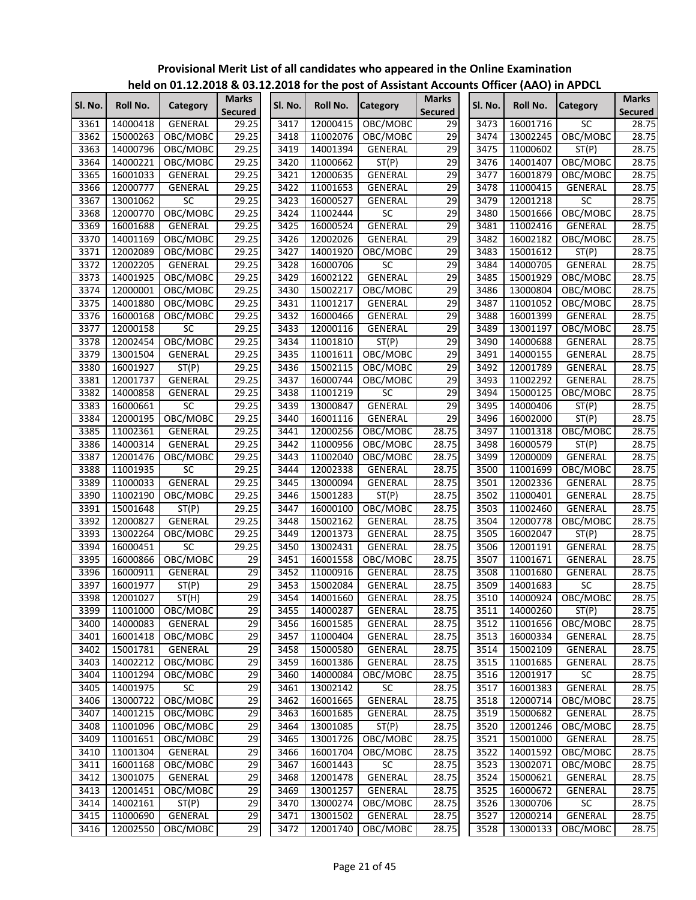|         |          | neid on 01.12.2016 & 03.12.2016 for the post of Assistant Accounts Officer (AAO) in APDCL |                         |         |          |                 |                                |         |          |                 |                                |
|---------|----------|-------------------------------------------------------------------------------------------|-------------------------|---------|----------|-----------------|--------------------------------|---------|----------|-----------------|--------------------------------|
| SI. No. | Roll No. | Category                                                                                  | Marks<br><b>Secured</b> | Sl. No. | Roll No. | <b>Category</b> | <b>Marks</b><br><b>Secured</b> | Sl. No. | Roll No. | <b>Category</b> | <b>Marks</b><br><b>Secured</b> |
| 3361    | 14000418 | <b>GENERAL</b>                                                                            | 29.25                   | 3417    | 12000415 | OBC/MOBC        | 29                             | 3473    | 16001716 | SC              | 28.75                          |
| 3362    | 15000263 | OBC/MOBC                                                                                  | 29.25                   | 3418    | 11002076 | OBC/MOBC        | 29                             | 3474    | 13002245 | OBC/MOBC        | 28.75                          |
| 3363    | 14000796 | OBC/MOBC                                                                                  | 29.25                   | 3419    | 14001394 | <b>GENERAL</b>  | 29                             | 3475    | 11000602 | ST(P)           | 28.75                          |
| 3364    | 14000221 | OBC/MOBC                                                                                  | 29.25                   | 3420    | 11000662 | ST(P)           | 29                             | 3476    | 14001407 | OBC/MOBC        | 28.75                          |
| 3365    | 16001033 | GENERAL                                                                                   | 29.25                   | 3421    | 12000635 | GENERAL         | 29                             | 3477    | 16001879 | OBC/MOBC        | 28.75                          |
| 3366    | 12000777 | GENERAL                                                                                   | 29.25                   | 3422    | 11001653 | GENERAL         | 29                             | 3478    | 11000415 | GENERAL         | 28.75                          |
| 3367    | 13001062 | SC                                                                                        | 29.25                   | 3423    | 16000527 | <b>GENERAL</b>  | 29                             | 3479    | 12001218 | SC              | 28.75                          |
| 3368    | 12000770 | OBC/MOBC                                                                                  | 29.25                   | 3424    | 11002444 | <b>SC</b>       | $\overline{29}$                | 3480    | 15001666 | OBC/MOBC        | 28.75                          |
| 3369    | 16001688 | GENERAL                                                                                   | 29.25                   | 3425    | 16000524 | <b>GENERAL</b>  | 29                             | 3481    | 11002416 | GENERAL         | 28.75                          |
| 3370    | 14001169 | OBC/MOBC                                                                                  | 29.25                   | 3426    | 12002026 | GENERAL         | 29                             | 3482    | 16002182 | OBC/MOBC        | 28.75                          |
| 3371    | 12002089 | OBC/MOBC                                                                                  | 29.25                   | 3427    | 14001920 | OBC/MOBC        | 29                             | 3483    | 15001612 | ST(P)           | 28.75                          |
| 3372    | 12002205 | GENERAL                                                                                   | 29.25                   | 3428    | 16000706 | <b>SC</b>       | 29                             | 3484    | 14000705 | GENERAL         | 28.75                          |
| 3373    | 14001925 | OBC/MOBC                                                                                  | 29.25                   | 3429    | 16002122 | GENERAL         | 29                             | 3485    | 15001929 | OBC/MOBC        | 28.75                          |
| 3374    | 12000001 | OBC/MOBC                                                                                  | 29.25                   | 3430    | 15002217 | OBC/MOBC        | 29                             | 3486    | 13000804 | OBC/MOBC        | 28.75                          |
| 3375    | 14001880 | OBC/MOBC                                                                                  | 29.25                   | 3431    | 11001217 | GENERAL         | 29                             | 3487    | 11001052 | OBC/MOBC        | 28.75                          |
| 3376    | 16000168 | OBC/MOBC                                                                                  | 29.25                   | 3432    | 16000466 | GENERAL         | 29                             | 3488    | 16001399 | GENERAL         | 28.75                          |
| 3377    | 12000158 | SC                                                                                        | 29.25                   | 3433    | 12000116 | GENERAL         | 29                             | 3489    | 13001197 | OBC/MOBC        | 28.75                          |
| 3378    | 12002454 | OBC/MOBC                                                                                  | 29.25                   | 3434    | 11001810 | ST(P)           | 29                             | 3490    | 14000688 | GENERAL         | 28.75                          |
| 3379    | 13001504 | GENERAL                                                                                   | 29.25                   | 3435    | 11001611 | OBC/MOBC        | 29                             | 3491    | 14000155 | <b>GENERAL</b>  | 28.75                          |
| 3380    | 16001927 | ST(P)                                                                                     | 29.25                   | 3436    | 15002115 | OBC/MOBC        | 29                             | 3492    | 12001789 | <b>GENERAL</b>  | 28.75                          |
| 3381    | 12001737 | GENERAL                                                                                   | 29.25                   | 3437    | 16000744 | OBC/MOBC        | 29                             | 3493    | 11002292 | GENERAL         | 28.75                          |
| 3382    | 14000858 | GENERAL                                                                                   | 29.25                   | 3438    | 11001219 | <b>SC</b>       | 29                             | 3494    | 15000125 | OBC/MOBC        | 28.75                          |
| 3383    | 16000661 | SC                                                                                        | 29.25                   | 3439    | 13000847 | <b>GENERAL</b>  | 29                             | 3495    | 14000406 | ST(P)           | 28.75                          |
| 3384    | 12000195 | OBC/MOBC                                                                                  | 29.25                   | 3440    | 16001116 | GENERAL         | 29                             | 3496    | 16002000 | ST(P)           | 28.75                          |
| 3385    | 11002361 | GENERAL                                                                                   | 29.25                   | 3441    | 12000256 | OBC/MOBC        | 28.75                          | 3497    | 11001318 | OBC/MOBC        | 28.75                          |
| 3386    | 14000314 | GENERAL                                                                                   | 29.25                   | 3442    | 11000956 | OBC/MOBC        | 28.75                          | 3498    | 16000579 | ST(P)           | 28.75                          |
| 3387    | 12001476 | OBC/MOBC                                                                                  | 29.25                   | 3443    | 11002040 | OBC/MOBC        | 28.75                          | 3499    | 12000009 | GENERAL         | 28.75                          |
| 3388    | 11001935 | SC                                                                                        | 29.25                   | 3444    | 12002338 | GENERAL         | 28.75                          | 3500    | 11001699 | OBC/MOBC        | 28.75                          |
| 3389    | 11000033 | GENERAL                                                                                   | 29.25                   | 3445    | 13000094 | GENERAL         | 28.75                          | 3501    | 12002336 | <b>GENERAL</b>  | 28.75                          |
| 3390    | 11002190 | OBC/MOBC                                                                                  | 29.25                   | 3446    | 15001283 | ST(P)           | 28.75                          | 3502    | 11000401 | <b>GENERAL</b>  | 28.75                          |
| 3391    | 15001648 | ST(P)                                                                                     | 29.25                   | 3447    | 16000100 | OBC/MOBC        | 28.75                          | 3503    | 11002460 | GENERAL         | 28.75                          |
| 3392    | 12000827 | GENERAL                                                                                   | 29.25                   | 3448    | 15002162 | GENERAL         | 28.75                          | 3504    | 12000778 | OBC/MOBC        | 28.75                          |
| 3393    | 13002264 | OBC/MOBC                                                                                  | 29.25                   | 3449    | 12001373 | GENERAL         | 28.75                          | 3505    | 16002047 | ST(P)           | 28.75                          |
| 3394    | 16000451 | SC                                                                                        | 29.25                   | 3450    | 13002431 | GENERAL         | 28.75                          | 3506    | 12001191 | GENERAL         | 28.75                          |
| 3395    | 16000866 | OBC/MOBC                                                                                  | 29                      | 3451    | 16001558 | OBC/MOBC        | 28.75                          | 3507    | 11001671 | <b>GENERAL</b>  | 28.75                          |
| 3396    | 16000911 | GENERAL                                                                                   | 29                      | 3452    | 11000916 | <b>GENERAL</b>  | 28.75                          | 3508    | 11001680 | GENERAL         | 28.75                          |
| 3397    | 16001977 | ST(P)                                                                                     | 29                      | 3453    | 15002084 | <b>GENERAL</b>  | 28.75                          | 3509    | 14001683 | SC              | 28.75                          |
| 3398    | 12001027 | ST(H)                                                                                     | 29                      | 3454    | 14001660 | GENERAL         | 28.75                          | 3510    | 14000924 | OBC/MOBC        | 28.75                          |
| 3399    | 11001000 | OBC/MOBC                                                                                  | 29                      | 3455    | 14000287 | GENERAL         | 28.75                          | 3511    | 14000260 | ST(P)           | 28.75                          |
| 3400    | 14000083 | GENERAL                                                                                   | $\overline{29}$         | 3456    | 16001585 | GENERAL         | 28.75                          | 3512    | 11001656 | OBC/MOBC        | 28.75                          |
| 3401    | 16001418 | OBC/MOBC                                                                                  | 29                      | 3457    | 11000404 | GENERAL         | 28.75                          | 3513    | 16000334 | GENERAL         | 28.75                          |
| 3402    | 15001781 | GENERAL                                                                                   | $\overline{29}$         | 3458    | 15000580 | GENERAL         | 28.75                          | 3514    | 15002109 | GENERAL         | 28.75                          |
| 3403    | 14002212 | OBC/MOBC                                                                                  | $\overline{29}$         | 3459    | 16001386 | GENERAL         | 28.75                          | 3515    | 11001685 | GENERAL         | 28.75                          |
| 3404    | 11001294 | OBC/MOBC                                                                                  | $\overline{29}$         | 3460    | 14000084 | OBC/MOBC        | 28.75                          | 3516    | 12001917 | SC              | 28.75                          |
| 3405    | 14001975 | SC                                                                                        | 29                      | 3461    | 13002142 | SC              | 28.75                          | 3517    | 16001383 | <b>GENERAL</b>  | 28.75                          |
| 3406    | 13000722 | OBC/MOBC                                                                                  | 29                      | 3462    | 16001665 | <b>GENERAL</b>  | 28.75                          | 3518    | 12000714 | OBC/MOBC        | 28.75                          |
| 3407    | 14001215 | OBC/MOBC                                                                                  | $\overline{29}$         | 3463    | 16001685 | GENERAL         | 28.75                          | 3519    | 15000682 | GENERAL         | 28.75                          |
| 3408    | 11001096 | OBC/MOBC                                                                                  | $\overline{29}$         | 3464    | 13001085 | ST(P)           | 28.75                          | 3520    | 12001246 | OBC/MOBC        | 28.75                          |
| 3409    | 11001651 | OBC/MOBC                                                                                  | $\overline{29}$         | 3465    | 13001726 | OBC/MOBC        | 28.75                          | 3521    | 15001000 | GENERAL         | 28.75                          |
| 3410    | 11001304 | GENERAL                                                                                   | $\overline{29}$         | 3466    | 16001704 | OBC/MOBC        | 28.75                          | 3522    | 14001592 | OBC/MOBC        | 28.75                          |
| 3411    | 16001168 | OBC/MOBC                                                                                  | $\overline{29}$         | 3467    | 16001443 | SC              | 28.75                          | 3523    | 13002071 | OBC/MOBC        | 28.75                          |
| 3412    | 13001075 | GENERAL                                                                                   | $\overline{29}$         | 3468    | 12001478 | GENERAL         | 28.75                          | 3524    | 15000621 | GENERAL         | 28.75                          |
| 3413    | 12001451 | OBC/MOBC                                                                                  | $\overline{29}$         | 3469    | 13001257 | GENERAL         | 28.75                          | 3525    | 16000672 | GENERAL         | 28.75                          |
| 3414    | 14002161 | ST(P)                                                                                     | $\overline{29}$         | 3470    | 13000274 | OBC/MOBC        | 28.75                          | 3526    | 13000706 | SC              | 28.75                          |
| 3415    | 11000690 | GENERAL                                                                                   | $\overline{29}$         | 3471    | 13001502 | GENERAL         | 28.75                          | 3527    | 12000214 | GENERAL         | 28.75                          |
| 3416    | 12002550 | OBC/MOBC                                                                                  | 29                      | 3472    | 12001740 | OBC/MOBC        | 28.75                          | 3528    | 13000133 | OBC/MOBC        | 28.75                          |
|         |          |                                                                                           |                         |         |          |                 |                                |         |          |                 |                                |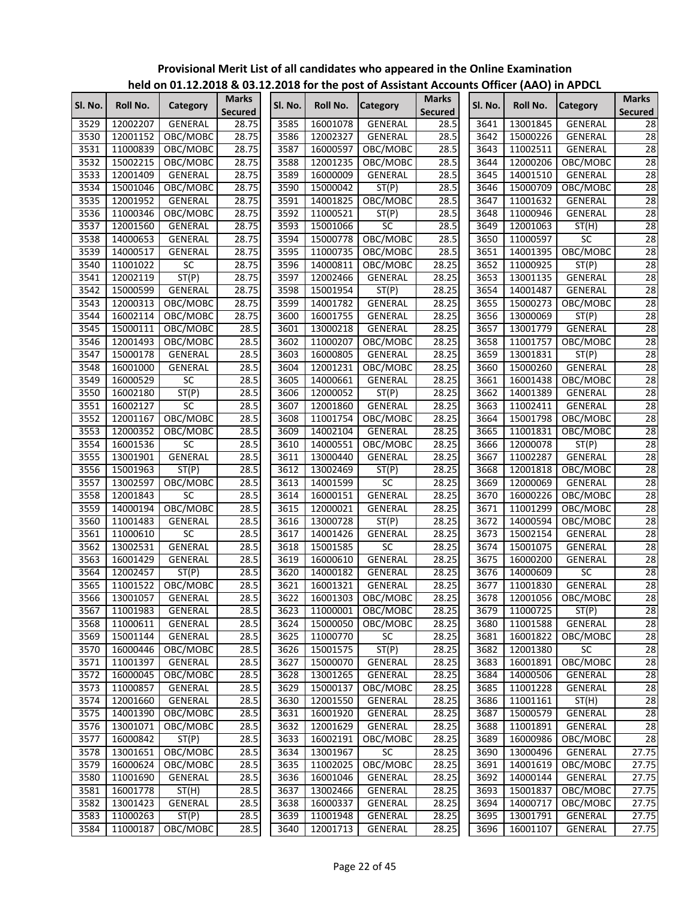|         |          |                 |                                |         |          | $\frac{1}{100}$ on 01.12.2010 & 03.12.2010 for the post of Assistant Accounts Onicer (AAO) in Ar DCL |                                |         |          |                 |                                |
|---------|----------|-----------------|--------------------------------|---------|----------|------------------------------------------------------------------------------------------------------|--------------------------------|---------|----------|-----------------|--------------------------------|
| Sl. No. | Roll No. | Category        | <b>Marks</b><br><b>Secured</b> | Sl. No. | Roll No. | <b>Category</b>                                                                                      | <b>Marks</b><br><b>Secured</b> | Sl. No. | Roll No. | <b>Category</b> | <b>Marks</b><br><b>Secured</b> |
| 3529    | 12002207 | GENERAL         | 28.75                          | 3585    | 16001078 | GENERAL                                                                                              | 28.5                           | 3641    | 13001845 | <b>GENERAL</b>  | 28                             |
| 3530    | 12001152 | OBC/MOBC        | 28.75                          | 3586    | 12002327 | GENERAL                                                                                              | 28.5                           | 3642    | 15000226 | GENERAL         | 28                             |
| 3531    | 11000839 | OBC/MOBC        | 28.75                          | 3587    | 16000597 | OBC/MOBC                                                                                             | 28.5                           | 3643    | 11002511 | GENERAL         | 28                             |
| 3532    | 15002215 | OBC/MOBC        | 28.75                          | 3588    | 12001235 | OBC/MOBC                                                                                             | 28.5                           | 3644    | 12000206 | OBC/MOBC        | 28                             |
| 3533    | 12001409 | GENERAL         | 28.75                          | 3589    | 16000009 | GENERAL                                                                                              | 28.5                           | 3645    | 14001510 | GENERAL         | 28                             |
| 3534    | 15001046 | OBC/MOBC        | 28.75                          | 3590    | 15000042 | ST(P)                                                                                                | 28.5                           | 3646    | 15000709 | OBC/MOBC        | 28                             |
| 3535    | 12001952 | GENERAL         | 28.75                          | 3591    | 14001825 | OBC/MOBC                                                                                             | 28.5                           | 3647    | 11001632 | GENERAL         | 28                             |
| 3536    | 11000346 | OBC/MOBC        | 28.75                          | 3592    | 11000521 | ST(P)                                                                                                | 28.5                           | 3648    | 11000946 | GENERAL         | 28                             |
| 3537    | 12001560 | GENERAL         | 28.75                          | 3593    | 15001066 | SC                                                                                                   | 28.5                           | 3649    | 12001063 | ST(H)           | 28                             |
| 3538    | 14000653 | GENERAL         | 28.75                          | 3594    | 15000778 | OBC/MOBC                                                                                             | 28.5                           | 3650    | 11000597 | <b>SC</b>       | $\overline{28}$                |
| 3539    | 14000517 | <b>GENERAL</b>  | 28.75                          | 3595    | 11000735 | OBC/MOBC                                                                                             | 28.5                           | 3651    | 14001395 | OBC/MOBC        | 28                             |
| 3540    | 11001022 | SC              | 28.75                          | 3596    | 14000811 | OBC/MOBC                                                                                             | 28.25                          | 3652    | 11000925 | ST(P)           | $\overline{28}$                |
| 3541    | 12002119 | ST(P)           | 28.75                          | 3597    | 12002466 | GENERAL                                                                                              | 28.25                          | 3653    | 13001135 | GENERAL         | 28                             |
| 3542    | 15000599 | GENERAL         | 28.75                          | 3598    | 15001954 | ST(P)                                                                                                | 28.25                          | 3654    | 14001487 | GENERAL         | 28                             |
| 3543    |          |                 |                                |         |          |                                                                                                      |                                |         |          |                 | 28                             |
|         | 12000313 | OBC/MOBC        | 28.75                          | 3599    | 14001782 | GENERAL                                                                                              | 28.25                          | 3655    | 15000273 | OBC/MOBC        |                                |
| 3544    | 16002114 | OBC/MOBC        | 28.75                          | 3600    | 16001755 | GENERAL                                                                                              | 28.25                          | 3656    | 13000069 | ST(P)           | 28                             |
| 3545    | 15000111 | OBC/MOBC        | 28.5                           | 3601    | 13000218 | <b>GENERAL</b>                                                                                       | 28.25                          | 3657    | 13001779 | GENERAL         | 28                             |
| 3546    | 12001493 | OBC/MOBC        | 28.5                           | 3602    | 11000207 | OBC/MOBC                                                                                             | 28.25                          | 3658    | 11001757 | OBC/MOBC        | $\overline{28}$                |
| 3547    | 15000178 | GENERAL         | 28.5                           | 3603    | 16000805 | GENERAL                                                                                              | 28.25                          | 3659    | 13001831 | ST(P)           | 28                             |
| 3548    | 16001000 | GENERAL         | 28.5                           | 3604    | 12001231 | OBC/MOBC                                                                                             | 28.25                          | 3660    | 15000260 | GENERAL         | 28                             |
| 3549    | 16000529 | SC              | 28.5                           | 3605    | 14000661 | GENERAL                                                                                              | 28.25                          | 3661    | 16001438 | OBC/MOBC        | 28                             |
| 3550    | 16002180 | ST(P)           | 28.5                           | 3606    | 12000052 | ST(P)                                                                                                | 28.25                          | 3662    | 14001389 | <b>GENERAL</b>  | 28                             |
| 3551    | 16002127 | $\overline{SC}$ | 28.5                           | 3607    | 12001860 | GENERAL                                                                                              | 28.25                          | 3663    | 11002411 | GENERAL         | 28                             |
| 3552    | 12001167 | OBC/MOBC        | 28.5                           | 3608    | 11001754 | OBC/MOBC                                                                                             | 28.25                          | 3664    | 15001798 | OBC/MOBC        | 28                             |
| 3553    | 12000352 | OBC/MOBC        | 28.5                           | 3609    | 14002104 | GENERAL                                                                                              | 28.25                          | 3665    | 11001831 | OBC/MOBC        | $\overline{28}$                |
| 3554    | 16001536 | <b>SC</b>       | 28.5                           | 3610    | 14000551 | OBC/MOBC                                                                                             | 28.25                          | 3666    | 12000078 | ST(P)           | 28                             |
| 3555    | 13001901 | GENERAL         | 28.5                           | 3611    | 13000440 | GENERAL                                                                                              | 28.25                          | 3667    | 11002287 | GENERAL         | 28                             |
| 3556    | 15001963 | ST(P)           | 28.5                           | 3612    | 13002469 | ST(P)                                                                                                | 28.25                          | 3668    | 12001818 | OBC/MOBC        | 28                             |
| 3557    | 13002597 | OBC/MOBC        | 28.5                           | 3613    | 14001599 | SC                                                                                                   | 28.25                          | 3669    | 12000069 | GENERAL         | 28                             |
| 3558    | 12001843 | SC              | 28.5                           | 3614    | 16000151 | GENERAL                                                                                              | 28.25                          | 3670    | 16000226 | OBC/MOBC        | 28                             |
| 3559    | 14000194 | OBC/MOBC        | 28.5                           | 3615    | 12000021 | <b>GENERAL</b>                                                                                       | 28.25                          | 3671    | 11001299 | OBC/MOBC        | 28                             |
| 3560    | 11001483 | GENERAL         | 28.5                           | 3616    | 13000728 | ST(P)                                                                                                | 28.25                          | 3672    | 14000594 | OBC/MOBC        | 28                             |
| 3561    | 11000610 | SC              | 28.5                           | 3617    | 14001426 | GENERAL                                                                                              | 28.25                          | 3673    | 15002154 | GENERAL         | 28                             |
| 3562    | 13002531 | GENERAL         | 28.5                           | 3618    | 15001585 | $\overline{SC}$                                                                                      | 28.25                          | 3674    | 15001075 | <b>GENERAL</b>  | 28                             |
| 3563    | 16001429 | GENERAL         | 28.5                           | 3619    | 16000610 | <b>GENERAL</b>                                                                                       | 28.25                          | 3675    | 16000200 | <b>GENERAL</b>  | 28                             |
| 3564    | 12002457 | ST(P)           | 28.5                           | 3620    | 14000182 | GENERAL                                                                                              | 28.25                          | 3676    | 14000609 | SC              | 28                             |
| 3565    | 11001522 | OBC/MOBC        | 28.5                           | 3621    | 16001321 | GENERAL                                                                                              | 28.25                          | 3677    | 11001830 | GENERAL         | 28                             |
| 3566    | 13001057 | GENERAL         | 28.5                           | 3622    | 16001303 | OBC/MOBC                                                                                             | 28.25                          | 3678    | 12001056 | OBC/MOBC        | 28                             |
| 3567    | 11001983 | GENERAL         | 28.5                           | 3623    | 11000001 | OBC/MOBC                                                                                             | 28.25                          | 3679    | 11000725 | ST(P)           | 28                             |
| 3568    | 11000611 | GENERAL         | 28.5                           | 3624    | 15000050 | OBC/MOBC                                                                                             | 28.25                          | 3680    | 11001588 | GENERAL         | 28                             |
| 3569    | 15001144 | GENERAL         | 28.5                           | 3625    | 11000770 | <b>SC</b>                                                                                            | 28.25                          | 3681    | 16001822 | OBC/MOBC        | 28                             |
| 3570    | 16000446 | OBC/MOBC        | 28.5                           | 3626    | 15001575 | ST(P)                                                                                                | 28.25                          | 3682    | 12001380 | SC              | 28                             |
| 3571    | 11001397 | GENERAL         | 28.5                           | 3627    | 15000070 | GENERAL                                                                                              | 28.25                          | 3683    | 16001891 | OBC/MOBC        | $\overline{28}$                |
| 3572    | 16000045 | OBC/MOBC        | 28.5                           | 3628    | 13001265 | <b>GENERAL</b>                                                                                       | 28.25                          | 3684    | 14000506 | GENERAL         | 28                             |
| 3573    | 11000857 | GENERAL         | 28.5                           | 3629    | 15000137 | OBC/MOBC                                                                                             | 28.25                          | 3685    | 11001228 | GENERAL         | 28                             |
| 3574    | 12001660 | GENERAL         | 28.5                           | 3630    | 12001550 | <b>GENERAL</b>                                                                                       | 28.25                          | 3686    | 11001161 | ST(H)           | 28                             |
| 3575    | 14001390 | OBC/MOBC        | 28.5                           | 3631    | 16001920 | GENERAL                                                                                              | 28.25                          | 3687    | 15000579 | GENERAL         | 28                             |
| 3576    | 13001071 | OBC/MOBC        | 28.5                           | 3632    | 12001629 | GENERAL                                                                                              | 28.25                          | 3688    | 11001891 | GENERAL         | 28                             |
| 3577    | 16000842 | ST(P)           | 28.5                           | 3633    | 16002191 | OBC/MOBC                                                                                             | 28.25                          | 3689    | 16000986 | OBC/MOBC        | 28                             |
| 3578    | 13001651 | OBC/MOBC        | 28.5                           | 3634    | 13001967 | <b>SC</b>                                                                                            | 28.25                          | 3690    | 13000496 | GENERAL         | 27.75                          |
| 3579    | 16000624 | OBC/MOBC        | 28.5                           | 3635    | 11002025 | OBC/MOBC                                                                                             | 28.25                          | 3691    | 14001619 | OBC/MOBC        | 27.75                          |
| 3580    | 11001690 | GENERAL         | 28.5                           | 3636    | 16001046 | GENERAL                                                                                              | 28.25                          | 3692    | 14000144 | GENERAL         | 27.75                          |
| 3581    | 16001778 | ST(H)           | 28.5                           | 3637    | 13002466 | GENERAL                                                                                              | 28.25                          | 3693    | 15001837 | OBC/MOBC        | 27.75                          |
| 3582    | 13001423 | GENERAL         | 28.5                           | 3638    | 16000337 | GENERAL                                                                                              | 28.25                          | 3694    | 14000717 | OBC/MOBC        | 27.75                          |
| 3583    | 11000263 | ST(P)           | 28.5                           | 3639    | 11001948 | GENERAL                                                                                              | 28.25                          | 3695    | 13001791 | GENERAL         | 27.75                          |
| 3584    | 11000187 | OBC/MOBC        | 28.5                           | 3640    | 12001713 | GENERAL                                                                                              | 28.25                          | 3696    | 16001107 | GENERAL         | 27.75                          |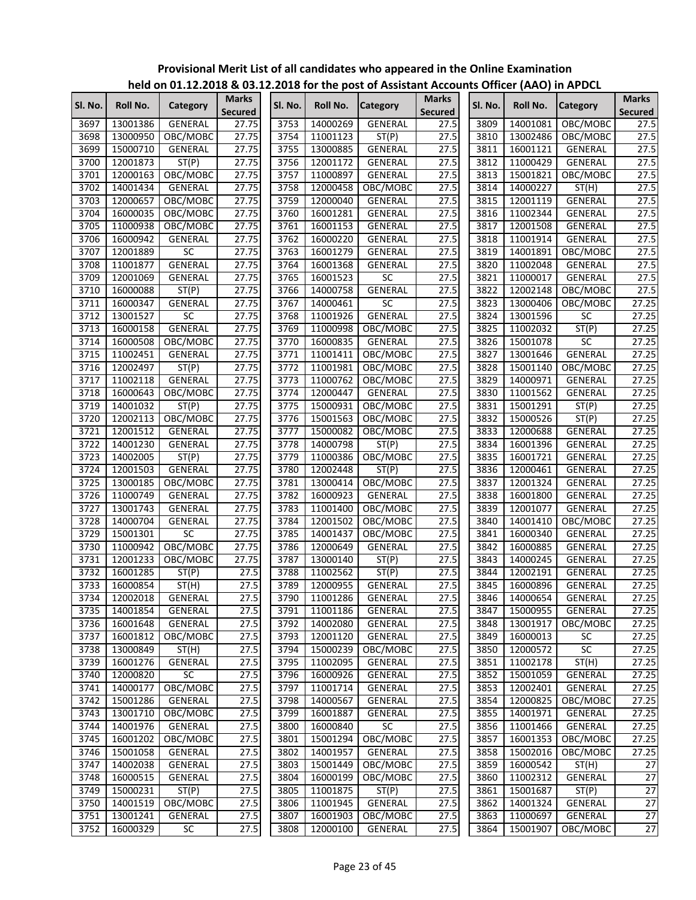|         |          |                 |                                |         |          | $\frac{1}{100}$ of $\frac{1}{200}$ and $\frac{1}{200}$ and $\frac{1}{200}$ of the post of Assistant Accounts Officer (AAO) in Ar DCL |                                |         |          |                 |                                |
|---------|----------|-----------------|--------------------------------|---------|----------|--------------------------------------------------------------------------------------------------------------------------------------|--------------------------------|---------|----------|-----------------|--------------------------------|
| Sl. No. | Roll No. | Category        | <b>Marks</b><br><b>Secured</b> | Sl. No. | Roll No. | <b>Category</b>                                                                                                                      | <b>Marks</b><br><b>Secured</b> | Sl. No. | Roll No. | <b>Category</b> | <b>Marks</b><br><b>Secured</b> |
| 3697    | 13001386 | <b>GENERAL</b>  | 27.75                          | 3753    | 14000269 | <b>GENERAL</b>                                                                                                                       | 27.5                           | 3809    | 14001081 | OBC/MOBC        | 27.5                           |
| 3698    | 13000950 | OBC/MOBC        | 27.75                          | 3754    | 11001123 | ST(P)                                                                                                                                | 27.5                           | 3810    | 13002486 | OBC/MOBC        | 27.5                           |
| 3699    | 15000710 | GENERAL         | 27.75                          | 3755    | 13000885 | GENERAL                                                                                                                              | 27.5                           | 3811    | 16001121 | GENERAL         | 27.5                           |
| 3700    | 12001873 | ST(P)           | 27.75                          | 3756    | 12001172 | GENERAL                                                                                                                              | 27.5                           | 3812    | 11000429 | GENERAL         | 27.5                           |
| 3701    | 12000163 | OBC/MOBC        | 27.75                          | 3757    | 11000897 | <b>GENERAL</b>                                                                                                                       | 27.5                           | 3813    | 15001821 | OBC/MOBC        | 27.5                           |
| 3702    | 14001434 | GENERAL         | 27.75                          | 3758    | 12000458 | OBC/MOBC                                                                                                                             | 27.5                           | 3814    | 14000227 | ST(H)           | 27.5                           |
| 3703    | 12000657 | OBC/MOBC        | 27.75                          | 3759    | 12000040 | <b>GENERAL</b>                                                                                                                       | 27.5                           | 3815    | 12001119 | GENERAL         | 27.5                           |
| 3704    | 16000035 | OBC/MOBC        | 27.75                          | 3760    | 16001281 | GENERAL                                                                                                                              | 27.5                           | 3816    | 11002344 | GENERAL         | 27.5                           |
| 3705    | 11000938 | OBC/MOBC        | 27.75                          | 3761    | 16001153 | <b>GENERAL</b>                                                                                                                       | 27.5                           | 3817    | 12001508 | GENERAL         | 27.5                           |
| 3706    | 16000942 | GENERAL         | 27.75                          | 3762    | 16000220 | <b>GENERAL</b>                                                                                                                       | 27.5                           | 3818    | 11001914 | GENERAL         | 27.5                           |
| 3707    | 12001889 | <b>SC</b>       | 27.75                          | 3763    | 16001279 | <b>GENERAL</b>                                                                                                                       | 27.5                           | 3819    | 14001891 | OBC/MOBC        | 27.5                           |
| 3708    | 11001877 | GENERAL         | 27.75                          | 3764    | 16001368 | GENERAL                                                                                                                              | 27.5                           | 3820    | 11002048 | GENERAL         | 27.5                           |
| 3709    | 12001069 | GENERAL         | 27.75                          | 3765    | 16001523 | SC                                                                                                                                   | 27.5                           | 3821    | 11000017 | GENERAL         | 27.5                           |
| 3710    | 16000088 | ST(P)           | 27.75                          | 3766    | 14000758 | <b>GENERAL</b>                                                                                                                       | 27.5                           | 3822    | 12002148 | OBC/MOBC        | 27.5                           |
| 3711    | 16000347 | GENERAL         | 27.75                          | 3767    | 14000461 | SC                                                                                                                                   | 27.5                           | 3823    | 13000406 | OBC/MOBC        | 27.25                          |
| 3712    | 13001527 | $\overline{SC}$ | 27.75                          | 3768    | 11001926 | <b>GENERAL</b>                                                                                                                       | 27.5                           | 3824    | 13001596 | SC              | 27.25                          |
| 3713    | 16000158 | GENERAL         | 27.75                          | 3769    | 11000998 | OBC/MOBC                                                                                                                             | 27.5                           | 3825    | 11002032 | ST(P)           | 27.25                          |
| 3714    | 16000508 | OBC/MOBC        | 27.75                          | 3770    | 16000835 | GENERAL                                                                                                                              | 27.5                           | 3826    | 15001078 | SC              | 27.25                          |
| 3715    | 11002451 | GENERAL         | 27.75                          | 3771    | 11001411 | OBC/MOBC                                                                                                                             | 27.5                           | 3827    | 13001646 | GENERAL         | 27.25                          |
| 3716    | 12002497 | ST(P)           | 27.75                          | 3772    | 11001981 | OBC/MOBC                                                                                                                             | 27.5                           | 3828    | 15001140 | OBC/MOBC        | 27.25                          |
| 3717    | 11002118 | <b>GENERAL</b>  | 27.75                          | 3773    | 11000762 | OBC/MOBC                                                                                                                             | 27.5                           | 3829    | 14000971 | <b>GENERAL</b>  | 27.25                          |
| 3718    | 16000643 | OBC/MOBC        | 27.75                          | 3774    | 12000447 | <b>GENERAL</b>                                                                                                                       | 27.5                           | 3830    | 11001562 | GENERAL         | 27.25                          |
| 3719    | 14001032 | ST(P)           | 27.75                          | 3775    | 15000931 | OBC/MOBC                                                                                                                             | 27.5                           | 3831    | 15001291 | ST(P)           | 27.25                          |
| 3720    | 12002113 | OBC/MOBC        | 27.75                          | 3776    | 15001563 | OBC/MOBC                                                                                                                             | 27.5                           | 3832    | 15000526 | ST(P)           | 27.25                          |
| 3721    | 12001512 | GENERAL         | 27.75                          | 3777    | 15000082 | OBC/MOBC                                                                                                                             | 27.5                           | 3833    | 12000688 | GENERAL         | 27.25                          |
| 3722    | 14001230 | <b>GENERAL</b>  | 27.75                          | 3778    | 14000798 | ST(P)                                                                                                                                | 27.5                           | 3834    | 16001396 | <b>GENERAL</b>  | 27.25                          |
| 3723    | 14002005 | ST(P)           | 27.75                          | 3779    | 11000386 | OBC/MOBC                                                                                                                             | 27.5                           | 3835    | 16001721 | GENERAL         | 27.25                          |
| 3724    | 12001503 | GENERAL         | 27.75                          | 3780    | 12002448 | ST(P)                                                                                                                                | 27.5                           | 3836    | 12000461 | <b>GENERAL</b>  | 27.25                          |
| 3725    | 13000185 | OBC/MOBC        | 27.75                          | 3781    | 13000414 | OBC/MOBC                                                                                                                             | 27.5                           | 3837    | 12001324 | GENERAL         | 27.25                          |
|         |          |                 |                                | 3782    |          |                                                                                                                                      |                                | 3838    | 16001800 |                 | 27.25                          |
| 3726    | 11000749 | <b>GENERAL</b>  | 27.75                          |         | 16000923 | <b>GENERAL</b>                                                                                                                       | 27.5                           |         |          | GENERAL         |                                |
| 3727    | 13001743 | GENERAL         | 27.75                          | 3783    | 11001400 | OBC/MOBC                                                                                                                             | 27.5                           | 3839    | 12001077 | GENERAL         | 27.25                          |
| 3728    | 14000704 | GENERAL         | 27.75                          | 3784    | 12001502 | OBC/MOBC                                                                                                                             | 27.5                           | 3840    | 14001410 | OBC/MOBC        | 27.25                          |
| 3729    | 15001301 | SC<br>OBC/MOBC  | 27.75                          | 3785    | 14001437 | OBC/MOBC                                                                                                                             | 27.5                           | 3841    | 16000340 | GENERAL         | 27.25<br>27.25                 |
| 3730    | 11000942 |                 | 27.75                          | 3786    | 12000649 | GENERAL                                                                                                                              | 27.5                           | 3842    | 16000885 | <b>GENERAL</b>  |                                |
| 3731    | 12001233 | OBC/MOBC        | 27.75                          | 3787    | 13000140 | ST(P)                                                                                                                                | 27.5                           | 3843    | 14000245 | GENERAL         | 27.25                          |
| 3732    | 16001285 | ST(P)           | 27.5                           | 3788    | 11002562 | ST(P)                                                                                                                                | 27.5                           | 3844    | 12002191 | <b>GENERAL</b>  | 27.25                          |
| 3733    | 16000854 | ST(H)           | 27.5                           | 3789    | 12000955 | <b>GENERAL</b>                                                                                                                       | 27.5                           | 3845    | 16000896 | <b>GENERAL</b>  | 27.25                          |
| 3734    | 12002018 | <b>GENERAL</b>  | 27.5                           | 3790    | 11001286 | <b>GENERAL</b>                                                                                                                       | 27.5                           | 3846    | 14000654 | <b>GENERAL</b>  | 27.25                          |
| 3735    | 14001854 | GENERAL         | 27.5                           | 3791    | 11001186 | GENERAL                                                                                                                              | 27.5                           | 3847    | 15000955 | GENERAL         | 27.25                          |
| 3736    | 16001648 | GENERAL         | 27.5                           | 3792    | 14002080 | <b>GENERAL</b>                                                                                                                       | 27.5                           | 3848    | 13001917 | OBC/MOBC        | 27.25                          |
| 3737    | 16001812 | OBC/MOBC        | 27.5                           | 3793    | 12001120 | GENERAL                                                                                                                              | 27.5                           | 3849    | 16000013 | SC              | 27.25                          |
| 3738    | 13000849 | ST(H)           | 27.5                           | 3794    | 15000239 | OBC/MOBC                                                                                                                             | 27.5                           | 3850    | 12000572 | $\overline{SC}$ | 27.25                          |
| 3739    | 16001276 | GENERAL         | 27.5                           | 3795    | 11002095 | GENERAL                                                                                                                              | 27.5                           | 3851    | 11002178 | ST(H)           | 27.25                          |
| 3740    | 12000820 | SC              | 27.5                           | 3796    | 16000926 | GENERAL                                                                                                                              | 27.5                           | 3852    | 15001059 | GENERAL         | 27.25                          |
| 3741    | 14000177 | OBC/MOBC        | 27.5                           | 3797    | 11001714 | GENERAL                                                                                                                              | 27.5                           | 3853    | 12002401 | GENERAL         | 27.25                          |
| 3742    | 15001286 | <b>GENERAL</b>  | 27.5                           | 3798    | 14000567 | <b>GENERAL</b>                                                                                                                       | 27.5                           | 3854    | 12000825 | OBC/MOBC        | 27.25                          |
| 3743    | 13001710 | OBC/MOBC        | 27.5                           | 3799    | 16001887 | GENERAL                                                                                                                              | 27.5                           | 3855    | 14001971 | GENERAL         | 27.25                          |
| 3744    | 14001976 | GENERAL         | 27.5                           | 3800    | 16000840 | SC                                                                                                                                   | 27.5                           | 3856    | 11001466 | GENERAL         | 27.25                          |
| 3745    | 16001202 | OBC/MOBC        | 27.5                           | 3801    | 15001294 | OBC/MOBC                                                                                                                             | 27.5                           | 3857    | 16001353 | OBC/MOBC        | 27.25                          |
| 3746    | 15001058 | GENERAL         | 27.5                           | 3802    | 14001957 | GENERAL                                                                                                                              | 27.5                           | 3858    | 15002016 | OBC/MOBC        | 27.25                          |
| 3747    | 14002038 | GENERAL         | 27.5                           | 3803    | 15001449 | OBC/MOBC                                                                                                                             | 27.5                           | 3859    | 16000542 | ST(H)           | $\overline{27}$                |
| 3748    | 16000515 | GENERAL         | 27.5                           | 3804    | 16000199 | OBC/MOBC                                                                                                                             | 27.5                           | 3860    | 11002312 | GENERAL         | 27                             |
| 3749    | 15000231 | ST(P)           | 27.5                           | 3805    | 11001875 | ST(P)                                                                                                                                | 27.5                           | 3861    | 15001687 | ST(P)           | $\overline{27}$                |
| 3750    | 14001519 | OBC/MOBC        | 27.5                           | 3806    | 11001945 | GENERAL                                                                                                                              | 27.5                           | 3862    | 14001324 | GENERAL         | $\overline{27}$                |
| 3751    | 13001241 | GENERAL         | 27.5                           | 3807    | 16001903 | OBC/MOBC                                                                                                                             | 27.5                           | 3863    | 11000697 | GENERAL         | 27                             |
| 3752    | 16000329 | SC              | 27.5                           | 3808    | 12000100 | GENERAL                                                                                                                              | 27.5                           | 3864    | 15001907 | OBC/MOBC        | 27                             |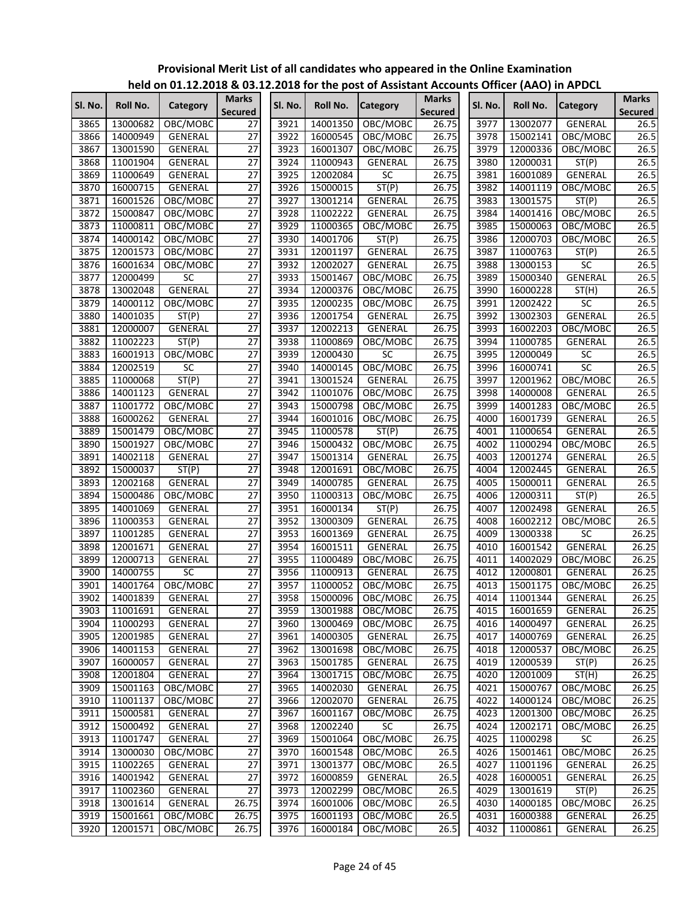|         |                 | $11218$ on 01.12.12.10 $\alpha$ 09.1 |                                |         |                      | eleved for the post of Assistant Accounts Onicer (AAO) in Arbei |                         |         |               |                    |                                |
|---------|-----------------|--------------------------------------|--------------------------------|---------|----------------------|-----------------------------------------------------------------|-------------------------|---------|---------------|--------------------|--------------------------------|
| Sl. No. | <b>Roll No.</b> | Category                             | <b>Marks</b><br><b>Secured</b> | Sl. No. | <b>Roll No.</b>      | <b>Category</b>                                                 | Marks<br><b>Secured</b> | Sl. No. | Roll No.      | <b>Category</b>    | <b>Marks</b><br><b>Secured</b> |
| 3865    | 13000682        | OBC/MOBC                             | 27                             | 3921    | 14001350             | OBC/MOBC                                                        | 26.75                   | 3977    | 13002077      | <b>GENERAL</b>     | 26.5                           |
| 3866    | 14000949        | GENERAL                              | 27                             | 3922    | 16000545             | OBC/MOBC                                                        | $\overline{2}6.75$      | 3978    | 15002141      | OBC/MOBC           | 26.5                           |
| 3867    | 13001590        | <b>GENERAL</b>                       | $\overline{27}$                | 3923    | 16001307             | OBC/MOBC                                                        | 26.75                   | 3979    | 12000336      | OBC/MOBC           | 26.5                           |
| 3868    | 11001904        | GENERAL                              | $\overline{27}$                | 3924    | 11000943             | <b>GENERAL</b>                                                  | 26.75                   | 3980    | 12000031      | $\overline{ST}(P)$ | 26.5                           |
| 3869    | 11000649        | GENERAL                              | $\overline{27}$                | 3925    | 12002084             | $\overline{SC}$                                                 | 26.75                   | 3981    | 16001089      | GENERAL            | 26.5                           |
| 3870    | 16000715        | GENERAL                              | $\overline{27}$                | 3926    | 15000015             | ST(P)                                                           | 26.75                   | 3982    | 14001119      | OBC/MOBC           | 26.5                           |
| 3871    | 16001526        | OBC/MOBC                             | $\overline{27}$                | 3927    | 13001214             | <b>GENERAL</b>                                                  | 26.75                   | 3983    | 13001575      | ST(P)              | 26.5                           |
| 3872    | 15000847        | OBC/MOBC                             | $\overline{27}$                | 3928    | 11002222             | <b>GENERAL</b>                                                  | 26.75                   | 3984    | 14001416      | OBC/MOBC           | 26.5                           |
| 3873    | 11000811        | OBC/MOBC                             | $\overline{27}$                | 3929    | 11000365             | OBC/MOBC                                                        | 26.75                   | 3985    | 15000063      | OBC/MOBC           | 26.5                           |
| 3874    | 14000142        | OBC/MOBC                             | $\overline{27}$                | 3930    | 14001706             | ST(P)                                                           | 26.75                   | 3986    | 12000703      | OBC/MOBC           | 26.5                           |
| 3875    | 12001573        | OBC/MOBC                             | $\overline{27}$                | 3931    | 12001197             | GENERAL                                                         | 26.75                   | 3987    | 11000763      | ST(P)              | 26.5                           |
| 3876    | 16001634        | OBC/MOBC                             | $\overline{27}$                | 3932    | 12002027             | <b>GENERAL</b>                                                  | 26.75                   | 3988    | 13000153      | SC                 | 26.5                           |
| 3877    | 12000499        | <b>SC</b>                            | $\overline{27}$                | 3933    | 15001467             | OBC/MOBC                                                        | 26.75                   | 3989    | 15000340      | GENERAL            | 26.5                           |
| 3878    | 13002048        | GENERAL                              | $\overline{27}$                | 3934    | 12000376             | OBC/MOBC                                                        | 26.75                   | 3990    | 16000228      | ST(H)              | 26.5                           |
| 3879    | 14000112        | OBC/MOBC                             | $\overline{27}$                | 3935    | 12000235             | OBC/MOBC                                                        | 26.75                   | 3991    | 12002422      | SC                 | 26.5                           |
| 3880    | 14001035        | ST(P)                                | $\overline{27}$                | 3936    | 12001754             | GENERAL                                                         | 26.75                   | 3992    | 13002303      | GENERAL            | 26.5                           |
| 3881    | 12000007        | GENERAL                              | $\overline{27}$                | 3937    | 12002213             | <b>GENERAL</b>                                                  | 26.75                   | 3993    | 16002203      | OBC/MOBC           | 26.5                           |
| 3882    | 11002223        | ST(P)                                | $\overline{27}$                | 3938    | 11000869             | OBC/MOBC                                                        | 26.75                   | 3994    | 11000785      | GENERAL            | 26.5                           |
| 3883    | 16001913        | OBC/MOBC                             | $\overline{27}$                | 3939    | 12000430             | <b>SC</b>                                                       | 26.75                   | 3995    | 12000049      | SC                 | 26.5                           |
| 3884    | 12002519        | SC                                   | $\overline{27}$                | 3940    | 14000145             | OBC/MOBC                                                        | 26.75                   | 3996    | 16000741      | SC                 | 26.5                           |
| 3885    | 11000068        | ST(P)                                | 27                             | 3941    | 13001524             | GENERAL                                                         | 26.75                   | 3997    | 12001962      | OBC/MOBC           | 26.5                           |
| 3886    | 14001123        | GENERAL                              | $\overline{27}$                | 3942    | 11001076             | OBC/MOBC                                                        | 26.75                   | 3998    | 14000008      | GENERAL            | 26.5                           |
| 3887    | 11001772        | OBC/MOBC                             | $\overline{27}$                | 3943    | 15000798             | OBC/MOBC                                                        | 26.75                   | 3999    | 14001283      | OBC/MOBC           | 26.5                           |
| 3888    | 16000262        | GENERAL                              | $\overline{27}$                | 3944    | 16001016             | OBC/MOBC                                                        | 26.75                   | 4000    | 16001739      | GENERAL            | 26.5                           |
| 3889    | 15001479        | OBC/MOBC                             | $\overline{27}$                | 3945    | 11000578             | ST(P)                                                           | 26.75                   | 4001    | 11000654      | GENERAL            | 26.5                           |
| 3890    | 15001927        | OBC/MOBC                             | $\overline{27}$                | 3946    | 15000432             | OBC/MOBC                                                        | 26.75                   | 4002    | 11000294      | OBC/MOBC           | 26.5                           |
| 3891    | 14002118        | GENERAL                              | $\overline{27}$                | 3947    | 15001314             | GENERAL                                                         | 26.75                   | 4003    | 12001274      | GENERAL            | 26.5                           |
| 3892    | 15000037        | ST(P)                                | $\overline{27}$                | 3948    | 12001691             | OBC/MOBC                                                        | 26.75                   | 4004    | 12002445      | GENERAL            | 26.5                           |
| 3893    | 12002168        | GENERAL                              | $\overline{27}$                | 3949    | 14000785             | GENERAL                                                         | 26.75                   | 4005    | 15000011      | GENERAL            | 26.5                           |
| 3894    | 15000486        | OBC/MOBC                             | $\overline{27}$                | 3950    | 11000313             | OBC/MOBC                                                        | 26.75                   | 4006    | 12000311      | $\overline{ST}(P)$ | 26.5                           |
| 3895    | 14001069        | GENERAL                              | $\overline{27}$                | 3951    | 16000134             | ST(P)                                                           | 26.75                   | 4007    | 12002498      | <b>GENERAL</b>     | 26.5                           |
| 3896    | 11000353        | <b>GENERAL</b>                       | $\overline{27}$                | 3952    | 13000309             | GENERAL                                                         | 26.75                   | 4008    | 16002212      | OBC/MOBC           | 26.5                           |
| 3897    | 11001285        | <b>GENERAL</b>                       | $\overline{27}$                | 3953    | 16001369             | GENERAL                                                         | 26.75                   | 4009    | 13000338      | SC                 | 26.25                          |
| 3898    | 12001671        | GENERAL                              | $\overline{27}$                | 3954    | 16001511             | <b>GENERAL</b>                                                  | 26.75                   | 4010    | 16001542      | GENERAL            | 26.25                          |
| 3899    | 12000713        | GENERAL                              | $\overline{27}$                | 3955    | 11000489             | OBC/MOBC                                                        | 26.75                   | 4011    | 14002029      | OBC/MOBC           | 26.25                          |
| 3900    | 14000755        | SC                                   | $\overline{27}$                | 3956    | 11000913             | GENERAL                                                         | 26.75                   | 4012    | 12000801      | <b>GENERAL</b>     | 26.25                          |
| 3901    | 14001764        | OBC/MOBC                             | $\overline{27}$                | 3957    | 11000052             | OBC/MOBC                                                        | 26.75                   | 4013    | 15001175      | OBC/MOBC           | 26.25                          |
|         | 3902 14001839   | GENERAL                              | 27                             |         |                      | 3958 15000096 OBC/MOBC                                          | 26.75                   |         | 4014 11001344 | GENERAL            | 26.25                          |
| 3903    | 11001691        | <b>GENERAL</b>                       | 27                             | 3959    | 13001988             | OBC/MOBC                                                        | 26.75                   | 4015    | 16001659      | GENERAL            | 26.25                          |
| 3904    | 11000293        | GENERAL                              | 27                             | 3960    | 13000469             | OBC/MOBC                                                        | 26.75                   | 4016    | 14000497      | <b>GENERAL</b>     | 26.25                          |
| 3905    | 12001985        |                                      | $\overline{27}$                | 3961    |                      | GENERAL                                                         | 26.75                   | 4017    | 14000769      | GENERAL            | 26.25                          |
| 3906    | 14001153        | GENERAL<br>GENERAL                   | 27                             | 3962    | 14000305<br>13001698 | OBC/MOBC                                                        | 26.75                   | 4018    | 12000537      | OBC/MOBC           | 26.25                          |
| 3907    | 16000057        | GENERAL                              | $\overline{27}$                | 3963    | 15001785             | GENERAL                                                         | $\overline{2}6.75$      | 4019    | 12000539      | ST(P)              | 26.25                          |
|         |                 |                                      | $\overline{27}$                | 3964    |                      |                                                                 | 26.75                   |         |               |                    |                                |
| 3908    | 12001804        | GENERAL                              | $\overline{27}$                | 3965    | 13001715<br>14002030 | OBC/MOBC<br><b>GENERAL</b>                                      | 26.75                   | 4020    | 12001009      | ST(H)              | 26.25<br>26.25                 |
| 3909    | 15001163        | OBC/MOBC                             |                                |         |                      |                                                                 |                         | 4021    | 15000767      | OBC/MOBC           |                                |
| 3910    | 11001137        | OBC/MOBC                             | $\overline{27}$                | 3966    | 12002070             | GENERAL                                                         | 26.75                   | 4022    | 14000124      | OBC/MOBC           | 26.25                          |
| 3911    | 15000581        | GENERAL                              | $\overline{27}$                | 3967    | 16001167             | OBC/MOBC                                                        | 26.75                   | 4023    | 12001300      | OBC/MOBC           | 26.25                          |
| 3912    | 15000492        | <b>GENERAL</b>                       | $\overline{27}$                | 3968    | 12002240             | <b>SC</b>                                                       | 26.75                   | 4024    | 12002171      | OBC/MOBC           | 26.25                          |
| 3913    | 11001747        | GENERAL                              | $\overline{27}$                | 3969    | 15001064             | OBC/MOBC                                                        | 26.75                   | 4025    | 11000298      | $\overline{SC}$    | 26.25                          |
| 3914    | 13000030        | OBC/MOBC                             | $\overline{27}$                | 3970    | 16001548             | OBC/MOBC                                                        | 26.5                    | 4026    | 15001461      | OBC/MOBC           | 26.25                          |
| 3915    | 11002265        | GENERAL                              | $\overline{27}$                | 3971    | 13001377             | OBC/MOBC                                                        | 26.5                    | 4027    | 11001196      | GENERAL            | 26.25                          |
| 3916    | 14001942        | GENERAL                              | $\overline{27}$                | 3972    | 16000859             | GENERAL                                                         | 26.5                    | 4028    | 16000051      | GENERAL            | 26.25                          |
| 3917    | 11002360        | GENERAL                              | $\overline{27}$                | 3973    | 12002299             | OBC/MOBC                                                        | 26.5                    | 4029    | 13001619      | ST(P)              | 26.25                          |
| 3918    | 13001614        | GENERAL                              | 26.75                          | 3974    | 16001006             | OBC/MOBC                                                        | 26.5                    | 4030    | 14000185      | OBC/MOBC           | 26.25                          |
| 3919    | 15001661        | OBC/MOBC                             | 26.75                          | 3975    | 16001193             | OBC/MOBC                                                        | 26.5                    | 4031    | 16000388      | GENERAL            | 26.25                          |
| 3920    | 12001571        | OBC/MOBC                             | 26.75                          | 3976    | 16000184             | OBC/MOBC                                                        | 26.5                    | 4032    | 11000861      | GENERAL            | 26.25                          |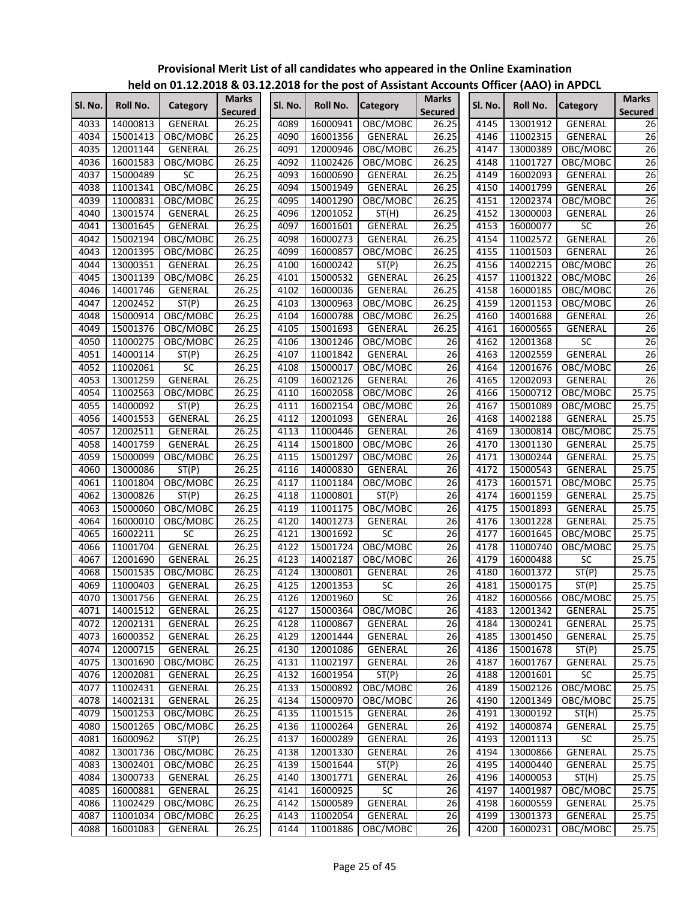|         |          | $r$ it is a problem in the positive of the position of $r$ and $r$ and $r$ and $r$ in Arbeit (AAO) in Arbeit |                         |         |          |                 |                         |         |          |                 |                      |
|---------|----------|--------------------------------------------------------------------------------------------------------------|-------------------------|---------|----------|-----------------|-------------------------|---------|----------|-----------------|----------------------|
| Sl. No. | Roll No. | Category                                                                                                     | <b>Marks</b><br>Secured | Sl. No. | Roll No. | <b>Category</b> | <b>Marks</b><br>Secured | Sl. No. | Roll No. | <b>Category</b> | <b>Marks</b>         |
| 4033    | 14000813 | <b>GENERAL</b>                                                                                               | 26.25                   | 4089    | 16000941 | OBC/MOBC        | 26.25                   | 4145    | 13001912 | <b>GENERAL</b>  | <b>Secured</b><br>26 |
| 4034    | 15001413 | OBC/MOBC                                                                                                     | 26.25                   | 4090    | 16001356 | <b>GENERAL</b>  | 26.25                   | 4146    | 11002315 | <b>GENERAL</b>  | 26                   |
| 4035    |          | GENERAL                                                                                                      | 26.25                   |         |          |                 | 26.25                   | 4147    |          |                 |                      |
|         | 12001144 |                                                                                                              |                         | 4091    | 12000946 | OBC/MOBC        |                         |         | 13000389 | OBC/MOBC        | 26                   |
| 4036    | 16001583 | OBC/MOBC                                                                                                     | 26.25                   | 4092    | 11002426 | OBC/MOBC        | 26.25                   | 4148    | 11001727 | OBC/MOBC        | 26                   |
| 4037    | 15000489 | <b>SC</b>                                                                                                    | 26.25                   | 4093    | 16000690 | <b>GENERAL</b>  | 26.25                   | 4149    | 16002093 | GENERAL         | 26                   |
| 4038    | 11001341 | OBC/MOBC                                                                                                     | 26.25                   | 4094    | 15001949 | GENERAL         | 26.25                   | 4150    | 14001799 | GENERAL         | 26                   |
| 4039    | 11000831 | OBC/MOBC                                                                                                     | 26.25                   | 4095    | 14001290 | OBC/MOBC        | 26.25                   | 4151    | 12002374 | OBC/MOBC        | 26                   |
| 4040    | 13001574 | GENERAL                                                                                                      | 26.25                   | 4096    | 12001052 | ST(H)           | 26.25                   | 4152    | 13000003 | GENERAL         | 26                   |
| 4041    | 13001645 | GENERAL                                                                                                      | 26.25                   | 4097    | 16001601 | <b>GENERAL</b>  | 26.25                   | 4153    | 16000077 | <b>SC</b>       | 26                   |
| 4042    | 15002194 | OBC/MOBC                                                                                                     | 26.25                   | 4098    | 16000273 | GENERAL         | 26.25                   | 4154    | 11002572 | GENERAL         | $\overline{26}$      |
| 4043    | 12001395 | OBC/MOBC                                                                                                     | 26.25                   | 4099    | 16000857 | OBC/MOBC        | 26.25                   | 4155    | 11001503 | GENERAL         | 26                   |
| 4044    | 13000351 | GENERAL                                                                                                      | 26.25                   | 4100    | 16000242 | ST(P)           | 26.25                   | 4156    | 14002215 | OBC/MOBC        | 26                   |
| 4045    | 13001139 | OBC/MOBC                                                                                                     | 26.25                   | 4101    | 15000532 | GENERAL         | 26.25                   | 4157    | 11001322 | OBC/MOBC        | $\overline{26}$      |
| 4046    | 14001746 | GENERAL                                                                                                      | 26.25                   | 4102    | 16000036 | <b>GENERAL</b>  | 26.25                   | 4158    | 16000185 | OBC/MOBC        | 26                   |
| 4047    | 12002452 | ST(P)                                                                                                        | 26.25                   | 4103    | 13000963 | OBC/MOBC        | 26.25                   | 4159    | 12001153 | OBC/MOBC        | 26                   |
| 4048    | 15000914 | OBC/MOBC                                                                                                     | 26.25                   | 4104    | 16000788 | OBC/MOBC        | 26.25                   | 4160    | 14001688 | GENERAL         | 26                   |
| 4049    | 15001376 | OBC/MOBC                                                                                                     | 26.25                   | 4105    | 15001693 | GENERAL         | 26.25                   | 4161    | 16000565 | GENERAL         | 26                   |
| 4050    | 11000275 | OBC/MOBC                                                                                                     | 26.25                   | 4106    | 13001246 | OBC/MOBC        | 26                      | 4162    | 12001368 | SC              | $\overline{26}$      |
| 4051    | 14000114 | ST(P)                                                                                                        | 26.25                   | 4107    | 11001842 | <b>GENERAL</b>  | $\overline{26}$         | 4163    | 12002559 | <b>GENERAL</b>  | $\overline{26}$      |
| 4052    | 11002061 | SC                                                                                                           | 26.25                   | 4108    | 15000017 | OBC/MOBC        | 26                      | 4164    | 12001676 | OBC/MOBC        | 26                   |
| 4053    | 13001259 | GENERAL                                                                                                      | 26.25                   | 4109    | 16002126 | GENERAL         | 26                      | 4165    | 12002093 | GENERAL         | 26                   |
| 4054    | 11002563 | OBC/MOBC                                                                                                     | 26.25                   | 4110    | 16002058 | OBC/MOBC        | 26                      | 4166    | 15000712 | OBC/MOBC        | 25.75                |
| 4055    | 14000092 | ST(P)                                                                                                        | 26.25                   | 4111    | 16002154 | OBC/MOBC        | 26                      | 4167    | 15001089 | OBC/MOBC        | 25.75                |
| 4056    | 14001553 | GENERAL                                                                                                      | 26.25                   | 4112    | 12001093 | GENERAL         | $\overline{26}$         | 4168    | 14002188 | GENERAL         | 25.75                |
| 4057    | 12002511 | GENERAL                                                                                                      | 26.25                   | 4113    | 11000446 | GENERAL         | 26                      | 4169    | 13000814 | OBC/MOBC        | 25.75                |
| 4058    | 14001759 | GENERAL                                                                                                      | 26.25                   | 4114    | 15001800 | OBC/MOBC        | $\overline{26}$         | 4170    | 13001130 | GENERAL         | 25.75                |
| 4059    | 15000099 | OBC/MOBC                                                                                                     | 26.25                   | 4115    | 15001297 | OBC/MOBC        | $\overline{26}$         | 4171    | 13000244 | GENERAL         | 25.75                |
| 4060    | 13000086 | ST(P)                                                                                                        | 26.25                   | 4116    | 14000830 | <b>GENERAL</b>  | 26                      | 4172    | 15000543 | GENERAL         | 25.75                |
| 4061    | 11001804 | OBC/MOBC                                                                                                     | 26.25                   | 4117    | 11001184 | OBC/MOBC        | 26                      | 4173    | 16001571 | OBC/MOBC        | 25.75                |
| 4062    | 13000826 | ST(P)                                                                                                        | 26.25                   | 4118    | 11000801 | ST(P)           | 26                      | 4174    | 16001159 | GENERAL         | 25.75                |
| 4063    | 15000060 | OBC/MOBC                                                                                                     | 26.25                   | 4119    | 11001175 | OBC/MOBC        | 26                      | 4175    | 15001893 | GENERAL         | 25.75                |
| 4064    | 16000010 | OBC/MOBC                                                                                                     | 26.25                   | 4120    | 14001273 | <b>GENERAL</b>  | $\overline{26}$         | 4176    | 13001228 | GENERAL         | 25.75                |
| 4065    | 16002211 | <b>SC</b>                                                                                                    | 26.25                   | 4121    | 13001692 | $\overline{SC}$ | 26                      | 4177    | 16001645 | OBC/MOBC        | 25.75                |
| 4066    | 11001704 | GENERAL                                                                                                      | 26.25                   | 4122    | 15001724 | OBC/MOBC        | 26                      | 4178    | 11000740 | OBC/MOBC        | 25.75                |
| 4067    | 12001690 | GENERAL                                                                                                      | 26.25                   | 4123    | 14002187 | OBC/MOBC        | 26                      | 4179    | 16000488 | SC              | 25.75                |
| 4068    | 15001535 | OBC/MOBC                                                                                                     | 26.25                   | 4124    | 13000801 | GENERAL         | 26                      | 4180    | 16001372 | ST(P)           | 25.75                |
| 4069    | 11000403 | <b>GENERAL</b>                                                                                               | 26.25                   | 4125    | 12001353 | SC              | 26                      | 4181    | 15000175 | ST(P)           | 25.75                |
| 4070    | 13001756 | <b>GENERAL</b>                                                                                               | 26.25                   | 4126    | 12001960 | SC              | 26                      | 4182    | 16000566 | OBC/MOBC        | 25.75                |
| 4071    | 14001512 | GENERAL                                                                                                      | 26.25                   | 4127    | 15000364 | OBC/MOBC        | $\overline{26}$         | 4183    | 12001342 | GENERAL         | 25.75                |
| 4072    | 12002131 | GENERAL                                                                                                      | 26.25                   | 4128    | 11000867 | GENERAL         | $\overline{26}$         | 4184    | 13000241 | GENERAL         | 25.75                |
| 4073    | 16000352 | GENERAL                                                                                                      | 26.25                   | 4129    | 12001444 | GENERAL         | 26                      | 4185    | 13001450 | GENERAL         | 25.75                |
| 4074    | 12000715 | GENERAL                                                                                                      | 26.25                   | 4130    | 12001086 | <b>GENERAL</b>  | 26                      | 4186    | 15001678 | ST(P)           | 25.75                |
| 4075    | 13001690 | OBC/MOBC                                                                                                     | 26.25                   | 4131    | 11002197 | GENERAL         | $\overline{26}$         | 4187    | 16001767 | <b>GENERAL</b>  | 25.75                |
| 4076    | 12002081 | GENERAL                                                                                                      | 26.25                   | 4132    | 16001954 | ST(P)           | $\overline{26}$         | 4188    | 12001601 | SC              | 25.75                |
| 4077    | 11002431 | GENERAL                                                                                                      | 26.25                   | 4133    | 15000892 | OBC/MOBC        | $\overline{26}$         | 4189    | 15002126 | OBC/MOBC        | 25.75                |
|         |          | <b>GENERAL</b>                                                                                               |                         |         |          |                 | 26                      | 4190    |          |                 | 25.75                |
| 4078    | 14002131 |                                                                                                              | 26.25                   | 4134    | 15000970 | OBC/MOBC        |                         |         | 12001349 | OBC/MOBC        |                      |
| 4079    | 15001253 | OBC/MOBC                                                                                                     | 26.25                   | 4135    | 11001515 | GENERAL         | 26                      | 4191    | 13000192 | ST(H)           | 25.75                |
| 4080    | 15001265 | OBC/MOBC                                                                                                     | 26.25                   | 4136    | 11000264 | <b>GENERAL</b>  | 26                      | 4192    | 14000874 | GENERAL         | 25.75                |
| 4081    | 16000962 | ST(P)                                                                                                        | 26.25                   | 4137    | 16000289 | GENERAL         | 26                      | 4193    | 12001113 | SC              | 25.75                |
| 4082    | 13001736 | OBC/MOBC                                                                                                     | 26.25                   | 4138    | 12001330 | GENERAL         | 26                      | 4194    | 13000866 | <b>GENERAL</b>  | 25.75                |
| 4083    | 13002401 | OBC/MOBC                                                                                                     | 26.25                   | 4139    | 15001644 | ST(P)           | 26                      | 4195    | 14000440 | GENERAL         | 25.75                |
| 4084    | 13000733 | GENERAL                                                                                                      | 26.25                   | 4140    | 13001771 | GENERAL         | $\overline{26}$         | 4196    | 14000053 | ST(H)           | 25.75                |
| 4085    | 16000881 | GENERAL                                                                                                      | 26.25                   | 4141    | 16000925 | SC              | $\overline{26}$         | 4197    | 14001987 | OBC/MOBC        | 25.75                |
| 4086    | 11002429 | OBC/MOBC                                                                                                     | 26.25                   | 4142    | 15000589 | GENERAL         | $\overline{26}$         | 4198    | 16000559 | GENERAL         | 25.75                |
| 4087    | 11001034 | OBC/MOBC                                                                                                     | 26.25                   | 4143    | 11002054 | GENERAL         | 26                      | 4199    | 13001373 | GENERAL         | 25.75                |
| 4088    | 16001083 | <b>GENERAL</b>                                                                                               | 26.25                   | 4144    | 11001886 | OBC/MOBC        | 26                      | 4200    | 16000231 | OBC/MOBC        | 25.75                |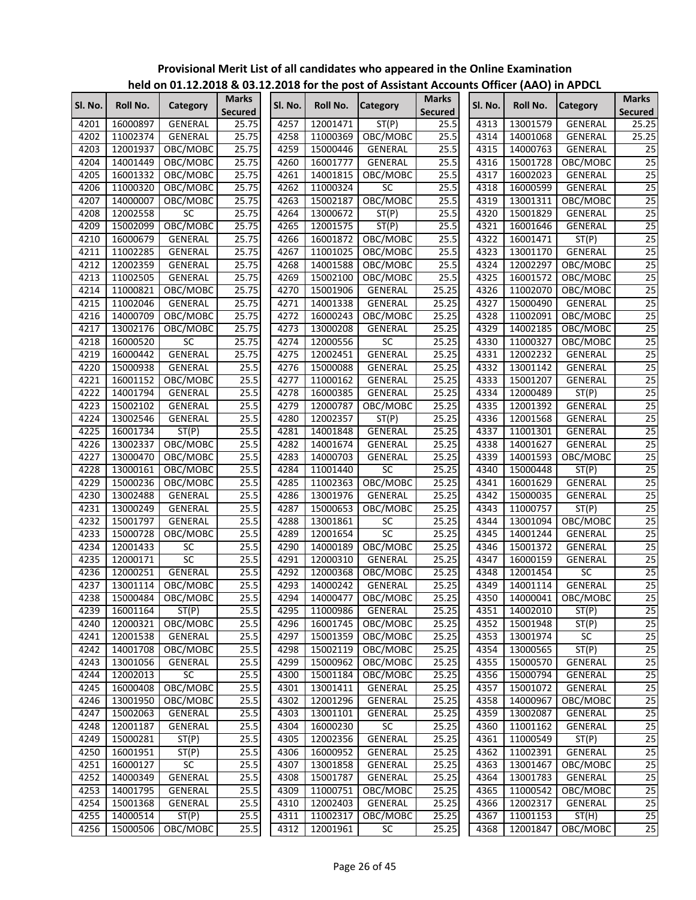|         |          |                   |                         |         |          | $1000$ or $2112.2010$ & 03.12.2010 for the post of Assistant Accounts Onicer (AAO) in Ar Dec |                                |         |                 |                   |                                |
|---------|----------|-------------------|-------------------------|---------|----------|----------------------------------------------------------------------------------------------|--------------------------------|---------|-----------------|-------------------|--------------------------------|
| Sl. No. | Roll No. | Category          | Marks<br><b>Secured</b> | Sl. No. | Roll No. | <b>Category</b>                                                                              | <b>Marks</b><br><b>Secured</b> | SI. No. | <b>Roll No.</b> | <b>Category</b>   | <b>Marks</b><br><b>Secured</b> |
| 4201    | 16000897 | GENERAL           | 25.75                   | 4257    | 12001471 | ST(P)                                                                                        | 25.5                           | 4313    | 13001579        | GENERAL           | 25.25                          |
| 4202    | 11002374 | GENERAL           | 25.75                   | 4258    | 11000369 | OBC/MOBC                                                                                     | 25.5                           | 4314    | 14001068        | <b>GENERAL</b>    | 25.25                          |
| 4203    | 12001937 | OBC/MOBC          | 25.75                   | 4259    | 15000446 | GENERAL                                                                                      | 25.5                           | 4315    | 14000763        | <b>GENERAL</b>    | 25                             |
| 4204    | 14001449 | OBC/MOBC          | 25.75                   | 4260    | 16001777 | GENERAL                                                                                      | 25.5                           | 4316    | 15001728        | OBC/MOBC          | 25                             |
| 4205    | 16001332 | OBC/MOBC          | 25.75                   | 4261    | 14001815 | OBC/MOBC                                                                                     | 25.5                           | 4317    | 16002023        | GENERAL           | $\overline{25}$                |
| 4206    | 11000320 | OBC/MOBC          | 25.75                   | 4262    | 11000324 | SC                                                                                           | 25.5                           | 4318    | 16000599        | GENERAL           | 25                             |
| 4207    | 14000007 | OBC/MOBC          | 25.75                   | 4263    | 15002187 | OBC/MOBC                                                                                     | 25.5                           | 4319    | 13001311        | OBC/MOBC          | $\overline{25}$                |
| 4208    | 12002558 | <b>SC</b>         | 25.75                   | 4264    | 13000672 | ST(P)                                                                                        | 25.5                           | 4320    | 15001829        | GENERAL           | $\overline{25}$                |
| 4209    | 15002099 | OBC/MOBC          | 25.75                   | 4265    | 12001575 | ST(P)                                                                                        | 25.5                           | 4321    | 16001646        | GENERAL           | 25                             |
| 4210    | 16000679 | <b>GENERAL</b>    | 25.75                   | 4266    | 16001872 | OBC/MOBC                                                                                     | 25.5                           | 4322    | 16001471        | ST(P)             | $\overline{25}$                |
| 4211    | 11002285 | GENERAL           | 25.75                   | 4267    | 11001025 | OBC/MOBC                                                                                     | 25.5                           | 4323    | 13001170        | <b>GENERAL</b>    | $\overline{25}$                |
| 4212    | 12002359 | GENERAL           | 25.75                   | 4268    | 14001588 | OBC/MOBC                                                                                     | 25.5                           | 4324    | 12002297        | OBC/MOBC          | $\overline{25}$                |
| 4213    | 11002505 | GENERAL           | 25.75                   | 4269    | 15002100 | OBC/MOBC                                                                                     | 25.5                           | 4325    | 16001572        | OBC/MOBC          | 25                             |
| 4214    | 11000821 | OBC/MOBC          | 25.75                   | 4270    | 15001906 | GENERAL                                                                                      | 25.25                          | 4326    | 11002070        | OBC/MOBC          | $\overline{25}$                |
| 4215    | 11002046 | GENERAL           | 25.75                   | 4271    | 14001338 | GENERAL                                                                                      | 25.25                          | 4327    | 15000490        | GENERAL           | 25                             |
| 4216    | 14000709 | OBC/MOBC          | 25.75                   | 4272    | 16000243 | OBC/MOBC                                                                                     | 25.25                          | 4328    | 11002091        | OBC/MOBC          | 25                             |
| 4217    | 13002176 | OBC/MOBC          | 25.75                   | 4273    | 13000208 | GENERAL                                                                                      | 25.25                          | 4329    | 14002185        | OBC/MOBC          | 25                             |
| 4218    | 16000520 | <b>SC</b>         | 25.75                   | 4274    | 12000556 | SC                                                                                           | 25.25                          | 4330    | 11000327        | OBC/MOBC          | $\overline{25}$                |
| 4219    | 16000442 | GENERAL           | 25.75                   | 4275    | 12002451 | GENERAL                                                                                      | 25.25                          | 4331    | 12002232        | GENERAL           | $\overline{25}$                |
| 4220    | 15000938 | GENERAL           | 25.5                    | 4276    | 15000088 | <b>GENERAL</b>                                                                               | 25.25                          | 4332    | 13001142        | GENERAL           | $\overline{25}$                |
| 4221    | 16001152 | OBC/MOBC          | 25.5                    | 4277    | 11000162 | <b>GENERAL</b>                                                                               | 25.25                          | 4333    | 15001207        | GENERAL           | 25                             |
| 4222    | 14001794 | <b>GENERAL</b>    | 25.5                    | 4278    | 16000385 | <b>GENERAL</b>                                                                               | 25.25                          | 4334    | 12000489        | ST(P)             | 25                             |
| 4223    | 15002102 | GENERAL           | 25.5                    | 4279    | 12000787 | OBC/MOBC                                                                                     | 25.25                          | 4335    | 12001392        | GENERAL           | 25                             |
| 4224    | 13002546 | GENERAL           | 25.5                    | 4280    | 12002357 | ST(P)                                                                                        | 25.25                          | 4336    | 12001568        | GENERAL           | $\overline{25}$                |
| 4225    | 16001734 | ST(P)             | 25.5                    | 4281    | 14001848 | GENERAL                                                                                      | 25.25                          | 4337    | 11001301        | GENERAL           | $\overline{25}$                |
| 4226    | 13002337 | OBC/MOBC          | 25.5                    | 4282    | 14001674 | GENERAL                                                                                      | 25.25                          | 4338    | 14001627        | <b>GENERAL</b>    | 25                             |
| 4227    | 13000470 | OBC/MOBC          | 25.5                    | 4283    | 14000703 | <b>GENERAL</b>                                                                               | 25.25                          | 4339    | 14001593        | OBC/MOBC          | $\overline{25}$                |
| 4228    | 13000161 | OBC/MOBC          | 25.5                    | 4284    | 11001440 | SC                                                                                           | 25.25                          | 4340    | 15000448        | ST(P)             | 25                             |
| 4229    | 15000236 | OBC/MOBC          | 25.5                    | 4285    | 11002363 | OBC/MOBC                                                                                     | 25.25                          | 4341    | 16001629        | GENERAL           | 25                             |
| 4230    | 13002488 | GENERAL           | 25.5                    | 4286    | 13001976 | <b>GENERAL</b>                                                                               | 25.25                          | 4342    | 15000035        | GENERAL           | 25                             |
| 4231    | 13000249 | GENERAL           | 25.5                    | 4287    | 15000653 | OBC/MOBC                                                                                     | 25.25                          | 4343    | 11000757        | ST(P)             | 25                             |
| 4232    | 15001797 | GENERAL           | 25.5                    | 4288    | 13001861 | SC                                                                                           | 25.25                          | 4344    | 13001094        | OBC/MOBC          | $\overline{25}$                |
| 4233    | 15000728 | OBC/MOBC          | 25.5                    | 4289    | 12001654 | $\overline{SC}$                                                                              | 25.25                          | 4345    | 14001244        | GENERAL           | 25                             |
| 4234    | 12001433 | <b>SC</b>         | 25.5                    | 4290    | 14000189 | OBC/MOBC                                                                                     | 25.25                          | 4346    | 15001372        | GENERAL           | $\overline{25}$                |
| 4235    | 12000171 | SC                | 25.5                    | 4291    | 12000310 | GENERAL                                                                                      | 25.25                          | 4347    | 16000159        | GENERAL           | 25                             |
| 4236    | 12000251 | GENERAL           | 25.5                    | 4292    | 12000368 | OBC/MOBC                                                                                     | 25.25                          | 4348    | 12001454        | SC                | $\overline{25}$                |
| 4237    | 13001114 | OBC/MOBC          | 25.5                    | 4293    | 14000242 | GENERAL                                                                                      | 25.25                          | 4349    | 14001114        | <b>GENERAL</b>    | $\overline{25}$                |
| 4238    |          | 15000484 OBC/MOBC | 25.5                    | 4294    | 14000477 | OBC/MOBC                                                                                     | 25.25                          | 4350    |                 | 14000041 OBC/MOBC | $\overline{25}$                |
| 4239    | 16001164 | ST(P)             | 25.5                    | 4295    | 11000986 | GENERAL                                                                                      | 25.25                          | 4351    | 14002010        | ST(P)             | 25                             |
| 4240    | 12000321 | OBC/MOBC          | 25.5                    | 4296    | 16001745 | OBC/MOBC                                                                                     | 25.25                          | 4352    | 15001948        | ST(P)             | 25                             |
| 4241    | 12001538 | GENERAL           | 25.5                    | 4297    | 15001359 | OBC/MOBC                                                                                     | 25.25                          | 4353    | 13001974        | SC                | 25                             |
| 4242    | 14001708 | OBC/MOBC          | 25.5                    | 4298    | 15002119 | OBC/MOBC                                                                                     | 25.25                          | 4354    | 13000565        | ST(P)             | 25                             |
| 4243    | 13001056 | GENERAL           | 25.5                    | 4299    | 15000962 | OBC/MOBC                                                                                     | 25.25                          | 4355    | 15000570        | GENERAL           | $\overline{25}$                |
| 4244    | 12002013 | SC                | 25.5                    | 4300    | 15001184 | OBC/MOBC                                                                                     | 25.25                          | 4356    | 15000794        | GENERAL           | 25                             |
| 4245    | 16000408 | OBC/MOBC          | 25.5                    | 4301    | 13001411 | GENERAL                                                                                      | 25.25                          | 4357    | 15001072        | GENERAL           | 25                             |
| 4246    | 13001950 | OBC/MOBC          | 25.5                    | 4302    | 12001296 | GENERAL                                                                                      | 25.25                          | 4358    | 14000967        | OBC/MOBC          | 25                             |
| 4247    | 15002063 | GENERAL           | 25.5                    | 4303    | 13001101 | GENERAL                                                                                      | 25.25                          | 4359    | 13002087        | GENERAL           | $\overline{25}$                |
| 4248    | 12001187 | GENERAL           | 25.5                    | 4304    | 16000230 | SC                                                                                           | 25.25                          | 4360    | 11001162        | GENERAL           | 25                             |
| 4249    | 15000281 | ST(P)             | 25.5                    | 4305    | 12002356 | <b>GENERAL</b>                                                                               | 25.25                          | 4361    | 11000549        | ST(P)             | 25                             |
| 4250    | 16001951 | ST(P)             | 25.5                    | 4306    | 16000952 | GENERAL                                                                                      | 25.25                          | 4362    | 11002391        | GENERAL           | 25                             |
| 4251    | 16000127 | $\overline{SC}$   | 25.5                    | 4307    | 13001858 | GENERAL                                                                                      | 25.25                          | 4363    | 13001467        | OBC/MOBC          | $\overline{25}$                |
| 4252    | 14000349 | <b>GENERAL</b>    | 25.5                    | 4308    | 15001787 | GENERAL                                                                                      | 25.25                          | 4364    | 13001783        | GENERAL           | 25                             |
| 4253    | 14001795 | GENERAL           | 25.5                    | 4309    | 11000751 | OBC/MOBC                                                                                     | 25.25                          | 4365    | 11000542        | OBC/MOBC          | $\overline{25}$                |
| 4254    | 15001368 | GENERAL           | 25.5                    | 4310    | 12002403 | GENERAL                                                                                      | 25.25                          | 4366    | 12002317        | GENERAL           | 25                             |
| 4255    | 14000514 |                   | 25.5                    | 4311    | 11002317 | OBC/MOBC                                                                                     | 25.25                          | 4367    | 11001153        | ST(H)             | 25                             |
| 4256    | 15000506 | ST(P)<br>OBC/MOBC | 25.5                    | 4312    | 12001961 | SC                                                                                           | 25.25                          | 4368    | 12001847        | OBC/MOBC          | 25                             |
|         |          |                   |                         |         |          |                                                                                              |                                |         |                 |                   |                                |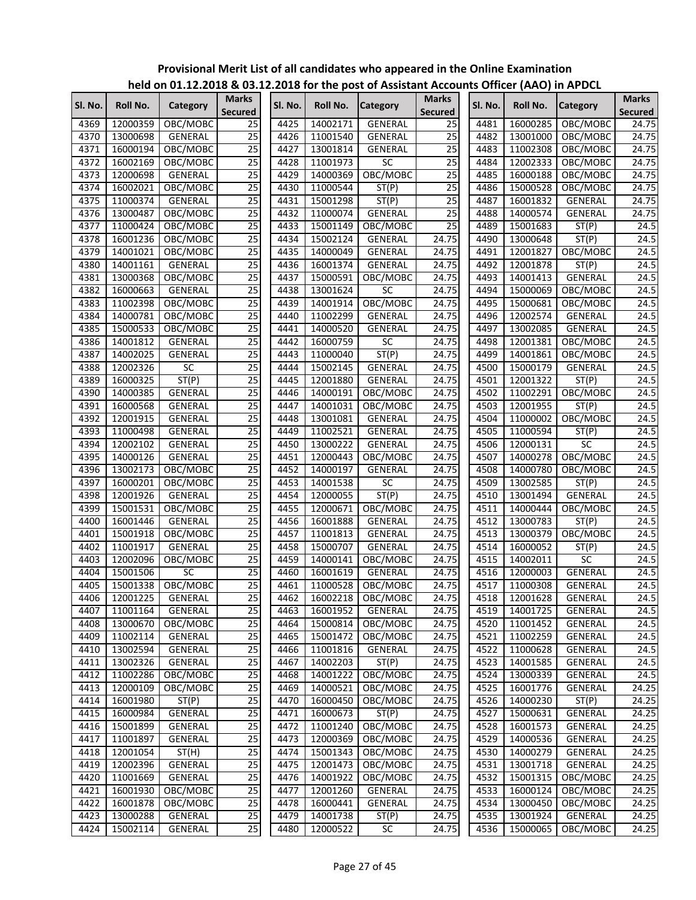|         |                 | $11218$ on 01.12.12.10 $\alpha$ 09.1 |                                |         |          | <b>EILOTO TOT THE POST OF ASSISTANT ACCOM</b> |                                |         | $\sim$                    |                 |                                |
|---------|-----------------|--------------------------------------|--------------------------------|---------|----------|-----------------------------------------------|--------------------------------|---------|---------------------------|-----------------|--------------------------------|
| Sl. No. | <b>Roll No.</b> | Category                             | <b>Marks</b><br><b>Secured</b> | Sl. No. | Roll No. | <b>Category</b>                               | <b>Marks</b><br><b>Secured</b> | SI. No. | <b>Roll No.</b>           | <b>Category</b> | <b>Marks</b><br><b>Secured</b> |
| 4369    | 12000359        | OBC/MOBC                             | 25                             | 4425    | 14002171 | GENERAL                                       | 25                             | 4481    | 16000285                  | OBC/MOBC        | 24.75                          |
| 4370    | 13000698        | GENERAL                              | $\overline{25}$                | 4426    | 11001540 | GENERAL                                       | $\overline{25}$                | 4482    | 13001000                  | OBC/MOBC        | 24.75                          |
| 4371    | 16000194        | OBC/MOBC                             | 25                             | 4427    | 13001814 | GENERAL                                       | $\overline{25}$                | 4483    | 11002308                  | OBC/MOBC        | 24.75                          |
| 4372    | 16002169        | OBC/MOBC                             | 25                             | 4428    | 11001973 | SC                                            | $\overline{25}$                | 4484    | 12002333                  | OBC/MOBC        | 24.75                          |
| 4373    | 12000698        | GENERAL                              | 25                             | 4429    | 14000369 | OBC/MOBC                                      | $\overline{25}$                | 4485    | 16000188                  | OBC/MOBC        | 24.75                          |
| 4374    | 16002021        | OBC/MOBC                             | 25                             | 4430    | 11000544 | ST(P)                                         | $\overline{25}$                | 4486    | 15000528                  | OBC/MOBC        | 24.75                          |
| 4375    | 11000374        | GENERAL                              | 25                             | 4431    | 15001298 | ST(P)                                         | $\overline{25}$                | 4487    | 16001832                  | GENERAL         | 24.75                          |
| 4376    | 13000487        | OBC/MOBC                             | 25                             | 4432    | 11000074 | GENERAL                                       | $\overline{25}$                | 4488    | 14000574                  | GENERAL         | 24.75                          |
| 4377    | 11000424        | OBC/MOBC                             | $\overline{25}$                | 4433    | 15001149 | OBC/MOBC                                      | $\overline{25}$                | 4489    | 15001683                  | ST(P)           | 24.5                           |
| 4378    | 16001236        | OBC/MOBC                             | $\overline{25}$                | 4434    | 15002124 | GENERAL                                       | 24.75                          | 4490    | 13000648                  | ST(P)           | 24.5                           |
| 4379    | 14001021        | OBC/MOBC                             | $\overline{25}$                | 4435    | 14000049 | GENERAL                                       | 24.75                          | 4491    | 12001827                  | OBC/MOBC        | 24.5                           |
| 4380    | 14001161        | GENERAL                              | $\overline{25}$                | 4436    | 16001374 | GENERAL                                       | 24.75                          | 4492    | 12001878                  | ST(P)           | 24.5                           |
| 4381    | 13000368        | OBC/MOBC                             | $\overline{25}$                | 4437    | 15000591 | OBC/MOBC                                      | 24.75                          | 4493    | 14001413                  | GENERAL         | 24.5                           |
| 4382    | 16000663        | GENERAL                              | 25                             | 4438    | 13001624 | SC                                            | 24.75                          | 4494    | 15000069                  | OBC/MOBC        | 24.5                           |
| 4383    | 11002398        | OBC/MOBC                             | $\overline{25}$                | 4439    | 14001914 | OBC/MOBC                                      | 24.75                          | 4495    | 15000681                  | OBC/MOBC        | 24.5                           |
| 4384    | 14000781        | OBC/MOBC                             | $\overline{25}$                | 4440    | 11002299 | GENERAL                                       | 24.75                          | 4496    | 12002574                  | <b>GENERAL</b>  | 24.5                           |
| 4385    | 15000533        | OBC/MOBC                             | $\overline{25}$                | 4441    | 14000520 | GENERAL                                       | 24.75                          | 4497    | 13002085                  | GENERAL         | 24.5                           |
| 4386    | 14001812        | GENERAL                              | 25                             | 4442    | 16000759 | SC                                            | 24.75                          | 4498    | 12001381                  | OBC/MOBC        | 24.5                           |
| 4387    | 14002025        | GENERAL                              | 25                             | 4443    | 11000040 | ST(P)                                         | 24.75                          | 4499    | 14001861                  | OBC/MOBC        | 24.5                           |
| 4388    | 12002326        | SC                                   | 25                             | 4444    | 15002145 | <b>GENERAL</b>                                | 24.75                          | 4500    | 15000179                  | GENERAL         | 24.5                           |
| 4389    | 16000325        | ST(P)                                | 25                             | 4445    | 12001880 | GENERAL                                       | 24.75                          | 4501    | 12001322                  | ST(P)           | 24.5                           |
| 4390    | 14000385        | GENERAL                              | $\overline{25}$                | 4446    | 14000191 | OBC/MOBC                                      | 24.75                          | 4502    | 11002291                  | OBC/MOBC        | 24.5                           |
| 4391    | 16000568        | GENERAL                              | 25                             | 4447    | 14001031 | OBC/MOBC                                      | 24.75                          | 4503    | 12001955                  | ST(P)           | 24.5                           |
| 4392    | 12001915        | GENERAL                              | 25                             | 4448    | 13001081 | GENERAL                                       | 24.75                          | 4504    | 11000002                  | OBC/MOBC        | 24.5                           |
| 4393    | 11000498        | GENERAL                              | $\overline{25}$                | 4449    | 11002521 | GENERAL                                       | 24.75                          | 4505    | 11000594                  | ST(P)           | 24.5                           |
| 4394    | 12002102        | GENERAL                              | 25                             | 4450    | 13000222 | GENERAL                                       | 24.75                          | 4506    | 12000131                  | <b>SC</b>       | 24.5                           |
| 4395    | 14000126        | GENERAL                              | 25                             | 4451    | 12000443 | OBC/MOBC                                      | 24.75                          | 4507    | 14000278                  | OBC/MOBC        | 24.5                           |
| 4396    | 13002173        | OBC/MOBC                             | 25                             | 4452    | 14000197 | GENERAL                                       | 24.75                          | 4508    | 14000780                  | OBC/MOBC        | 24.5                           |
| 4397    | 16000201        | OBC/MOBC                             | 25                             | 4453    | 14001538 | SC                                            | 24.75                          | 4509    | 13002585                  | ST(P)           | 24.5                           |
| 4398    | 12001926        | GENERAL                              | 25                             | 4454    | 12000055 | ST(P)                                         | 24.75                          | 4510    | 13001494                  | GENERAL         | 24.5                           |
| 4399    | 15001531        | OBC/MOBC                             | 25                             | 4455    | 12000671 | OBC/MOBC                                      | 24.75                          | 4511    | 14000444                  | OBC/MOBC        | 24.5                           |
| 4400    | 16001446        | GENERAL                              | $\overline{25}$                | 4456    | 16001888 | GENERAL                                       | 24.75                          | 4512    | 13000783                  | ST(P)           | 24.5                           |
| 4401    | 15001918        | OBC/MOBC                             | $\overline{25}$                | 4457    | 11001813 | GENERAL                                       | 24.75                          | 4513    | 13000379                  | OBC/MOBC        | 24.5                           |
| 4402    | 11001917        | GENERAL                              | $\overline{25}$                | 4458    | 15000707 | <b>GENERAL</b>                                | 24.75                          | 4514    | 16000052                  | ST(P)           | 24.5                           |
| 4403    |                 |                                      | $\overline{25}$                | 4459    | 14000141 | OBC/MOBC                                      | 24.75                          | 4515    | 14002011                  | SC              | 24.5                           |
| 4404    | 12002096        | OBC/MOBC<br>SC                       | $\overline{25}$                | 4460    |          |                                               | 24.75                          | 4516    | 12000003                  |                 | 24.5                           |
| 4405    | 15001506        |                                      | $\overline{25}$                | 4461    | 16001619 | GENERAL                                       |                                | 4517    |                           | GENERAL         |                                |
|         | 15001338        | OBC/MOBC                             | 25                             |         | 11000528 | OBC/MOBC                                      | 24.75<br>24.75                 |         | 11000308<br>4518 12001628 | GENERAL         | 24.5                           |
| 4406    | 12001225        | GENERAL                              | $\overline{25}$                |         |          | 4462 16002218 OBC/MOBC                        |                                |         |                           | <b>GENERAL</b>  | 24.5                           |
| 4407    | 11001164        | GENERAL                              |                                | 4463    | 16001952 | GENERAL                                       | 24.75                          | 4519    | 14001725                  | GENERAL         | 24.5                           |
| 4408    | 13000670        | OBC/MOBC                             | $\overline{25}$                | 4464    | 15000814 | OBC/MOBC                                      | 24.75                          | 4520    | 11001452                  | GENERAL         | 24.5                           |
| 4409    | 11002114        | <b>GENERAL</b>                       | 25                             | 4465    | 15001472 | OBC/MOBC                                      | 24.75                          | 4521    | 11002259                  | GENERAL         | 24.5                           |
| 4410    | 13002594        | <b>GENERAL</b>                       | 25                             | 4466    | 11001816 | GENERAL                                       | 24.75                          | 4522    | 11000628                  | GENERAL         | 24.5                           |
| 4411    | 13002326        | GENERAL                              | $\overline{25}$                | 4467    | 14002203 | ST(P)                                         | 24.75                          | 4523    | 14001585                  | GENERAL         | 24.5                           |
| 4412    | 11002286        | OBC/MOBC                             | 25                             | 4468    | 14001222 | OBC/MOBC                                      | 24.75                          | 4524    | 13000339                  | <b>GENERAL</b>  | 24.5                           |
| 4413    | 12000109        | OBC/MOBC                             | 25                             | 4469    | 14000521 | OBC/MOBC                                      | 24.75                          | 4525    | 16001776                  | GENERAL         | 24.25                          |
| 4414    | 16001980        | ST(P)                                | $\overline{25}$                | 4470    | 16000450 | OBC/MOBC                                      | 24.75                          | 4526    | 14000230                  | ST(P)           | 24.25                          |
| 4415    | 16000984        | GENERAL                              | 25                             | 4471    | 16000673 | ST(P)                                         | 24.75                          | 4527    | 15000631                  | GENERAL         | 24.25                          |
| 4416    | 15001899        | GENERAL                              | $\overline{25}$                | 4472    | 11001240 | OBC/MOBC                                      | 24.75                          | 4528    | 16001573                  | GENERAL         | 24.25                          |
| 4417    | 11001897        | GENERAL                              | $\overline{25}$                | 4473    | 12000369 | OBC/MOBC                                      | 24.75                          | 4529    | 14000536                  | GENERAL         | 24.25                          |
| 4418    | 12001054        | ST(H)                                | $\overline{25}$                | 4474    | 15001343 | OBC/MOBC                                      | 24.75                          | 4530    | 14000279                  | GENERAL         | 24.25                          |
| 4419    | 12002396        | GENERAL                              | 25                             | 4475    | 12001473 | OBC/MOBC                                      | 24.75                          | 4531    | 13001718                  | GENERAL         | 24.25                          |
| 4420    | 11001669        | GENERAL                              | $\overline{25}$                | 4476    | 14001922 | OBC/MOBC                                      | 24.75                          | 4532    | 15001315                  | OBC/MOBC        | 24.25                          |
| 4421    | 16001930        | OBC/MOBC                             | $\overline{25}$                | 4477    | 12001260 | GENERAL                                       | 24.75                          | 4533    | 16000124                  | OBC/MOBC        | 24.25                          |
| 4422    | 16001878        | OBC/MOBC                             | 25                             | 4478    | 16000441 | GENERAL                                       | 24.75                          | 4534    | 13000450                  | OBC/MOBC        | 24.25                          |
| 4423    | 13000288        | GENERAL                              | 25                             | 4479    | 14001738 | ST(P)                                         | 24.75                          | 4535    | 13001924                  | GENERAL         | 24.25                          |
| 4424    | 15002114        | GENERAL                              | $\overline{25}$                | 4480    | 12000522 | SC                                            | 24.75                          | 4536    | 15000065                  | OBC/MOBC        | 24.25                          |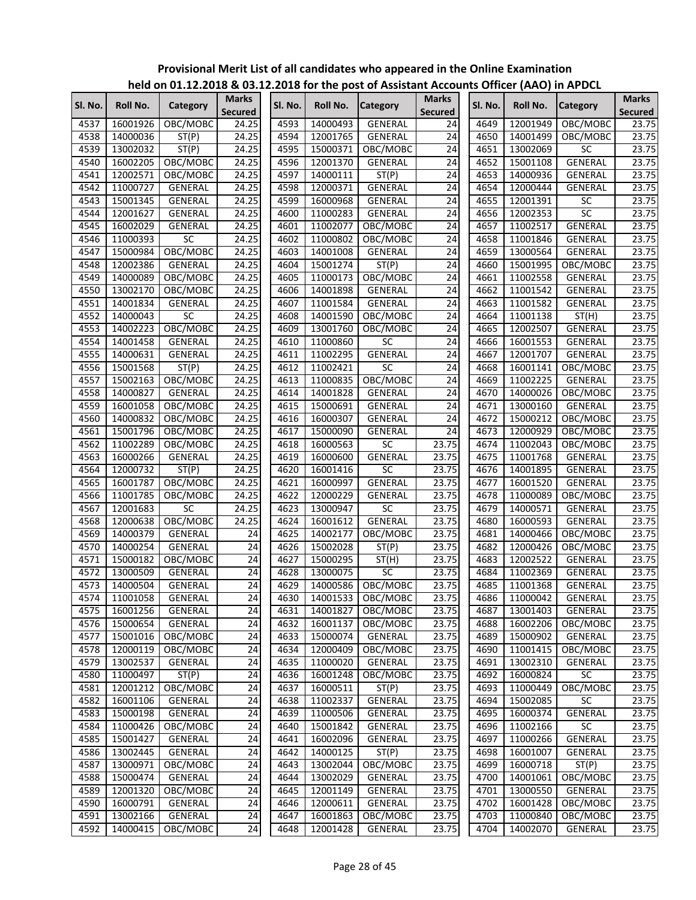|         |          |                |                                |         |          | <u>Held on UI.IZ.ZUIO &amp; US.IZ.ZUIO TUL (HE POST OF ASSISTANT ACCOUNTS ONNET (AAO) IN APDCL</u> |                                |         |                 |                 |                                |
|---------|----------|----------------|--------------------------------|---------|----------|----------------------------------------------------------------------------------------------------|--------------------------------|---------|-----------------|-----------------|--------------------------------|
| Sl. No. | Roll No. | Category       | <b>Marks</b><br><b>Secured</b> | Sl. No. | Roll No. | <b>Category</b>                                                                                    | <b>Marks</b><br><b>Secured</b> | Sl. No. | <b>Roll No.</b> | <b>Category</b> | <b>Marks</b><br><b>Secured</b> |
| 4537    | 16001926 | OBC/MOBC       | 24.25                          | 4593    | 14000493 | <b>GENERAL</b>                                                                                     | 24                             | 4649    | 12001949        | OBC/MOBC        | 23.75                          |
| 4538    | 14000036 | ST(P)          | 24.25                          | 4594    | 12001765 | <b>GENERAL</b>                                                                                     | 24                             | 4650    | 14001499        | OBC/MOBC        | 23.75                          |
| 4539    | 13002032 | ST(P)          | 24.25                          | 4595    | 15000371 | OBC/MOBC                                                                                           | 24                             | 4651    | 13002069        | <b>SC</b>       | 23.75                          |
| 4540    |          | OBC/MOBC       | 24.25                          | 4596    | 12001370 |                                                                                                    | 24                             | 4652    | 15001108        | <b>GENERAL</b>  | 23.75                          |
| 4541    | 16002205 |                |                                | 4597    | 14000111 | GENERAL                                                                                            | $\overline{24}$                | 4653    |                 |                 | 23.75                          |
|         | 12002571 | OBC/MOBC       | 24.25                          |         |          | ST(P)                                                                                              |                                |         | 14000936        | GENERAL         |                                |
| 4542    | 11000727 | GENERAL        | 24.25                          | 4598    | 12000371 | GENERAL                                                                                            | 24                             | 4654    | 12000444        | GENERAL         | 23.75                          |
| 4543    | 15001345 | GENERAL        | 24.25                          | 4599    | 16000968 | <b>GENERAL</b>                                                                                     | 24                             | 4655    | 12001391        | $\overline{SC}$ | 23.75                          |
| 4544    | 12001627 | GENERAL        | 24.25                          | 4600    | 11000283 | GENERAL                                                                                            | $\overline{24}$                | 4656    | 12002353        | SC              | 23.75                          |
| 4545    | 16002029 | GENERAL        | 24.25                          | 4601    | 11002077 | OBC/MOBC                                                                                           | $\overline{24}$                | 4657    | 11002517        | <b>GENERAL</b>  | 23.75                          |
| 4546    | 11000393 | <b>SC</b>      | 24.25                          | 4602    | 11000802 | OBC/MOBC                                                                                           | 24                             | 4658    | 11001846        | GENERAL         | 23.75                          |
| 4547    | 15000984 | OBC/MOBC       | 24.25                          | 4603    | 14001008 | GENERAL                                                                                            | 24                             | 4659    | 13000564        | <b>GENERAL</b>  | 23.75                          |
| 4548    | 12002386 | GENERAL        | 24.25                          | 4604    | 15001274 | ST(P)                                                                                              | 24                             | 4660    | 15001995        | OBC/MOBC        | 23.75                          |
| 4549    | 14000089 | OBC/MOBC       | 24.25                          | 4605    | 11000173 | OBC/MOBC                                                                                           | 24                             | 4661    | 11002558        | GENERAL         | 23.75                          |
| 4550    | 13002170 | OBC/MOBC       | 24.25                          | 4606    | 14001898 | GENERAL                                                                                            | 24                             | 4662    | 11001542        | GENERAL         | 23.75                          |
| 4551    | 14001834 | GENERAL        | 24.25                          | 4607    | 11001584 | GENERAL                                                                                            | 24                             | 4663    | 11001582        | GENERAL         | 23.75                          |
| 4552    | 14000043 | SC             | 24.25                          | 4608    | 14001590 | OBC/MOBC                                                                                           | 24                             | 4664    | 11001138        | ST(H)           | 23.75                          |
| 4553    | 14002223 | OBC/MOBC       | 24.25                          | 4609    | 13001760 | OBC/MOBC                                                                                           | $\overline{24}$                | 4665    | 12002507        | <b>GENERAL</b>  | 23.75                          |
| 4554    | 14001458 | GENERAL        | 24.25                          | 4610    | 11000860 | SC                                                                                                 | $\overline{24}$                | 4666    | 16001553        | GENERAL         | 23.75                          |
| 4555    | 14000631 | GENERAL        | 24.25                          | 4611    | 11002295 | <b>GENERAL</b>                                                                                     | $\overline{24}$                | 4667    | 12001707        | GENERAL         | 23.75                          |
| 4556    | 15001568 | ST(P)          | 24.25                          | 4612    | 11002421 | SC                                                                                                 | 24                             | 4668    | 16001141        | OBC/MOBC        | 23.75                          |
| 4557    | 15002163 | OBC/MOBC       | 24.25                          | 4613    | 11000835 | OBC/MOBC                                                                                           | $\overline{24}$                | 4669    | 11002225        | GENERAL         | 23.75                          |
| 4558    | 14000827 | GENERAL        | 24.25                          | 4614    | 14001828 | GENERAL                                                                                            | $\overline{24}$                | 4670    | 14000026        | OBC/MOBC        | 23.75                          |
| 4559    | 16001058 | OBC/MOBC       | 24.25                          | 4615    | 15000691 | GENERAL                                                                                            | $\overline{24}$                | 4671    | 13000160        | GENERAL         | 23.75                          |
| 4560    | 14000832 | OBC/MOBC       | 24.25                          | 4616    | 16000307 | GENERAL                                                                                            | 24                             | 4672    | 15000212        | OBC/MOBC        | 23.75                          |
| 4561    | 15001796 | OBC/MOBC       | 24.25                          | 4617    | 15000090 | <b>GENERAL</b>                                                                                     | $\overline{24}$                | 4673    | 12000929        | OBC/MOBC        | 23.75                          |
| 4562    | 11002289 | OBC/MOBC       | 24.25                          | 4618    | 16000563 | $\overline{SC}$                                                                                    | 23.75                          | 4674    | 11002043        | OBC/MOBC        | 23.75                          |
| 4563    | 16000266 | GENERAL        | 24.25                          | 4619    | 16000600 | GENERAL                                                                                            | 23.75                          | 4675    | 11001768        | GENERAL         | 23.75                          |
| 4564    | 12000732 | ST(P)          | 24.25                          | 4620    | 16001416 | SC                                                                                                 | 23.75                          | 4676    | 14001895        | GENERAL         | 23.75                          |
| 4565    | 16001787 | OBC/MOBC       | 24.25                          | 4621    | 16000997 | GENERAL                                                                                            | 23.75                          | 4677    | 16001520        | GENERAL         | 23.75                          |
| 4566    | 11001785 | OBC/MOBC       | 24.25                          | 4622    | 12000229 | GENERAL                                                                                            | 23.75                          | 4678    | 11000089        | OBC/MOBC        | 23.75                          |
| 4567    | 12001683 | SC             | 24.25                          | 4623    | 13000947 | SC                                                                                                 | 23.75                          | 4679    | 14000571        | GENERAL         | 23.75                          |
| 4568    | 12000638 | OBC/MOBC       | 24.25                          | 4624    | 16001612 | <b>GENERAL</b>                                                                                     | 23.75                          | 4680    | 16000593        | GENERAL         | 23.75                          |
| 4569    | 14000379 | GENERAL        | 24                             | 4625    | 14002177 | OBC/MOBC                                                                                           | 23.75                          | 4681    | 14000466        | OBC/MOBC        | 23.75                          |
| 4570    | 14000254 | GENERAL        | $\overline{24}$                | 4626    | 15002028 | ST(P)                                                                                              | 23.75                          | 4682    | 12000426        | OBC/MOBC        | 23.75                          |
| 4571    | 15000182 | OBC/MOBC       | 24                             | 4627    | 15000295 | ST(H)                                                                                              | 23.75                          | 4683    | 12002522        | GENERAL         | 23.75                          |
| 4572    | 13000509 | GENERAL        | 24                             | 4628    | 13000075 | $\overline{SC}$                                                                                    | 23.75                          | 4684    | 11002369        | <b>GENERAL</b>  | 23.75                          |
| 4573    | 14000504 | GENERAL        | 24                             | 4629    | 14000586 | OBC/MOBC                                                                                           | 23.75                          | 4685    | 11001368        | <b>GENERAL</b>  | 23.75                          |
| 4574    | 11001058 | GENERAL        | 24                             | 4630    | 14001533 | OBC/MOBC                                                                                           | 23.75                          | 4686    | 11000042        | GENERAL         | 23.75                          |
| 4575    | 16001256 | GENERAL        | 24                             | 4631    | 14001827 | OBC/MOBC                                                                                           | 23.75                          | 4687    | 13001403        | GENERAL         | 23.75                          |
| 4576    | 15000654 | GENERAL        | 24                             | 4632    | 16001137 | OBC/MOBC                                                                                           | 23.75                          | 4688    | 16002206        | OBC/MOBC        | 23.75                          |
| 4577    | 15001016 | OBC/MOBC       | 24                             | 4633    | 15000074 | GENERAL                                                                                            | 23.75                          | 4689    | 15000902        | GENERAL         | 23.75                          |
| 4578    | 12000119 | OBC/MOBC       | $\overline{24}$                | 4634    | 12000409 | OBC/MOBC                                                                                           | 23.75                          | 4690    | 11001415        | OBC/MOBC        | 23.75                          |
| 4579    | 13002537 | GENERAL        | 24                             | 4635    | 11000020 | GENERAL                                                                                            | 23.75                          | 4691    | 13002310        | GENERAL         | 23.75                          |
| 4580    | 11000497 | ST(P)          | $\overline{24}$                | 4636    | 16001248 | OBC/MOBC                                                                                           | 23.75                          | 4692    | 16000824        | SC              | 23.75                          |
| 4581    | 12001212 | OBC/MOBC       | 24                             | 4637    | 16000511 | ST(P)                                                                                              | 23.75                          | 4693    | 11000449        | OBC/MOBC        | 23.75                          |
| 4582    | 16001106 | <b>GENERAL</b> | 24                             | 4638    | 11002337 | <b>GENERAL</b>                                                                                     | 23.75                          | 4694    | 15002085        | SC              | 23.75                          |
| 4583    | 15000198 | GENERAL        | 24                             | 4639    | 11000506 | GENERAL                                                                                            | 23.75                          | 4695    | 16000374        | GENERAL         | 23.75                          |
| 4584    | 11000426 | OBC/MOBC       | 24                             | 4640    | 15001842 | GENERAL                                                                                            | 23.75                          | 4696    | 11002166        | SC              | 23.75                          |
| 4585    | 15001427 | GENERAL        | $\overline{24}$                | 4641    | 16002096 | GENERAL                                                                                            | 23.75                          | 4697    | 11000266        | GENERAL         | 23.75                          |
| 4586    | 13002445 | GENERAL        | 24                             | 4642    | 14000125 | ST(P)                                                                                              | 23.75                          | 4698    | 16001007        | GENERAL         | 23.75                          |
| 4587    | 13000971 | OBC/MOBC       | $\overline{24}$                | 4643    | 13002044 | OBC/MOBC                                                                                           | 23.75                          | 4699    | 16000718        | ST(P)           | 23.75                          |
| 4588    | 15000474 | GENERAL        | $\overline{24}$                | 4644    | 13002029 | GENERAL                                                                                            | 23.75                          | 4700    | 14001061        | OBC/MOBC        | 23.75                          |
| 4589    | 12001320 | OBC/MOBC       | 24                             | 4645    | 12001149 | GENERAL                                                                                            | 23.75                          | 4701    | 13000550        | GENERAL         | 23.75                          |
| 4590    | 16000791 | GENERAL        | 24                             | 4646    | 12000611 | GENERAL                                                                                            | 23.75                          | 4702    | 16001428        | OBC/MOBC        | 23.75                          |
| 4591    | 13002166 | GENERAL        | 24                             | 4647    | 16001863 | OBC/MOBC                                                                                           | 23.75                          | 4703    | 11000840        | OBC/MOBC        | 23.75                          |
| 4592    | 14000415 | OBC/MOBC       | $\overline{24}$                | 4648    | 12001428 | GENERAL                                                                                            | 23.75                          | 4704    | 14002070        |                 | 23.75                          |
|         |          |                |                                |         |          |                                                                                                    |                                |         |                 | GENERAL         |                                |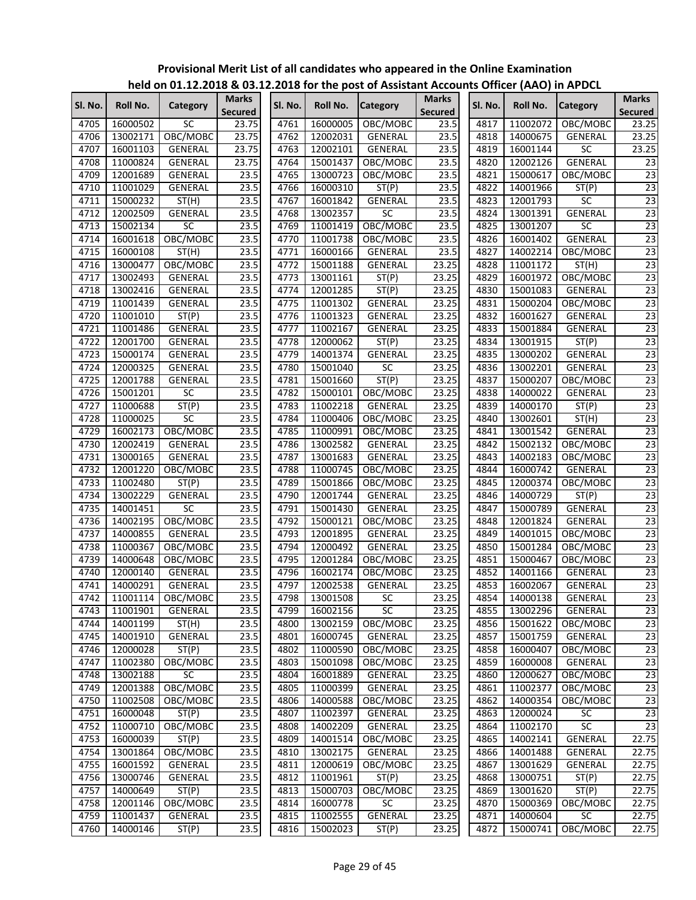|         |          | ""CIW ON U1:11:1010 & 09:1 |                         |         |                 | expect for the post of Assistant Accounts Officer (AAO) in Arbei |                                |         |                 |                 |                                |
|---------|----------|----------------------------|-------------------------|---------|-----------------|------------------------------------------------------------------|--------------------------------|---------|-----------------|-----------------|--------------------------------|
| Sl. No. | Roll No. | Category                   | Marks<br><b>Secured</b> | Sl. No. | <b>Roll No.</b> | <b>Category</b>                                                  | <b>Marks</b><br><b>Secured</b> | Sl. No. | <b>Roll No.</b> | <b>Category</b> | <b>Marks</b><br><b>Secured</b> |
| 4705    | 16000502 | SC                         | 23.75                   | 4761    | 16000005        | OBC/MOBC                                                         | 23.5                           | 4817    | 11002072        | OBC/MOBC        | 23.25                          |
| 4706    | 13002171 | OBC/MOBC                   | 23.75                   | 4762    | 12002031        | GENERAL                                                          | 23.5                           | 4818    | 14000675        | GENERAL         | 23.25                          |
| 4707    | 16001103 | <b>GENERAL</b>             | 23.75                   | 4763    | 12002101        | GENERAL                                                          | 23.5                           | 4819    | 16001144        | SC              | 23.25                          |
| 4708    | 11000824 | GENERAL                    | 23.75                   | 4764    | 15001437        | OBC/MOBC                                                         | 23.5                           | 4820    | 12002126        | <b>GENERAL</b>  | 23                             |
| 4709    | 12001689 | GENERAL                    | 23.5                    | 4765    | 13000723        | OBC/MOBC                                                         | 23.5                           | 4821    | 15000617        | OBC/MOBC        | $\overline{23}$                |
| 4710    | 11001029 | GENERAL                    | 23.5                    | 4766    | 16000310        | ST(P)                                                            | 23.5                           | 4822    | 14001966        | ST(P)           | $\overline{23}$                |
| 4711    | 15000232 | ST(H)                      | 23.5                    | 4767    | 16001842        | GENERAL                                                          | 23.5                           | 4823    | 12001793        | SC              | $\overline{23}$                |
| 4712    | 12002509 | GENERAL                    | 23.5                    | 4768    | 13002357        | <b>SC</b>                                                        | 23.5                           | 4824    | 13001391        | GENERAL         | $\overline{23}$                |
| 4713    | 15002134 | <b>SC</b>                  | 23.5                    | 4769    | 11001419        | OBC/MOBC                                                         | 23.5                           | 4825    | 13001207        | SC              | $\overline{23}$                |
| 4714    | 16001618 | OBC/MOBC                   | 23.5                    | 4770    | 11001738        | OBC/MOBC                                                         | 23.5                           | 4826    | 16001402        | GENERAL         | 23                             |
| 4715    | 16000108 | ST(H)                      | 23.5                    | 4771    | 16000166        | GENERAL                                                          | 23.5                           | 4827    | 14002214        | OBC/MOBC        | 23                             |
| 4716    | 13000477 | OBC/MOBC                   | 23.5                    | 4772    | 15001188        | <b>GENERAL</b>                                                   | 23.25                          | 4828    | 11001172        | ST(H)           | 23                             |
| 4717    | 13002493 | GENERAL                    | 23.5                    | 4773    | 13001161        | ST(P)                                                            | 23.25                          | 4829    | 16001972        | OBC/MOBC        | 23                             |
| 4718    | 13002416 | GENERAL                    | 23.5                    | 4774    | 12001285        | ST(P)                                                            | 23.25                          | 4830    | 15001083        | GENERAL         | 23                             |
| 4719    | 11001439 | GENERAL                    | 23.5                    | 4775    | 11001302        | GENERAL                                                          | 23.25                          | 4831    | 15000204        | OBC/MOBC        | $\overline{23}$                |
| 4720    | 11001010 | ST(P)                      | 23.5                    | 4776    | 11001323        | <b>GENERAL</b>                                                   | 23.25                          | 4832    | 16001627        | GENERAL         | 23                             |
| 4721    | 11001486 | GENERAL                    | 23.5                    | 4777    | 11002167        | <b>GENERAL</b>                                                   | 23.25                          | 4833    | 15001884        | GENERAL         | 23                             |
| 4722    | 12001700 | GENERAL                    | 23.5                    | 4778    | 12000062        | ST(P)                                                            | 23.25                          | 4834    | 13001915        | ST(P)           | 23                             |
| 4723    | 15000174 | <b>GENERAL</b>             | 23.5                    | 4779    | 14001374        | GENERAL                                                          | 23.25                          | 4835    | 13000202        | <b>GENERAL</b>  | $\overline{23}$                |
| 4724    | 12000325 | GENERAL                    | 23.5                    | 4780    | 15001040        | SC                                                               | 23.25                          | 4836    | 13002201        | <b>GENERAL</b>  | $\overline{23}$                |
| 4725    | 12001788 | GENERAL                    | 23.5                    | 4781    | 15001660        | ST(P)                                                            | 23.25                          | 4837    | 15000207        | OBC/MOBC        | 23                             |
| 4726    | 15001201 | SC                         | 23.5                    | 4782    | 15000101        | OBC/MOBC                                                         | 23.25                          | 4838    | 14000022        | GENERAL         | 23                             |
| 4727    | 11000688 | ST(P)                      | 23.5                    | 4783    | 11002218        | GENERAL                                                          | 23.25                          | 4839    | 14000170        | ST(P)           | 23                             |
| 4728    | 11000025 | SC                         | 23.5                    | 4784    | 11000406        | OBC/MOBC                                                         | 23.25                          | 4840    | 13002601        | ST(H)           | $\overline{23}$                |
| 4729    | 16002173 | OBC/MOBC                   | 23.5                    | 4785    | 11000991        |                                                                  | 23.25                          | 4841    | 13001542        | GENERAL         | $\overline{23}$                |
| 4730    |          |                            |                         | 4786    |                 | OBC/MOBC<br><b>GENERAL</b>                                       | 23.25                          | 4842    |                 |                 | $\overline{23}$                |
|         | 12002419 | GENERAL                    | 23.5                    |         | 13002582        |                                                                  |                                |         | 15002132        | OBC/MOBC        |                                |
| 4731    | 13000165 | GENERAL                    | 23.5                    | 4787    | 13001683        | <b>GENERAL</b>                                                   | 23.25                          | 4843    | 14002183        | OBC/MOBC        | $\overline{23}$                |
| 4732    | 12001220 | OBC/MOBC                   | 23.5                    | 4788    | 11000745        | OBC/MOBC                                                         | 23.25                          | 4844    | 16000742        | GENERAL         | $\overline{23}$                |
| 4733    | 11002480 | ST(P)                      | 23.5                    | 4789    | 15001866        | OBC/MOBC                                                         | 23.25                          | 4845    | 12000374        | OBC/MOBC        | $\overline{23}$                |
| 4734    | 13002229 | GENERAL                    | 23.5                    | 4790    | 12001744        | GENERAL                                                          | 23.25                          | 4846    | 14000729        | ST(P)           | 23                             |
| 4735    | 14001451 | SC                         | 23.5                    | 4791    | 15001430        | GENERAL                                                          | 23.25                          | 4847    | 15000789        | GENERAL         | 23                             |
| 4736    | 14002195 | OBC/MOBC                   | 23.5                    | 4792    | 15000121        | OBC/MOBC                                                         | 23.25                          | 4848    | 12001824        | GENERAL         | $\overline{23}$                |
| 4737    | 14000855 | GENERAL                    | 23.5                    | 4793    | 12001895        | <b>GENERAL</b>                                                   | 23.25                          | 4849    | 14001015        | OBC/MOBC        | 23                             |
| 4738    | 11000367 | OBC/MOBC                   | 23.5                    | 4794    | 12000492        | <b>GENERAL</b>                                                   | 23.25                          | 4850    | 15001284        | OBC/MOBC        | 23                             |
| 4739    | 14000648 | OBC/MOBC                   | 23.5                    | 4795    | 12001284        | OBC/MOBC                                                         | 23.25                          | 4851    | 15000467        | OBC/MOBC        | 23                             |
| 4740    | 12000140 | GENERAL                    | 23.5                    | 4796    | 16002174        | OBC/MOBC                                                         | 23.25                          | 4852    | 14001166        | GENERAL         | $\overline{23}$                |
| 4741    | 14000291 | GENERAL                    | 23.5                    | 4797    | 12002538        | GENERAL                                                          | 23.25                          | 4853    | 16002067        | GENERAL         | $\overline{23}$                |
| 4742    |          | 11001114 OBC/MOBC          | 23.5                    |         | 4798 13001508   | $\overline{SC}$                                                  | 23.25                          | 4854    | 14000138        | <b>GENERAL</b>  | 23                             |
| 4743    | 11001901 | GENERAL                    | 23.5                    | 4799    | 16002156        | <b>SC</b>                                                        | 23.25                          | 4855    | 13002296        | GENERAL         | 23                             |
| 4744    | 14001199 | ST(H)                      | 23.5                    | 4800    | 13002159        | OBC/MOBC                                                         | 23.25                          | 4856    | 15001622        | OBC/MOBC        | 23                             |
| 4745    | 14001910 | GENERAL                    | 23.5                    | 4801    | 16000745        | GENERAL                                                          | 23.25                          | 4857    | 15001759        | GENERAL         | 23                             |
| 4746    | 12000028 | ST(P)                      | 23.5                    | 4802    | 11000590        | OBC/MOBC                                                         | 23.25                          | 4858    | 16000407        | OBC/MOBC        | $\overline{23}$                |
| 4747    | 11002380 | OBC/MOBC                   | 23.5                    | 4803    | 15001098        | OBC/MOBC                                                         | 23.25                          | 4859    | 16000008        | GENERAL         | 23                             |
| 4748    | 13002188 | SC                         | 23.5                    | 4804    | 16001889        | GENERAL                                                          | 23.25                          | 4860    | 12000627        | OBC/MOBC        | $\overline{23}$                |
| 4749    | 12001388 | OBC/MOBC                   | 23.5                    | 4805    | 11000399        | GENERAL                                                          | 23.25                          | 4861    | 11002377        | OBC/MOBC        | 23                             |
| 4750    | 11002508 | OBC/MOBC                   | 23.5                    | 4806    | 14000588        | OBC/MOBC                                                         | 23.25                          | 4862    | 14000354        | OBC/MOBC        | 23                             |
| 4751    | 16000048 | ST(P)                      | 23.5                    | 4807    | 11002397        | GENERAL                                                          | 23.25                          | 4863    | 12000024        | SC              | 23                             |
| 4752    | 11000710 | OBC/MOBC                   | 23.5                    | 4808    | 14002209        | <b>GENERAL</b>                                                   | 23.25                          | 4864    | 11002170        | $\overline{SC}$ | 23                             |
| 4753    | 16000039 | ST(P)                      | 23.5                    | 4809    | 14001514        | OBC/MOBC                                                         | 23.25                          | 4865    | 14002141        | <b>GENERAL</b>  | 22.75                          |
| 4754    | 13001864 | OBC/MOBC                   | 23.5                    | 4810    | 13002175        | GENERAL                                                          | 23.25                          | 4866    | 14001488        | GENERAL         | 22.75                          |
| 4755    | 16001592 | GENERAL                    | 23.5                    | 4811    | 12000619        | OBC/MOBC                                                         | 23.25                          | 4867    | 13001629        | GENERAL         | 22.75                          |
| 4756    | 13000746 | GENERAL                    | 23.5                    | 4812    | 11001961        | ST(P)                                                            | 23.25                          | 4868    | 13000751        | ST(P)           | 22.75                          |
| 4757    | 14000649 | ST(P)                      | 23.5                    | 4813    | 15000703        | OBC/MOBC                                                         | 23.25                          | 4869    | 13001620        | ST(P)           | 22.75                          |
| 4758    | 12001146 | OBC/MOBC                   | 23.5                    | 4814    | 16000778        | SC                                                               | 23.25                          | 4870    | 15000369        | OBC/MOBC        | 22.75                          |
| 4759    | 11001437 | GENERAL                    | 23.5                    | 4815    | 11002555        | GENERAL                                                          | 23.25                          | 4871    | 14000604        | SC              | 22.75                          |
| 4760    | 14000146 | ST(P)                      | 23.5                    | 4816    | 15002023        | ST(P)                                                            | 23.25                          | 4872    | 15000741        | OBC/MOBC        | 22.75                          |
|         |          |                            |                         |         |                 |                                                                  |                                |         |                 |                 |                                |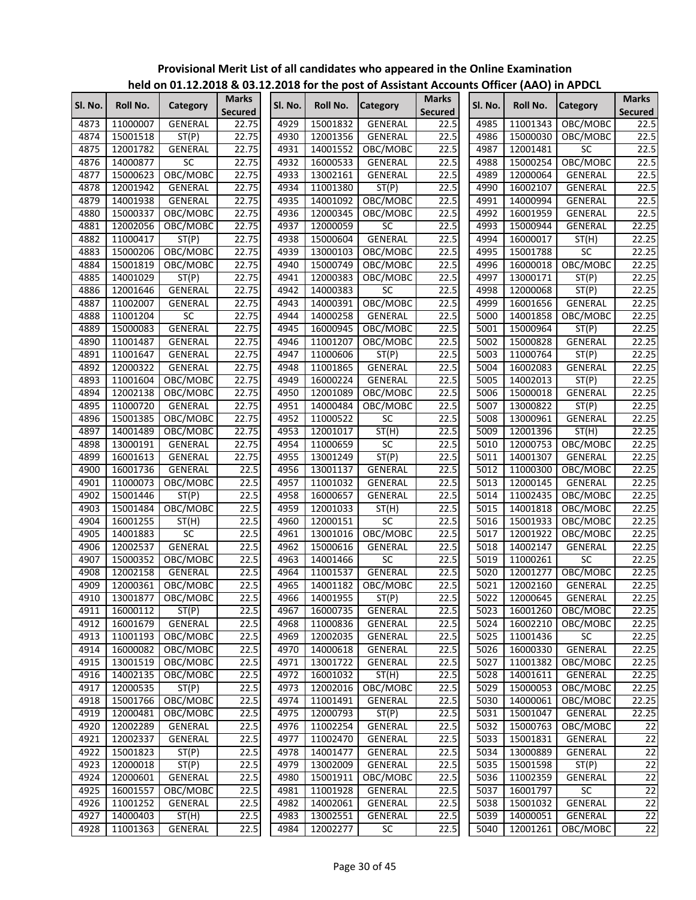|              |                      |                    |                |              |          | <u>HEIU UH UI.IZ.ZUID &amp; US.IZ.ZUID IUL IHE PUSTUL ASSISTAHT ACCUUHTS UHICEL (AAU) III APDCE</u> |                                     |         |          |                 |                 |
|--------------|----------------------|--------------------|----------------|--------------|----------|-----------------------------------------------------------------------------------------------------|-------------------------------------|---------|----------|-----------------|-----------------|
| SI. No.      | Roll No.             | Category           | <b>Marks</b>   | SI. No.      | Roll No. | Category                                                                                            | <b>Marks</b>                        | SI. No. | Roll No. | Category        | <b>Marks</b>    |
| 4873         |                      | <b>GENERAL</b>     | <b>Secured</b> | 4929         | 15001832 | <b>GENERAL</b>                                                                                      | <b>Secured</b><br>$22.\overline{5}$ | 4985    | 11001343 |                 | <b>Secured</b>  |
|              | 11000007             |                    | 22.75          |              |          |                                                                                                     |                                     |         |          | OBC/MOBC        | 22.5            |
| 4874         | 15001518             | ST(P)              | 22.75          | 4930         | 12001356 | <b>GENERAL</b>                                                                                      | 22.5                                | 4986    | 15000030 | OBC/MOBC        | 22.5            |
| 4875         | 12001782             | GENERAL            | 22.75          | 4931         | 14001552 | OBC/MOBC                                                                                            | 22.5                                | 4987    | 12001481 | <b>SC</b>       | 22.5            |
| 4876         | 14000877             | SC                 | 22.75          | 4932         | 16000533 | GENERAL                                                                                             | 22.5                                | 4988    | 15000254 | OBC/MOBC        | 22.5            |
| 4877         | 15000623             | OBC/MOBC           | 22.75          | 4933         | 13002161 | <b>GENERAL</b>                                                                                      | 22.5                                | 4989    | 12000064 | GENERAL         | 22.5            |
| 4878         | 12001942             | GENERAL            | 22.75          | 4934         | 11001380 | ST(P)                                                                                               | 22.5                                | 4990    | 16002107 | GENERAL         | 22.5            |
| 4879         | 14001938             | GENERAL            | 22.75          | 4935         | 14001092 | OBC/MOBC                                                                                            | 22.5                                | 4991    | 14000994 | <b>GENERAL</b>  | 22.5            |
| 4880         | 15000337             | OBC/MOBC           | 22.75          | 4936         | 12000345 | OBC/MOBC                                                                                            | 22.5                                | 4992    | 16001959 | GENERAL         | 22.5            |
| 4881         | 12002056             | OBC/MOBC           | 22.75          | 4937         | 12000059 | SC                                                                                                  | 22.5                                | 4993    | 15000944 | <b>GENERAL</b>  | 22.25           |
| 4882         | 11000417             | ST(P)              | 22.75          | 4938         | 15000604 | <b>GENERAL</b>                                                                                      | 22.5                                | 4994    | 16000017 | ST(H)           | 22.25           |
| 4883         | 15000206             | OBC/MOBC           | 22.75          | 4939         | 13000103 | OBC/MOBC                                                                                            | 22.5                                | 4995    | 15001788 | $\overline{SC}$ | 22.25           |
| 4884         | 15001819             | OBC/MOBC           | 22.75          | 4940         | 15000749 | OBC/MOBC                                                                                            | 22.5                                | 4996    | 16000018 | OBC/MOBC        | 22.25           |
| 4885         | 14001029             | ST(P)              | 22.75          | 4941         | 12000383 | OBC/MOBC                                                                                            | 22.5                                | 4997    | 13000171 | ST(P)           | 22.25           |
| 4886         | 12001646             | GENERAL            | 22.75          | 4942         | 14000383 | <b>SC</b>                                                                                           | 22.5                                | 4998    | 12000068 | ST(P)           | 22.25           |
| 4887         | 11002007             | GENERAL            | 22.75          | 4943         | 14000391 | OBC/MOBC                                                                                            | 22.5                                | 4999    | 16001656 | GENERAL         | 22.25           |
| 4888         | 11001204             | SC                 | 22.75          | 4944         | 14000258 | GENERAL                                                                                             | 22.5                                | 5000    | 14001858 | OBC/MOBC        | 22.25           |
| 4889         | 15000083             | <b>GENERAL</b>     | 22.75          | 4945         | 16000945 | OBC/MOBC                                                                                            | 22.5                                | 5001    | 15000964 | ST(P)           | 22.25           |
| 4890         | 11001487             | GENERAL            | 22.75          | 4946         | 11001207 | OBC/MOBC                                                                                            | 22.5                                | 5002    | 15000828 | GENERAL         | 22.25           |
| 4891         | 11001647             | GENERAL            | 22.75          | 4947         | 11000606 | ST(P)                                                                                               | 22.5                                | 5003    | 11000764 | ST(P)           | 22.25           |
| 4892         | 12000322             | <b>GENERAL</b>     | 22.75          | 4948         | 11001865 | GENERAL                                                                                             | 22.5                                | 5004    | 16002083 | GENERAL         | 22.25           |
| 4893         | 11001604             | OBC/MOBC           | 22.75          | 4949         | 16000224 | GENERAL                                                                                             | 22.5                                | 5005    | 14002013 | ST(P)           | 22.25           |
| 4894         | 12002138             | OBC/MOBC           | 22.75          | 4950         | 12001089 | OBC/MOBC                                                                                            | 22.5                                | 5006    | 15000018 | <b>GENERAL</b>  | 22.25           |
| 4895         | 11000720             | GENERAL            | 22.75          | 4951         | 14000484 | OBC/MOBC                                                                                            | 22.5                                | 5007    | 13000822 | ST(P)           | 22.25           |
| 4896         | 15001385             | OBC/MOBC           | 22.75          | 4952         | 11000522 | <b>SC</b>                                                                                           | 22.5                                | 5008    | 13000961 | <b>GENERAL</b>  | 22.25           |
| 4897         | 14001489             | OBC/MOBC           | 22.75          | 4953         | 12001017 | ST(H)                                                                                               | 22.5                                | 5009    | 12001396 | ST(H)           | 22.25           |
| 4898         | 13000191             | <b>GENERAL</b>     | 22.75          | 4954         | 11000659 | <b>SC</b>                                                                                           | 22.5                                | 5010    | 12000753 | OBC/MOBC        | 22.25           |
| 4899         | 16001613             | GENERAL            | 22.75          | 4955         | 13001249 | ST(P)                                                                                               | 22.5                                | 5011    | 14001307 | <b>GENERAL</b>  | 22.25           |
| 4900         | 16001736             | GENERAL            | 22.5           | 4956         | 13001137 | GENERAL                                                                                             | 22.5                                | 5012    | 11000300 | OBC/MOBC        | 22.25           |
| 4901         | 11000073             | OBC/MOBC           | 22.5           | 4957         | 11001032 | GENERAL                                                                                             | 22.5                                | 5013    | 12000145 | GENERAL         | 22.25           |
| 4902         | 15001446             | ST(P)              | 22.5           | 4958         | 16000657 | <b>GENERAL</b>                                                                                      | 22.5                                | 5014    | 11002435 | OBC/MOBC        | 22.25           |
| 4903         | 15001484             | OBC/MOBC           | 22.5           | 4959         | 12001033 | ST(H)                                                                                               | 22.5                                | 5015    | 14001818 | OBC/MOBC        | 22.25           |
| 4904         | 16001255             | ST(H)              | 22.5           | 4960         | 12000151 | SC                                                                                                  | 22.5                                | 5016    | 15001933 | OBC/MOBC        | 22.25           |
| 4905         | 14001883             | $\overline{SC}$    | 22.5           | 4961         | 13001016 | OBC/MOBC                                                                                            | 22.5                                | 5017    | 12001922 | OBC/MOBC        | 22.25           |
| 4906         | 12002537             | GENERAL            | 22.5           | 4962         | 15000616 | GENERAL                                                                                             | 22.5                                | 5018    | 14002147 | GENERAL         | 22.25           |
| 4907         | 15000352             | OBC/MOBC           | 22.5           | 4963         | 14001466 | $\overline{SC}$                                                                                     | 22.5                                | 5019    | 11000261 | $\overline{SC}$ | 22.25           |
| 4908         | 12002158             | GENERAL            | 22.5           | 4964         | 11001537 | <b>GENERAL</b>                                                                                      | 22.5                                | 5020    | 12001277 | OBC/MOBC        | 22.25           |
| 4909         | 12000361             | OBC/MOBC           | 22.5           | 4965         | 14001182 | OBC/MOBC                                                                                            | 22.5                                | 5021    | 12002160 | GENERAL         | 22.25           |
| 4910         | 13001877             | OBC/MOBC           | 22.5           | 4966         | 14001955 | 51 (P)                                                                                              | 22.5                                | 5022    | 12000645 | <b>GENERAL</b>  | 22.25           |
| 4911         | 16000112             | ST(P)              | 22.5           | 4967         | 16000735 | GENERAL                                                                                             | 22.5                                | 5023    | 16001260 | OBC/MOBC        | 22.25           |
| 4912         | 16001679             | GENERAL            | 22.5           | 4968         | 11000836 | GENERAL                                                                                             | 22.5                                | 5024    | 16002210 | OBC/MOBC        | 22.25           |
| 4913         | 11001193             | OBC/MOBC           | 22.5           | 4969         | 12002035 | GENERAL                                                                                             | 22.5                                | 5025    | 11001436 | SC              | 22.25           |
| 4914         | 16000082             | OBC/MOBC           | 22.5           | 4970         | 14000618 | GENERAL                                                                                             | 22.5                                | 5026    | 16000330 | <b>GENERAL</b>  | 22.25           |
| 4915         | 13001519             | OBC/MOBC           | 22.5           | 4971         | 13001722 | <b>GENERAL</b>                                                                                      | 22.5                                | 5027    | 11001382 | OBC/MOBC        | 22.25           |
| 4916         | 14002135             | OBC/MOBC           | 22.5           | 4972         | 16001032 | ST(H)                                                                                               | 22.5                                | 5028    | 14001611 | GENERAL         | 22.25           |
| 4917         | 12000535             | ST(P)              | 22.5           | 4973         | 12002016 | OBC/MOBC                                                                                            | 22.5                                | 5029    | 15000053 | OBC/MOBC        | 22.25           |
| 4918         | 15001766             | OBC/MOBC           | 22.5           | 4974         | 11001491 | GENERAL                                                                                             | 22.5                                | 5030    | 14000061 | OBC/MOBC        | 22.25           |
| 4919         | 12000481             | OBC/MOBC           | 22.5           | 4975         | 12000793 |                                                                                                     | 22.5                                | 5031    | 15001047 | GENERAL         | 22.25           |
|              |                      |                    |                |              |          | ST(P)                                                                                               |                                     |         |          |                 |                 |
| 4920         | 12002289<br>12002337 | GENERAL<br>GENERAL | 22.5           | 4976         | 11002254 | <b>GENERAL</b>                                                                                      | 22.5                                | 5032    | 15000763 | OBC/MOBC        | 22              |
| 4921<br>4922 |                      |                    | 22.5<br>22.5   | 4977<br>4978 | 11002470 | GENERAL                                                                                             | 22.5                                | 5033    | 15001831 | GENERAL         | 22              |
|              | 15001823             | ST(P)              |                |              | 14001477 | GENERAL                                                                                             | 22.5                                | 5034    | 13000889 | GENERAL         | 22              |
| 4923         | 12000018             | ST(P)              | 22.5           | 4979         | 13002009 | GENERAL                                                                                             | 22.5                                | 5035    | 15001598 | ST(P)           | 22              |
| 4924         | 12000601             | GENERAL            | 22.5           | 4980         | 15001911 | OBC/MOBC                                                                                            | 22.5                                | 5036    | 11002359 | GENERAL         | $\overline{22}$ |
| 4925         | 16001557             | OBC/MOBC           | 22.5           | 4981         | 11001928 | GENERAL                                                                                             | 22.5                                | 5037    | 16001797 | SC              | 22              |
| 4926         | 11001252             | GENERAL            | 22.5           | 4982         | 14002061 | GENERAL                                                                                             | 22.5                                | 5038    | 15001032 | GENERAL         | $\overline{22}$ |
| 4927         | 14000403             | ST(H)              | 22.5           | 4983         | 13002551 | GENERAL                                                                                             | 22.5                                | 5039    | 14000051 | GENERAL         | 22              |
| 4928         | 11001363             | GENERAL            | 22.5           | 4984         | 12002277 | SC                                                                                                  | 22.5                                | 5040    | 12001261 | OBC/MOBC        | 22              |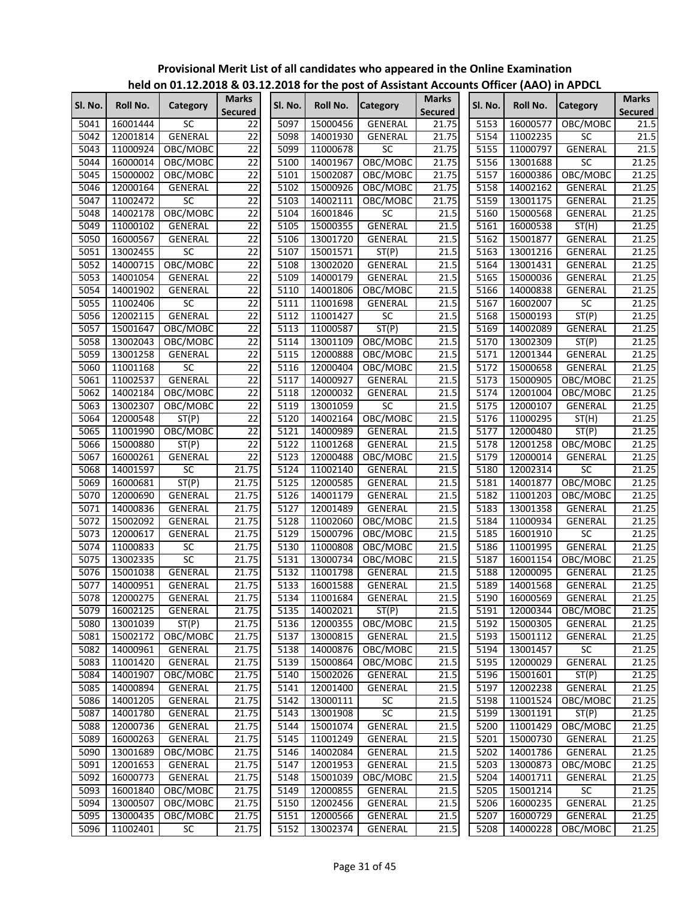|         |                 | $11218$ on 01.12.12.10 $\alpha$ 09.1 |                                |                   |          | $\frac{1}{2}$ . The first post of Assistant Accounts Officer (AAO) in Arbeit |                                |         |                 |                 |                                |
|---------|-----------------|--------------------------------------|--------------------------------|-------------------|----------|------------------------------------------------------------------------------|--------------------------------|---------|-----------------|-----------------|--------------------------------|
| Sl. No. | <b>Roll No.</b> | Category                             | <b>Marks</b><br><b>Secured</b> | Sl. No.           | Roll No. | <b>Category</b>                                                              | <b>Marks</b><br><b>Secured</b> | Sl. No. | <b>Roll No.</b> | <b>Category</b> | <b>Marks</b><br><b>Secured</b> |
| 5041    | 16001444        | <b>SC</b>                            | 22                             | 5097              | 15000456 | GENERAL                                                                      | 21.75                          | 5153    | 16000577        | OBC/MOBC        | 21.5                           |
| 5042    | 12001814        | GENERAL                              | 22                             | 5098              | 14001930 | <b>GENERAL</b>                                                               | 21.75                          | 5154    | 11002235        | SC              | 21.5                           |
| 5043    | 11000924        | OBC/MOBC                             | $\overline{22}$                | 5099              | 11000678 | SC                                                                           | 21.75                          | 5155    | 11000797        | GENERAL         | 21.5                           |
| 5044    | 16000014        | OBC/MOBC                             | $\overline{22}$                | 5100              | 14001967 | OBC/MOBC                                                                     | 21.75                          | 5156    | 13001688        | $\overline{SC}$ | 21.25                          |
| 5045    | 15000002        | OBC/MOBC                             | $\overline{22}$                | 5101              | 15002087 | OBC/MOBC                                                                     | 21.75                          | 5157    | 16000386        | OBC/MOBC        | 21.25                          |
| 5046    | 12000164        | GENERAL                              | $\overline{22}$                | 5102              | 15000926 | OBC/MOBC                                                                     | 21.75                          | 5158    | 14002162        | GENERAL         | 21.25                          |
| 5047    | 11002472        | <b>SC</b>                            | $\overline{22}$                | 5103              | 14002111 | OBC/MOBC                                                                     | 21.75                          | 5159    | 13001175        | GENERAL         | 21.25                          |
| 5048    | 14002178        | OBC/MOBC                             | $\overline{22}$                | 5104              | 16001846 | SC                                                                           | 21.5                           | 5160    | 15000568        | GENERAL         | 21.25                          |
| 5049    | 11000102        | GENERAL                              | $\overline{22}$                | 5105              | 15000355 | GENERAL                                                                      | 21.5                           | 5161    | 16000538        | ST(H)           | 21.25                          |
| 5050    | 16000567        | GENERAL                              | $\overline{22}$                | 5106              | 13001720 | GENERAL                                                                      | 21.5                           | 5162    | 15001877        | <b>GENERAL</b>  | 21.25                          |
| 5051    | 13002455        | SC                                   | $\overline{22}$                | 5107              | 15001571 | ST(P)                                                                        | 21.5                           | 5163    | 13001216        | GENERAL         | 21.25                          |
| 5052    | 14000715        | OBC/MOBC                             | $\overline{22}$                | 5108              | 13002020 | GENERAL                                                                      | 21.5                           | 5164    | 13001431        | GENERAL         | 21.25                          |
| 5053    | 14001054        | GENERAL                              | $\overline{22}$                | 5109              | 14000179 | GENERAL                                                                      | 21.5                           | 5165    | 15000036        | GENERAL         | 21.25                          |
| 5054    | 14001902        | GENERAL                              | $\overline{22}$                | 5110              | 14001806 | OBC/MOBC                                                                     | 21.5                           | 5166    | 14000838        | GENERAL         | 21.25                          |
| 5055    | 11002406        | SC                                   | $\overline{22}$                | 5111              | 11001698 | GENERAL                                                                      | 21.5                           | 5167    | 16002007        | $\overline{SC}$ | 21.25                          |
| 5056    | 12002115        | <b>GENERAL</b>                       | $\overline{22}$                | 5112              | 11001427 | SC                                                                           | 21.5                           | 5168    | 15000193        | ST(P)           | 21.25                          |
| 5057    | 15001647        | OBC/MOBC                             | $\overline{22}$                | 5113              | 11000587 | ST(P)                                                                        | 21.5                           | 5169    | 14002089        | GENERAL         | 21.25                          |
| 5058    | 13002043        | OBC/MOBC                             | 22                             | 5114              | 13001109 | OBC/MOBC                                                                     | 21.5                           | 5170    | 13002309        | ST(P)           | 21.25                          |
| 5059    | 13001258        | GENERAL                              | $\overline{22}$                | 5115              | 12000888 | OBC/MOBC                                                                     | 21.5                           | 5171    | 12001344        | GENERAL         | 21.25                          |
| 5060    | 11001168        | SC                                   | $\overline{22}$                | 5116              | 12000404 | OBC/MOBC                                                                     | 21.5                           | 5172    | 15000658        | GENERAL         | 21.25                          |
| 5061    | 11002537        | <b>GENERAL</b>                       | 22                             | 5117              | 14000927 | GENERAL                                                                      | 21.5                           | 5173    | 15000905        | OBC/MOBC        | 21.25                          |
| 5062    | 14002184        | OBC/MOBC                             | $\overline{22}$                | 5118              | 12000032 | GENERAL                                                                      | 21.5                           | 5174    | 12001004        | OBC/MOBC        | 21.25                          |
| 5063    | 13002307        | OBC/MOBC                             | $\overline{22}$                | 5119              | 13001059 | $\overline{SC}$                                                              | 21.5                           | 5175    | 12000107        | GENERAL         | 21.25                          |
| 5064    | 12000548        | ST(P)                                | $\overline{22}$                | 5120              | 14002164 | OBC/MOBC                                                                     | 21.5                           | 5176    | 11000295        | ST(H)           | 21.25                          |
| 5065    | 11001990        | OBC/MOBC                             | $\overline{22}$                | 5121              | 14000989 | GENERAL                                                                      | 21.5                           | 5177    | 12000480        | ST(P)           | 21.25                          |
| 5066    | 15000880        | ST(P)                                | $\overline{22}$                | 5122              | 11001268 | GENERAL                                                                      | 21.5                           | 5178    | 12001258        | OBC/MOBC        | 21.25                          |
| 5067    | 16000261        | GENERAL                              | $\overline{22}$                | 5123              | 12000488 | OBC/MOBC                                                                     | 21.5                           | 5179    | 12000014        | GENERAL         | 21.25                          |
| 5068    | 14001597        | $\overline{SC}$                      | 21.75                          | 5124              | 11002140 | <b>GENERAL</b>                                                               | 21.5                           | 5180    | 12002314        | $\overline{SC}$ | 21.25                          |
| 5069    | 16000681        | ST(P)                                | 21.75                          | 5125              | 12000585 | GENERAL                                                                      | 21.5                           | 5181    | 14001877        | OBC/MOBC        | 21.25                          |
| 5070    | 12000690        | GENERAL                              | 21.75                          | 5126              | 14001179 | GENERAL                                                                      | 21.5                           | 5182    | 11001203        | OBC/MOBC        | 21.25                          |
| 5071    | 14000836        | GENERAL                              | 21.75                          | 5127              | 12001489 | GENERAL                                                                      | 21.5                           | 5183    | 13001358        | GENERAL         | 21.25                          |
| 5072    | 15002092        | GENERAL                              | 21.75                          | 5128              | 11002060 | OBC/MOBC                                                                     | 21.5                           | 5184    | 11000934        | GENERAL         | 21.25                          |
| 5073    | 12000617        | GENERAL                              | 21.75                          | 5129              | 15000796 | OBC/MOBC                                                                     | 21.5                           | 5185    | 16001910        | SC              | 21.25                          |
| 5074    | 11000833        | <b>SC</b>                            | 21.75                          | 5130              | 11000808 | OBC/MOBC                                                                     | 21.5                           | 5186    | 11001995        | <b>GENERAL</b>  | 21.25                          |
| 5075    | 13002335        | SC                                   | 21.75                          | 5131              | 13000734 | OBC/MOBC                                                                     | 21.5                           | 5187    | 16001154        | OBC/MOBC        | 21.25                          |
| 5076    | 15001038        | GENERAL                              | 21.75                          | 5132              | 11001798 | GENERAL                                                                      | 21.5                           | 5188    | 12000095        | GENERAL         | 21.25                          |
| 5077    | 14000951        | GENERAL                              | 21.75                          | 5133              | 16001588 | GENERAL                                                                      | 21.5                           | 5189    | 14001568        | GENERAL         | 21.25                          |
| 5078    | 12000275        |                                      | 21.75                          | 5134              | 11001684 |                                                                              | 21.5                           |         | 5190 16000569   |                 | 21.25                          |
|         |                 | <b>GENERAL</b>                       |                                |                   |          | <b>GENERAL</b>                                                               |                                |         |                 | <b>GENERAL</b>  |                                |
| 5079    | 16002125        | GENERAL                              | 21.75                          | 5135              | 14002021 | ST(P)<br>OBC/MOBC                                                            | 21.5                           | 5191    | 12000344        | OBC/MOBC        | 21.25                          |
| 5080    | 13001039        | ST(P)                                | 21.75                          | 5136              | 12000355 |                                                                              | 21.5                           | 5192    | 15000305        | GENERAL         | 21.25                          |
| 5081    | 15002172        | OBC/MOBC                             | 21.75                          | 5137              | 13000815 | GENERAL                                                                      | 21.5                           | 5193    | 15001112        | GENERAL         | 21.25                          |
| 5082    | 14000961        | GENERAL                              | 21.75                          | 5138              | 14000876 | OBC/MOBC                                                                     | 21.5                           | 5194    | 13001457        | SC              | 21.25                          |
| 5083    | 11001420        | GENERAL                              | 21.75                          | 5139              | 15000864 | OBC/MOBC                                                                     | 21.5                           | 5195    | 12000029        | GENERAL         | 21.25                          |
| 5084    | 14001907        | OBC/MOBC                             | 21.75                          | 5140              | 15002026 | GENERAL                                                                      | 21.5                           | 5196    | 15001601        | ST(P)           | 21.25                          |
| 5085    | 14000894        | GENERAL                              | 21.75                          | $\overline{5141}$ | 12001400 | GENERAL                                                                      | 21.5                           | 5197    | 12002238        | GENERAL         | 21.25                          |
| 5086    | 14001205        | <b>GENERAL</b>                       | 21.75                          | 5142              | 13000111 | SC                                                                           | 21.5                           | 5198    | 11001524        | OBC/MOBC        | 21.25                          |
| 5087    | 14001780        | GENERAL                              | 21.75                          | 5143              | 13001908 | $\overline{SC}$                                                              | 21.5                           | 5199    | 13001191        | ST(P)           | 21.25                          |
| 5088    | 12000736        | GENERAL                              | 21.75                          | 5144              | 15001074 | GENERAL                                                                      | 21.5                           | 5200    | 11001429        | OBC/MOBC        | 21.25                          |
| 5089    | 16000263        | GENERAL                              | 21.75                          | 5145              | 11001249 | GENERAL                                                                      | 21.5                           | 5201    | 15000730        | GENERAL         | 21.25                          |
| 5090    | 13001689        | OBC/MOBC                             | 21.75                          | 5146              | 14002084 | GENERAL                                                                      | 21.5                           | 5202    | 14001786        | GENERAL         | 21.25                          |
| 5091    | 12001653        | GENERAL                              | 21.75                          | 5147              | 12001953 | GENERAL                                                                      | 21.5                           | 5203    | 13000873        | OBC/MOBC        | 21.25                          |
| 5092    | 16000773        | GENERAL                              | 21.75                          | 5148              | 15001039 | OBC/MOBC                                                                     | 21.5                           | 5204    | 14001711        | GENERAL         | 21.25                          |
| 5093    | 16001840        | OBC/MOBC                             | 21.75                          | 5149              | 12000855 | GENERAL                                                                      | 21.5                           | 5205    | 15001214        | SC              | 21.25                          |
| 5094    | 13000507        | OBC/MOBC                             | 21.75                          | 5150              | 12002456 | GENERAL                                                                      | 21.5                           | 5206    | 16000235        | GENERAL         | 21.25                          |
| 5095    | 13000435        | OBC/MOBC                             | 21.75                          | 5151              | 12000566 | GENERAL                                                                      | 21.5                           | 5207    | 16000729        | GENERAL         | 21.25                          |
| 5096    | 11002401        | SC                                   | 21.75                          | 5152              | 13002374 | GENERAL                                                                      | 21.5                           | 5208    | 14000228        | OBC/MOBC        | 21.25                          |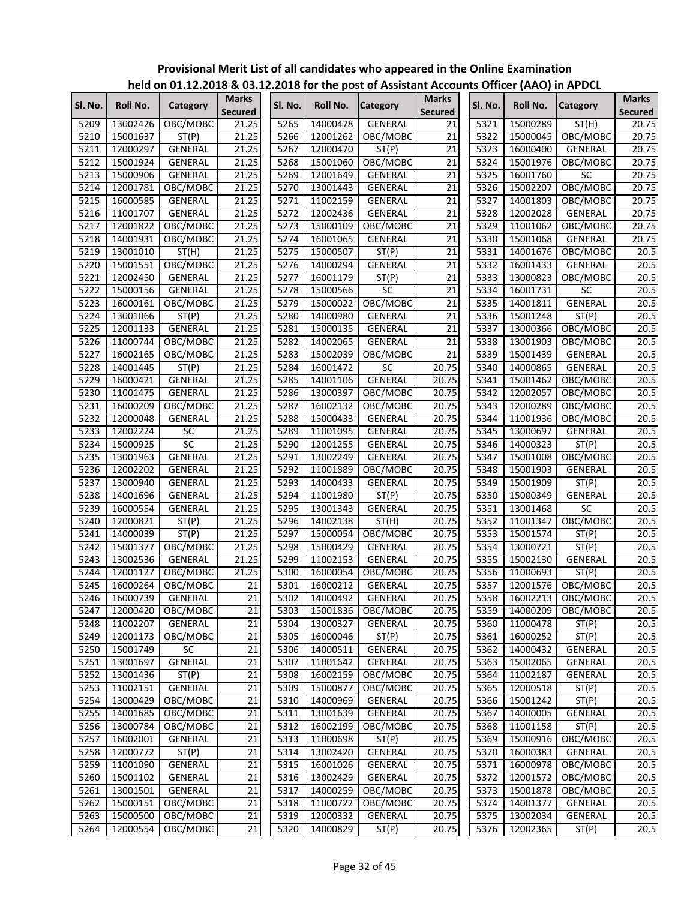|         |          |                 |                                |         |          | <u>HEIU UII UIII LEI LUID &amp; USIILI LUID IUI THE PUSTUI ASSISTANT ACCUUNTS UNICEI (AAU) IN APUCC</u> |                                |         |          |                 |                                |
|---------|----------|-----------------|--------------------------------|---------|----------|---------------------------------------------------------------------------------------------------------|--------------------------------|---------|----------|-----------------|--------------------------------|
| Sl. No. | Roll No. | Category        | <b>Marks</b><br><b>Secured</b> | SI. No. | Roll No. | <b>Category</b>                                                                                         | <b>Marks</b><br><b>Secured</b> | Sl. No. | Roll No. | <b>Category</b> | <b>Marks</b><br><b>Secured</b> |
| 5209    | 13002426 | OBC/MOBC        | 21.25                          | 5265    | 14000478 | <b>GENERAL</b>                                                                                          | 21                             | 5321    | 15000289 | ST(H)           | 20.75                          |
| 5210    | 15001637 | ST(P)           | 21.25                          | 5266    | 12001262 | OBC/MOBC                                                                                                | 21                             | 5322    | 15000045 | OBC/MOBC        | 20.75                          |
| 5211    | 12000297 | GENERAL         | 21.25                          | 5267    | 12000470 | ST(P)                                                                                                   | 21                             | 5323    | 16000400 | GENERAL         | 20.75                          |
| 5212    | 15001924 | GENERAL         | 21.25                          | 5268    | 15001060 | OBC/MOBC                                                                                                | 21                             | 5324    | 15001976 | OBC/MOBC        | 20.75                          |
| 5213    | 15000906 | GENERAL         | 21.25                          | 5269    | 12001649 | GENERAL                                                                                                 | 21                             | 5325    | 16001760 | <b>SC</b>       | 20.75                          |
| 5214    | 12001781 | OBC/MOBC        | 21.25                          | 5270    | 13001443 | <b>GENERAL</b>                                                                                          | 21                             | 5326    | 15002207 | OBC/MOBC        | 20.75                          |
| 5215    | 16000585 | GENERAL         | 21.25                          | 5271    | 11002159 | <b>GENERAL</b>                                                                                          | 21                             | 5327    | 14001803 | OBC/MOBC        | 20.75                          |
| 5216    | 11001707 | GENERAL         | 21.25                          | 5272    | 12002436 | GENERAL                                                                                                 | $\overline{21}$                | 5328    | 12002028 | <b>GENERAL</b>  | 20.75                          |
| 5217    | 12001822 | OBC/MOBC        | 21.25                          | 5273    | 15000109 | OBC/MOBC                                                                                                | $\overline{21}$                | 5329    | 11001062 | OBC/MOBC        | 20.75                          |
| 5218    | 14001931 | OBC/MOBC        | 21.25                          | 5274    | 16001065 | <b>GENERAL</b>                                                                                          | $\overline{21}$                | 5330    | 15001068 | <b>GENERAL</b>  | 20.75                          |
| 5219    | 13001010 | ST(H)           | 21.25                          | 5275    | 15000507 | ST(P)                                                                                                   | $\overline{21}$                | 5331    | 14001676 | OBC/MOBC        | 20.5                           |
| 5220    | 15001551 | OBC/MOBC        | 21.25                          | 5276    | 14000294 | GENERAL                                                                                                 | $\overline{21}$                | 5332    | 16001433 | GENERAL         | 20.5                           |
| 5221    | 12002450 | GENERAL         | 21.25                          | 5277    | 16001179 | ST(P)                                                                                                   | $\overline{21}$                | 5333    | 13000823 | OBC/MOBC        | 20.5                           |
| 5222    | 15000156 | <b>GENERAL</b>  | 21.25                          | 5278    | 15000566 | SC                                                                                                      | $\overline{21}$                | 5334    | 16001731 | $\overline{SC}$ | 20.5                           |
| 5223    | 16000161 | OBC/MOBC        | 21.25                          | 5279    | 15000022 | OBC/MOBC                                                                                                | $\overline{21}$                | 5335    | 14001811 | <b>GENERAL</b>  | 20.5                           |
| 5224    | 13001066 | ST(P)           | 21.25                          | 5280    | 14000980 | GENERAL                                                                                                 | 21                             | 5336    | 15001248 | ST(P)           | 20.5                           |
| 5225    | 12001133 | GENERAL         | 21.25                          | 5281    | 15000135 | GENERAL                                                                                                 | $\overline{21}$                | 5337    | 13000366 | OBC/MOBC        | 20.5                           |
| 5226    | 11000744 | OBC/MOBC        | 21.25                          | 5282    | 14002065 | GENERAL                                                                                                 | $\overline{21}$                | 5338    | 13001903 | OBC/MOBC        | 20.5                           |
| 5227    | 16002165 | OBC/MOBC        | 21.25                          | 5283    | 15002039 | OBC/MOBC                                                                                                | 21                             | 5339    | 15001439 | GENERAL         | 20.5                           |
| 5228    | 14001445 | ST(P)           | 21.25                          | 5284    | 16001472 | <b>SC</b>                                                                                               | 20.75                          | 5340    | 14000865 | <b>GENERAL</b>  | 20.5                           |
| 5229    | 16000421 | GENERAL         | 21.25                          | 5285    | 14001106 | <b>GENERAL</b>                                                                                          | 20.75                          | 5341    | 15001462 | OBC/MOBC        | 20.5                           |
| 5230    | 11001475 | <b>GENERAL</b>  | 21.25                          | 5286    | 13000397 | OBC/MOBC                                                                                                | 20.75                          | 5342    | 12002057 | OBC/MOBC        | 20.5                           |
| 5231    | 16000209 | OBC/MOBC        | 21.25                          | 5287    | 16002132 | OBC/MOBC                                                                                                | 20.75                          | 5343    | 12000289 | OBC/MOBC        | 20.5                           |
| 5232    | 12000048 | GENERAL         | 21.25                          | 5288    | 15000433 | <b>GENERAL</b>                                                                                          | 20.75                          | 5344    | 11001936 | OBC/MOBC        | 20.5                           |
| 5233    | 12002224 | $\overline{SC}$ | 21.25                          | 5289    | 11001095 | GENERAL                                                                                                 | 20.75                          | 5345    | 13000697 | GENERAL         | 20.5                           |
| 5234    | 15000925 | SC              | 21.25                          | 5290    | 12001255 | GENERAL                                                                                                 | 20.75                          | 5346    | 14000323 | ST(P)           | 20.5                           |
| 5235    | 13001963 | GENERAL         | 21.25                          | 5291    | 13002249 | GENERAL                                                                                                 | 20.75                          | 5347    | 15001008 | OBC/MOBC        | 20.5                           |
| 5236    | 12002202 | <b>GENERAL</b>  | 21.25                          | 5292    | 11001889 | OBC/MOBC                                                                                                | 20.75                          | 5348    | 15001903 | GENERAL         | 20.5                           |
| 5237    | 13000940 | GENERAL         | 21.25                          | 5293    | 14000433 | GENERAL                                                                                                 | 20.75                          | 5349    | 15001909 | ST(P)           | 20.5                           |
| 5238    | 14001696 | GENERAL         | 21.25                          | 5294    | 11001980 | ST(P)                                                                                                   | 20.75                          | 5350    | 15000349 | GENERAL         | 20.5                           |
| 5239    | 16000554 | GENERAL         | $2\overline{1.25}$             | 5295    | 13001343 | <b>GENERAL</b>                                                                                          | 20.75                          | 5351    | 13001468 | $\overline{SC}$ | 20.5                           |
| 5240    | 12000821 | ST(P)           | 21.25                          | 5296    | 14002138 | ST(H)                                                                                                   | 20.75                          | 5352    | 11001347 | OBC/MOBC        | 20.5                           |
| 5241    | 14000039 | ST(P)           | 21.25                          | 5297    | 15000054 | OBC/MOBC                                                                                                | 20.75                          | 5353    | 15001574 | ST(P)           | 20.5                           |
| 5242    | 15001377 | OBC/MOBC        | 21.25                          | 5298    | 15000429 | <b>GENERAL</b>                                                                                          | 20.75                          | 5354    | 13000721 | ST(P)           | 20.5                           |
| 5243    | 13002536 | <b>GENERAL</b>  | 21.25                          | 5299    | 11002153 | GENERAL                                                                                                 | 20.75                          | 5355    | 15002130 | <b>GENERAL</b>  | 20.5                           |
| 5244    | 12001127 | OBC/MOBC        | 21.25                          | 5300    | 16000054 | OBC/MOBC                                                                                                | 20.75                          | 5356    | 11000693 | ST(P)           | 20.5                           |
| 5245    | 16000264 | OBC/MOBC        | 21                             | 5301    | 16000212 | <b>GENERAL</b>                                                                                          | 20.75                          | 5357    | 12001576 | OBC/MOBC        | 20.5                           |
| 5246    | 16000739 | GENERAL         | $\overline{21}$                | 5302    | 14000492 | GENERAL                                                                                                 | 20.75                          | 5358    | 16002213 | OBC/MOBC        | 20.5                           |
| 5247    | 12000420 | OBC/MOBC        | $\overline{21}$                | 5303    | 15001836 | OBC/MOBC                                                                                                | 20.75                          | 5359    | 14000209 | OBC/MOBC        | 20.5                           |
| 5248    | 11002207 | GENERAL         | $\overline{21}$                | 5304    | 13000327 | GENERAL                                                                                                 | 20.75                          | 5360    | 11000478 | ST(P)           | 20.5                           |
| 5249    | 12001173 | OBC/MOBC        | 21                             | 5305    | 16000046 | ST(P)                                                                                                   | 20.75                          | 5361    | 16000252 | ST(P)           | 20.5                           |
| 5250    | 15001749 | SC              | $\overline{21}$                | 5306    | 14000511 | GENERAL                                                                                                 | 20.75                          | 5362    | 14000432 | GENERAL         | 20.5                           |
| 5251    | 13001697 | GENERAL         | $\overline{21}$                | 5307    | 11001642 | GENERAL                                                                                                 | 20.75                          | 5363    | 15002065 | GENERAL         | 20.5                           |
| 5252    | 13001436 | ST(P)           | 21                             | 5308    | 16002159 | OBC/MOBC                                                                                                | 20.75                          | 5364    | 11002187 | <b>GENERAL</b>  | 20.5                           |
| 5253    | 11002151 | GENERAL         | 21                             | 5309    | 15000877 | OBC/MOBC                                                                                                | 20.75                          | 5365    | 12000518 | ST(P)           | 20.5                           |
| 5254    | 13000429 | OBC/MOBC        | 21                             | 5310    | 14000969 | <b>GENERAL</b>                                                                                          | 20.75                          | 5366    | 15001242 | ST(P)           | 20.5                           |
| 5255    | 14001685 | OBC/MOBC        | 21                             | 5311    | 13001639 | GENERAL                                                                                                 | 20.75                          | 5367    | 14000005 | GENERAL         | 20.5                           |
| 5256    | 13000784 | OBC/MOBC        | 21                             | 5312    | 16002199 | OBC/MOBC                                                                                                | 20.75                          | 5368    | 11001158 | ST(P)           | 20.5                           |
| 5257    | 16002001 | GENERAL         | 21                             | 5313    | 11000698 | ST(P)                                                                                                   | 20.75                          | 5369    | 15000916 | OBC/MOBC        | 20.5                           |
| 5258    | 12000772 | ST(P)           | $\overline{21}$                | 5314    | 13002420 | GENERAL                                                                                                 | 20.75                          | 5370    | 16000383 | GENERAL         | 20.5                           |
| 5259    | 11001090 | GENERAL         | $\overline{21}$                | 5315    | 16001026 | GENERAL                                                                                                 | 20.75                          | 5371    | 16000978 | OBC/MOBC        | 20.5                           |
| 5260    | 15001102 | GENERAL         | $\overline{21}$                | 5316    | 13002429 | GENERAL                                                                                                 | 20.75                          | 5372    | 12001572 | OBC/MOBC        | 20.5                           |
| 5261    | 13001501 | GENERAL         | 21                             | 5317    | 14000259 | OBC/MOBC                                                                                                | 20.75                          | 5373    | 15001878 | OBC/MOBC        | 20.5                           |
| 5262    | 15000151 | OBC/MOBC        | 21                             | 5318    | 11000722 | OBC/MOBC                                                                                                | 20.75                          | 5374    | 14001377 | GENERAL         | 20.5                           |
| 5263    | 15000500 | OBC/MOBC        | 21                             | 5319    | 12000332 | GENERAL                                                                                                 | 20.75                          | 5375    | 13002034 | GENERAL         | 20.5                           |
| 5264    | 12000554 | OBC/MOBC        | $\overline{21}$                | 5320    | 14000829 | ST(P)                                                                                                   | 20.75                          | 5376    | 12002365 | ST(P)           | 20.5                           |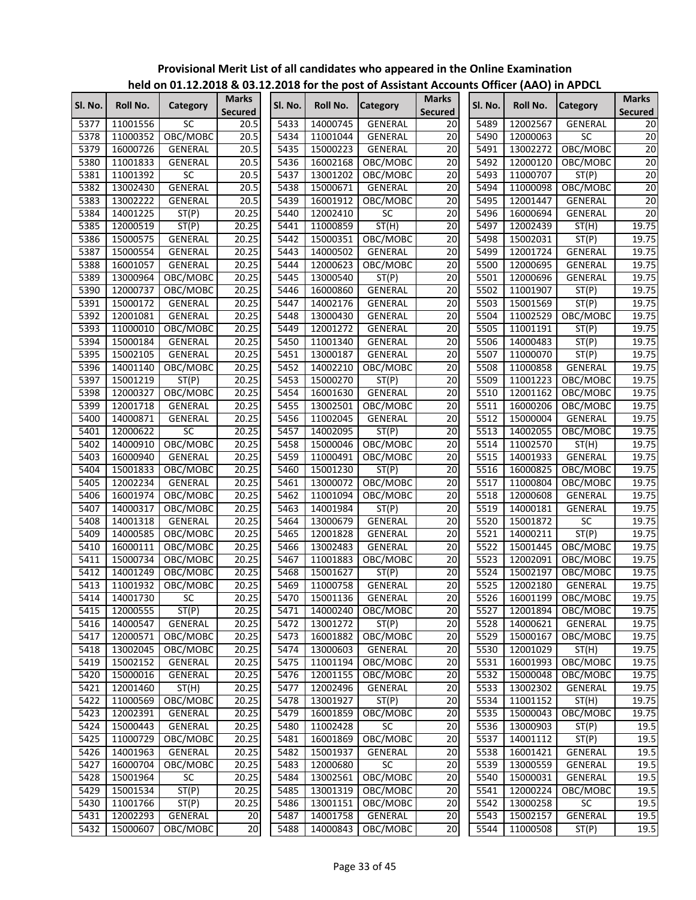|         |                 | $\frac{1}{2}$ is the contracted to the post of Assistant Accounts Ontice (AAO) in AFDCL |                                |         |          |                 |                                |         |          |                 |                                |
|---------|-----------------|-----------------------------------------------------------------------------------------|--------------------------------|---------|----------|-----------------|--------------------------------|---------|----------|-----------------|--------------------------------|
| SI. No. | <b>Roll No.</b> | Category                                                                                | <b>Marks</b><br><b>Secured</b> | Sl. No. | Roll No. | <b>Category</b> | <b>Marks</b><br><b>Secured</b> | Sl. No. | Roll No. | <b>Category</b> | <b>Marks</b><br><b>Secured</b> |
| 5377    | 11001556        | <b>SC</b>                                                                               | 20.5                           | 5433    | 14000745 | GENERAL         | 20                             | 5489    | 12002567 | GENERAL         | 20                             |
| 5378    | 11000352        | OBC/MOBC                                                                                | 20.5                           | 5434    | 11001044 | GENERAL         | 20                             | 5490    | 12000063 | SC              | 20                             |
| 5379    | 16000726        | GENERAL                                                                                 | 20.5                           | 5435    | 15000223 | GENERAL         | $\overline{20}$                | 5491    | 13002272 | OBC/MOBC        | $\overline{20}$                |
| 5380    | 11001833        | GENERAL                                                                                 | 20.5                           | 5436    | 16002168 | OBC/MOBC        | 20                             | 5492    | 12000120 | OBC/MOBC        | $\overline{20}$                |
| 5381    | 11001392        | SC                                                                                      | 20.5                           | 5437    | 13001202 | OBC/MOBC        | $\overline{20}$                | 5493    | 11000707 | ST(P)           | $\overline{20}$                |
| 5382    | 13002430        | <b>GENERAL</b>                                                                          | 20.5                           | 5438    | 15000671 | GENERAL         | 20                             | 5494    | 11000098 | OBC/MOBC        | $\overline{20}$                |
| 5383    | 13002222        | GENERAL                                                                                 | 20.5                           | 5439    | 16001912 | OBC/MOBC        | $\overline{20}$                | 5495    | 12001447 | GENERAL         | 20                             |
| 5384    | 14001225        | ST(P)                                                                                   | 20.25                          | 5440    | 12002410 | <b>SC</b>       | 20                             | 5496    | 16000694 | GENERAL         | $\overline{20}$                |
| 5385    | 12000519        | ST(P)                                                                                   | 20.25                          | 5441    | 11000859 | ST(H)           | $\overline{20}$                | 5497    | 12002439 | ST(H)           | 19.75                          |
| 5386    | 15000575        | GENERAL                                                                                 | 20.25                          | 5442    | 15000351 | OBC/MOBC        | 20                             | 5498    | 15002031 | ST(P)           | 19.75                          |
| 5387    | 15000554        | GENERAL                                                                                 | 20.25                          | 5443    | 14000502 | <b>GENERAL</b>  | 20                             | 5499    | 12001724 | <b>GENERAL</b>  | 19.75                          |
| 5388    | 16001057        | GENERAL                                                                                 | 20.25                          | 5444    | 12000623 | OBC/MOBC        | $\overline{20}$                | 5500    | 12000695 | GENERAL         | 19.75                          |
| 5389    | 13000964        | OBC/MOBC                                                                                | 20.25                          | 5445    | 13000540 | ST(P)           | $\overline{20}$                | 5501    | 12000696 | GENERAL         | 19.75                          |
| 5390    | 12000737        | OBC/MOBC                                                                                | 20.25                          | 5446    | 16000860 | GENERAL         | 20                             | 5502    | 11001907 | ST(P)           | 19.75                          |
| 5391    | 15000172        | GENERAL                                                                                 | 20.25                          | 5447    | 14002176 | GENERAL         | 20                             | 5503    | 15001569 | ST(P)           | 19.75                          |
| 5392    | 12001081        | <b>GENERAL</b>                                                                          | 20.25                          | 5448    | 13000430 | <b>GENERAL</b>  | 20                             | 5504    | 11002529 | OBC/MOBC        | 19.75                          |
| 5393    | 11000010        | OBC/MOBC                                                                                | 20.25                          | 5449    | 12001272 | GENERAL         | $\overline{20}$                | 5505    | 11001191 | ST(P)           | 19.75                          |
| 5394    | 15000184        | GENERAL                                                                                 | 20.25                          | 5450    | 11001340 | GENERAL         | $\overline{20}$                | 5506    | 14000483 | ST(P)           | 19.75                          |
| 5395    | 15002105        | <b>GENERAL</b>                                                                          | 20.25                          | 5451    | 13000187 | <b>GENERAL</b>  | 20                             | 5507    | 11000070 | ST(P)           | 19.75                          |
| 5396    | 14001140        | OBC/MOBC                                                                                | 20.25                          | 5452    | 14002210 | OBC/MOBC        | $\overline{20}$                | 5508    | 11000858 | GENERAL         | 19.75                          |
| 5397    | 15001219        | ST(P)                                                                                   | 20.25                          | 5453    | 15000270 | ST(P)           | $\overline{20}$                | 5509    | 11001223 | OBC/MOBC        | 19.75                          |
| 5398    | 12000327        | OBC/MOBC                                                                                | 20.25                          | 5454    | 16001630 | GENERAL         | 20                             | 5510    | 12001162 | OBC/MOBC        | 19.75                          |
| 5399    | 12001718        | GENERAL                                                                                 | 20.25                          | 5455    | 13002501 | OBC/MOBC        | 20                             | 5511    | 16000206 | OBC/MOBC        | 19.75                          |
| 5400    | 14000871        | GENERAL                                                                                 | 20.25                          | 5456    | 11002045 | <b>GENERAL</b>  | $\overline{20}$                | 5512    | 15000004 | <b>GENERAL</b>  | 19.75                          |
| 5401    | 12000622        | SC                                                                                      | 20.25                          | 5457    | 14002095 | ST(P)           | 20                             | 5513    | 14002055 | OBC/MOBC        | 19.75                          |
| 5402    | 14000910        | OBC/MOBC                                                                                | 20.25                          | 5458    | 15000046 | OBC/MOBC        | $\overline{20}$                | 5514    | 11002570 | ST(H)           | 19.75                          |
| 5403    | 16000940        | GENERAL                                                                                 | 20.25                          | 5459    | 11000491 | OBC/MOBC        | 20                             | 5515    | 14001933 | <b>GENERAL</b>  | 19.75                          |
| 5404    | 15001833        | OBC/MOBC                                                                                | 20.25                          | 5460    | 15001230 | ST(P)           | $\overline{20}$                | 5516    | 16000825 | OBC/MOBC        | 19.75                          |
| 5405    | 12002234        | GENERAL                                                                                 | 20.25                          | 5461    | 13000072 | OBC/MOBC        | 20                             | 5517    | 11000804 | OBC/MOBC        | 19.75                          |
| 5406    | 16001974        | OBC/MOBC                                                                                | 20.25                          | 5462    | 11001094 | OBC/MOBC        | $\overline{20}$                | 5518    | 12000608 | GENERAL         | 19.75                          |
| 5407    | 14000317        | OBC/MOBC                                                                                | 20.25                          | 5463    | 14001984 | ST(P)           | 20                             | 5519    | 14000181 | GENERAL         | 19.75                          |
| 5408    | 14001318        | GENERAL                                                                                 | 20.25                          | 5464    | 13000679 | GENERAL         | $\overline{20}$                | 5520    | 15001872 | $\overline{SC}$ | 19.75                          |
| 5409    | 14000585        | OBC/MOBC                                                                                | 20.25                          | 5465    | 12001828 | GENERAL         | 20                             | 5521    | 14000211 | ST(P)           | 19.75                          |
| 5410    | 16000111        | OBC/MOBC                                                                                | 20.25                          | 5466    | 13002483 | GENERAL         | 20                             | 5522    | 15001445 | OBC/MOBC        | 19.75                          |
| 5411    | 15000734        | OBC/MOBC                                                                                | 20.25                          | 5467    | 11001883 | OBC/MOBC        | 20                             | 5523    | 12002091 | OBC/MOBC        | 19.75                          |
| 5412    | 14001249        | OBC/MOBC                                                                                | 20.25                          | 5468    | 15001627 | ST(P)           | 20                             | 5524    | 15002197 | OBC/MOBC        | 19.75                          |
| 5413    | 11001932        | OBC/MOBC                                                                                | 20.25                          | 5469    | 11000758 | <b>GENERAL</b>  | $\overline{20}$                | 5525    | 12002180 | GENERAL         | 19.75                          |
| 5414    | 14001730        | $\overline{SC}$                                                                         | 20.25                          | 5470    | 15001136 | <b>GENERAL</b>  | 20                             | 5526    | 16001199 | OBC/MOBC        | 19.75                          |
| 5415    | 12000555        | ST(P)                                                                                   | 20.25                          | 5471    | 14000240 | OBC/MOBC        | 20                             | 5527    | 12001894 | OBC/MOBC        | 19.75                          |
| 5416    | 14000547        | GENERAL                                                                                 | 20.25                          | 5472    | 13001272 | ST(P)           | 20                             | 5528    | 14000621 | GENERAL         | 19.75                          |
| 5417    | 12000571        | OBC/MOBC                                                                                | 20.25                          | 5473    | 16001882 | OBC/MOBC        | 20                             | 5529    | 15000167 | OBC/MOBC        | 19.75                          |
| 5418    | 13002045        | OBC/MOBC                                                                                | 20.25                          | 5474    | 13000603 | GENERAL         | 20                             | 5530    | 12001029 | ST(H)           | 19.75                          |
| 5419    | 15002152        | GENERAL                                                                                 | 20.25                          | 5475    | 11001194 | OBC/MOBC        | 20                             | 5531    | 16001993 | OBC/MOBC        | 19.75                          |
| 5420    | 15000016        | GENERAL                                                                                 | 20.25                          | 5476    | 12001155 | OBC/MOBC        | 20                             | 5532    | 15000048 | OBC/MOBC        | 19.75                          |
| 5421    | 12001460        | ST(H)                                                                                   | 20.25                          | 5477    | 12002496 | GENERAL         | 20                             | 5533    | 13002302 | GENERAL         | 19.75                          |
| 5422    | 11000569        | OBC/MOBC                                                                                | 20.25                          | 5478    | 13001927 | ST(P)           | 20                             | 5534    | 11001152 | ST(H)           | 19.75                          |
| 5423    | 12002391        | GENERAL                                                                                 | 20.25                          | 5479    | 16001859 | OBC/MOBC        | $\overline{20}$                | 5535    | 15000043 | OBC/MOBC        | 19.75                          |
| 5424    | 15000443        | GENERAL                                                                                 | 20.25                          | 5480    | 11002428 | <b>SC</b>       | 20                             | 5536    | 13000903 | ST(P)           | 19.5                           |
| 5425    | 11000729        | OBC/MOBC                                                                                | 20.25                          | 5481    | 16001869 | OBC/MOBC        | $\overline{20}$                | 5537    | 14001112 | ST(P)           | 19.5                           |
| 5426    | 14001963        | GENERAL                                                                                 | 20.25                          | 5482    | 15001937 | GENERAL         | 20                             | 5538    | 16001421 | GENERAL         | 19.5                           |
| 5427    | 16000704        | OBC/MOBC                                                                                | 20.25                          | 5483    | 12000680 | <b>SC</b>       | $\overline{20}$                | 5539    | 13000559 | GENERAL         | 19.5                           |
| 5428    | 15001964        | <b>SC</b>                                                                               | 20.25                          | 5484    | 13002561 | OBC/MOBC        | 20                             | 5540    | 15000031 | GENERAL         | 19.5                           |
| 5429    | 15001534        | ST(P)                                                                                   | 20.25                          | 5485    | 13001319 | OBC/MOBC        | $\overline{20}$                | 5541    | 12000224 | OBC/MOBC        | 19.5                           |
| 5430    | 11001766        | ST(P)                                                                                   | 20.25                          | 5486    | 13001151 | OBC/MOBC        | 20                             | 5542    | 13000258 | SC              | 19.5                           |
| 5431    | 12002293        | GENERAL                                                                                 | 20                             | 5487    | 14001758 | GENERAL         | $\overline{20}$                | 5543    | 15002157 | GENERAL         | 19.5                           |
| 5432    | 15000607        | OBC/MOBC                                                                                | 20                             | 5488    | 14000843 | OBC/MOBC        | 20                             | 5544    | 11000508 | ST(P)           | 19.5                           |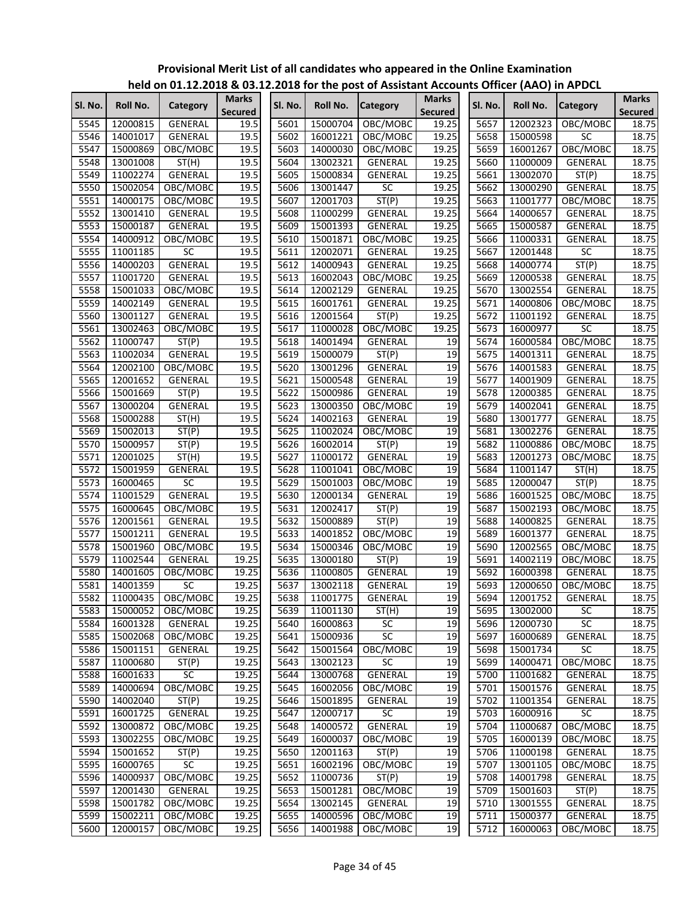|         |          |                |                                |         |          | $\frac{1}{2}$ is the contracted to the first post of Assistant Accounts Onlied (AAO) in AFDCL |                                |         |          |                 |                                |
|---------|----------|----------------|--------------------------------|---------|----------|-----------------------------------------------------------------------------------------------|--------------------------------|---------|----------|-----------------|--------------------------------|
| Sl. No. | Roll No. | Category       | <b>Marks</b><br><b>Secured</b> | SI. No. | Roll No. | <b>Category</b>                                                                               | <b>Marks</b><br><b>Secured</b> | Sl. No. | Roll No. | <b>Category</b> | <b>Marks</b><br><b>Secured</b> |
| 5545    | 12000815 | GENERAL        | 19.5                           | 5601    | 15000704 | OBC/MOBC                                                                                      | 19.25                          | 5657    | 12002323 | OBC/MOBC        | 18.75                          |
| 5546    | 14001017 | GENERAL        | 19.5                           | 5602    | 16001221 | OBC/MOBC                                                                                      | 19.25                          | 5658    | 15000598 | <b>SC</b>       | 18.75                          |
| 5547    | 15000869 | OBC/MOBC       | 19.5                           | 5603    | 14000030 | OBC/MOBC                                                                                      | 19.25                          | 5659    | 16001267 | OBC/MOBC        | 18.75                          |
| 5548    | 13001008 | ST(H)          | 19.5                           | 5604    | 13002321 | GENERAL                                                                                       | 19.25                          | 5660    | 11000009 | GENERAL         | 18.75                          |
| 5549    | 11002274 | GENERAL        | 19.5                           | 5605    | 15000834 | GENERAL                                                                                       | 19.25                          | 5661    | 13002070 | ST(P)           | 18.75                          |
| 5550    | 15002054 | OBC/MOBC       | 19.5                           | 5606    | 13001447 | SC                                                                                            | 19.25                          | 5662    | 13000290 | GENERAL         | 18.75                          |
| 5551    | 14000175 | OBC/MOBC       | 19.5                           | 5607    | 12001703 | ST(P)                                                                                         | 19.25                          | 5663    | 11001777 | OBC/MOBC        | 18.75                          |
| 5552    | 13001410 | GENERAL        | 19.5                           | 5608    | 11000299 | GENERAL                                                                                       | 19.25                          | 5664    | 14000657 | GENERAL         | 18.75                          |
| 5553    | 15000187 | GENERAL        | 19.5                           | 5609    | 15001393 | GENERAL                                                                                       | 19.25                          | 5665    | 15000587 | GENERAL         | 18.75                          |
| 5554    | 14000912 | OBC/MOBC       | 19.5                           | 5610    | 15001871 | OBC/MOBC                                                                                      | 19.25                          | 5666    | 11000331 | <b>GENERAL</b>  | 18.75                          |
| 5555    | 11001185 | SC             | 19.5                           | 5611    | 12002071 | GENERAL                                                                                       | 19.25                          | 5667    | 12001448 | SC              | 18.75                          |
| 5556    | 14000203 | GENERAL        | 19.5                           | 5612    | 14000943 | GENERAL                                                                                       | 19.25                          | 5668    | 14000774 | ST(P)           | 18.75                          |
| 5557    | 11001720 | <b>GENERAL</b> | 19.5                           | 5613    | 16002043 | OBC/MOBC                                                                                      | 19.25                          | 5669    | 12000538 | GENERAL         | 18.75                          |
| 5558    | 15001033 | OBC/MOBC       | 19.5                           | 5614    | 12002129 | GENERAL                                                                                       | 19.25                          | 5670    | 13002554 | GENERAL         | 18.75                          |
| 5559    | 14002149 | GENERAL        | 19.5                           | 5615    | 16001761 | GENERAL                                                                                       | 19.25                          | 5671    | 14000806 | OBC/MOBC        | 18.75                          |
| 5560    | 13001127 | GENERAL        | 19.5                           | 5616    | 12001564 | ST(P)                                                                                         | 19.25                          | 5672    | 11001192 | <b>GENERAL</b>  | 18.75                          |
| 5561    | 13002463 | OBC/MOBC       | 19.5                           | 5617    | 11000028 | OBC/MOBC                                                                                      | 19.25                          | 5673    | 16000977 | SC              | 18.75                          |
| 5562    | 11000747 | ST(P)          | 19.5                           | 5618    | 14001494 | <b>GENERAL</b>                                                                                | 19                             | 5674    | 16000584 | OBC/MOBC        | 18.75                          |
| 5563    | 11002034 | GENERAL        | 19.5                           | 5619    | 15000079 | ST(P)                                                                                         | 19                             | 5675    | 14001311 | GENERAL         | 18.75                          |
| 5564    | 12002100 | OBC/MOBC       | 19.5                           | 5620    | 13001296 | GENERAL                                                                                       | 19                             | 5676    | 14001583 | GENERAL         | 18.75                          |
| 5565    | 12001652 | GENERAL        | 19.5                           | 5621    | 15000548 | GENERAL                                                                                       | 19                             | 5677    | 14001909 | GENERAL         | 18.75                          |
| 5566    | 15001669 | ST(P)          | 19.5                           | 5622    | 15000986 | GENERAL                                                                                       | 19                             | 5678    | 12000385 | GENERAL         | 18.75                          |
| 5567    | 13000204 | <b>GENERAL</b> | 19.5                           | 5623    | 13000350 | OBC/MOBC                                                                                      | 19                             | 5679    | 14002041 | GENERAL         | 18.75                          |
| 5568    | 15000288 | ST(H)          | 19.5                           | 5624    | 14002163 | <b>GENERAL</b>                                                                                | 19                             | 5680    | 13001777 | GENERAL         | 18.75                          |
| 5569    | 15002013 | ST(P)          | 19.5                           | 5625    | 11002024 | OBC/MOBC                                                                                      | 19                             | 5681    | 13002276 | <b>GENERAL</b>  | 18.75                          |
| 5570    | 15000957 | ST(P)          | 19.5                           | 5626    | 16002014 | ST(P)                                                                                         | 19                             | 5682    | 11000886 | OBC/MOBC        | 18.75                          |
| 5571    | 12001025 | ST(H)          | 19.5                           | 5627    | 11000172 | <b>GENERAL</b>                                                                                | 19                             | 5683    | 12001273 | OBC/MOBC        | 18.75                          |
| 5572    | 15001959 | GENERAL        | 19.5                           | 5628    | 11001041 | OBC/MOBC                                                                                      | 19                             | 5684    | 11001147 | ST(H)           | 18.75                          |
| 5573    | 16000465 | SC             | 19.5                           | 5629    | 15001003 | OBC/MOBC                                                                                      | 19                             | 5685    | 12000047 | ST(P)           | 18.75                          |
| 5574    | 11001529 | GENERAL        | 19.5                           | 5630    | 12000134 | <b>GENERAL</b>                                                                                | 19                             | 5686    | 16001525 | OBC/MOBC        | 18.75                          |
| 5575    | 16000645 | OBC/MOBC       | 19.5                           | 5631    | 12002417 | ST(P)                                                                                         | 19                             | 5687    | 15002193 | OBC/MOBC        | 18.75                          |
| 5576    | 12001561 | GENERAL        | 19.5                           | 5632    | 15000889 | ST(P)                                                                                         | 19                             | 5688    | 14000825 | GENERAL         | 18.75                          |
| 5577    | 15001211 | GENERAL        | 19.5                           | 5633    | 14001852 | OBC/MOBC                                                                                      | 19                             | 5689    | 16001377 | GENERAL         | 18.75                          |
| 5578    | 15001960 | OBC/MOBC       | 19.5                           | 5634    | 15000346 | OBC/MOBC                                                                                      | 19                             | 5690    | 12002565 | OBC/MOBC        | 18.75                          |
| 5579    | 11002544 | GENERAL        | 19.25                          | 5635    | 13000180 | ST(P)                                                                                         | 19                             | 5691    | 14002119 | OBC/MOBC        | 18.75                          |
| 5580    | 14001605 | OBC/MOBC       | 19.25                          | 5636    | 11000805 | GENERAL                                                                                       | 19                             | 5692    | 16000398 | GENERAL         | 18.75                          |
| 5581    | 14001359 | SC             | 19.25                          | 5637    | 13002118 | <b>GENERAL</b>                                                                                | 19                             | 5693    | 12000650 | OBC/MOBC        | 18.75                          |
| 5582    | 11000435 | OBC/MOBC       | 19.25                          | 5638    | 11001775 | <b>GENERAL</b>                                                                                | 19                             | 5694    | 12001752 | <b>GENERAL</b>  | 18.75                          |
| 5583    | 15000052 | OBC/MOBC       | 19.25                          | 5639    | 11001130 | ST(H)                                                                                         | 19                             | 5695    | 13002000 | SC              | 18.75                          |
| 5584    | 16001328 | GENERAL        | 19.25                          | 5640    | 16000863 | SC                                                                                            | 19                             | 5696    | 12000730 | $\overline{SC}$ | 18.75                          |
| 5585    | 15002068 | OBC/MOBC       | 19.25                          | 5641    | 15000936 | SC                                                                                            | 19                             | 5697    | 16000689 | <b>GENERAL</b>  | 18.75                          |
| 5586    | 15001151 | <b>GENERAL</b> | 19.25                          | 5642    | 15001564 | OBC/MOBC                                                                                      | 19                             | 5698    | 15001734 | $\overline{SC}$ | 18.75                          |
| 5587    | 11000680 | ST(P)          | 19.25                          | 5643    | 13002123 | SC                                                                                            | 19                             | 5699    | 14000471 | OBC/MOBC        | 18.75                          |
| 5588    | 16001633 | SC             | 19.25                          | 5644    | 13000768 | GENERAL                                                                                       | 19                             | 5700    | 11001682 | GENERAL         | 18.75                          |
| 5589    | 14000694 | OBC/MOBC       | 19.25                          | 5645    | 16002056 | OBC/MOBC                                                                                      | 19                             | 5701    | 15001576 | GENERAL         | 18.75                          |
| 5590    | 14002040 | ST(P)          | 19.25                          | 5646    | 15001895 | <b>GENERAL</b>                                                                                | 19                             | 5702    | 11001354 | GENERAL         | 18.75                          |
| 5591    | 16001725 | <b>GENERAL</b> | 19.25                          | 5647    | 12000717 | SC                                                                                            | 19                             | 5703    | 16000916 | $\overline{SC}$ | 18.75                          |
| 5592    | 13000872 | OBC/MOBC       | 19.25                          | 5648    | 14000572 | <b>GENERAL</b>                                                                                | 19                             | 5704    | 11000687 | OBC/MOBC        | 18.75                          |
| 5593    | 13002255 | OBC/MOBC       | 19.25                          | 5649    | 16000037 | OBC/MOBC                                                                                      | 19                             | 5705    | 16000139 | OBC/MOBC        | 18.75                          |
| 5594    | 15001652 | ST(P)          | 19.25                          | 5650    | 12001163 | ST(P)                                                                                         | 19                             | 5706    | 11000198 | GENERAL         | 18.75                          |
| 5595    | 16000765 | SC             | 19.25                          | 5651    | 16002196 | OBC/MOBC                                                                                      | 19                             | 5707    | 13001105 | OBC/MOBC        | 18.75                          |
| 5596    | 14000937 | OBC/MOBC       | 19.25                          | 5652    | 11000736 | ST(P)                                                                                         | 19                             | 5708    | 14001798 | GENERAL         | 18.75                          |
| 5597    | 12001430 | GENERAL        | 19.25                          | 5653    | 15001281 | OBC/MOBC                                                                                      | 19                             | 5709    | 15001603 | ST(P)           | 18.75                          |
| 5598    | 15001782 | OBC/MOBC       | 19.25                          | 5654    | 13002145 | GENERAL                                                                                       | 19                             | 5710    | 13001555 | GENERAL         | 18.75                          |
| 5599    | 15002211 | OBC/MOBC       | 19.25                          | 5655    | 14000596 | OBC/MOBC                                                                                      | 19                             | 5711    | 15000377 | GENERAL         | 18.75                          |
| 5600    | 12000157 | OBC/MOBC       | 19.25                          | 5656    | 14001988 | OBC/MOBC                                                                                      | 19                             | 5712    | 16000063 | OBC/MOBC        | 18.75                          |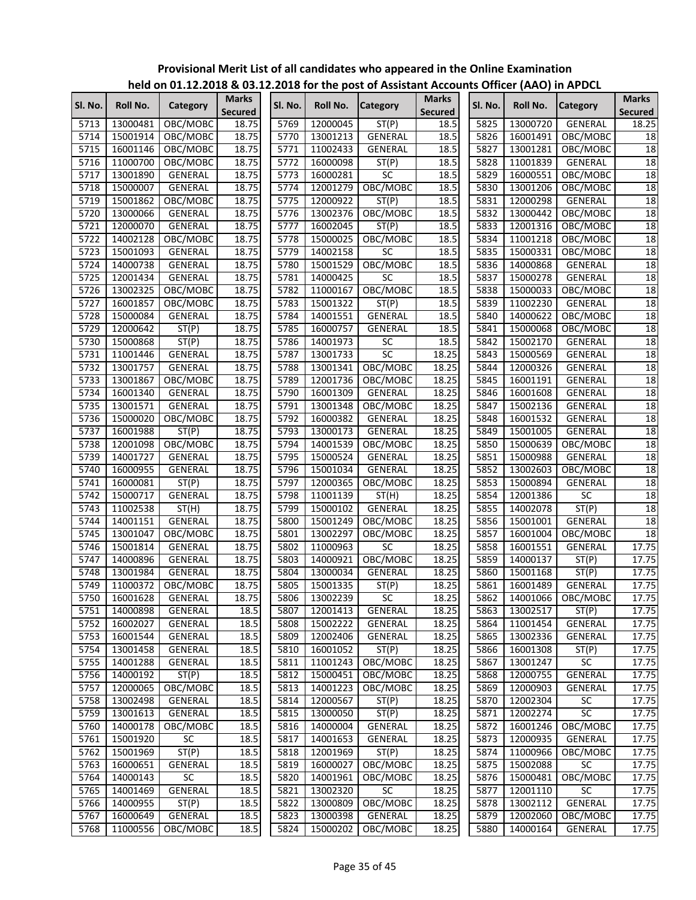|         |          | $1000$ on online to the contract of the post of Assistant Accounts Online (AAO) in AFDCL |                                |         |          |                 |                                |         |          |                 |                                |
|---------|----------|------------------------------------------------------------------------------------------|--------------------------------|---------|----------|-----------------|--------------------------------|---------|----------|-----------------|--------------------------------|
| Sl. No. | Roll No. | Category                                                                                 | <b>Marks</b><br><b>Secured</b> | Sl. No. | Roll No. | <b>Category</b> | <b>Marks</b><br><b>Secured</b> | Sl. No. | Roll No. | <b>Category</b> | <b>Marks</b><br><b>Secured</b> |
| 5713    | 13000481 | OBC/MOBC                                                                                 | 18.75                          | 5769    | 12000045 | ST(P)           | 18.5                           | 5825    | 13000720 | GENERAL         | 18.25                          |
| 5714    | 15001914 | OBC/MOBC                                                                                 | 18.75                          | 5770    | 13001213 | GENERAL         | 18.5                           | 5826    | 16001491 | OBC/MOBC        | 18                             |
| 5715    | 16001146 | OBC/MOBC                                                                                 | 18.75                          | 5771    | 11002433 | GENERAL         | 18.5                           | 5827    | 13001281 | OBC/MOBC        | 18                             |
| 5716    | 11000700 | OBC/MOBC                                                                                 | 18.75                          | 5772    | 16000098 | ST(P)           | 18.5                           | 5828    | 11001839 | GENERAL         | 18                             |
| 5717    | 13001890 | GENERAL                                                                                  | 18.75                          | 5773    | 16000281 | SC              | 18.5                           | 5829    | 16000551 | OBC/MOBC        | 18                             |
| 5718    | 15000007 | GENERAL                                                                                  | 18.75                          | 5774    | 12001279 | OBC/MOBC        | 18.5                           | 5830    | 13001206 | OBC/MOBC        | 18                             |
| 5719    | 15001862 | OBC/MOBC                                                                                 | 18.75                          | 5775    | 12000922 | ST(P)           | 18.5                           | 5831    | 12000298 | GENERAL         | 18                             |
| 5720    | 13000066 | GENERAL                                                                                  | 18.75                          | 5776    | 13002376 | OBC/MOBC        | 18.5                           | 5832    | 13000442 | OBC/MOBC        | 18                             |
| 5721    | 12000070 | <b>GENERAL</b>                                                                           | 18.75                          | 5777    | 16002045 | ST(P)           | 18.5                           | 5833    | 12001316 | OBC/MOBC        | $\overline{18}$                |
| 5722    | 14002128 | OBC/MOBC                                                                                 | 18.75                          | 5778    | 15000025 | OBC/MOBC        | 18.5                           | 5834    | 11001218 | OBC/MOBC        | 18                             |
| 5723    | 15001093 | GENERAL                                                                                  | 18.75                          | 5779    | 14002158 | $\overline{SC}$ | 18.5                           | 5835    | 15000331 | OBC/MOBC        | 18                             |
| 5724    | 14000738 | GENERAL                                                                                  | 18.75                          | 5780    | 15001529 | OBC/MOBC        | 18.5                           | 5836    | 14000868 | GENERAL         | 18                             |
| 5725    | 12001434 | GENERAL                                                                                  | 18.75                          | 5781    | 14000425 | <b>SC</b>       | 18.5                           | 5837    | 15000278 | GENERAL         | 18                             |
| 5726    | 13002325 | OBC/MOBC                                                                                 | 18.75                          | 5782    | 11000167 | OBC/MOBC        | 18.5                           | 5838    | 15000033 | OBC/MOBC        | 18                             |
| 5727    | 16001857 | OBC/MOBC                                                                                 | 18.75                          | 5783    | 15001322 | ST(P)           | 18.5                           | 5839    | 11002230 | GENERAL         | 18                             |
| 5728    | 15000084 | GENERAL                                                                                  | 18.75                          | 5784    | 14001551 | GENERAL         | 18.5                           | 5840    | 14000622 | OBC/MOBC        | $\overline{18}$                |
| 5729    | 12000642 | ST(P)                                                                                    | 18.75                          | 5785    | 16000757 | <b>GENERAL</b>  | 18.5                           | 5841    | 15000068 | OBC/MOBC        | 18                             |
| 5730    | 15000868 | ST(P)                                                                                    | 18.75                          | 5786    | 14001973 | SC              | 18.5                           | 5842    | 15002170 | GENERAL         | 18                             |
| 5731    | 11001446 | <b>GENERAL</b>                                                                           | 18.75                          | 5787    | 13001733 | SC              | 18.25                          | 5843    | 15000569 | GENERAL         | 18                             |
| 5732    | 13001757 | GENERAL                                                                                  | 18.75                          | 5788    | 13001341 | OBC/MOBC        | 18.25                          | 5844    | 12000326 | GENERAL         | 18                             |
| 5733    | 13001867 | OBC/MOBC                                                                                 | 18.75                          | 5789    | 12001736 | OBC/MOBC        | 18.25                          | 5845    | 16001191 | GENERAL         | 18                             |
| 5734    | 16001340 | GENERAL                                                                                  | 18.75                          | 5790    | 16001309 | GENERAL         | 18.25                          | 5846    | 16001608 | GENERAL         | 18                             |
| 5735    | 13001571 | GENERAL                                                                                  | 18.75                          | 5791    | 13001348 | OBC/MOBC        | 18.25                          | 5847    | 15002136 | GENERAL         | 18                             |
| 5736    | 15000020 | OBC/MOBC                                                                                 | 18.75                          | 5792    | 16000382 | GENERAL         | 18.25                          | 5848    | 16001532 | GENERAL         | $\overline{18}$                |
| 5737    | 16001988 | ST(P)                                                                                    | 18.75                          | 5793    | 13000173 | <b>GENERAL</b>  | 18.25                          | 5849    | 15001005 | GENERAL         | 18                             |
| 5738    | 12001098 | OBC/MOBC                                                                                 | 18.75                          | 5794    | 14001539 | OBC/MOBC        | 18.25                          | 5850    | 15000639 | OBC/MOBC        | $\overline{18}$                |
| 5739    | 14001727 | GENERAL                                                                                  | 18.75                          | 5795    | 15000524 | <b>GENERAL</b>  | 18.25                          | 5851    | 15000988 | GENERAL         | 18                             |
| 5740    | 16000955 | <b>GENERAL</b>                                                                           | 18.75                          | 5796    | 15001034 | <b>GENERAL</b>  | 18.25                          | 5852    | 13002603 | OBC/MOBC        | 18                             |
| 5741    | 16000081 | ST(P)                                                                                    | 18.75                          | 5797    | 12000365 | OBC/MOBC        | 18.25                          | 5853    | 15000894 | GENERAL         | 18                             |
| 5742    | 15000717 | GENERAL                                                                                  | 18.75                          | 5798    | 11001139 | ST(H)           | 18.25                          | 5854    | 12001386 | $\overline{SC}$ | 18                             |
| 5743    | 11002538 | ST(H)                                                                                    | 18.75                          | 5799    | 15000102 | GENERAL         | 18.25                          | 5855    | 14002078 | ST(P)           | 18                             |
| 5744    | 14001151 | GENERAL                                                                                  | 18.75                          | 5800    | 15001249 | OBC/MOBC        | 18.25                          | 5856    | 15001001 | <b>GENERAL</b>  | $\overline{18}$                |
| 5745    | 13001047 | OBC/MOBC                                                                                 | 18.75                          | 5801    | 13002297 | OBC/MOBC        | 18.25                          | 5857    | 16001004 | OBC/MOBC        | 18                             |
| 5746    | 15001814 | GENERAL                                                                                  | 18.75                          | 5802    | 11000963 | <b>SC</b>       | 18.25                          | 5858    | 16001551 | GENERAL         | 17.75                          |
| 5747    | 14000896 | <b>GENERAL</b>                                                                           | 18.75                          | 5803    | 14000921 | OBC/MOBC        | 18.25                          | 5859    | 14000137 | ST(P)           | 17.75                          |
| 5748    | 13001984 | GENERAL                                                                                  | 18.75                          | 5804    | 13000034 | <b>GENERAL</b>  | 18.25                          | 5860    | 15001168 | ST(P)           | 17.75                          |
| 5749    | 11000372 | OBC/MOBC                                                                                 | 18.75                          | 5805    | 15001335 | ST(P)           | 18.25                          | 5861    | 16001489 | GENERAL         | 17.75                          |
| 5750    | 16001628 | <b>GENERAL</b>                                                                           | 18.75                          | 5806    | 13002239 | $\overline{SC}$ | 18.25                          | 5862    | 14001066 | OBC/MOBC        | 17.75                          |
| 5751    | 14000898 | GENERAL                                                                                  | 18.5                           | 5807    | 12001413 | GENERAL         | 18.25                          | 5863    | 13002517 | ST(P)           | 17.75                          |
| 5752    | 16002027 | GENERAL                                                                                  | 18.5                           | 5808    | 15002222 | GENERAL         | 18.25                          | 5864    | 11001454 | GENERAL         | 17.75                          |
| 5753    | 16001544 | GENERAL                                                                                  | 18.5                           | 5809    | 12002406 | GENERAL         | 18.25                          | 5865    | 13002336 | GENERAL         | 17.75                          |
| 5754    | 13001458 | GENERAL                                                                                  | 18.5                           | 5810    | 16001052 | ST(P)           | 18.25                          | 5866    | 16001308 | ST(P)           | 17.75                          |
| 5755    | 14001288 | GENERAL                                                                                  | 18.5                           | 5811    | 11001243 | OBC/MOBC        | 18.25                          | 5867    | 13001247 | <b>SC</b>       | 17.75                          |
| 5756    | 14000192 | ST(P)                                                                                    | 18.5                           | 5812    | 15000451 | OBC/MOBC        | 18.25                          | 5868    | 12000755 | GENERAL         | 17.75                          |
| 5757    | 12000065 | OBC/MOBC                                                                                 | 18.5                           | 5813    | 14001223 | OBC/MOBC        | 18.25                          | 5869    | 12000903 | GENERAL         | 17.75                          |
| 5758    | 13002498 | GENERAL                                                                                  | 18.5                           | 5814    | 12000567 | ST(P)           | 18.25                          | 5870    | 12002304 | SC              | 17.75                          |
| 5759    | 13001613 | GENERAL                                                                                  | 18.5                           | 5815    | 13000050 | ST(P)           | 18.25                          | 5871    | 12002274 | SC              | 17.75                          |
| 5760    | 14000178 | OBC/MOBC                                                                                 | 18.5                           | 5816    | 14000004 | GENERAL         | 18.25                          | 5872    | 16001246 | OBC/MOBC        | 17.75                          |
| 5761    | 15001920 | $\overline{SC}$                                                                          | 18.5                           | 5817    | 14001653 | GENERAL         | 18.25                          | 5873    | 12000935 | <b>GENERAL</b>  | 17.75                          |
| 5762    | 15001969 | ST(P)                                                                                    | 18.5                           | 5818    | 12001969 | ST(P)           | 18.25                          | 5874    | 11000966 | OBC/MOBC        | 17.75                          |
| 5763    | 16000651 | GENERAL                                                                                  | 18.5                           | 5819    | 16000027 | OBC/MOBC        | 18.25                          | 5875    | 15002088 | <b>SC</b>       | 17.75                          |
| 5764    | 14000143 | SC                                                                                       | 18.5                           | 5820    | 14001961 | OBC/MOBC        | 18.25                          | 5876    | 15000481 | OBC/MOBC        | 17.75                          |
| 5765    | 14001469 | GENERAL                                                                                  | 18.5                           | 5821    | 13002320 | SC              | 18.25                          | 5877    | 12001110 | SC              | 17.75                          |
| 5766    | 14000955 | $\overline{ST}(P)$                                                                       | 18.5                           | 5822    | 13000809 | OBC/MOBC        | 18.25                          | 5878    | 13002112 | GENERAL         | 17.75                          |
| 5767    | 16000649 | GENERAL                                                                                  | 18.5                           | 5823    | 13000398 | GENERAL         | 18.25                          | 5879    | 12002060 | OBC/MOBC        | 17.75                          |
| 5768    | 11000556 | OBC/MOBC                                                                                 | 18.5                           | 5824    | 15000202 | OBC/MOBC        | 18.25                          | 5880    | 14000164 | GENERAL         | 17.75                          |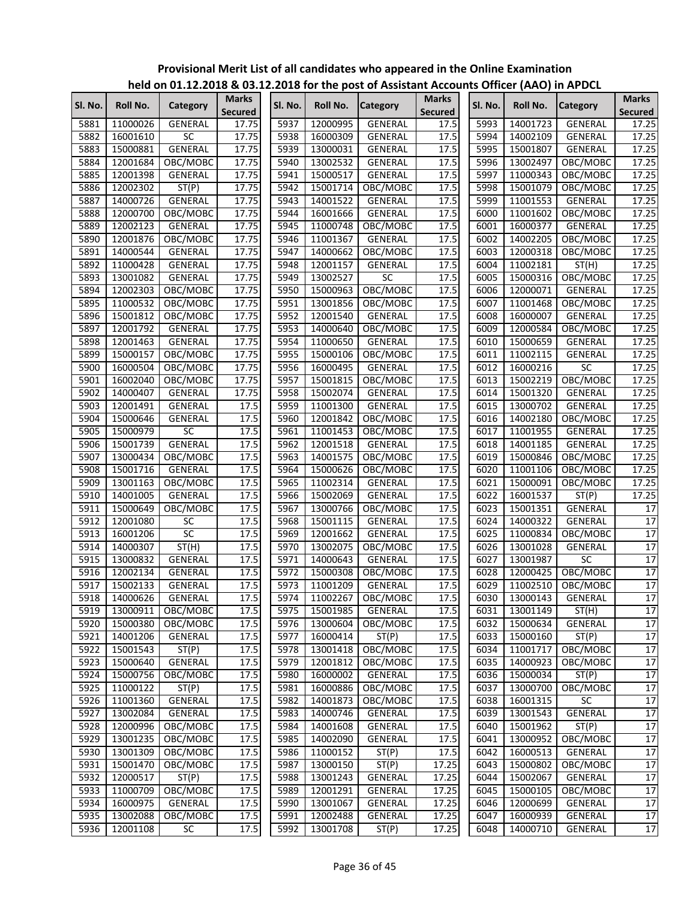|         |          |                 |                |         |          | $\overline{a}$ in the case of $\overline{a}$ and $\overline{a}$ are not the post of Assistant Accounts Officer (AAO) in APDCL |                |         |          |                 |                 |
|---------|----------|-----------------|----------------|---------|----------|-------------------------------------------------------------------------------------------------------------------------------|----------------|---------|----------|-----------------|-----------------|
| Sl. No. | Roll No. | Category        | <b>Marks</b>   | SI. No. | Roll No. | <b>Category</b>                                                                                                               | <b>Marks</b>   | Sl. No. | Roll No. | <b>Category</b> | <b>Marks</b>    |
|         |          |                 | <b>Secured</b> |         |          |                                                                                                                               | <b>Secured</b> |         |          |                 | <b>Secured</b>  |
| 5881    | 11000026 | <b>GENERAL</b>  | 17.75          | 5937    | 12000995 | GENERAL                                                                                                                       | 17.5           | 5993    | 14001723 | <b>GENERAL</b>  | 17.25           |
| 5882    | 16001610 | <b>SC</b>       | 17.75          | 5938    | 16000309 | GENERAL                                                                                                                       | 17.5           | 5994    | 14002109 | <b>GENERAL</b>  | 17.25           |
| 5883    | 15000881 | <b>GENERAL</b>  | 17.75          | 5939    | 13000031 | GENERAL                                                                                                                       | 17.5           | 5995    | 15001807 | <b>GENERAL</b>  | 17.25           |
| 5884    | 12001684 | OBC/MOBC        | 17.75          | 5940    | 13002532 | <b>GENERAL</b>                                                                                                                | 17.5           | 5996    | 13002497 | OBC/MOBC        | 17.25           |
| 5885    | 12001398 | GENERAL         | 17.75          | 5941    | 15000517 | GENERAL                                                                                                                       | 17.5           | 5997    | 11000343 | OBC/MOBC        | 17.25           |
| 5886    | 12002302 | ST(P)           | 17.75          | 5942    | 15001714 | OBC/MOBC                                                                                                                      | 17.5           | 5998    | 15001079 | OBC/MOBC        | 17.25           |
| 5887    | 14000726 | GENERAL         | 17.75          | 5943    | 14001522 | GENERAL                                                                                                                       | 17.5           | 5999    | 11001553 | GENERAL         | 17.25           |
| 5888    | 12000700 | OBC/MOBC        | 17.75          | 5944    | 16001666 | GENERAL                                                                                                                       | 17.5           | 6000    | 11001602 | OBC/MOBC        | 17.25           |
| 5889    | 12002123 | GENERAL         | 17.75          | 5945    | 11000748 | OBC/MOBC                                                                                                                      | 17.5           | 6001    | 16000377 | GENERAL         | 17.25           |
| 5890    | 12001876 | OBC/MOBC        | 17.75          | 5946    | 11001367 | GENERAL                                                                                                                       | 17.5           | 6002    | 14002205 | OBC/MOBC        | 17.25           |
| 5891    | 14000544 | GENERAL         | 17.75          | 5947    | 14000662 | OBC/MOBC                                                                                                                      | 17.5           | 6003    | 12000318 | OBC/MOBC        | 17.25           |
| 5892    | 11000428 | GENERAL         | 17.75          | 5948    | 12001157 | GENERAL                                                                                                                       | 17.5           | 6004    | 11002181 | ST(H)           | 17.25           |
| 5893    | 13001082 | GENERAL         | 17.75          | 5949    | 13002527 | $\overline{SC}$                                                                                                               | 17.5           | 6005    | 15000316 | OBC/MOBC        | 17.25           |
| 5894    | 12002303 | OBC/MOBC        | 17.75          | 5950    | 15000963 | OBC/MOBC                                                                                                                      | 17.5           | 6006    | 12000071 | GENERAL         | 17.25           |
| 5895    | 11000532 | OBC/MOBC        | 17.75          | 5951    | 13001856 | OBC/MOBC                                                                                                                      | 17.5           | 6007    | 11001468 | OBC/MOBC        | 17.25           |
| 5896    | 15001812 | OBC/MOBC        | 17.75          | 5952    | 12001540 | GENERAL                                                                                                                       | 17.5           | 6008    | 16000007 | GENERAL         | 17.25           |
| 5897    | 12001792 | GENERAL         | 17.75          | 5953    | 14000640 | OBC/MOBC                                                                                                                      | 17.5           | 6009    | 12000584 | OBC/MOBC        | 17.25           |
| 5898    | 12001463 | <b>GENERAL</b>  | 17.75          | 5954    | 11000650 | GENERAL                                                                                                                       | 17.5           | 6010    | 15000659 | <b>GENERAL</b>  | 17.25           |
| 5899    | 15000157 | OBC/MOBC        | 17.75          | 5955    | 15000106 | OBC/MOBC                                                                                                                      | 17.5           | 6011    | 11002115 | GENERAL         | 17.25           |
| 5900    | 16000504 | OBC/MOBC        | 17.75          | 5956    | 16000495 | GENERAL                                                                                                                       | 17.5           | 6012    | 16000216 | SC              | 17.25           |
| 5901    | 16002040 | OBC/MOBC        | 17.75          | 5957    | 15001815 | OBC/MOBC                                                                                                                      | 17.5           | 6013    | 15002219 | OBC/MOBC        | 17.25           |
| 5902    | 14000407 |                 | 17.75          | 5958    | 15002074 | GENERAL                                                                                                                       | 17.5           | 6014    | 15001320 | GENERAL         |                 |
|         |          | GENERAL         |                |         |          |                                                                                                                               |                | 6015    |          |                 | 17.25           |
| 5903    | 12001491 | GENERAL         | 17.5           | 5959    | 11001300 | GENERAL                                                                                                                       | 17.5           |         | 13000702 | GENERAL         | 17.25           |
| 5904    | 15000646 | GENERAL         | 17.5           | 5960    | 12001842 | OBC/MOBC                                                                                                                      | 17.5           | 6016    | 14002180 | OBC/MOBC        | 17.25           |
| 5905    | 15000979 | SC              | 17.5           | 5961    | 11001453 | OBC/MOBC                                                                                                                      | 17.5           | 6017    | 11001955 | GENERAL         | 17.25           |
| 5906    | 15001739 | GENERAL         | 17.5           | 5962    | 12001518 | GENERAL                                                                                                                       | 17.5           | 6018    | 14001185 | <b>GENERAL</b>  | 17.25           |
| 5907    | 13000434 | OBC/MOBC        | 17.5           | 5963    | 14001575 | OBC/MOBC                                                                                                                      | 17.5           | 6019    | 15000846 | OBC/MOBC        | 17.25           |
| 5908    | 15001716 | GENERAL         | 17.5           | 5964    | 15000626 | OBC/MOBC                                                                                                                      | 17.5           | 6020    | 11001106 | OBC/MOBC        | 17.25           |
| 5909    | 13001163 | OBC/MOBC        | 17.5           | 5965    | 11002314 | GENERAL                                                                                                                       | 17.5           | 6021    | 15000091 | OBC/MOBC        | 17.25           |
| 5910    | 14001005 | GENERAL         | 17.5           | 5966    | 15002069 | GENERAL                                                                                                                       | 17.5           | 6022    | 16001537 | ST(P)           | 17.25           |
| 5911    | 15000649 | OBC/MOBC        | 17.5           | 5967    | 13000766 | OBC/MOBC                                                                                                                      | 17.5           | 6023    | 15001351 | GENERAL         | 17              |
| 5912    | 12001080 | SC              | 17.5           | 5968    | 15001115 | GENERAL                                                                                                                       | 17.5           | 6024    | 14000322 | GENERAL         | 17              |
| 5913    | 16001206 | $\overline{SC}$ | 17.5           | 5969    | 12001662 | GENERAL                                                                                                                       | 17.5           | 6025    | 11000834 | OBC/MOBC        | $\overline{17}$ |
| 5914    | 14000307 | ST(H)           | 17.5           | 5970    | 13002075 | OBC/MOBC                                                                                                                      | 17.5           | 6026    | 13001028 | GENERAL         | 17              |
| 5915    | 13000832 | GENERAL         | 17.5           | 5971    | 14000643 | GENERAL                                                                                                                       | 17.5           | 6027    | 13001987 | SC              | $\overline{17}$ |
| 5916    | 12002134 | GENERAL         | 17.5           | 5972    | 15000308 | OBC/MOBC                                                                                                                      | 17.5           | 6028    | 12000425 | OBC/MOBC        | 17              |
| 5917    | 15002133 | GENERAL         | 17.5           | 5973    | 11001209 | GENERAL                                                                                                                       | 17.5           | 6029    | 11002510 | OBC/MOBC        | 17              |
| 5918    | 14000626 | <b>GENERAL</b>  | 17.5           | 5974    | 11002267 | OBC/MOBC                                                                                                                      | 17.5           | 6030    | 13000143 | GENERAL         | 17              |
| 5919    | 13000911 | OBC/MOBC        | 17.5           | 5975    | 15001985 | GENERAL                                                                                                                       | 17.5           | 6031    | 13001149 | ST(H)           | 17              |
| 5920    | 15000380 | OBC/MOBC        | 17.5           | 5976    | 13000604 | OBC/MOBC                                                                                                                      | 17.5           | 6032    | 15000634 | GENERAL         | 17              |
| 5921    | 14001206 | GENERAL         | 17.5           | 5977    | 16000414 | ST(P)                                                                                                                         | 17.5           | 6033    | 15000160 | ST(P)           | 17              |
| 5922    | 15001543 | ST(P)           | 17.5           | 5978    | 13001418 | OBC/MOBC                                                                                                                      | 17.5           | 6034    | 11001717 | OBC/MOBC        | 17              |
| 5923    | 15000640 | GENERAL         | 17.5           | 5979    | 12001812 | OBC/MOBC                                                                                                                      | 17.5           | 6035    | 14000923 | OBC/MOBC        | 17              |
| 5924    | 15000756 | OBC/MOBC        | 17.5           | 5980    | 16000002 | GENERAL                                                                                                                       | 17.5           | 6036    | 15000034 | ST(P)           | 17              |
| 5925    | 11000122 | ST(P)           | 17.5           | 5981    | 16000886 | OBC/MOBC                                                                                                                      | 17.5           | 6037    | 13000700 | OBC/MOBC        | 17              |
| 5926    | 11001360 | GENERAL         | 17.5           | 5982    | 14001873 | OBC/MOBC                                                                                                                      | 17.5           | 6038    | 16001315 | SC              | 17              |
| 5927    | 13002084 | GENERAL         | 17.5           | 5983    | 14000746 | GENERAL                                                                                                                       | 17.5           | 6039    | 13001543 | GENERAL         | 17              |
| 5928    | 12000996 | OBC/MOBC        | 17.5           | 5984    | 14001608 | <b>GENERAL</b>                                                                                                                | 17.5           | 6040    | 15001962 | ST(P)           | 17              |
| 5929    | 13001235 | OBC/MOBC        | 17.5           | 5985    | 14002090 | GENERAL                                                                                                                       | 17.5           | 6041    | 13000952 | OBC/MOBC        | 17              |
| 5930    | 13001309 | OBC/MOBC        | 17.5           | 5986    | 11000152 | ST(P)                                                                                                                         | 17.5           | 6042    | 16000513 | GENERAL         | 17              |
| 5931    | 15001470 | OBC/MOBC        | 17.5           | 5987    | 13000150 | ST(P)                                                                                                                         | 17.25          | 6043    | 15000802 | OBC/MOBC        | 17              |
| 5932    | 12000517 | ST(P)           | 17.5           | 5988    | 13001243 | GENERAL                                                                                                                       | 17.25          | 6044    | 15002067 | GENERAL         | 17              |
| 5933    | 11000709 | OBC/MOBC        | 17.5           | 5989    | 12001291 | GENERAL                                                                                                                       | 17.25          | 6045    | 15000105 | OBC/MOBC        | 17              |
| 5934    | 16000975 | GENERAL         | 17.5           | 5990    | 13001067 | GENERAL                                                                                                                       | 17.25          | 6046    | 12000699 | GENERAL         | 17              |
| 5935    | 13002088 | OBC/MOBC        | 17.5           | 5991    | 12002488 |                                                                                                                               | 17.25          | 6047    | 16000939 |                 | 17              |
|         |          |                 |                |         |          | GENERAL                                                                                                                       |                |         |          | GENERAL         |                 |
| 5936    | 12001108 | SC              | 17.5           | 5992    | 13001708 | ST(P)                                                                                                                         | 17.25          | 6048    | 14000710 | GENERAL         | 17              |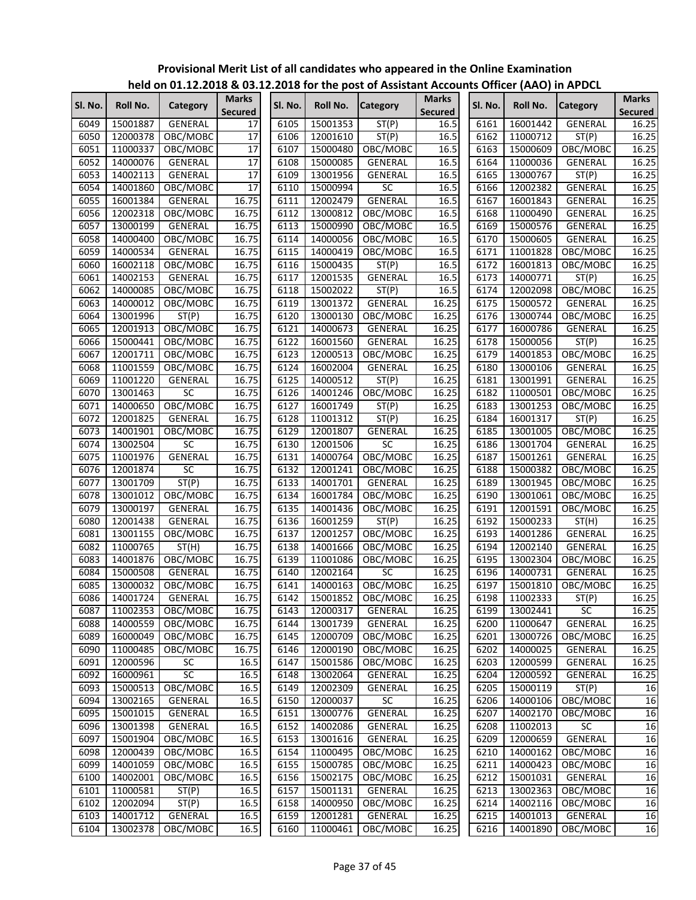|         |          |                      |                                |         |          | $220$ for the post of rissistant riceous |                                |         | $\frac{1}{2}$ of $\frac{1}{2}$ or $\frac{1}{2}$ and $\frac{1}{2}$ and $\frac{1}{2}$ |                 |                                |
|---------|----------|----------------------|--------------------------------|---------|----------|------------------------------------------|--------------------------------|---------|-------------------------------------------------------------------------------------|-----------------|--------------------------------|
| SI. No. | Roll No. | Category             | <b>Marks</b><br><b>Secured</b> | Sl. No. | Roll No. | <b>Category</b>                          | <b>Marks</b><br><b>Secured</b> | Sl. No. | Roll No.                                                                            | <b>Category</b> | <b>Marks</b><br><b>Secured</b> |
| 6049    | 15001887 | <b>GENERAL</b>       | 17                             | 6105    | 15001353 | ST(P)                                    | 16.5                           | 6161    | 16001442                                                                            | <b>GENERAL</b>  | 16.25                          |
| 6050    | 12000378 | OBC/MOBC             | 17                             | 6106    | 12001610 | ST(P)                                    | 16.5                           | 6162    | 11000712                                                                            | ST(P)           | 16.25                          |
| 6051    | 11000337 | OBC/MOBC             | 17                             | 6107    | 15000480 | OBC/MOBC                                 | 16.5                           | 6163    | 15000609                                                                            | OBC/MOBC        | 16.25                          |
| 6052    | 14000076 | GENERAL              | 17                             | 6108    | 15000085 | GENERAL                                  | 16.5                           | 6164    | 11000036                                                                            | <b>GENERAL</b>  | 16.25                          |
| 6053    | 14002113 | GENERAL              | 17                             | 6109    | 13001956 | GENERAL                                  | 16.5                           | 6165    | 13000767                                                                            | ST(P)           | 16.25                          |
| 6054    | 14001860 | OBC/MOBC             | 17                             | 6110    | 15000994 | SC                                       | 16.5                           | 6166    | 12002382                                                                            | <b>GENERAL</b>  | 16.25                          |
| 6055    | 16001384 | GENERAL              | 16.75                          | 6111    | 12002479 | <b>GENERAL</b>                           | 16.5                           | 6167    | 16001843                                                                            | GENERAL         | 16.25                          |
| 6056    | 12002318 | OBC/MOBC             | 16.75                          | 6112    | 13000812 | OBC/MOBC                                 | 16.5                           | 6168    | 11000490                                                                            | GENERAL         | 16.25                          |
| 6057    | 13000199 | <b>GENERAL</b>       | 16.75                          | 6113    | 15000990 | OBC/MOBC                                 | 16.5                           | 6169    | 15000576                                                                            | GENERAL         | 16.25                          |
| 6058    | 14000400 | OBC/MOBC             | 16.75                          | 6114    | 14000056 | OBC/MOBC                                 | 16.5                           | 6170    | 15000605                                                                            | GENERAL         | 16.25                          |
| 6059    | 14000534 | GENERAL              | 16.75                          | 6115    | 14000419 | OBC/MOBC                                 | 16.5                           | 6171    | 11001828                                                                            | OBC/MOBC        | 16.25                          |
| 6060    | 16002118 | OBC/MOBC             | 16.75                          | 6116    | 15000435 | ST(P)                                    | 16.5                           | 6172    | 16001813                                                                            | OBC/MOBC        | 16.25                          |
| 6061    | 14002153 | GENERAL              | 16.75                          | 6117    | 12001535 | GENERAL                                  | 16.5                           | 6173    | 14000771                                                                            | ST(P)           | 16.25                          |
| 6062    | 14000085 | OBC/MOBC             | 16.75                          | 6118    | 15002022 | ST(P)                                    | 16.5                           | 6174    | 12002098                                                                            | OBC/MOBC        | 16.25                          |
| 6063    | 14000012 | OBC/MOBC             | 16.75                          | 6119    | 13001372 | GENERAL                                  | 16.25                          | 6175    | 15000572                                                                            | <b>GENERAL</b>  | 16.25                          |
| 6064    | 13001996 | ST(P)                | 16.75                          | 6120    | 13000130 | OBC/MOBC                                 | 16.25                          | 6176    | 13000744                                                                            | OBC/MOBC        | 16.25                          |
| 6065    | 12001913 | OBC/MOBC             | 16.75                          | 6121    | 14000673 | <b>GENERAL</b>                           | 16.25                          | 6177    | 16000786                                                                            | <b>GENERAL</b>  | 16.25                          |
| 6066    | 15000441 | OBC/MOBC             | 16.75                          | 6122    | 16001560 | <b>GENERAL</b>                           | 16.25                          | 6178    | 15000056                                                                            | ST(P)           | 16.25                          |
| 6067    | 12001711 | OBC/MOBC             | 16.75                          | 6123    | 12000513 | OBC/MOBC                                 | 16.25                          | 6179    | 14001853                                                                            | OBC/MOBC        | 16.25                          |
| 6068    | 11001559 | OBC/MOBC             | 16.75                          | 6124    | 16002004 | GENERAL                                  | 16.25                          | 6180    | 13000106                                                                            | GENERAL         | 16.25                          |
| 6069    | 11001220 | <b>GENERAL</b>       | 16.75                          | 6125    | 14000512 | ST(P)                                    | 16.25                          | 6181    | 13001991                                                                            | GENERAL         | 16.25                          |
| 6070    | 13001463 | SC                   | 16.75                          | 6126    | 14001246 | OBC/MOBC                                 | 16.25                          | 6182    | 11000501                                                                            | OBC/MOBC        | 16.25                          |
| 6071    | 14000650 | OBC/MOBC             | 16.75                          | 6127    | 16001749 | ST(P)                                    | 16.25                          | 6183    | 13001253                                                                            | OBC/MOBC        | 16.25                          |
| 6072    | 12001825 | GENERAL              | 16.75                          | 6128    | 11001312 | ST(P)                                    | 16.25                          | 6184    | 16001317                                                                            | ST(P)           | 16.25                          |
| 6073    | 14001901 | OBC/MOBC             | 16.75                          | 6129    | 12001807 | GENERAL                                  | 16.25                          | 6185    | 13001005                                                                            | OBC/MOBC        | 16.25                          |
| 6074    | 13002504 | <b>SC</b>            | 16.75                          | 6130    | 12001506 | SC                                       | 16.25                          | 6186    | 13001704                                                                            | <b>GENERAL</b>  | 16.25                          |
| 6075    |          |                      |                                | 6131    |          |                                          | 16.25                          | 6187    |                                                                                     |                 | 16.25                          |
| 6076    | 11001976 | GENERAL<br><b>SC</b> | 16.75                          | 6132    | 14000764 | OBC/MOBC                                 | 16.25                          | 6188    | 15001261                                                                            | GENERAL         |                                |
|         | 12001874 |                      | 16.75                          |         | 12001241 | OBC/MOBC                                 |                                |         | 15000382                                                                            | OBC/MOBC        | 16.25                          |
| 6077    | 13001709 | ST(P)                | 16.75                          | 6133    | 14001701 | GENERAL                                  | 16.25                          | 6189    | 13001945                                                                            | OBC/MOBC        | 16.25                          |
| 6078    | 13001012 | OBC/MOBC             | 16.75                          | 6134    | 16001784 | OBC/MOBC                                 | 16.25                          | 6190    | 13001061                                                                            | OBC/MOBC        | 16.25                          |
| 6079    | 13000197 | GENERAL              | 16.75                          | 6135    | 14001436 | OBC/MOBC                                 | 16.25                          | 6191    | 12001591                                                                            | OBC/MOBC        | 16.25                          |
| 6080    | 12001438 | GENERAL              | 16.75                          | 6136    | 16001259 | ST(P)                                    | 16.25                          | 6192    | 15000233                                                                            | ST(H)           | 16.25                          |
| 6081    | 13001155 | OBC/MOBC             | 16.75                          | 6137    | 12001257 | OBC/MOBC                                 | 16.25                          | 6193    | 14001286                                                                            | GENERAL         | 16.25                          |
| 6082    | 11000765 | ST(H)                | 16.75                          | 6138    | 14001666 | OBC/MOBC                                 | 16.25                          | 6194    | 12002140                                                                            | GENERAL         | 16.25                          |
| 6083    | 14001876 | OBC/MOBC             | 16.75                          | 6139    | 11001086 | OBC/MOBC                                 | 16.25                          | 6195    | 13002304                                                                            | OBC/MOBC        | 16.25                          |
| 6084    | 15000508 | GENERAL              | 16.75                          | 6140    | 12002164 | SC                                       | 16.25                          | 6196    | 14000731                                                                            | <b>GENERAL</b>  | 16.25                          |
| 6085    | 13000032 | OBC/MOBC             | 16.75                          | 6141    | 14000163 | OBC/MOBC                                 | 16.25                          | 6197    | 15001810                                                                            | OBC/MOBC        | 16.25                          |
| 6086    | 14001724 | GENERAL              | 16.75                          |         |          | 6142 15001852 OBC/MOBC                   | 16.25                          | 6198    | 11002333                                                                            | ST(P)           | 16.25                          |
| 6087    | 11002353 | OBC/MOBC             | 16.75                          | 6143    | 12000317 | GENERAL                                  | 16.25                          | 6199    | 13002441                                                                            | SC              | 16.25                          |
| 6088    | 14000559 | OBC/MOBC             | 16.75                          | 6144    | 13001739 | GENERAL                                  | 16.25                          | 6200    | 11000647                                                                            | GENERAL         | 16.25                          |
| 6089    | 16000049 | OBC/MOBC             | 16.75                          | 6145    | 12000709 | OBC/MOBC                                 | 16.25                          | 6201    | 13000726                                                                            | OBC/MOBC        | 16.25                          |
| 6090    | 11000485 | OBC/MOBC             | 16.75                          | 6146    | 12000190 | OBC/MOBC                                 | 16.25                          | 6202    | 14000025                                                                            | GENERAL         | 16.25                          |
| 6091    | 12000596 | <b>SC</b>            | 16.5                           | 6147    | 15001586 | OBC/MOBC                                 | 16.25                          | 6203    | 12000599                                                                            | GENERAL         | 16.25                          |
| 6092    | 16000961 | SC                   | 16.5                           | 6148    | 13002064 | GENERAL                                  | 16.25                          | 6204    | 12000592                                                                            | GENERAL         | 16.25                          |
| 6093    | 15000513 | OBC/MOBC             | 16.5                           | 6149    | 12002309 | GENERAL                                  | 16.25                          | 6205    | 15000119                                                                            | ST(P)           | 16                             |
| 6094    | 13002165 | GENERAL              | 16.5                           | 6150    | 12000037 | SC                                       | 16.25                          | 6206    | 14000106                                                                            | OBC/MOBC        | 16                             |
| 6095    | 15001015 | GENERAL              | 16.5                           | 6151    | 13000776 | <b>GENERAL</b>                           | 16.25                          | 6207    | 14002170                                                                            | OBC/MOBC        | 16                             |
| 6096    | 13001398 | GENERAL              | 16.5                           | 6152    | 14002086 | GENERAL                                  | 16.25                          | 6208    | 11002013                                                                            | SC              | 16                             |
| 6097    | 15001904 | OBC/MOBC             | 16.5                           | 6153    | 13001616 | GENERAL                                  | 16.25                          | 6209    | 12000659                                                                            | <b>GENERAL</b>  | 16                             |
| 6098    | 12000439 | OBC/MOBC             | 16.5                           | 6154    | 11000495 | OBC/MOBC                                 | 16.25                          | 6210    | 14000162                                                                            | OBC/MOBC        | 16                             |
| 6099    | 14001059 | OBC/MOBC             | 16.5                           | 6155    | 15000785 | OBC/MOBC                                 | 16.25                          | 6211    | 14000423                                                                            | OBC/MOBC        | 16                             |
| 6100    | 14002001 | OBC/MOBC             | 16.5                           | 6156    | 15002175 | OBC/MOBC                                 | 16.25                          | 6212    | 15001031                                                                            | GENERAL         | 16                             |
| 6101    | 11000581 | ST(P)                | 16.5                           | 6157    | 15001131 | GENERAL                                  | 16.25                          | 6213    | 13002363                                                                            | OBC/MOBC        | 16                             |
| 6102    | 12002094 | ST(P)                | 16.5                           | 6158    | 14000950 | OBC/MOBC                                 | 16.25                          | 6214    | 14002116                                                                            | OBC/MOBC        | 16                             |
| 6103    | 14001712 | GENERAL              | 16.5                           | 6159    | 12001281 | GENERAL                                  | 16.25                          | 6215    | 14001013                                                                            | GENERAL         | 16                             |
| 6104    | 13002378 | OBC/MOBC             | 16.5                           | 6160    | 11000461 | OBC/MOBC                                 | 16.25                          | 6216    | 14001890                                                                            | OBC/MOBC        | 16                             |
|         |          |                      |                                |         |          |                                          |                                |         |                                                                                     |                 |                                |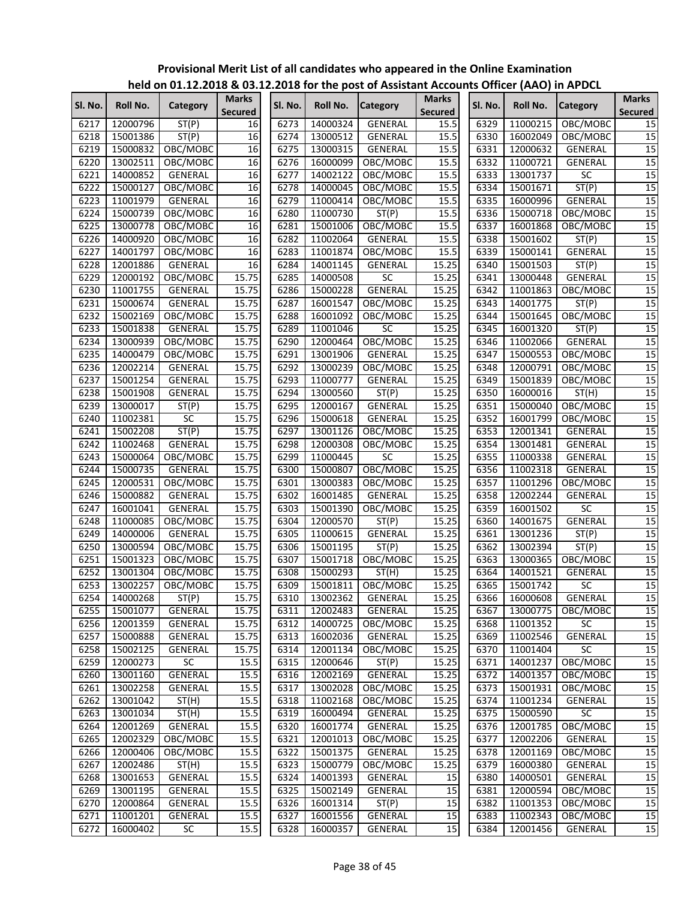|         |                      | ""CIG OII 91:14""CJ G 09:1 |                                |         |          | experience have been constant accounts onneal parts) in All Dec |                                |         |                      |                 |                                |
|---------|----------------------|----------------------------|--------------------------------|---------|----------|-----------------------------------------------------------------|--------------------------------|---------|----------------------|-----------------|--------------------------------|
| Sl. No. | Roll No.             | Category                   | <b>Marks</b><br><b>Secured</b> | Sl. No. | Roll No. | <b>Category</b>                                                 | <b>Marks</b><br><b>Secured</b> | Sl. No. | Roll No.             | <b>Category</b> | <b>Marks</b><br><b>Secured</b> |
| 6217    | 12000796             | ST(P)                      | 16                             | 6273    | 14000324 | GENERAL                                                         | 15.5                           | 6329    | 11000215             | OBC/MOBC        | 15                             |
| 6218    | 15001386             | ST(P)                      | 16                             | 6274    | 13000512 | GENERAL                                                         | 15.5                           | 6330    | 16002049             | OBC/MOBC        | 15                             |
| 6219    | 15000832             | OBC/MOBC                   | 16                             | 6275    | 13000315 | GENERAL                                                         | 15.5                           | 6331    | 12000632             | GENERAL         | $\overline{15}$                |
| 6220    | 13002511             | OBC/MOBC                   | 16                             | 6276    | 16000099 | OBC/MOBC                                                        | 15.5                           | 6332    | 11000721             | GENERAL         | 15                             |
| 6221    | 14000852             | GENERAL                    | 16                             | 6277    | 14002122 | OBC/MOBC                                                        | 15.5                           | 6333    | 13001737             | SC              | $\overline{15}$                |
| 6222    | 15000127             | OBC/MOBC                   | 16                             | 6278    | 14000045 | OBC/MOBC                                                        | 15.5                           | 6334    | 15001671             | ST(P)           | $\overline{15}$                |
| 6223    | 11001979             | GENERAL                    | 16                             | 6279    | 11000414 | OBC/MOBC                                                        | 15.5                           | 6335    | 16000996             | GENERAL         | $\overline{15}$                |
| 6224    | 15000739             | OBC/MOBC                   | 16                             | 6280    | 11000730 | ST(P)                                                           | 15.5                           | 6336    | 15000718             | OBC/MOBC        | $\overline{15}$                |
| 6225    | 13000778             | OBC/MOBC                   | 16                             | 6281    | 15001006 | OBC/MOBC                                                        | 15.5                           | 6337    | 16001868             | OBC/MOBC        | 15                             |
| 6226    | 14000920             | OBC/MOBC                   | 16                             | 6282    | 11002064 | GENERAL                                                         | 15.5                           | 6338    | 15001602             | ST(P)           | 15                             |
| 6227    | 14001797             | OBC/MOBC                   | 16                             | 6283    | 11001874 | OBC/MOBC                                                        | 15.5                           | 6339    | 15000141             | GENERAL         | 15                             |
| 6228    | 12001886             | GENERAL                    | 16                             | 6284    | 14001145 | GENERAL                                                         | 15.25                          | 6340    | 15001503             | ST(P)           | 15                             |
| 6229    | 12000192             | OBC/MOBC                   | 15.75                          | 6285    | 14000508 | SC                                                              | 15.25                          | 6341    | 13000448             | <b>GENERAL</b>  | $\overline{15}$                |
| 6230    | 11001755             | GENERAL                    | 15.75                          | 6286    | 15000228 | GENERAL                                                         | 15.25                          | 6342    | 11001863             | OBC/MOBC        | $\overline{15}$                |
| 6231    | 15000674             | GENERAL                    | 15.75                          | 6287    | 16001547 | OBC/MOBC                                                        | 15.25                          | 6343    | 14001775             | ST(P)           | 15                             |
| 6232    | 15002169             | OBC/MOBC                   | 15.75                          | 6288    | 16001092 | OBC/MOBC                                                        | 15.25                          | 6344    | 15001645             | OBC/MOBC        | $\overline{15}$                |
| 6233    | 15001838             | <b>GENERAL</b>             | 15.75                          | 6289    | 11001046 | <b>SC</b>                                                       | 15.25                          | 6345    | 16001320             | ST(P)           | 15                             |
| 6234    | 13000939             | OBC/MOBC                   | 15.75                          | 6290    | 12000464 | OBC/MOBC                                                        | 15.25                          | 6346    | 11002066             | GENERAL         | 15                             |
| 6235    | 14000479             | OBC/MOBC                   | 15.75                          | 6291    | 13001906 | GENERAL                                                         | 15.25                          | 6347    | 15000553             | OBC/MOBC        | $\overline{15}$                |
| 6236    | 12002214             | GENERAL                    | 15.75                          | 6292    | 13000239 | OBC/MOBC                                                        | 15.25                          | 6348    | 12000791             | OBC/MOBC        | 15                             |
| 6237    | 15001254             | GENERAL                    | 15.75                          | 6293    | 11000777 | GENERAL                                                         | 15.25                          | 6349    | 15001839             | OBC/MOBC        | 15                             |
| 6238    | 15001908             | <b>GENERAL</b>             | 15.75                          | 6294    | 13000560 | ST(P)                                                           | 15.25                          | 6350    | 16000016             | ST(H)           | 15                             |
| 6239    | 13000017             | ST(P)                      | 15.75                          | 6295    | 12000167 | GENERAL                                                         | 15.25                          | 6351    | 15000040             | OBC/MOBC        | 15                             |
| 6240    | 11002381             | SC                         | 15.75                          | 6296    | 15000618 | GENERAL                                                         | 15.25                          | 6352    | 16001799             | OBC/MOBC        | 15                             |
| 6241    | 15002208             | ST(P)                      | 15.75                          | 6297    | 13001126 | OBC/MOBC                                                        | 15.25                          | 6353    | 12001341             | GENERAL         | $\overline{15}$                |
| 6242    | 11002468             | GENERAL                    | 15.75                          | 6298    | 12000308 | OBC/MOBC                                                        | 15.25                          | 6354    | 13001481             | GENERAL         | 15                             |
| 6243    | 15000064             | OBC/MOBC                   | 15.75                          | 6299    | 11000445 | <b>SC</b>                                                       | 15.25                          | 6355    | 11000338             | GENERAL         | 15                             |
| 6244    | 15000735             | GENERAL                    | 15.75                          | 6300    | 15000807 | OBC/MOBC                                                        | 15.25                          | 6356    | 11002318             | GENERAL         | $\overline{15}$                |
| 6245    | 12000531             | OBC/MOBC                   | 15.75                          | 6301    | 13000383 | OBC/MOBC                                                        | 15.25                          | 6357    | 11001296             | OBC/MOBC        | 15                             |
| 6246    | 15000882             | GENERAL                    | 15.75                          | 6302    | 16001485 | GENERAL                                                         | 15.25                          | 6358    | 12002244             | GENERAL         | $\overline{15}$                |
| 6247    | 16001041             | GENERAL                    | 15.75                          | 6303    | 15001390 | OBC/MOBC                                                        | 15.25                          | 6359    | 16001502             | SC              | 15                             |
| 6248    | 11000085             | OBC/MOBC                   | 15.75                          | 6304    | 12000570 | ST(P)                                                           | 15.25                          | 6360    | 14001675             | <b>GENERAL</b>  | 15                             |
| 6249    | 14000006             | GENERAL                    | 15.75                          | 6305    | 11000615 | <b>GENERAL</b>                                                  | 15.25                          | 6361    | 13001236             | ST(P)           | 15                             |
| 6250    | 13000594             | OBC/MOBC                   | 15.75                          | 6306    | 15001195 | ST(P)                                                           | 15.25                          | 6362    | 13002394             | ST(P)           | 15                             |
| 6251    | 15001323             | OBC/MOBC                   | 15.75                          | 6307    | 15001718 | OBC/MOBC                                                        | 15.25                          | 6363    | 13000365             | OBC/MOBC        | 15                             |
| 6252    | 13001304             | OBC/MOBC                   | 15.75                          | 6308    | 15000293 | ST(H)                                                           | 15.25                          | 6364    | 14001521             | GENERAL         | 15                             |
| 6253    | 13002257             | OBC/MOBC                   | 15.75                          | 6309    | 15001811 | OBC/MOBC                                                        | 15.25                          | 6365    | 15001742             | SC              | $\overline{15}$                |
| 6254    | 14000268             | ST(P)                      | 15.75                          |         |          | 6310 13002362 GENERAL                                           | 15.25                          | 6366    | 16000608             | <b>GENERAL</b>  | 15                             |
| 6255    | 15001077             | <b>GENERAL</b>             | 15.75                          | 6311    | 12002483 | GENERAL                                                         | 15.25                          | 6367    | 13000775             | OBC/MOBC        | 15                             |
| 6256    | 12001359             | <b>GENERAL</b>             | 15.75                          | 6312    | 14000725 | OBC/MOBC                                                        | 15.25                          | 6368    | 11001352             | <b>SC</b>       | 15                             |
| 6257    | 15000888             | GENERAL                    | 15.75                          | 6313    | 16002036 | GENERAL                                                         | 15.25                          | 6369    | 11002546             | GENERAL         | 15                             |
| 6258    | 15002125             | GENERAL                    | 15.75                          | 6314    | 12001134 | OBC/MOBC                                                        | 15.25                          | 6370    | 11001404             | <b>SC</b>       | 15                             |
| 6259    | 12000273             | SC                         | 15.5                           | 6315    | 12000646 | ST(P)                                                           | 15.25                          | 6371    | 14001237             | OBC/MOBC        | 15                             |
| 6260    | 13001160             | GENERAL                    | 15.5                           | 6316    | 12002169 | <b>GENERAL</b>                                                  | 15.25                          | 6372    | 14001357             | OBC/MOBC        | 15                             |
| 6261    | 13002258             | GENERAL                    | 15.5                           | 6317    | 13002028 | OBC/MOBC                                                        | 15.25                          | 6373    | 15001931             | OBC/MOBC        | 15                             |
| 6262    | 13001042             | ST(H)                      | 15.5                           | 6318    | 11002168 | OBC/MOBC                                                        | 15.25                          | 6374    | 11001234             | GENERAL         | 15                             |
|         |                      |                            |                                |         |          |                                                                 | 15.25                          |         |                      | SC              | 15                             |
| 6263    | 13001034<br>12001269 | ST(H)                      | 15.5                           | 6319    | 16000494 | GENERAL                                                         |                                | 6375    | 15000590<br>12001785 |                 |                                |
| 6264    |                      | GENERAL                    | 15.5                           | 6320    | 16001774 | GENERAL                                                         | 15.25<br>15.25                 | 6376    |                      | OBC/MOBC        | 15<br>15                       |
| 6265    | 12002329             | OBC/MOBC                   | 15.5                           | 6321    | 12001013 | OBC/MOBC                                                        |                                | 6377    | 12002206             | GENERAL         |                                |
| 6266    | 12000406             | OBC/MOBC                   | 15.5                           | 6322    | 15001375 | GENERAL                                                         | 15.25                          | 6378    | 12001169             | OBC/MOBC        | 15                             |
| 6267    | 12002486             | ST(H)                      | 15.5                           | 6323    | 15000779 | OBC/MOBC                                                        | 15.25                          | 6379    | 16000380             | GENERAL         | 15                             |
| 6268    | 13001653             | GENERAL                    | 15.5                           | 6324    | 14001393 | GENERAL                                                         | 15                             | 6380    | 14000501             | GENERAL         | 15                             |
| 6269    | 13001195             | GENERAL                    | 15.5                           | 6325    | 15002149 | GENERAL                                                         | 15                             | 6381    | 12000594             | OBC/MOBC        | 15                             |
| 6270    | 12000864             | GENERAL                    | 15.5                           | 6326    | 16001314 | ST(P)                                                           | $\overline{15}$                | 6382    | 11001353             | OBC/MOBC        | 15                             |
| 6271    | 11001201             | GENERAL                    | 15.5                           | 6327    | 16001556 | GENERAL                                                         | $\overline{15}$                | 6383    | 11002343             | OBC/MOBC        | 15                             |
| 6272    | 16000402             | SC                         | 15.5                           | 6328    | 16000357 | GENERAL                                                         | 15                             | 6384    | 12001456             | GENERAL         | 15                             |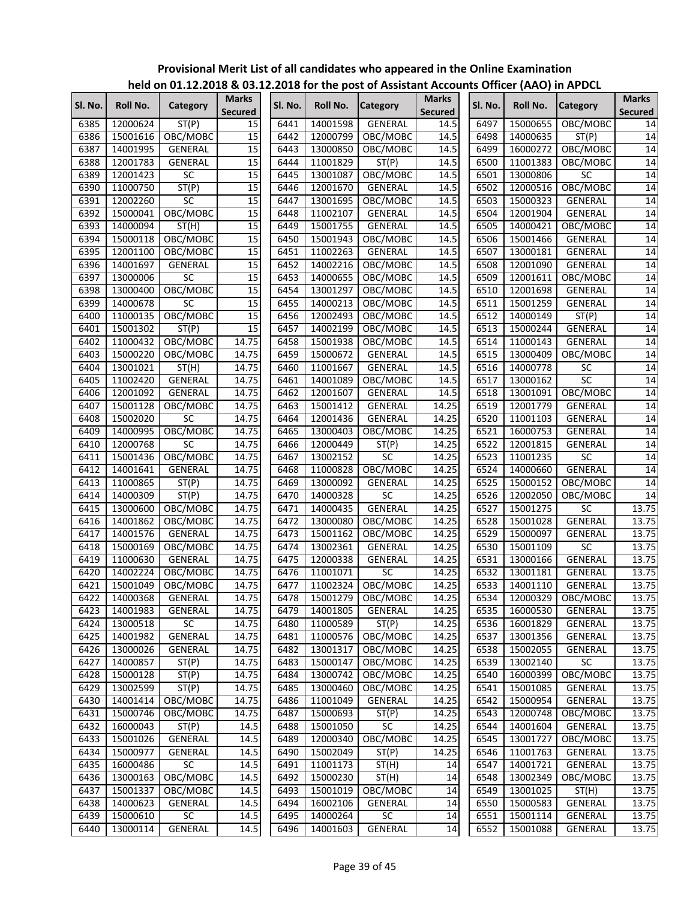|         |          |                 |                         |         |          | $1000$ on online to the contract of the post of Assistant Accounts Online (AAO) in AFDCL |                                |         |          |                 |                                |
|---------|----------|-----------------|-------------------------|---------|----------|------------------------------------------------------------------------------------------|--------------------------------|---------|----------|-----------------|--------------------------------|
| Sl. No. | Roll No. | Category        | Marks<br><b>Secured</b> | SI. No. | Roll No. | <b>Category</b>                                                                          | <b>Marks</b><br><b>Secured</b> | SI. No. | Roll No. | <b>Category</b> | <b>Marks</b><br><b>Secured</b> |
| 6385    | 12000624 | ST(P)           | 15                      | 6441    | 14001598 | GENERAL                                                                                  | 14.5                           | 6497    | 15000655 | OBC/MOBC        | 14                             |
| 6386    | 15001616 | OBC/MOBC        | 15                      | 6442    | 12000799 | OBC/MOBC                                                                                 | 14.5                           | 6498    | 14000635 | ST(P)           | 14                             |
| 6387    | 14001995 | GENERAL         | 15                      | 6443    | 13000850 | OBC/MOBC                                                                                 | 14.5                           | 6499    | 16000272 | OBC/MOBC        | 14                             |
| 6388    | 12001783 | GENERAL         | 15                      | 6444    | 11001829 | ST(P)                                                                                    | 14.5                           | 6500    | 11001383 | OBC/MOBC        | 14                             |
| 6389    | 12001423 | $\overline{SC}$ | 15                      | 6445    | 13001087 | OBC/MOBC                                                                                 | 14.5                           | 6501    | 13000806 | <b>SC</b>       | 14                             |
| 6390    | 11000750 | ST(P)           | 15                      | 6446    | 12001670 | GENERAL                                                                                  | 14.5                           | 6502    | 12000516 | OBC/MOBC        | 14                             |
| 6391    | 12002260 | SC              | 15                      | 6447    | 13001695 | OBC/MOBC                                                                                 | 14.5                           | 6503    | 15000323 | GENERAL         | 14                             |
| 6392    | 15000041 | OBC/MOBC        | $\overline{15}$         | 6448    | 11002107 | GENERAL                                                                                  | 14.5                           | 6504    | 12001904 | GENERAL         | 14                             |
| 6393    | 14000094 | ST(H)           | 15                      | 6449    | 15001755 | <b>GENERAL</b>                                                                           | 14.5                           | 6505    | 14000421 | OBC/MOBC        | 14                             |
| 6394    | 15000118 | OBC/MOBC        | $\overline{15}$         | 6450    | 15001943 | OBC/MOBC                                                                                 | 14.5                           | 6506    | 15001466 | GENERAL         | 14                             |
| 6395    | 12001100 | OBC/MOBC        | 15                      | 6451    | 11002263 | GENERAL                                                                                  | 14.5                           | 6507    | 13000181 | GENERAL         | 14                             |
| 6396    | 14001697 | GENERAL         | 15                      | 6452    | 14002216 | OBC/MOBC                                                                                 | 14.5                           | 6508    | 12001090 | GENERAL         | 14                             |
| 6397    | 13000006 | <b>SC</b>       | 15                      | 6453    | 14000655 | OBC/MOBC                                                                                 | 14.5                           | 6509    | 12001611 | OBC/MOBC        | 14                             |
| 6398    | 13000400 | OBC/MOBC        | 15                      | 6454    | 13001297 | OBC/MOBC                                                                                 | 14.5                           | 6510    | 12001698 | GENERAL         | 14                             |
| 6399    | 14000678 | SC              | 15                      | 6455    | 14000213 | OBC/MOBC                                                                                 | 14.5                           | 6511    | 15001259 | GENERAL         | 14                             |
| 6400    | 11000135 | OBC/MOBC        | $\overline{15}$         | 6456    | 12002493 | OBC/MOBC                                                                                 | 14.5                           | 6512    | 14000149 | ST(P)           | $\overline{14}$                |
| 6401    | 15001302 | ST(P)           | 15                      | 6457    | 14002199 | OBC/MOBC                                                                                 | 14.5                           | 6513    | 15000244 | GENERAL         | 14                             |
| 6402    | 11000432 | OBC/MOBC        | 14.75                   | 6458    | 15001938 | OBC/MOBC                                                                                 | 14.5                           | 6514    | 11000143 | GENERAL         | 14                             |
| 6403    | 15000220 | OBC/MOBC        | 14.75                   | 6459    | 15000672 | GENERAL                                                                                  | 14.5                           | 6515    | 13000409 | OBC/MOBC        | 14                             |
| 6404    | 13001021 | ST(H)           | 14.75                   | 6460    | 11001667 | GENERAL                                                                                  | 14.5                           | 6516    | 14000778 | SC              | 14                             |
| 6405    | 11002420 | <b>GENERAL</b>  | 14.75                   | 6461    | 14001089 | OBC/MOBC                                                                                 | 14.5                           | 6517    | 13000162 | $\overline{SC}$ | 14                             |
| 6406    | 12001092 | <b>GENERAL</b>  | 14.75                   | 6462    | 12001607 | <b>GENERAL</b>                                                                           | 14.5                           | 6518    | 13001091 | OBC/MOBC        | 14                             |
| 6407    | 15001128 | OBC/MOBC        | 14.75                   | 6463    | 15001412 | <b>GENERAL</b>                                                                           | 14.25                          | 6519    | 12001779 | GENERAL         | 14                             |
| 6408    | 15002020 | SC              | 14.75                   | 6464    | 12001436 | GENERAL                                                                                  | 14.25                          | 6520    | 11001103 | GENERAL         | 14                             |
| 6409    | 14000995 | OBC/MOBC        | 14.75                   | 6465    | 13000403 | OBC/MOBC                                                                                 | 14.25                          | 6521    | 16000753 | GENERAL         | 14                             |
| 6410    | 12000768 | SC              | 14.75                   | 6466    | 12000449 | ST(P)                                                                                    | 14.25                          | 6522    | 12001815 | <b>GENERAL</b>  | 14                             |
| 6411    | 15001436 | OBC/MOBC        | 14.75                   | 6467    | 13002152 | <b>SC</b>                                                                                | 14.25                          | 6523    | 11001235 | $\overline{SC}$ | 14                             |
| 6412    | 14001641 | GENERAL         | 14.75                   | 6468    | 11000828 | OBC/MOBC                                                                                 | 14.25                          | 6524    | 14000660 | GENERAL         | 14                             |
| 6413    | 11000865 | ST(P)           | 14.75                   | 6469    | 13000092 | GENERAL                                                                                  | 14.25                          | 6525    | 15000152 | OBC/MOBC        | 14                             |
| 6414    | 14000309 | ST(P)           | 14.75                   | 6470    | 14000328 | SC                                                                                       | 14.25                          | 6526    | 12002050 | OBC/MOBC        | $\overline{14}$                |
| 6415    | 13000600 | OBC/MOBC        | 14.75                   | 6471    | 14000435 | GENERAL                                                                                  | 14.25                          | 6527    | 15001275 | <b>SC</b>       | 13.75                          |
| 6416    | 14001862 | OBC/MOBC        | 14.75                   | 6472    | 13000080 | OBC/MOBC                                                                                 | 14.25                          | 6528    | 15001028 | <b>GENERAL</b>  | 13.75                          |
| 6417    | 14001576 | GENERAL         | 14.75                   | 6473    | 15001162 | OBC/MOBC                                                                                 | 14.25                          | 6529    | 15000097 | GENERAL         | 13.75                          |
| 6418    | 15000169 | OBC/MOBC        | 14.75                   | 6474    | 13002361 | GENERAL                                                                                  | 14.25                          | 6530    | 15001109 | SC              | 13.75                          |
| 6419    | 11000630 | GENERAL         | 14.75                   | 6475    | 12000338 | GENERAL                                                                                  | 14.25                          | 6531    | 13000166 | GENERAL         | 13.75                          |
| 6420    | 14002224 | OBC/MOBC        | 14.75                   | 6476    | 11001071 | $\overline{SC}$                                                                          | 14.25                          | 6532    | 13001181 | GENERAL         | 13.75                          |
| 6421    | 15001049 | OBC/MOBC        | 14.75                   | 6477    | 11002324 | OBC/MOBC                                                                                 | 14.25                          | 6533    | 14001110 | GENERAL         | 13.75                          |
| 6422    | 14000368 | <b>GENERAL</b>  | 14.75                   | 6478    |          | 15001279 OBC/MOBC                                                                        | 14.25                          | 6534    | 12000329 | OBC/MOBC        | 13.75                          |
| 6423    | 14001983 | <b>GENERAL</b>  | 14.75                   | 6479    | 14001805 | GENERAL                                                                                  | 14.25                          | 6535    | 16000530 | GENERAL         | 13.75                          |
| 6424    | 13000518 | $\overline{SC}$ | 14.75                   | 6480    | 11000589 | ST(P)                                                                                    | 14.25                          | 6536    | 16001829 | GENERAL         | 13.75                          |
| 6425    | 14001982 | GENERAL         | 14.75                   | 6481    | 11000576 | OBC/MOBC                                                                                 | 14.25                          | 6537    | 13001356 | GENERAL         | 13.75                          |
| 6426    | 13000026 | GENERAL         | 14.75                   | 6482    | 13001317 | OBC/MOBC                                                                                 | 14.25                          | 6538    | 15002055 | GENERAL         | 13.75                          |
| 6427    | 14000857 | ST(P)           | 14.75                   | 6483    | 15000147 | OBC/MOBC                                                                                 | 14.25                          | 6539    | 13002140 | SC              | 13.75                          |
| 6428    | 15000128 | ST(P)           | 14.75                   | 6484    | 13000742 | OBC/MOBC                                                                                 | 14.25                          | 6540    | 16000399 | OBC/MOBC        | 13.75                          |
| 6429    | 13002599 | ST(P)           | 14.75                   | 6485    | 13000460 | OBC/MOBC                                                                                 | 14.25                          | 6541    | 15001085 | GENERAL         | 13.75                          |
| 6430    | 14001414 | OBC/MOBC        | 14.75                   | 6486    | 11001049 | GENERAL                                                                                  | 14.25                          | 6542    | 15000954 | GENERAL         | 13.75                          |
| 6431    | 15000746 | OBC/MOBC        | 14.75                   | 6487    | 15000693 | ST(P)                                                                                    | 14.25                          | 6543    | 12000748 | OBC/MOBC        | 13.75                          |
| 6432    | 16000043 | ST(P)           | 14.5                    | 6488    | 15001050 | <b>SC</b>                                                                                | 14.25                          | 6544    | 14001604 | GENERAL         | 13.75                          |
| 6433    | 15001026 | GENERAL         | 14.5                    | 6489    | 12000340 | OBC/MOBC                                                                                 | 14.25                          | 6545    | 13001727 | OBC/MOBC        | 13.75                          |
| 6434    | 15000977 | GENERAL         | 14.5                    | 6490    | 15002049 | ST(P)                                                                                    | 14.25                          | 6546    | 11001763 | GENERAL         | 13.75                          |
| 6435    | 16000486 | <b>SC</b>       | 14.5                    | 6491    | 11001173 | ST(H)                                                                                    | 14                             | 6547    | 14001721 | GENERAL         | 13.75                          |
| 6436    | 13000163 | OBC/MOBC        | 14.5                    | 6492    | 15000230 | ST(H)                                                                                    | 14                             | 6548    | 13002349 | OBC/MOBC        | 13.75                          |
| 6437    | 15001337 | OBC/MOBC        | 14.5                    | 6493    | 15001019 | OBC/MOBC                                                                                 | 14                             | 6549    | 13001025 | ST(H)           | 13.75                          |
| 6438    | 14000623 | GENERAL         | 14.5                    | 6494    | 16002106 | GENERAL                                                                                  | 14                             | 6550    | 15000583 | GENERAL         | 13.75                          |
| 6439    | 15000610 | SC              | 14.5                    | 6495    | 14000264 | SC                                                                                       | 14                             | 6551    | 15001114 | GENERAL         | 13.75                          |
| 6440    | 13000114 | GENERAL         | 14.5                    | 6496    | 14001603 | GENERAL                                                                                  | 14                             | 6552    | 15001088 | GENERAL         | 13.75                          |
|         |          |                 |                         |         |          |                                                                                          |                                |         |          |                 |                                |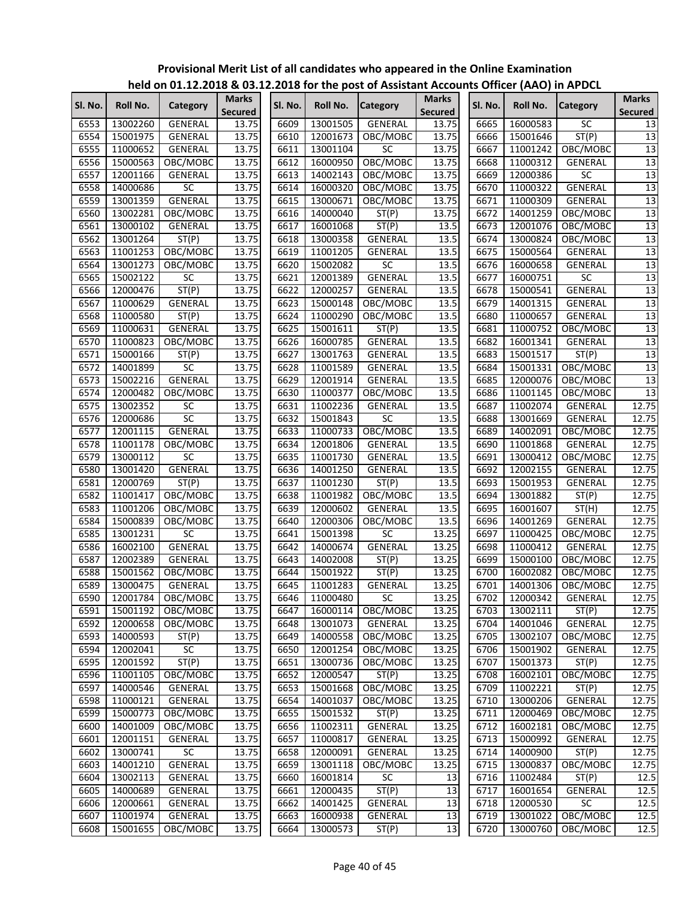|         |          |                 |                                |         |          | $\frac{1}{100}$ of $\frac{1}{200}$ and $\frac{1}{200}$ and $\frac{1}{200}$ of the post of Assistant Accounts Officer (AAO) in Ar DCL |                                |         |                      |                     |                                |
|---------|----------|-----------------|--------------------------------|---------|----------|--------------------------------------------------------------------------------------------------------------------------------------|--------------------------------|---------|----------------------|---------------------|--------------------------------|
| SI. No. | Roll No. | Category        | <b>Marks</b><br><b>Secured</b> | SI. No. | Roll No. | <b>Category</b>                                                                                                                      | <b>Marks</b><br><b>Secured</b> | Sl. No. | Roll No.             | <b>Category</b>     | <b>Marks</b><br><b>Secured</b> |
| 6553    | 13002260 | GENERAL         | 13.75                          | 6609    | 13001505 | GENERAL                                                                                                                              | 13.75                          | 6665    | 16000583             | <b>SC</b>           | 13                             |
| 6554    | 15001975 | GENERAL         | 13.75                          | 6610    | 12001673 | OBC/MOBC                                                                                                                             | 13.75                          | 6666    | 15001646             | ST(P)               | 13                             |
| 6555    | 11000652 | GENERAL         | 13.75                          | 6611    | 13001104 | <b>SC</b>                                                                                                                            | 13.75                          | 6667    | 11001242             | OBC/MOBC            | 13                             |
| 6556    | 15000563 | OBC/MOBC        | 13.75                          | 6612    | 16000950 | OBC/MOBC                                                                                                                             | 13.75                          | 6668    | 11000312             | GENERAL             | 13                             |
| 6557    | 12001166 | GENERAL         | 13.75                          | 6613    | 14002143 | OBC/MOBC                                                                                                                             | 13.75                          | 6669    | 12000386             | SC                  | 13                             |
| 6558    | 14000686 | SC              | 13.75                          | 6614    | 16000320 | OBC/MOBC                                                                                                                             | 13.75                          | 6670    | 11000322             | <b>GENERAL</b>      | 13                             |
| 6559    | 13001359 | <b>GENERAL</b>  | 13.75                          | 6615    | 13000671 | OBC/MOBC                                                                                                                             | 13.75                          | 6671    | 11000309             | GENERAL             | 13                             |
| 6560    | 13002281 | OBC/MOBC        | 13.75                          | 6616    | 14000040 | ST(P)                                                                                                                                | 13.75                          | 6672    | 14001259             | OBC/MOBC            | 13                             |
| 6561    | 13000102 | GENERAL         | 13.75                          | 6617    | 16001068 | ST(P)                                                                                                                                | 13.5                           | 6673    | 12001076             | OBC/MOBC            | 13                             |
| 6562    | 13001264 | ST(P)           | 13.75                          | 6618    | 13000358 | GENERAL                                                                                                                              | 13.5                           | 6674    | 13000824             | OBC/MOBC            | $\overline{13}$                |
| 6563    | 11001253 | OBC/MOBC        | 13.75                          | 6619    | 11001205 | <b>GENERAL</b>                                                                                                                       | 13.5                           | 6675    | 15000564             | GENERAL             | 13                             |
| 6564    | 13001273 | OBC/MOBC        | 13.75                          | 6620    | 15002082 | SC                                                                                                                                   | 13.5                           | 6676    | 16000658             | GENERAL             | $\overline{13}$                |
| 6565    | 15002122 | <b>SC</b>       | 13.75                          | 6621    | 12001389 | GENERAL                                                                                                                              | 13.5                           | 6677    | 16000751             | SC                  | 13                             |
| 6566    | 12000476 | ST(P)           | 13.75                          | 6622    | 12000257 | <b>GENERAL</b>                                                                                                                       | 13.5                           | 6678    | 15000541             | <b>GENERAL</b>      | 13                             |
| 6567    | 11000629 | GENERAL         | 13.75                          | 6623    | 15000148 | OBC/MOBC                                                                                                                             | 13.5                           | 6679    | 14001315             | GENERAL             | 13                             |
| 6568    | 11000580 | ST(P)           | 13.75                          | 6624    | 11000290 | OBC/MOBC                                                                                                                             | 13.5                           | 6680    | 11000657             | GENERAL             | 13                             |
| 6569    | 11000631 | GENERAL         | 13.75                          | 6625    | 15001611 | ST(P)                                                                                                                                | 13.5                           | 6681    | 11000752             | OBC/MOBC            | 13                             |
| 6570    | 11000823 | OBC/MOBC        | 13.75                          | 6626    | 16000785 | <b>GENERAL</b>                                                                                                                       | 13.5                           | 6682    | 16001341             | GENERAL             | 13                             |
| 6571    | 15000166 | ST(P)           | 13.75                          | 6627    | 13001763 | <b>GENERAL</b>                                                                                                                       | 13.5                           | 6683    | 15001517             | ST(P)               | 13                             |
| 6572    | 14001899 | $\overline{SC}$ | 13.75                          | 6628    | 11001589 | <b>GENERAL</b>                                                                                                                       | 13.5                           | 6684    | 15001331             | OBC/MOBC            | $\overline{13}$                |
| 6573    | 15002216 | <b>GENERAL</b>  | 13.75                          | 6629    | 12001914 | GENERAL                                                                                                                              | 13.5                           | 6685    | 12000076             | OBC/MOBC            | 13                             |
| 6574    | 12000482 | OBC/MOBC        | 13.75                          | 6630    | 11000377 | OBC/MOBC                                                                                                                             | 13.5                           | 6686    | 11001145             |                     | 13                             |
| 6575    | 13002352 | <b>SC</b>       | 13.75                          | 6631    | 11002236 | GENERAL                                                                                                                              | 13.5                           | 6687    | 11002074             | OBC/MOBC<br>GENERAL | 12.75                          |
|         |          | SC              |                                |         |          |                                                                                                                                      |                                |         |                      |                     |                                |
| 6576    | 12000686 |                 | 13.75                          | 6632    | 15001843 | SC                                                                                                                                   | 13.5                           | 6688    | 13001669<br>14002091 | GENERAL             | 12.75                          |
| 6577    | 12001115 | <b>GENERAL</b>  | 13.75                          | 6633    | 11000733 | OBC/MOBC                                                                                                                             | 13.5                           | 6689    |                      | OBC/MOBC            | 12.75                          |
| 6578    | 11001178 | OBC/MOBC        | 13.75                          | 6634    | 12001806 | GENERAL                                                                                                                              | 13.5                           | 6690    | 11001868             | GENERAL             | 12.75                          |
| 6579    | 13000112 | <b>SC</b>       | 13.75                          | 6635    | 11001730 | <b>GENERAL</b>                                                                                                                       | 13.5                           | 6691    | 13000412             | OBC/MOBC            | 12.75                          |
| 6580    | 13001420 | GENERAL         | 13.75                          | 6636    | 14001250 | <b>GENERAL</b>                                                                                                                       | 13.5                           | 6692    | 12002155             | GENERAL             | 12.75                          |
| 6581    | 12000769 | ST(P)           | 13.75                          | 6637    | 11001230 | ST(P)                                                                                                                                | 13.5                           | 6693    | 15001953             | GENERAL             | 12.75                          |
| 6582    | 11001417 | OBC/MOBC        | 13.75                          | 6638    | 11001982 | OBC/MOBC                                                                                                                             | 13.5                           | 6694    | 13001882             | ST(P)               | 12.75                          |
| 6583    | 11001206 | OBC/MOBC        | 13.75                          | 6639    | 12000602 | GENERAL                                                                                                                              | 13.5                           | 6695    | 16001607             | ST(H)               | 12.75                          |
| 6584    | 15000839 | OBC/MOBC        | 13.75                          | 6640    | 12000306 | OBC/MOBC                                                                                                                             | 13.5                           | 6696    | 14001269             | GENERAL             | 12.75                          |
| 6585    | 13001231 | <b>SC</b>       | 13.75                          | 6641    | 15001398 | SC                                                                                                                                   | 13.25                          | 6697    | 11000425             | OBC/MOBC            | 12.75                          |
| 6586    | 16002100 | <b>GENERAL</b>  | 13.75                          | 6642    | 14000674 | GENERAL                                                                                                                              | 13.25                          | 6698    | 11000412             | GENERAL             | 12.75                          |
| 6587    | 12002389 | GENERAL         | 13.75                          | 6643    | 14002008 | ST(P)                                                                                                                                | 13.25                          | 6699    | 15000100             | OBC/MOBC            | 12.75                          |
| 6588    | 15001562 | OBC/MOBC        | 13.75                          | 6644    | 15001922 | ST(P)                                                                                                                                | 13.25                          | 6700    | 16002082             | OBC/MOBC            | 12.75                          |
| 6589    | 13000475 | GENERAL         | 13.75                          | 6645    | 11001283 | <b>GENERAL</b>                                                                                                                       | 13.25                          | 6701    | 14001306             | OBC/MOBC            | 12.75                          |
| 6590    | 12001784 | OBC/MOBC        | 13.75                          | 6646    | 11000480 | ${\sf SC}$                                                                                                                           | 13.25                          | 6702    | 12000342             | <b>GENERAL</b>      | 12.75                          |
| 6591    | 15001192 | OBC/MOBC        | 13.75                          | 6647    | 16000114 | OBC/MOBC                                                                                                                             | 13.25                          | 6703    | 13002111             | ST(P)               | 12.75                          |
| 6592    | 12000658 | OBC/MOBC        | 13.75                          | 6648    | 13001073 | GENERAL                                                                                                                              | 13.25                          | 6704    | 14001046             | GENERAL             | 12.75                          |
| 6593    | 14000593 | ST(P)           | 13.75                          | 6649    | 14000558 | OBC/MOBC                                                                                                                             | 13.25                          | 6705    | 13002107             | OBC/MOBC            | 12.75                          |
| 6594    | 12002041 | SC              | 13.75                          | 6650    | 12001254 | OBC/MOBC                                                                                                                             | 13.25                          | 6706    | 15001902             | GENERAL             | 12.75                          |
| 6595    | 12001592 | ST(P)           | 13.75                          | 6651    | 13000736 | OBC/MOBC                                                                                                                             | 13.25                          | 6707    | 15001373             | ST(P)               | 12.75                          |
| 6596    | 11001105 | OBC/MOBC        | 13.75                          | 6652    | 12000547 | ST(P)                                                                                                                                | 13.25                          | 6708    | 16002101             | OBC/MOBC            | 12.75                          |
| 6597    | 14000546 | GENERAL         | 13.75                          | 6653    | 15001668 | OBC/MOBC                                                                                                                             | 13.25                          | 6709    | 11002221             | ST(P)               | 12.75                          |
| 6598    | 11000121 | GENERAL         | 13.75                          | 6654    | 14001037 | OBC/MOBC                                                                                                                             | 13.25                          | 6710    | 13000206             | <b>GENERAL</b>      | 12.75                          |
| 6599    | 15000773 | OBC/MOBC        | 13.75                          | 6655    | 15001532 | ST(P)                                                                                                                                | 13.25                          | 6711    | 12000469             | OBC/MOBC            | 12.75                          |
| 6600    | 14001009 | OBC/MOBC        | 13.75                          | 6656    | 11002311 | GENERAL                                                                                                                              | 13.25                          | 6712    | 16002181             | OBC/MOBC            | 12.75                          |
| 6601    | 12001151 | GENERAL         | 13.75                          | 6657    | 11000817 | GENERAL                                                                                                                              | 13.25                          | 6713    | 15000992             | GENERAL             | 12.75                          |
| 6602    | 13000741 | SC              | 13.75                          | 6658    | 12000091 | GENERAL                                                                                                                              | 13.25                          | 6714    | 14000900             | ST(P)               | 12.75                          |
| 6603    | 14001210 | GENERAL         | 13.75                          | 6659    | 13001118 | OBC/MOBC                                                                                                                             | $\overline{1}3.25$             | 6715    | 13000837             | OBC/MOBC            | 12.75                          |
| 6604    | 13002113 | GENERAL         | 13.75                          | 6660    | 16001814 | SC                                                                                                                                   | 13                             | 6716    | 11002484             | ST(P)               | 12.5                           |
| 6605    | 14000689 | GENERAL         | 13.75                          | 6661    | 12000435 | ST(P)                                                                                                                                | 13                             | 6717    | 16001654             | GENERAL             | 12.5                           |
| 6606    | 12000661 | GENERAL         | 13.75                          | 6662    | 14001425 | GENERAL                                                                                                                              | $\overline{13}$                | 6718    | 12000530             | SC                  | 12.5                           |
| 6607    | 11001974 | GENERAL         | 13.75                          | 6663    | 16000938 | GENERAL                                                                                                                              | 13                             | 6719    | 13001022             | OBC/MOBC            | 12.5                           |
| 6608    | 15001655 | OBC/MOBC        | 13.75                          | 6664    | 13000573 | ST(P)                                                                                                                                | 13                             | 6720    | 13000760             | OBC/MOBC            | 12.5                           |
|         |          |                 |                                |         |          |                                                                                                                                      |                                |         |                      |                     |                                |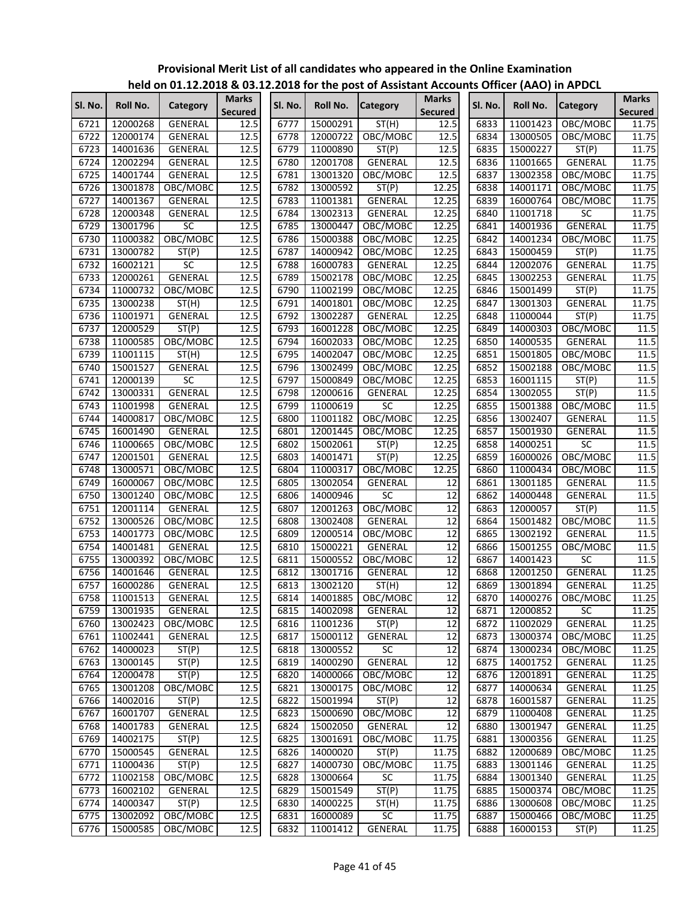|         |                 | $11218$ or $011$ of $11212120$ or $0011$ |                                |         |          | <b>EILOTO TOT THE POST OF ASSISTANT ACCOUNT</b> |                                |         | 10       |                        |                                |
|---------|-----------------|------------------------------------------|--------------------------------|---------|----------|-------------------------------------------------|--------------------------------|---------|----------|------------------------|--------------------------------|
| Sl. No. | <b>Roll No.</b> | Category                                 | <b>Marks</b><br><b>Secured</b> | SI. No. | Roll No. | <b>Category</b>                                 | <b>Marks</b><br><b>Secured</b> | Sl. No. | Roll No. | <b>Category</b>        | <b>Marks</b><br><b>Secured</b> |
| 6721    | 12000268        | GENERAL                                  | 12.5                           | 6777    | 15000291 | ST(H)                                           | 12.5                           | 6833    | 11001423 | OBC/MOBC               | 11.75                          |
| 6722    | 12000174        | <b>GENERAL</b>                           | 12.5                           | 6778    | 12000722 | OBC/MOBC                                        | 12.5                           | 6834    | 13000505 | OBC/MOBC               | 11.75                          |
| 6723    | 14001636        | GENERAL                                  | 12.5                           | 6779    | 11000890 | ST(P)                                           | 12.5                           | 6835    | 15000227 | ST(P)                  | 11.75                          |
| 6724    | 12002294        | <b>GENERAL</b>                           | 12.5                           | 6780    | 12001708 | GENERAL                                         | 12.5                           | 6836    | 11001665 | GENERAL                | 11.75                          |
| 6725    | 14001744        | GENERAL                                  | 12.5                           | 6781    | 13001320 | OBC/MOBC                                        | 12.5                           | 6837    | 13002358 | OBC/MOBC               | 11.75                          |
| 6726    | 13001878        | OBC/MOBC                                 | 12.5                           | 6782    | 13000592 | ST(P)                                           | 12.25                          | 6838    | 14001171 | OBC/MOBC               | 11.75                          |
| 6727    | 14001367        | GENERAL                                  | 12.5                           | 6783    | 11001381 | <b>GENERAL</b>                                  | 12.25                          | 6839    | 16000764 | OBC/MOBC               | 11.75                          |
| 6728    | 12000348        | <b>GENERAL</b>                           | 12.5                           | 6784    | 13002313 | GENERAL                                         | 12.25                          | 6840    | 11001718 | SC                     | 11.75                          |
| 6729    | 13001796        | <b>SC</b>                                | 12.5                           | 6785    | 13000447 | OBC/MOBC                                        | 12.25                          | 6841    | 14001936 | <b>GENERAL</b>         | 11.75                          |
| 6730    | 11000382        | OBC/MOBC                                 | 12.5                           | 6786    | 15000388 | OBC/MOBC                                        | 12.25                          | 6842    | 14001234 | OBC/MOBC               | 11.75                          |
| 6731    | 13000782        | ST(P)                                    | 12.5                           | 6787    | 14000942 | OBC/MOBC                                        | 12.25                          | 6843    | 15000459 | ST(P)                  | 11.75                          |
| 6732    | 16002121        | SC                                       | 12.5                           | 6788    | 16000783 | GENERAL                                         | 12.25                          | 6844    | 12002076 | GENERAL                | 11.75                          |
| 6733    | 12000261        | <b>GENERAL</b>                           | 12.5                           | 6789    | 15002178 | OBC/MOBC                                        | 12.25                          | 6845    | 13002253 | <b>GENERAL</b>         | 11.75                          |
| 6734    | 11000732        | OBC/MOBC                                 | 12.5                           | 6790    | 11002199 | OBC/MOBC                                        | 12.25                          | 6846    | 15001499 | ST(P)                  | 11.75                          |
| 6735    | 13000238        | ST(H)                                    | 12.5                           | 6791    | 14001801 | OBC/MOBC                                        | 12.25                          | 6847    | 13001303 | GENERAL                | 11.75                          |
| 6736    | 11001971        | GENERAL                                  | 12.5                           | 6792    | 13002287 | GENERAL                                         | 12.25                          | 6848    | 11000044 | ST(P)                  | 11.75                          |
| 6737    | 12000529        | ST(P)                                    | 12.5                           | 6793    | 16001228 | OBC/MOBC                                        | 12.25                          | 6849    | 14000303 | OBC/MOBC               | 11.5                           |
| 6738    | 11000585        | OBC/MOBC                                 | 12.5                           | 6794    | 16002033 | OBC/MOBC                                        | 12.25                          | 6850    | 14000535 | GENERAL                | 11.5                           |
| 6739    | 11001115        | ST(H)                                    | 12.5                           | 6795    | 14002047 | OBC/MOBC                                        | 12.25                          | 6851    | 15001805 | OBC/MOBC               | 11.5                           |
| 6740    | 15001527        | <b>GENERAL</b>                           | $12.\overline{5}$              | 6796    | 13002499 | OBC/MOBC                                        | 12.25                          | 6852    | 15002188 | OBC/MOBC               | 11.5                           |
| 6741    | 12000139        | $\overline{SC}$                          | 12.5                           | 6797    | 15000849 | OBC/MOBC                                        | 12.25                          | 6853    | 16001115 | ST(P)                  | 11.5                           |
| 6742    | 13000331        | <b>GENERAL</b>                           | 12.5                           | 6798    | 12000616 | GENERAL                                         | 12.25                          | 6854    | 13002055 | ST(P)                  | 11.5                           |
| 6743    | 11001998        | <b>GENERAL</b>                           | 12.5                           | 6799    | 11000619 | $\overline{SC}$                                 | 12.25                          | 6855    | 15001388 | OBC/MOBC               | 11.5                           |
| 6744    | 14000817        | OBC/MOBC                                 | 12.5                           | 6800    | 11001182 | OBC/MOBC                                        | 12.25                          | 6856    | 13002407 | GENERAL                | 11.5                           |
| 6745    | 16001490        | GENERAL                                  | 12.5                           | 6801    | 12001445 | OBC/MOBC                                        | 12.25                          | 6857    | 15001930 | GENERAL                | 11.5                           |
| 6746    | 11000665        | OBC/MOBC                                 | 12.5                           | 6802    | 15002061 | ST(P)                                           | 12.25                          | 6858    | 14000251 | SC                     | 11.5                           |
| 6747    | 12001501        | GENERAL                                  | 12.5                           | 6803    | 14001471 | ST(P)                                           | 12.25                          | 6859    | 16000026 | OBC/MOBC               | 11.5                           |
| 6748    | 13000571        | OBC/MOBC                                 | 12.5                           | 6804    | 11000317 | OBC/MOBC                                        | 12.25                          | 6860    | 11000434 | OBC/MOBC               | 11.5                           |
| 6749    | 16000067        | OBC/MOBC                                 | 12.5                           | 6805    | 13002054 | GENERAL                                         | 12                             | 6861    | 13001185 | GENERAL                | 11.5                           |
| 6750    | 13001240        | OBC/MOBC                                 | 12.5                           | 6806    | 14000946 | SC                                              | $\overline{12}$                | 6862    | 14000448 | GENERAL                | 11.5                           |
| 6751    | 12001114        | GENERAL                                  | 12.5                           | 6807    | 12001263 | OBC/MOBC                                        | $\overline{12}$                | 6863    | 12000057 | ST(P)                  | 11.5                           |
| 6752    | 13000526        | OBC/MOBC                                 | 12.5                           | 6808    | 13002408 | GENERAL                                         | 12                             | 6864    | 15001482 | OBC/MOBC               | 11.5                           |
| 6753    | 14001773        | OBC/MOBC                                 | 12.5                           | 6809    | 12000514 | OBC/MOBC                                        | 12                             | 6865    | 13002192 | GENERAL                | 11.5                           |
| 6754    | 14001481        | <b>GENERAL</b>                           | 12.5                           | 6810    | 15000221 | GENERAL                                         | 12                             | 6866    | 15001255 | OBC/MOBC               | 11.5                           |
| 6755    | 13000392        | OBC/MOBC                                 | 12.5                           | 6811    | 15000552 | OBC/MOBC                                        | $\overline{12}$                | 6867    | 14001423 | SC                     | 11.5                           |
| 6756    | 14001646        | <b>GENERAL</b>                           | 12.5                           | 6812    | 13001716 | GENERAL                                         | 12                             | 6868    | 12001250 | <b>GENERAL</b>         | 11.25                          |
| 6757    | 16000286        | GENERAL                                  | 12.5                           | 6813    | 13002120 | ST(H)                                           | 12                             | 6869    | 13001894 | GENERAL                | 11.25                          |
| 6758    | 11001513        | <b>GENERAL</b>                           | 12.5                           |         |          | 6814 14001885 OBC/MOBC                          | 12                             |         |          | 6870 14000276 OBC/MOBC | 11.25                          |
| 6759    | 13001935        | GENERAL                                  | 12.5                           | 6815    | 14002098 | GENERAL                                         | 12                             | 6871    | 12000852 | SC                     | 11.25                          |
| 6760    | 13002423        | OBC/MOBC                                 | 12.5                           | 6816    | 11001236 | ST(P)                                           | $\overline{12}$                | 6872    | 11002029 | <b>GENERAL</b>         | 11.25                          |
| 6761    | 11002441        | GENERAL                                  | $12.\overline{5}$              | 6817    | 15000112 | GENERAL                                         | 12                             | 6873    | 13000374 | OBC/MOBC               | 11.25                          |
| 6762    | 14000023        | ST(P)                                    | 12.5                           | 6818    | 13000552 | SC                                              | 12                             | 6874    | 13000234 | OBC/MOBC               | 11.25                          |
| 6763    | 13000145        | ST(P)                                    | 12.5                           | 6819    | 14000290 | <b>GENERAL</b>                                  | 12                             | 6875    | 14001752 | GENERAL                | 11.25                          |
| 6764    | 12000478        | ST(P)                                    | 12.5                           | 6820    | 14000066 | OBC/MOBC                                        | $\overline{12}$                | 6876    | 12001891 | GENERAL                | 11.25                          |
| 6765    | 13001208        | OBC/MOBC                                 | 12.5                           | 6821    | 13000175 | OBC/MOBC                                        | 12                             | 6877    | 14000634 | <b>GENERAL</b>         | 11.25                          |
| 6766    | 14002016        | ST(P)                                    | 12.5                           | 6822    | 15001994 | ST(P)                                           | 12                             | 6878    | 16001587 | <b>GENERAL</b>         | 11.25                          |
| 6767    | 16001707        | <b>GENERAL</b>                           | 12.5                           | 6823    | 15000690 | OBC/MOBC                                        | $\overline{12}$                | 6879    | 11000408 | GENERAL                | 11.25                          |
| 6768    | 14001783        | <b>GENERAL</b>                           | 12.5                           | 6824    | 15002050 | GENERAL                                         | 12                             | 6880    | 13001947 | <b>GENERAL</b>         | 11.25                          |
| 6769    | 14002175        | ST(P)                                    | 12.5                           | 6825    | 13001691 | OBC/MOBC                                        | 11.75                          | 6881    | 13000356 | GENERAL                | 11.25                          |
| 6770    | 15000545        | GENERAL                                  | 12.5                           | 6826    | 14000020 | ST(P)                                           | 11.75                          | 6882    | 12000689 | OBC/MOBC               | 11.25                          |
| 6771    | 11000436        | ST(P)                                    | 12.5                           | 6827    | 14000730 | OBC/MOBC                                        | 11.75                          | 6883    | 13001146 | GENERAL                | 11.25                          |
| 6772    | 11002158        | OBC/MOBC                                 | 12.5                           | 6828    | 13000664 | SC                                              | 11.75                          | 6884    | 13001340 | GENERAL                | 11.25                          |
| 6773    | 16002102        | GENERAL                                  | 12.5                           | 6829    | 15001549 | ST(P)                                           | 11.75                          | 6885    | 15000374 | OBC/MOBC               | 11.25                          |
| 6774    | 14000347        | ST(P)                                    | 12.5                           | 6830    | 14000225 | ST(H)                                           | 11.75                          | 6886    | 13000608 | OBC/MOBC               | 11.25                          |
| 6775    | 13002092        | OBC/MOBC                                 | 12.5                           | 6831    | 16000089 | SC                                              | 11.75                          | 6887    | 15000466 | OBC/MOBC               | 11.25                          |
| 6776    | 15000585        | OBC/MOBC                                 | 12.5                           | 6832    | 11001412 | GENERAL                                         | 11.75                          | 6888    | 16000153 | ST(P)                  | 11.25                          |
|         |                 |                                          |                                |         |          |                                                 |                                |         |          |                        |                                |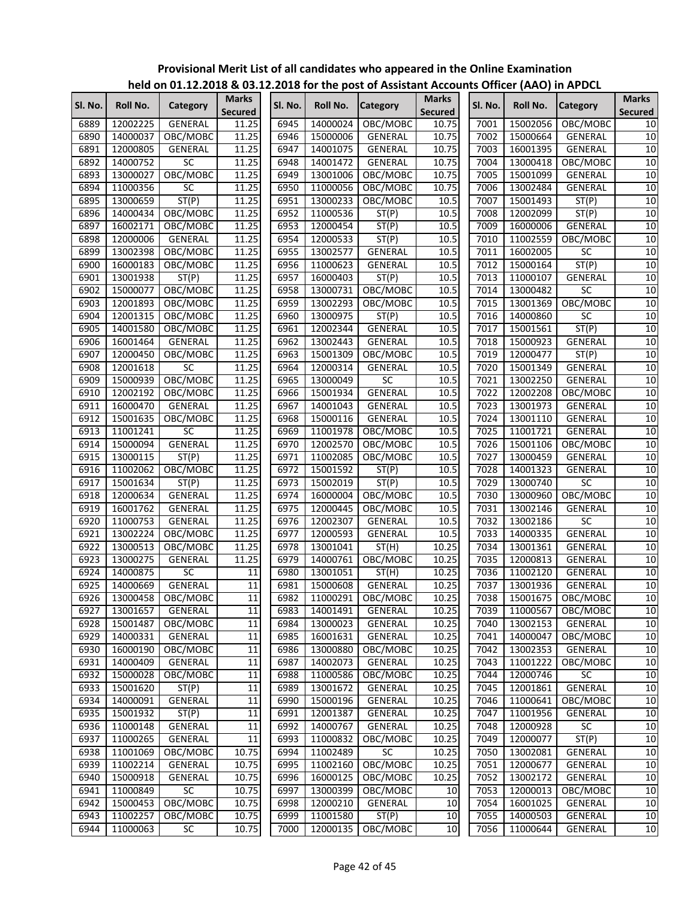#### **SI. No.** Roll No. Category **Marks** Secured **Marks Secured SI. No. Roll No. Category Secured Marks Secured SI. No. Roll No. Category Secured Secured held on 01.12.2018 & 03.12.2018 for the post of Assistant Accounts Officer (AAO) in APDCL** 6889 | 12002225 | GENERAL | 11.25 | | 6945 | 14000024 | OBC/MOBC | 10.75 | | 7001 | 15002056 | OBC/MOBC | 10 6890 | 14000037 | OBC/MOBC | 11.25 | 6946 | 15000006 | GENERAL | 10.75 | | 7002 | 15000664 | GENERAL | 10 6891 | 12000805 | GENERAL | 11.25 | | 6947 | 14001075 | GENERAL | 10.75 | | 7003 | 16001395 | GENERAL | 10 6892 | 14000752 | SC 11.25 | 6948 | 14001472 | GENERAL | 10.75 | | 7004 | 13000418 | OBC/MOBC | 10 6893 | 13000027 | OBC/MOBC | 11.25 | | 6949 | 13001006 | OBC/MOBC | 10.75 | | 7005 | 15001099 | GENERAL | 10 6894 | 11000356 | SC 11.25 | | 6950 | 11000056 | OBC/MOBC | 10.75 | | 7006 | 13002484 | GENERAL | 10 6895 | 13000659 | ST(P) | 11.25 | | 6951 | 13000233 | OBC/MOBC | 10.5 | | 7007 | 15001493 | ST(P) 10 6896 | 14000434 | OBC/MOBC | 11.25 | | 6952 | 11000536 | ST(P) | 10.5 | | 7008 | 12002099 | ST(P) | 10 6897 | 16002171 | OBC/MOBC | 11.25 | | 6953 | 12000454 | ST(P) | 10.5 | | 7009 | 16000006 | GENERAL | 10 6898 | 12000006 | GENERAL | 11.25 | 6954 | 12000533 | ST(P) | 10.5 | | 7010 | 11002559 | OBC/MOBC | 10 6899 | 13002398 | OBC/MOBC | 11.25 | 6955 | 13002577 | GENERAL | 10.5 | 7011 | 16002005 | SC 10 6900 | 16000183 | OBC/MOBC | 11.25 | 6956 | 11000623 | GENERAL | 10.5 | | 7012 | 15000164 | ST(P) | 10 6901 | 13001938 | ST(P) | 11.25 | | 6957 | 16000403 | ST(P) | 10.5 | | 7013 | 11000107 | GENERAL 10 6902 | 15000077 | OBC/MOBC | 11.25 | 6958 | 13000731 | OBC/MOBC | 10.5 | | 7014 | 13000482 | SC 10 6903 | 12001893 | OBC/MOBC | 11.25 | | 6959 | 13002293 | OBC/MOBC | 10.5 | | 7015 | 13001369 | OBC/MOBC | 10 6904 | 12001315 | OBC/MOBC | 11.25 | | 6960 | 13000975 | ST(P) | 10.5 | | 7016 | 14000860 | SC 10 6905 | 14001580 | OBC/MOBC | 11.25 | 6961 | 12002344 | GENERAL | 10.5 | | 7017 | 15001561 | ST(P) | 10 6906 | 16001464 | GENERAL | 11.25 | | 6962 | 13002443 | GENERAL | 10.5 | | 7018 | 15000923 | GENERAL | 10 6907 | 12000450 | OBC/MOBC | 11.25 | | 6963 | 15001309 | OBC/MOBC | 10.5 | | 7019 | 12000477 | ST(P) | 10 6908 12001618 SC 11.25 6964 12000314 GENERAL 10.5 7020 15001349 GENERAL 10 6909 | 15000939 | OBC/MOBC | 11.25 | | 6965 | 13000049 | SC | 10.5 | | 7021 | 13002250 | GENERAL | 10 6910 | 12002192 | OBC/MOBC | 11.25 | | 6966 | 15001934 | GENERAL | 10.5 | | 7022 | 12002208 | OBC/MOBC | 10 6911 | 16000470 | GENERAL | 11.25 | 6967 | 14001043 | GENERAL | 10.5 | 17023 | 13001973 | GENERAL | 10 6912 | 15001635 | OBC/MOBC | 11.25 | | 6968 | 15000116 | GENERAL | 10.5 | | 7024 | 13001110 | GENERAL | 10 6913 11001241 SC 11.25 6969 11001978 OBC/MOBC 10.5 7025 11001721 GENERAL 10 6914 | 15000094 | GENERAL | 11.25| | 6970 | 12002570 | OBC/MOBC | 10.5| | 7026 | 15001106 | OBC/MOBC | 10 6915 | 13000115 | ST(P) | 11.25 | 6971 | 11002085 | OBC/MOBC | 10.5 | | 7027 | 13000459 | GENERAL | 10 6916 | 11002062 | OBC/MOBC | 11.25 | 6972 | 15001592 | ST(P) | 10.5 | | 7028 | 14001323 | GENERAL 10 6917 | 15001634 | ST(P) | 11.25 | 6973 | 15002019 | ST(P) | 10.5 | | 7029 | 13000740 | SC 10 6918 | 12000634 | GENERAL | 11.25 | | 6974 | 16000004 | OBC/MOBC | 10.5 | | 7030 | 13000960 | OBC/MOBC | 10 6919 | 16001762 | GENERAL | 11.25 | | 6975 | 12000445 | OBC/MOBC | 10.5 | | 7031 | 13002146 | GENERAL | 10 6920 | 11000753 | GENERAL | 11.25 | | 6976 | 12002307 | GENERAL | 10.5 | | 7032 | 13002186 | SC 10 6921 | 13002224 | OBC/MOBC | 11.25 | 6977 | 12000593 | GENERAL | 10.5 | | 7033 | 14000335 | GENERAL | 10 6922 | 13000513 | OBC/MOBC | 11.25 | 6978 | 13001041 | ST(H) | 10.25 | | 7034 | 13001361 | GENERAL | 10 6923 | 13000275 | GENERAL | 11.25 | 6979 | 14000761 | OBC/MOBC | 10.25 | 17035 | 12000813 | GENERAL | 10 6924 14000875 SC 11 6980 13001051 ST(H) 10.25 7036 11002120 GENERAL 10 6925 | 14000669 | GENERAL | 11 | | 6981 | 15000608 | GENERAL 10.25 | | 7037 | 13001936 | GENERAL 10 6926 | 13000458 | OBC/MOBC | 11 | | 6982 | 11000291 | OBC/MOBC | 10.25 | | 7038 | 15001675 | OBC/MOBC | 10 6927 | 13001657 | GENERAL | 11| | 6983 | 14001491 | GENERAL | 10.25| | 7039 | 11000567 | OBC/MOBC | 10 6928 | 15001487 | OBC/MOBC | 11 | 6984 | 13000023 | GENERAL | 10.25 | 7040 | 13002153 | GENERAL | 10 6929 | 14000331 | GENERAL | 11 | | 6985 | 16001631 | GENERAL | 10.25 | | 7041 | 14000047 | OBC/MOBC | 10 6930 | 16000190 | OBC/MOBC | 11 | 6986 | 13000880 | OBC/MOBC | 10.25 | 7042 | 13002353 | GENERAL | 10 6931 | 14000409 | GENERAL | 11| | 6987 | 14002073 | GENERAL | 10.25| | 7043 | 11001222 | OBC/MOBC | 10 6932 | 15000028 | OBC/MOBC | 11 | | 6988 | 11000586 | OBC/MOBC | 10.25 | | 7044 | 12000746 | SC | 10 6933 15001620 ST(P) 11 6989 13001672 GENERAL 10.25 7045 12001861 GENERAL 10 6934 | 14000091 | GENERAL | 11 | | 6990 | 15000196 | GENERAL | 10.25 | | 7046 | 11000641 | OBC/MOBC | 10 6935 | 15001932 | ST(P) | 11 | | 6991 | 12001387 | GENERAL | 10.25 | | 7047 | 11001956 | GENERAL | 10 6936 | 11000148 | GENERAL | 11 | | 6992 | 14000767 | GENERAL | 10.25 | | 7048 | 12000928 | SC 10 6937 | 11000265 | GENERAL | 11| | 6993 | 11000832 | OBC/MOBC | 10.25| | 7049 | 12000077 | ST(P) | 10 6938 | 11001069 | OBC/MOBC | 10.75 | | 6994 | 11002489 | SC | 10.25 | | 7050 | 13002081 | GENERAL | 10 6939 | 11002214 | GENERAL | 10.75 | | 6995 | 11002160 | OBC/MOBC | 10.25 | | 7051 | 12000677 | GENERAL | 10 6940 | 15000918 | GENERAL | 10.75 | 6996 | 16000125 | OBC/MOBC | 10.25 | 17052 | 13002172 | GENERAL | 10 6941 11000849 SC 10.75 6997 13000399 OBC/MOBC 10 7053 12000013 OBC/MOBC 10 6942 | 15000453 | OBC/MOBC | 10.75 | | 6998 | 12000210 | GENERAL | 10 | | 7054 | 16001025 | GENERAL | 10 6943 | 11002257 | OBC/MOBC | 10.75 | | 6999 | 11001580 | ST(P) | 10 | | 7055 | 14000503 | GENERAL | 10 6944 11000063 SC 10.75 7000 12000135 OBC/MOBC 10 7056 11000644 GENERAL 10

# **Provisional Merit List of all candidates who appeared in the Online Examination**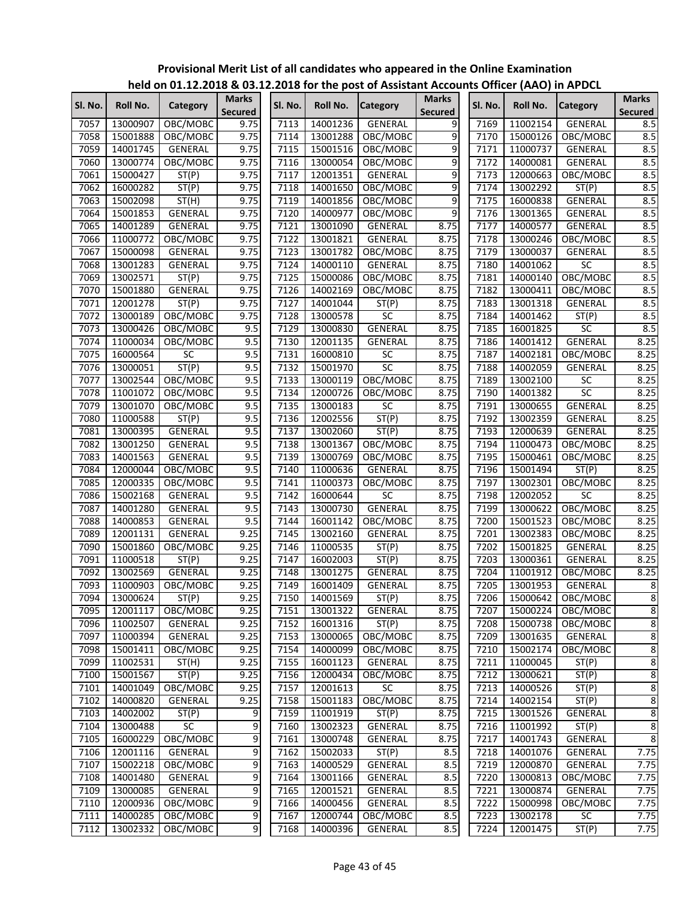|              |                      | $\frac{1}{100}$ on 01.12.2010 & 03.12.2010 for the post of Assistant Accounts Onlied (AAO) in Ar DCL |                                |         |                      |                 |                                |              |                      |                  |                                |
|--------------|----------------------|------------------------------------------------------------------------------------------------------|--------------------------------|---------|----------------------|-----------------|--------------------------------|--------------|----------------------|------------------|--------------------------------|
| SI. No.      | Roll No.             | Category                                                                                             | <b>Marks</b><br><b>Secured</b> | Sl. No. | Roll No.             | <b>Category</b> | <b>Marks</b><br><b>Secured</b> | Sl. No.      | Roll No.             | <b>Category</b>  | <b>Marks</b><br><b>Secured</b> |
| 7057         | 13000907             | OBC/MOBC                                                                                             | 9.75                           | 7113    | 14001236             | GENERAL         | 9                              | 7169         | 11002154             | <b>GENERAL</b>   | 8.5                            |
| 7058         | 15001888             | OBC/MOBC                                                                                             | 9.75                           | 7114    | 13001288             | OBC/MOBC        | 9                              | 7170         | 15000126             | OBC/MOBC         | 8.5                            |
| 7059         | 14001745             | GENERAL                                                                                              | 9.75                           | 7115    | 15001516             | OBC/MOBC        | 9                              | 7171         | 11000737             | GENERAL          | 8.5                            |
| 7060         | 13000774             | OBC/MOBC                                                                                             | 9.75                           | 7116    | 13000054             | OBC/MOBC        | 9                              | 7172         | 14000081             | GENERAL          | 8.5                            |
| 7061         | 15000427             | ST(P)                                                                                                | 9.75                           | 7117    | 12001351             | <b>GENERAL</b>  | 9                              | 7173         | 12000663             | OBC/MOBC         | 8.5                            |
| 7062         | 16000282             | ST(P)                                                                                                | 9.75                           | 7118    | 14001650             | OBC/MOBC        | $\overline{9}$                 | 7174         | 13002292             | ST(P)            | 8.5                            |
| 7063         | 15002098             | ST(H)                                                                                                | 9.75                           | 7119    | 14001856             | OBC/MOBC        | 9                              | 7175         | 16000838             | GENERAL          | 8.5                            |
| 7064         | 15001853             | GENERAL                                                                                              | 9.75                           | 7120    | 14000977             | OBC/MOBC        | 9                              | 7176         | 13001365             | GENERAL          | 8.5                            |
| 7065         | 14001289             | GENERAL                                                                                              | 9.75                           | 7121    | 13001090             | GENERAL         | 8.75                           | 7177         | 14000577             | GENERAL          | 8.5                            |
| 7066         | 11000772             | OBC/MOBC                                                                                             | 9.75                           | 7122    | 13001821             | GENERAL         | 8.75                           | 7178         | 13000246             | OBC/MOBC         | 8.5                            |
| 7067         | 15000098             | <b>GENERAL</b>                                                                                       | 9.75                           | 7123    | 13001782             | OBC/MOBC        | 8.75                           | 7179         | 13000037             | GENERAL          | 8.5                            |
| 7068         | 13001283             | GENERAL                                                                                              | 9.75                           | 7124    | 14000110             | GENERAL         | 8.75                           | 7180         | 14001062             | SC               | 8.5                            |
| 7069         | 13002571             | ST(P)                                                                                                | 9.75                           | 7125    | 15000086             | OBC/MOBC        | 8.75                           | 7181         | 14000140             | OBC/MOBC         | 8.5                            |
| 7070         | 15001880             | <b>GENERAL</b>                                                                                       | 9.75                           | 7126    | 14002169             | OBC/MOBC        | 8.75                           | 7182         | 13000411             | OBC/MOBC         | 8.5                            |
| 7071         | 12001278             | ST(P)                                                                                                | 9.75                           | 7127    | 14001044             | ST(P)           | 8.75                           | 7183         | 13001318             | GENERAL          | 8.5                            |
| 7072         | 13000189             | OBC/MOBC                                                                                             | 9.75                           | 7128    | 13000578             | $\overline{SC}$ | 8.75                           | 7184         | 14001462             | ST(P)            | 8.5                            |
| 7073         | 13000426             | OBC/MOBC                                                                                             | 9.5                            | 7129    | 13000830             | <b>GENERAL</b>  | 8.75                           | 7185         | 16001825             | SC               | 8.5                            |
| 7074         | 11000034             | OBC/MOBC                                                                                             | 9.5                            | 7130    | 12001135             | GENERAL         | 8.75                           | 7186         | 14001412             | <b>GENERAL</b>   | 8.25                           |
| 7075         | 16000564             | <b>SC</b>                                                                                            | 9.5                            | 7131    | 16000810             | SC              | 8.75                           | 7187         | 14002181             | OBC/MOBC         | 8.25                           |
| 7076         | 13000051             | ST(P)                                                                                                | 9.5                            | 7132    | 15001970             | SC              | 8.75                           | 7188         | 14002059             | GENERAL          | 8.25                           |
| 7077         | 13002544             | OBC/MOBC                                                                                             | 9.5                            | 7133    | 13000119             | OBC/MOBC        | 8.75                           | 7189         | 13002100             | SC               | 8.25                           |
| 7078         | 11001072             | OBC/MOBC                                                                                             | 9.5                            | 7134    | 12000726             | OBC/MOBC        | 8.75                           | 7190         | 14001382             | $\overline{SC}$  | 8.25                           |
| 7079         | 13001070             | OBC/MOBC                                                                                             | 9.5                            | 7135    | 13000183             | $\overline{SC}$ | 8.75                           | 7191         | 13000655             | <b>GENERAL</b>   | 8.25                           |
| 7080         | 11000588             | ST(P)                                                                                                | 9.5                            | 7136    | 12002556             | ST(P)           | 8.75                           | 7192         | 13002359             | GENERAL          | 8.25                           |
| 7081         | 13000395             | <b>GENERAL</b>                                                                                       | 9.5                            | 7137    | 13002060             | ST(P)           | 8.75                           | 7193         | 12000639             | GENERAL          | 8.25                           |
| 7082         | 13001250             | GENERAL                                                                                              | 9.5                            | 7138    | 13001367             | OBC/MOBC        | 8.75                           | 7194         | 11000473             | OBC/MOBC         | 8.25                           |
| 7083         | 14001563             | GENERAL                                                                                              | 9.5                            | 7139    | 13000769             | OBC/MOBC        | 8.75                           | 7195         | 15000461             | OBC/MOBC         | 8.25                           |
| 7084         | 12000044             | OBC/MOBC                                                                                             | 9.5                            | 7140    | 11000636             | GENERAL         | 8.75                           | 7196         | 15001494             | ST(P)            | 8.25                           |
| 7085         | 12000335             | OBC/MOBC                                                                                             | 9.5                            | 7141    | 11000373             | OBC/MOBC        | 8.75                           | 7197         | 13002301             | OBC/MOBC         | 8.25                           |
| 7086         | 15002168             | <b>GENERAL</b>                                                                                       | 9.5                            | 7142    | 16000644             | SC              | 8.75                           | 7198         | 12002052             | SC               | 8.25                           |
| 7087         | 14001280             | GENERAL                                                                                              | 9.5                            | 7143    | 13000730             | <b>GENERAL</b>  | 8.75                           | 7199         | 13000622             | OBC/MOBC         | 8.25                           |
| 7088         | 14000853             | GENERAL                                                                                              | 9.5                            | 7144    | 16001142             | OBC/MOBC        | 8.75                           | 7200         | 15001523             | OBC/MOBC         | 8.25                           |
| 7089         | 12001131             | GENERAL                                                                                              | 9.25                           | 7145    | 13002160             | <b>GENERAL</b>  | 8.75                           | 7201         | 13002383             | OBC/MOBC         | 8.25                           |
| 7090         | 15001860             | OBC/MOBC                                                                                             | 9.25                           | 7146    | 11000535             | ST(P)           | 8.75                           | 7202         | 15001825             | GENERAL          | 8.25                           |
| 7091         | 11000518             | ST(P)                                                                                                | 9.25                           | 7147    | 16002003             | ST(P)           | 8.75                           | 7203         | 13000361             | GENERAL          | 8.25                           |
| 7092         | 13002569             | GENERAL                                                                                              | 9.25                           | 7148    | 13001275             | GENERAL         | 8.75                           | 7204         | 11001912             | OBC/MOBC         | 8.25                           |
| 7093         | 11000903             | OBC/MOBC                                                                                             | 9.25                           | 7149    | 16001409             | <b>GENERAL</b>  | 8.75                           | 7205         | 13001953             | GENERAL          | $\overline{8}$                 |
| 7094         | 13000624             | ST(P)                                                                                                | 9.25                           | 7150    | 14001569             | ST(P)           | 8.75                           | 7206         | 15000642             | OBC/MOBC         | $\overline{8}$                 |
| 7095         | 12001117             | OBC/MOBC                                                                                             | 9.25                           | 7151    | 13001322             | GENERAL         | 8.75                           | 7207         | 15000224             | OBC/MOBC         | 8                              |
| 7096         | 11002507             | GENERAL                                                                                              | 9.25                           | 7152    | 16001316             | ST(P)           | 8.75                           | 7208         | 15000738             | OBC/MOBC         | 8                              |
| 7097         | 11000394             | GENERAL                                                                                              | 9.25                           | 7153    | 13000065             | OBC/MOBC        | 8.75                           | 7209         | 13001635             | GENERAL          | $\overline{8}$                 |
| 7098         | 15001411             | OBC/MOBC                                                                                             | 9.25                           | 7154    | 14000099             | OBC/MOBC        | 8.75                           | 7210         | 15002174             | OBC/MOBC         | 8                              |
| 7099         | 11002531             | ST(H)                                                                                                | 9.25                           | 7155    | 16001123             | GENERAL         | 8.75                           | 7211         | 11000045             | ST(P)            | $\overline{8}$                 |
| 7100         | 15001567             | ST(P)                                                                                                | 9.25                           | 7156    | 12000434             | OBC/MOBC        | 8.75                           | 7212         | 13000621             | ST(P)            | 8                              |
| 7101         | 14001049             | OBC/MOBC                                                                                             | 9.25                           | 7157    | 12001613             | <b>SC</b>       | 8.75                           | 7213         | 14000526             | ST(P)            | $\overline{8}$                 |
| 7102         | 14000820             | <b>GENERAL</b>                                                                                       | 9.25                           | 7158    | 15001183             | OBC/MOBC        | 8.75                           | 7214         | 14002154             | ST(P)            | $\overline{8}$                 |
| 7103         | 14002002             |                                                                                                      | 9                              | 7159    | 11001919             | ST(P)           | 8.75                           | 7215         | 13001526             | GENERAL          | $\overline{8}$                 |
|              |                      | ST(P)<br>SC                                                                                          | $\overline{9}$                 | 7160    |                      | <b>GENERAL</b>  |                                |              |                      |                  | $\overline{8}$                 |
| 7104<br>7105 | 13000488<br>16000229 | OBC/MOBC                                                                                             | $\overline{9}$                 | 7161    | 13002323<br>13000748 | GENERAL         | 8.75<br>8.75                   | 7216<br>7217 | 11001992<br>14001743 | ST(P)<br>GENERAL | $\overline{8}$                 |
| 7106         | 12001116             | GENERAL                                                                                              | $\overline{9}$                 | 7162    | 15002033             | ST(P)           |                                | 7218         | 14001076             | GENERAL          | 7.75                           |
|              |                      |                                                                                                      | 9                              |         |                      |                 | 8.5                            |              |                      |                  | 7.75                           |
| 7107         | 15002218             | OBC/MOBC                                                                                             | $\overline{9}$                 | 7163    | 14000529             | GENERAL         | 8.5                            | 7219         | 12000870             | GENERAL          |                                |
| 7108         | 14001480             | GENERAL                                                                                              |                                | 7164    | 13001166             | GENERAL         | 8.5                            | 7220         | 13000813             | OBC/MOBC         | 7.75                           |
| 7109         | 13000085             | GENERAL                                                                                              | $\overline{9}$                 | 7165    | 12001521             | GENERAL         | 8.5                            | 7221         | 13000874             | GENERAL          | 7.75                           |
| 7110         | 12000936             | OBC/MOBC                                                                                             | 9                              | 7166    | 14000456             | GENERAL         | 8.5                            | 7222         | 15000998             | OBC/MOBC         | 7.75                           |
| 7111         | 14000285             | OBC/MOBC                                                                                             | 9                              | 7167    | 12000744             | OBC/MOBC        | 8.5                            | 7223         | 13002178             | SC               | 7.75                           |
| 7112         | 13002332             | OBC/MOBC                                                                                             | 9                              | 7168    | 14000396             | GENERAL         | 8.5                            | 7224         | 12001475             | ST(P)            | 7.75                           |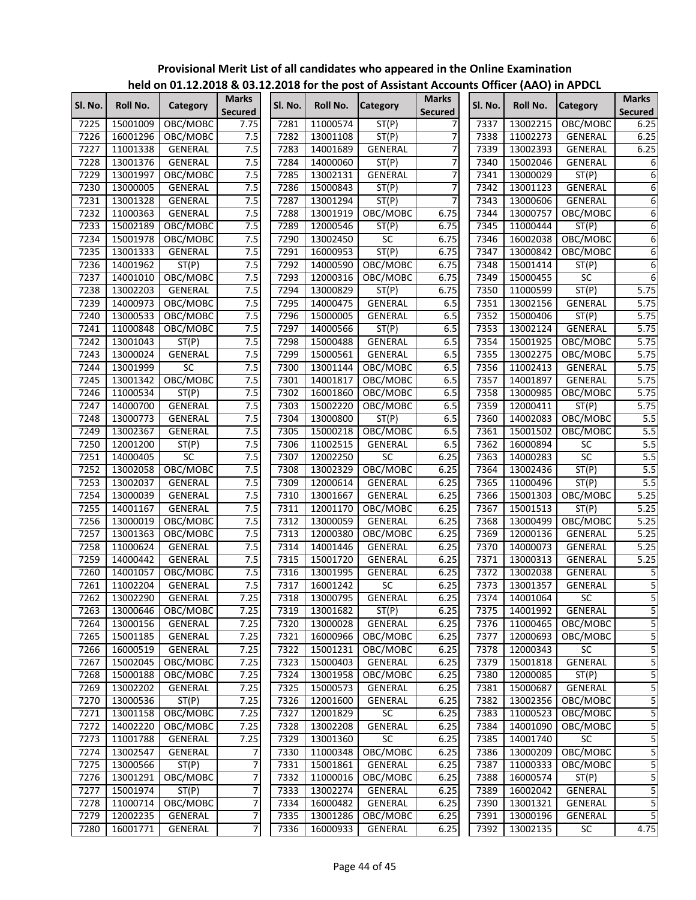|         |          |                |                         |         |               | $\frac{1}{2}$ . Even the post of Assistant Accounts Officer (AAO) in Arbeit |                                |         |          |                 |                                |
|---------|----------|----------------|-------------------------|---------|---------------|-----------------------------------------------------------------------------|--------------------------------|---------|----------|-----------------|--------------------------------|
| SI. No. | Roll No. | Category       | Marks<br><b>Secured</b> | Sl. No. | Roll No.      | <b>Category</b>                                                             | <b>Marks</b><br><b>Secured</b> | Sl. No. | Roll No. | <b>Category</b> | <b>Marks</b><br><b>Secured</b> |
| 7225    | 15001009 | OBC/MOBC       | 7.75                    | 7281    | 11000574      | ST(P)                                                                       |                                | 7337    | 13002215 | OBC/MOBC        | 6.25                           |
| 7226    | 16001296 | OBC/MOBC       | 7.5                     | 7282    | 13001108      | ST(P)                                                                       | 7                              | 7338    | 11002273 | GENERAL         | 6.25                           |
| 7227    | 11001338 | GENERAL        | 7.5                     | 7283    | 14001689      | GENERAL                                                                     | 7                              | 7339    | 13002393 | GENERAL         | 6.25                           |
| 7228    | 13001376 | GENERAL        | 7.5                     | 7284    | 14000060      | ST(P)                                                                       | 7                              | 7340    | 15002046 | GENERAL         | 6                              |
| 7229    | 13001997 | OBC/MOBC       | 7.5                     | 7285    | 13002131      | GENERAL                                                                     | 7                              | 7341    | 13000029 | ST(P)           | $\overline{6}$                 |
| 7230    | 13000005 | GENERAL        | 7.5                     | 7286    | 15000843      | ST(P)                                                                       | 7                              | 7342    | 13001123 | GENERAL         | 6                              |
| 7231    | 13001328 | GENERAL        | 7.5                     | 7287    | 13001294      | ST(P)                                                                       | 7                              | 7343    | 13000606 | GENERAL         | 6                              |
| 7232    | 11000363 | <b>GENERAL</b> | 7.5                     | 7288    | 13001919      | OBC/MOBC                                                                    | 6.75                           | 7344    | 13000757 | OBC/MOBC        | 6                              |
| 7233    | 15002189 | OBC/MOBC       | 7.5                     | 7289    | 12000546      | ST(P)                                                                       | 6.75                           | 7345    | 11000444 | ST(P)           | 6                              |
| 7234    | 15001978 | OBC/MOBC       | 7.5                     | 7290    | 13002450      | SC                                                                          | 6.75                           | 7346    | 16002038 | OBC/MOBC        | 6                              |
| 7235    | 13001333 | <b>GENERAL</b> | 7.5                     | 7291    | 16000953      | ST(P)                                                                       | 6.75                           | 7347    | 13000842 | OBC/MOBC        | 6                              |
| 7236    | 14001962 | ST(P)          | 7.5                     | 7292    | 14000590      | OBC/MOBC                                                                    | 6.75                           | 7348    | 15001414 | ST(P)           | 6                              |
| 7237    | 14001010 | OBC/MOBC       | 7.5                     | 7293    | 12000316      | OBC/MOBC                                                                    | 6.75                           | 7349    | 15000455 | SC              | 6                              |
| 7238    | 13002203 | GENERAL        | 7.5                     | 7294    | 13000829      | ST(P)                                                                       | 6.75                           | 7350    | 11000599 | ST(P)           | 5.75                           |
| 7239    | 14000973 | OBC/MOBC       | 7.5                     | 7295    | 14000475      | GENERAL                                                                     | 6.5                            | 7351    | 13002156 | <b>GENERAL</b>  | 5.75                           |
| 7240    | 13000533 | OBC/MOBC       | 7.5                     | 7296    | 15000005      | <b>GENERAL</b>                                                              | 6.5                            | 7352    | 15000406 | ST(P)           | 5.75                           |
| 7241    | 11000848 | OBC/MOBC       | 7.5                     | 7297    | 14000566      | ST(P)                                                                       | 6.5                            | 7353    | 13002124 | <b>GENERAL</b>  | 5.75                           |
| 7242    | 13001043 | ST(P)          | 7.5                     | 7298    | 15000488      | <b>GENERAL</b>                                                              | 6.5                            | 7354    | 15001925 | OBC/MOBC        | 5.75                           |
| 7243    | 13000024 | GENERAL        | 7.5                     | 7299    | 15000561      | GENERAL                                                                     | 6.5                            | 7355    | 13002275 | OBC/MOBC        | 5.75                           |
| 7244    | 13001999 | <b>SC</b>      | 7.5                     | 7300    | 13001144      | OBC/MOBC                                                                    | 6.5                            | 7356    | 11002413 | GENERAL         | 5.75                           |
| 7245    | 13001342 | OBC/MOBC       | 7.5                     | 7301    | 14001817      | OBC/MOBC                                                                    | 6.5                            | 7357    | 14001897 | GENERAL         | 5.75                           |
| 7246    | 11000534 | ST(P)          | 7.5                     | 7302    | 16001860      | OBC/MOBC                                                                    | 6.5                            | 7358    | 13000985 | OBC/MOBC        | 5.75                           |
| 7247    | 14000700 | <b>GENERAL</b> | 7.5                     | 7303    | 15002220      | OBC/MOBC                                                                    | 6.5                            | 7359    | 12000411 | ST(P)           | 5.75                           |
| 7248    | 13000773 | GENERAL        | 7.5                     | 7304    | 13000800      | ST(P)                                                                       | 6.5                            | 7360    | 14002083 | OBC/MOBC        | 5.5                            |
| 7249    | 13002367 | GENERAL        | 7.5                     | 7305    | 15000218      | OBC/MOBC                                                                    | 6.5                            | 7361    | 15001502 | OBC/MOBC        | 5.5                            |
| 7250    | 12001200 | ST(P)          | 7.5                     | 7306    | 11002515      | GENERAL                                                                     | 6.5                            | 7362    | 16000894 | SC              | 5.5                            |
| 7251    | 14000405 | <b>SC</b>      | 7.5                     | 7307    | 12002250      | SC                                                                          | 6.25                           | 7363    | 14000283 | SC              | 5.5                            |
| 7252    | 13002058 | OBC/MOBC       | 7.5                     | 7308    | 13002329      | OBC/MOBC                                                                    | 6.25                           | 7364    | 13002436 | ST(P)           | 5.5                            |
|         |          |                | 7.5                     | 7309    |               |                                                                             |                                |         |          |                 | 5.5                            |
| 7253    | 13002037 | GENERAL        | 7.5                     | 7310    | 12000614      | GENERAL                                                                     | 6.25                           | 7365    | 11000496 | ST(P)           | 5.25                           |
| 7254    | 13000039 | GENERAL        |                         |         | 13001667      | GENERAL                                                                     | 6.25                           | 7366    | 15001303 | OBC/MOBC        |                                |
| 7255    | 14001167 | GENERAL        | 7.5                     | 7311    | 12001170      | OBC/MOBC                                                                    | 6.25                           | 7367    | 15001513 | ST(P)           | 5.25                           |
| 7256    | 13000019 | OBC/MOBC       | 7.5                     | 7312    | 13000059      | GENERAL                                                                     | 6.25                           | 7368    | 13000499 | OBC/MOBC        | 5.25                           |
| 7257    | 13001363 | OBC/MOBC       | 7.5                     | 7313    | 12000380      | OBC/MOBC                                                                    | 6.25                           | 7369    | 12000136 | <b>GENERAL</b>  | 5.25                           |
| 7258    | 11000624 | <b>GENERAL</b> | 7.5                     | 7314    | 14001446      | <b>GENERAL</b>                                                              | 6.25                           | 7370    | 14000073 | GENERAL         | 5.25                           |
| 7259    | 14000442 | GENERAL        | 7.5                     | 7315    | 15001720      | GENERAL                                                                     | 6.25                           | 7371    | 13000313 | GENERAL         | 5.25                           |
| 7260    | 14001057 | OBC/MOBC       | 7.5                     | 7316    | 13001995      | GENERAL                                                                     | 6.25                           | 7372    | 13002038 | GENERAL         | 5                              |
| 7261    | 11002204 | GENERAL        | 7.5                     | 7317    | 16001242      | SC                                                                          | 6.25                           | 7373    | 13001357 | GENERAL         | $\overline{5}$                 |
| 7262    | 13002290 | <b>GENERAL</b> | 7.25                    |         | 7318 13000795 | <b>GENERAL</b>                                                              | 6.25                           | 7374    | 14001064 | SC              | $\overline{5}$                 |
| 7263    | 13000646 | OBC/MOBC       | 7.25                    | 7319    | 13001682      | ST(P)                                                                       | 6.25                           | 7375    | 14001992 | GENERAL         | 5                              |
| 7264    | 13000156 | GENERAL        | 7.25                    | 7320    | 13000028      | <b>GENERAL</b>                                                              | 6.25                           | 7376    | 11000465 | OBC/MOBC        | 5                              |
| 7265    | 15001185 | GENERAL        | 7.25                    | 7321    | 16000966      | OBC/MOBC                                                                    | 6.25                           | 7377    | 12000693 | OBC/MOBC        | 5                              |
| 7266    | 16000519 | GENERAL        | 7.25                    | 7322    | 15001231      | OBC/MOBC                                                                    | 6.25                           | 7378    | 12000343 | SC              | $\overline{5}$                 |
| 7267    | 15002045 | OBC/MOBC       | 7.25                    | 7323    | 15000403      | GENERAL                                                                     | 6.25                           | 7379    | 15001818 | GENERAL         | 5                              |
| 7268    | 15000188 | OBC/MOBC       | 7.25                    | 7324    | 13001958      | OBC/MOBC                                                                    | 6.25                           | 7380    | 12000085 | ST(P)           | 5                              |
| 7269    | 13002202 | GENERAL        | 7.25                    | 7325    | 15000573      | GENERAL                                                                     | 6.25                           | 7381    | 15000687 | <b>GENERAL</b>  | $\overline{5}$                 |
| 7270    | 13000536 | ST(P)          | 7.25                    | 7326    | 12001600      | GENERAL                                                                     | 6.25                           | 7382    | 13002356 | OBC/MOBC        | 5                              |
| 7271    | 13001158 | OBC/MOBC       | 7.25                    | 7327    | 12001829      | $\overline{SC}$                                                             | 6.25                           | 7383    | 11000523 | OBC/MOBC        | $\overline{5}$                 |
| 7272    | 14002220 | OBC/MOBC       | 7.25                    | 7328    | 13002208      | <b>GENERAL</b>                                                              | 6.25                           | 7384    | 14001090 | OBC/MOBC        | 5                              |
| 7273    | 11001788 | GENERAL        | 7.25                    | 7329    | 13001360      | SC                                                                          | 6.25                           | 7385    | 14001740 | SC              | $\overline{5}$                 |
| 7274    | 13002547 | GENERAL        | 7                       | 7330    | 11000348      | OBC/MOBC                                                                    | 6.25                           | 7386    | 13000209 | OBC/MOBC        | 5                              |
| 7275    | 13000566 | ST(P)          | $\overline{7}$          | 7331    | 15001861      | GENERAL                                                                     | 6.25                           | 7387    | 11000333 | OBC/MOBC        | $\overline{5}$                 |
| 7276    | 13001291 | OBC/MOBC       | 7                       | 7332    | 11000016      | OBC/MOBC                                                                    | 6.25                           | 7388    | 16000574 | ST(P)           | $\overline{5}$                 |
| 7277    | 15001974 | ST(P)          | $\overline{7}$          | 7333    | 13002274      | GENERAL                                                                     | 6.25                           | 7389    | 16002042 | GENERAL         | $\overline{5}$                 |
| 7278    | 11000714 | OBC/MOBC       | 7                       | 7334    | 16000482      | GENERAL                                                                     | 6.25                           | 7390    | 13001321 | GENERAL         | 5                              |
| 7279    | 12002235 | GENERAL        | 7                       | 7335    | 13001286      | OBC/MOBC                                                                    | 6.25                           | 7391    | 13000196 | GENERAL         | $\overline{5}$                 |
| 7280    | 16001771 | GENERAL        | 7                       | 7336    | 16000933      | GENERAL                                                                     | 6.25                           | 7392    | 13002135 | SC              | 4.75                           |